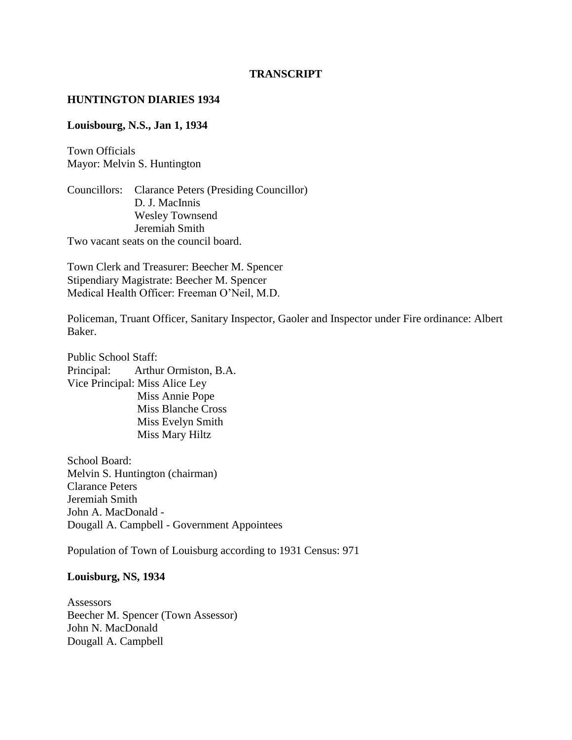#### **TRANSCRIPT**

#### **HUNTINGTON DIARIES 1934**

#### **Louisbourg, N.S., Jan 1, 1934**

Town Officials Mayor: Melvin S. Huntington

Councillors: Clarance Peters (Presiding Councillor) D. J. MacInnis Wesley Townsend Jeremiah Smith Two vacant seats on the council board.

Town Clerk and Treasurer: Beecher M. Spencer Stipendiary Magistrate: Beecher M. Spencer Medical Health Officer: Freeman O'Neil, M.D.

Policeman, Truant Officer, Sanitary Inspector, Gaoler and Inspector under Fire ordinance: Albert Baker.

Public School Staff: Principal: Arthur Ormiston, B.A. Vice Principal: Miss Alice Ley Miss Annie Pope Miss Blanche Cross Miss Evelyn Smith Miss Mary Hiltz

School Board: Melvin S. Huntington (chairman) Clarance Peters Jeremiah Smith John A. MacDonald - Dougall A. Campbell - Government Appointees

Population of Town of Louisburg according to 1931 Census: 971

### **Louisburg, NS, 1934**

**Assessors** Beecher M. Spencer (Town Assessor) John N. MacDonald Dougall A. Campbell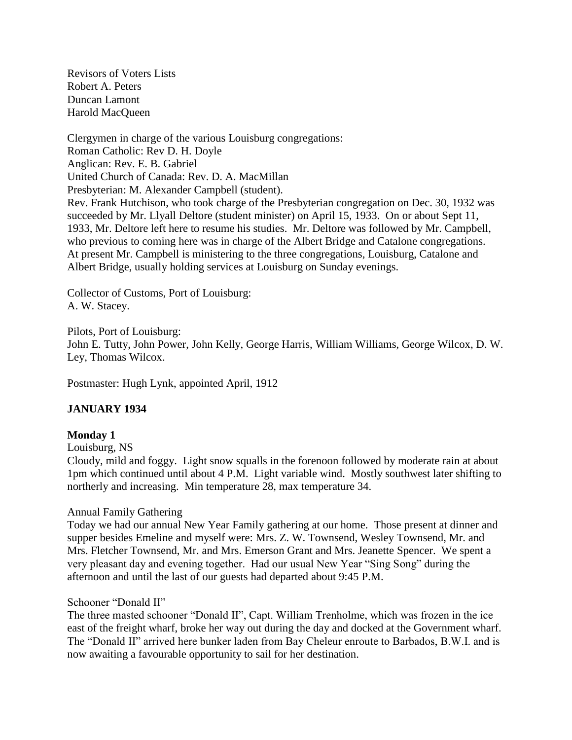Revisors of Voters Lists Robert A. Peters Duncan Lamont Harold MacQueen

Clergymen in charge of the various Louisburg congregations: Roman Catholic: Rev D. H. Doyle Anglican: Rev. E. B. Gabriel United Church of Canada: Rev. D. A. MacMillan Presbyterian: M. Alexander Campbell (student). Rev. Frank Hutchison, who took charge of the Presbyterian congregation on Dec. 30, 1932 was succeeded by Mr. Llyall Deltore (student minister) on April 15, 1933. On or about Sept 11, 1933, Mr. Deltore left here to resume his studies. Mr. Deltore was followed by Mr. Campbell, who previous to coming here was in charge of the Albert Bridge and Catalone congregations. At present Mr. Campbell is ministering to the three congregations, Louisburg, Catalone and Albert Bridge, usually holding services at Louisburg on Sunday evenings.

Collector of Customs, Port of Louisburg: A. W. Stacey.

Pilots, Port of Louisburg: John E. Tutty, John Power, John Kelly, George Harris, William Williams, George Wilcox, D. W. Ley, Thomas Wilcox.

Postmaster: Hugh Lynk, appointed April, 1912

#### **JANUARY 1934**

#### **Monday 1**

Louisburg, NS

Cloudy, mild and foggy. Light snow squalls in the forenoon followed by moderate rain at about 1pm which continued until about 4 P.M. Light variable wind. Mostly southwest later shifting to northerly and increasing. Min temperature 28, max temperature 34.

#### Annual Family Gathering

Today we had our annual New Year Family gathering at our home. Those present at dinner and supper besides Emeline and myself were: Mrs. Z. W. Townsend, Wesley Townsend, Mr. and Mrs. Fletcher Townsend, Mr. and Mrs. Emerson Grant and Mrs. Jeanette Spencer. We spent a very pleasant day and evening together. Had our usual New Year "Sing Song" during the afternoon and until the last of our guests had departed about 9:45 P.M.

#### Schooner "Donald II"

The three masted schooner "Donald II", Capt. William Trenholme, which was frozen in the ice east of the freight wharf, broke her way out during the day and docked at the Government wharf. The "Donald II" arrived here bunker laden from Bay Cheleur enroute to Barbados, B.W.I. and is now awaiting a favourable opportunity to sail for her destination.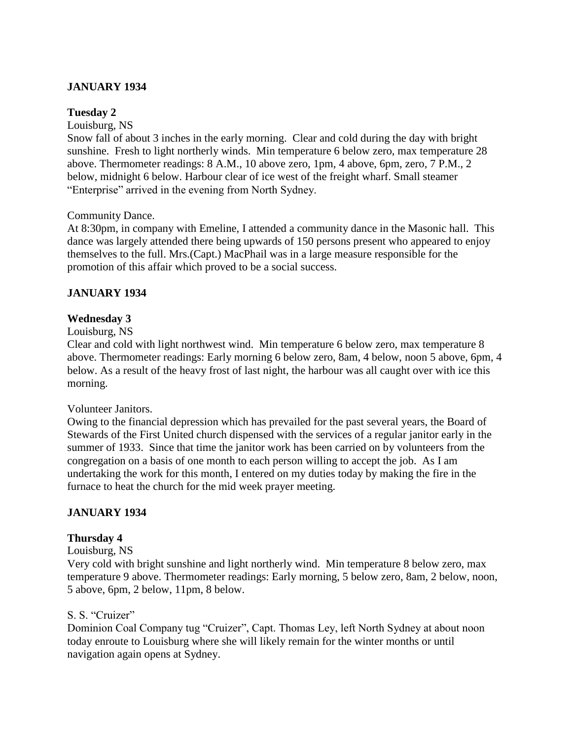## **JANUARY 1934**

### **Tuesday 2**

Louisburg, NS

Snow fall of about 3 inches in the early morning. Clear and cold during the day with bright sunshine. Fresh to light northerly winds. Min temperature 6 below zero, max temperature 28 above. Thermometer readings: 8 A.M., 10 above zero, 1pm, 4 above, 6pm, zero, 7 P.M., 2 below, midnight 6 below. Harbour clear of ice west of the freight wharf. Small steamer "Enterprise" arrived in the evening from North Sydney.

Community Dance.

At 8:30pm, in company with Emeline, I attended a community dance in the Masonic hall. This dance was largely attended there being upwards of 150 persons present who appeared to enjoy themselves to the full. Mrs.(Capt.) MacPhail was in a large measure responsible for the promotion of this affair which proved to be a social success.

## **JANUARY 1934**

## **Wednesday 3**

#### Louisburg, NS

Clear and cold with light northwest wind. Min temperature 6 below zero, max temperature 8 above. Thermometer readings: Early morning 6 below zero, 8am, 4 below, noon 5 above, 6pm, 4 below. As a result of the heavy frost of last night, the harbour was all caught over with ice this morning.

#### Volunteer Janitors.

Owing to the financial depression which has prevailed for the past several years, the Board of Stewards of the First United church dispensed with the services of a regular janitor early in the summer of 1933. Since that time the janitor work has been carried on by volunteers from the congregation on a basis of one month to each person willing to accept the job. As I am undertaking the work for this month, I entered on my duties today by making the fire in the furnace to heat the church for the mid week prayer meeting.

## **JANUARY 1934**

#### **Thursday 4**

#### Louisburg, NS

Very cold with bright sunshine and light northerly wind. Min temperature 8 below zero, max temperature 9 above. Thermometer readings: Early morning, 5 below zero, 8am, 2 below, noon, 5 above, 6pm, 2 below, 11pm, 8 below.

#### S. S. "Cruizer"

Dominion Coal Company tug "Cruizer", Capt. Thomas Ley, left North Sydney at about noon today enroute to Louisburg where she will likely remain for the winter months or until navigation again opens at Sydney.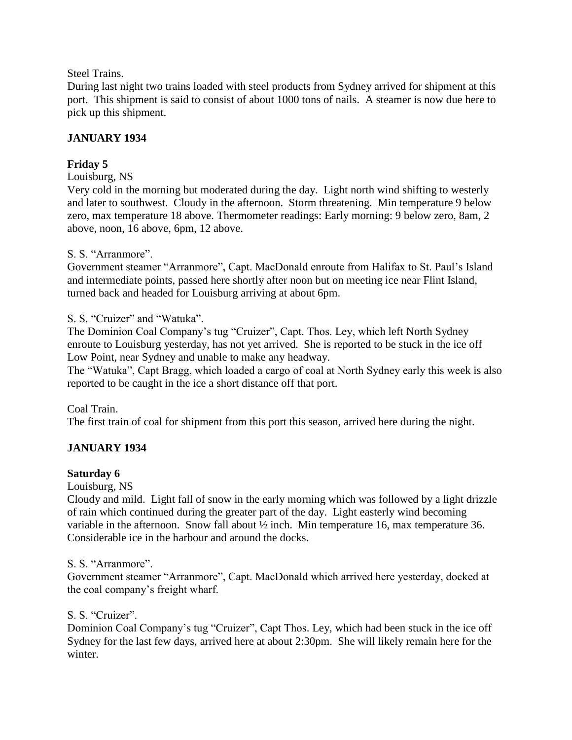### Steel Trains.

During last night two trains loaded with steel products from Sydney arrived for shipment at this port. This shipment is said to consist of about 1000 tons of nails. A steamer is now due here to pick up this shipment.

## **JANUARY 1934**

## **Friday 5**

Louisburg, NS

Very cold in the morning but moderated during the day. Light north wind shifting to westerly and later to southwest. Cloudy in the afternoon. Storm threatening. Min temperature 9 below zero, max temperature 18 above. Thermometer readings: Early morning: 9 below zero, 8am, 2 above, noon, 16 above, 6pm, 12 above.

### S. S. "Arranmore".

Government steamer "Arranmore", Capt. MacDonald enroute from Halifax to St. Paul's Island and intermediate points, passed here shortly after noon but on meeting ice near Flint Island, turned back and headed for Louisburg arriving at about 6pm.

## S. S. "Cruizer" and "Watuka".

The Dominion Coal Company's tug "Cruizer", Capt. Thos. Ley, which left North Sydney enroute to Louisburg yesterday, has not yet arrived. She is reported to be stuck in the ice off Low Point, near Sydney and unable to make any headway.

The "Watuka", Capt Bragg, which loaded a cargo of coal at North Sydney early this week is also reported to be caught in the ice a short distance off that port.

Coal Train. The first train of coal for shipment from this port this season, arrived here during the night.

## **JANUARY 1934**

## **Saturday 6**

Louisburg, NS

Cloudy and mild. Light fall of snow in the early morning which was followed by a light drizzle of rain which continued during the greater part of the day. Light easterly wind becoming variable in the afternoon. Snow fall about ½ inch. Min temperature 16, max temperature 36. Considerable ice in the harbour and around the docks.

#### S. S. "Arranmore".

Government steamer "Arranmore", Capt. MacDonald which arrived here yesterday, docked at the coal company's freight wharf.

#### S. S. "Cruizer".

Dominion Coal Company's tug "Cruizer", Capt Thos. Ley, which had been stuck in the ice off Sydney for the last few days, arrived here at about 2:30pm. She will likely remain here for the winter.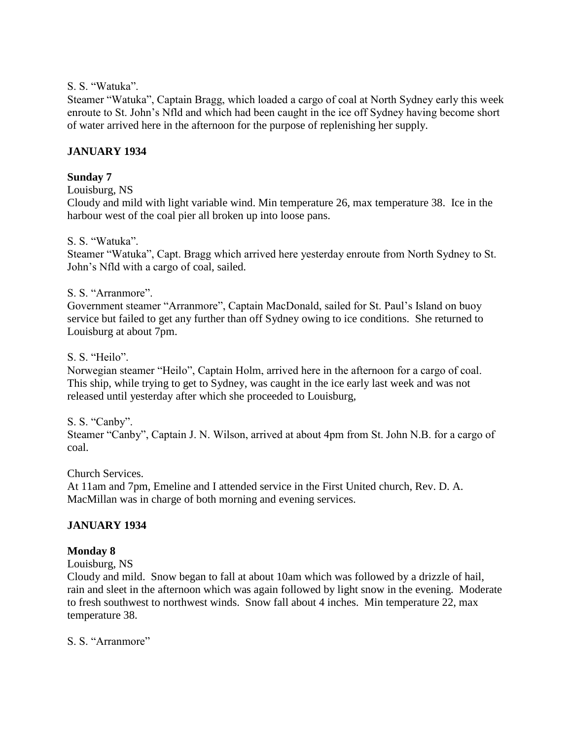### S. S. "Watuka".

Steamer "Watuka", Captain Bragg, which loaded a cargo of coal at North Sydney early this week enroute to St. John's Nfld and which had been caught in the ice off Sydney having become short of water arrived here in the afternoon for the purpose of replenishing her supply.

## **JANUARY 1934**

### **Sunday 7**

Louisburg, NS

Cloudy and mild with light variable wind. Min temperature 26, max temperature 38. Ice in the harbour west of the coal pier all broken up into loose pans.

#### S. S. "Watuka".

Steamer "Watuka", Capt. Bragg which arrived here yesterday enroute from North Sydney to St. John's Nfld with a cargo of coal, sailed.

### S. S. "Arranmore".

Government steamer "Arranmore", Captain MacDonald, sailed for St. Paul's Island on buoy service but failed to get any further than off Sydney owing to ice conditions. She returned to Louisburg at about 7pm.

### S. S. "Heilo".

Norwegian steamer "Heilo", Captain Holm, arrived here in the afternoon for a cargo of coal. This ship, while trying to get to Sydney, was caught in the ice early last week and was not released until yesterday after which she proceeded to Louisburg,

## S. S. "Canby".

Steamer "Canby", Captain J. N. Wilson, arrived at about 4pm from St. John N.B. for a cargo of coal.

#### Church Services.

At 11am and 7pm, Emeline and I attended service in the First United church, Rev. D. A. MacMillan was in charge of both morning and evening services.

## **JANUARY 1934**

#### **Monday 8**

#### Louisburg, NS

Cloudy and mild. Snow began to fall at about 10am which was followed by a drizzle of hail, rain and sleet in the afternoon which was again followed by light snow in the evening. Moderate to fresh southwest to northwest winds. Snow fall about 4 inches. Min temperature 22, max temperature 38.

#### S. S. "Arranmore"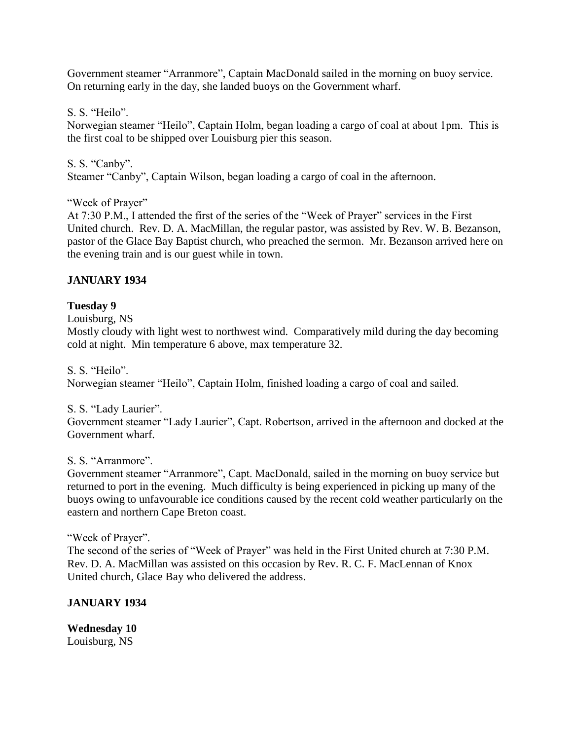Government steamer "Arranmore", Captain MacDonald sailed in the morning on buoy service. On returning early in the day, she landed buoys on the Government wharf.

S. S. "Heilo".

Norwegian steamer "Heilo", Captain Holm, began loading a cargo of coal at about 1pm. This is the first coal to be shipped over Louisburg pier this season.

S. S. "Canby". Steamer "Canby", Captain Wilson, began loading a cargo of coal in the afternoon.

"Week of Prayer"

At 7:30 P.M., I attended the first of the series of the "Week of Prayer" services in the First United church. Rev. D. A. MacMillan, the regular pastor, was assisted by Rev. W. B. Bezanson, pastor of the Glace Bay Baptist church, who preached the sermon. Mr. Bezanson arrived here on the evening train and is our guest while in town.

## **JANUARY 1934**

## **Tuesday 9**

Louisburg, NS

Mostly cloudy with light west to northwest wind. Comparatively mild during the day becoming cold at night. Min temperature 6 above, max temperature 32.

S. S. "Heilo".

Norwegian steamer "Heilo", Captain Holm, finished loading a cargo of coal and sailed.

S. S. "Lady Laurier".

Government steamer "Lady Laurier", Capt. Robertson, arrived in the afternoon and docked at the Government wharf.

## S. S. "Arranmore".

Government steamer "Arranmore", Capt. MacDonald, sailed in the morning on buoy service but returned to port in the evening. Much difficulty is being experienced in picking up many of the buoys owing to unfavourable ice conditions caused by the recent cold weather particularly on the eastern and northern Cape Breton coast.

"Week of Prayer".

The second of the series of "Week of Prayer" was held in the First United church at 7:30 P.M. Rev. D. A. MacMillan was assisted on this occasion by Rev. R. C. F. MacLennan of Knox United church, Glace Bay who delivered the address.

## **JANUARY 1934**

**Wednesday 10** Louisburg, NS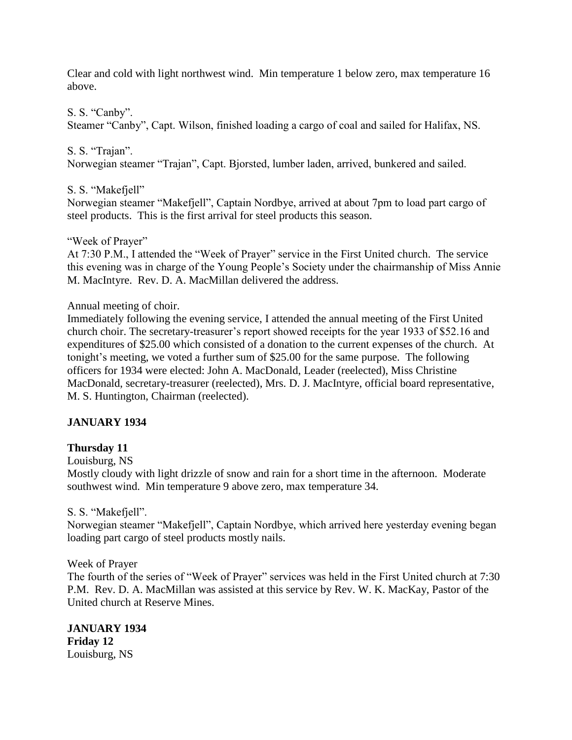Clear and cold with light northwest wind. Min temperature 1 below zero, max temperature 16 above.

S. S. "Canby". Steamer "Canby", Capt. Wilson, finished loading a cargo of coal and sailed for Halifax, NS.

S. S. "Trajan". Norwegian steamer "Trajan", Capt. Bjorsted, lumber laden, arrived, bunkered and sailed.

S. S. "Makefjell"

Norwegian steamer "Makefjell", Captain Nordbye, arrived at about 7pm to load part cargo of steel products. This is the first arrival for steel products this season.

# "Week of Prayer"

At 7:30 P.M., I attended the "Week of Prayer" service in the First United church. The service this evening was in charge of the Young People's Society under the chairmanship of Miss Annie M. MacIntyre. Rev. D. A. MacMillan delivered the address.

# Annual meeting of choir.

Immediately following the evening service, I attended the annual meeting of the First United church choir. The secretary-treasurer's report showed receipts for the year 1933 of \$52.16 and expenditures of \$25.00 which consisted of a donation to the current expenses of the church. At tonight's meeting, we voted a further sum of \$25.00 for the same purpose. The following officers for 1934 were elected: John A. MacDonald, Leader (reelected), Miss Christine MacDonald, secretary-treasurer (reelected), Mrs. D. J. MacIntyre, official board representative, M. S. Huntington, Chairman (reelected).

# **JANUARY 1934**

# **Thursday 11**

Louisburg, NS

Mostly cloudy with light drizzle of snow and rain for a short time in the afternoon. Moderate southwest wind. Min temperature 9 above zero, max temperature 34.

# S. S. "Makefjell".

Norwegian steamer "Makefjell", Captain Nordbye, which arrived here yesterday evening began loading part cargo of steel products mostly nails.

Week of Prayer

The fourth of the series of "Week of Prayer" services was held in the First United church at 7:30 P.M. Rev. D. A. MacMillan was assisted at this service by Rev. W. K. MacKay, Pastor of the United church at Reserve Mines.

**JANUARY 1934 Friday 12** Louisburg, NS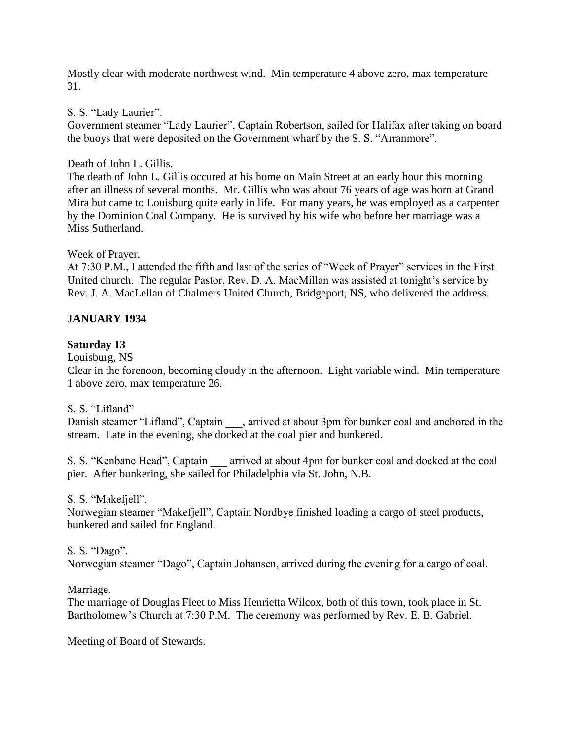Mostly clear with moderate northwest wind. Min temperature 4 above zero, max temperature 31.

S. S. "Lady Laurier".

Government steamer "Lady Laurier", Captain Robertson, sailed for Halifax after taking on board the buoys that were deposited on the Government wharf by the S. S. "Arranmore".

## Death of John L. Gillis.

The death of John L. Gillis occured at his home on Main Street at an early hour this morning after an illness of several months. Mr. Gillis who was about 76 years of age was born at Grand Mira but came to Louisburg quite early in life. For many years, he was employed as a carpenter by the Dominion Coal Company. He is survived by his wife who before her marriage was a Miss Sutherland.

### Week of Prayer.

At 7:30 P.M., I attended the fifth and last of the series of "Week of Prayer" services in the First United church. The regular Pastor, Rev. D. A. MacMillan was assisted at tonight's service by Rev. J. A. MacLellan of Chalmers United Church, Bridgeport, NS, who delivered the address.

## **JANUARY 1934**

## **Saturday 13**

Louisburg, NS

Clear in the forenoon, becoming cloudy in the afternoon. Light variable wind. Min temperature 1 above zero, max temperature 26.

## S. S. "Lifland"

Danish steamer "Lifland", Captain \_\_\_, arrived at about 3pm for bunker coal and anchored in the stream. Late in the evening, she docked at the coal pier and bunkered.

S. S. "Kenbane Head", Captain arrived at about 4pm for bunker coal and docked at the coal pier. After bunkering, she sailed for Philadelphia via St. John, N.B.

## S. S. "Makefjell".

Norwegian steamer "Makefjell", Captain Nordbye finished loading a cargo of steel products, bunkered and sailed for England.

## S. S. "Dago".

Norwegian steamer "Dago", Captain Johansen, arrived during the evening for a cargo of coal.

#### Marriage.

The marriage of Douglas Fleet to Miss Henrietta Wilcox, both of this town, took place in St. Bartholomew's Church at 7:30 P.M. The ceremony was performed by Rev. E. B. Gabriel.

Meeting of Board of Stewards.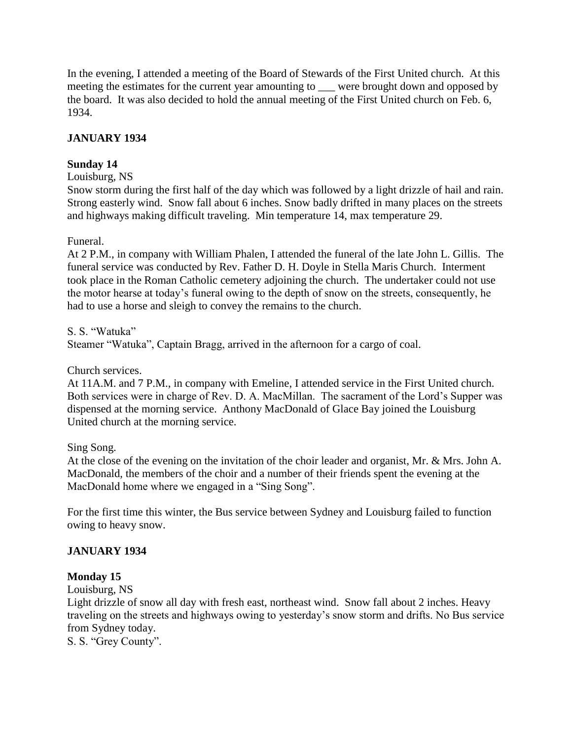In the evening, I attended a meeting of the Board of Stewards of the First United church. At this meeting the estimates for the current year amounting to \_\_\_ were brought down and opposed by the board. It was also decided to hold the annual meeting of the First United church on Feb. 6, 1934.

# **JANUARY 1934**

### **Sunday 14**

#### Louisburg, NS

Snow storm during the first half of the day which was followed by a light drizzle of hail and rain. Strong easterly wind. Snow fall about 6 inches. Snow badly drifted in many places on the streets and highways making difficult traveling. Min temperature 14, max temperature 29.

Funeral.

At 2 P.M., in company with William Phalen, I attended the funeral of the late John L. Gillis. The funeral service was conducted by Rev. Father D. H. Doyle in Stella Maris Church. Interment took place in the Roman Catholic cemetery adjoining the church. The undertaker could not use the motor hearse at today's funeral owing to the depth of snow on the streets, consequently, he had to use a horse and sleigh to convey the remains to the church.

S. S. "Watuka"

Steamer "Watuka", Captain Bragg, arrived in the afternoon for a cargo of coal.

Church services.

At 11A.M. and 7 P.M., in company with Emeline, I attended service in the First United church. Both services were in charge of Rev. D. A. MacMillan. The sacrament of the Lord's Supper was dispensed at the morning service. Anthony MacDonald of Glace Bay joined the Louisburg United church at the morning service.

Sing Song.

At the close of the evening on the invitation of the choir leader and organist, Mr. & Mrs. John A. MacDonald, the members of the choir and a number of their friends spent the evening at the MacDonald home where we engaged in a "Sing Song".

For the first time this winter, the Bus service between Sydney and Louisburg failed to function owing to heavy snow.

## **JANUARY 1934**

## **Monday 15**

Louisburg, NS

Light drizzle of snow all day with fresh east, northeast wind. Snow fall about 2 inches. Heavy traveling on the streets and highways owing to yesterday's snow storm and drifts. No Bus service from Sydney today.

S. S. "Grey County".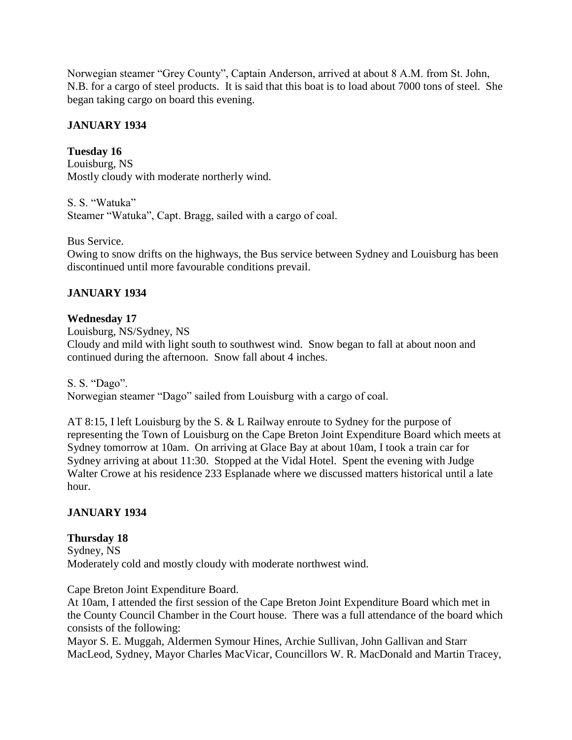Norwegian steamer "Grey County", Captain Anderson, arrived at about 8 A.M. from St. John, N.B. for a cargo of steel products. It is said that this boat is to load about 7000 tons of steel. She began taking cargo on board this evening.

## **JANUARY 1934**

**Tuesday 16** Louisburg, NS Mostly cloudy with moderate northerly wind.

S. S. "Watuka" Steamer "Watuka", Capt. Bragg, sailed with a cargo of coal.

Bus Service.

Owing to snow drifts on the highways, the Bus service between Sydney and Louisburg has been discontinued until more favourable conditions prevail.

# **JANUARY 1934**

### **Wednesday 17**

Louisburg, NS/Sydney, NS

Cloudy and mild with light south to southwest wind. Snow began to fall at about noon and continued during the afternoon. Snow fall about 4 inches.

S. S. "Dago".

Norwegian steamer "Dago" sailed from Louisburg with a cargo of coal.

AT 8:15, I left Louisburg by the S. & L Railway enroute to Sydney for the purpose of representing the Town of Louisburg on the Cape Breton Joint Expenditure Board which meets at Sydney tomorrow at 10am. On arriving at Glace Bay at about 10am, I took a train car for Sydney arriving at about 11:30. Stopped at the Vidal Hotel. Spent the evening with Judge Walter Crowe at his residence 233 Esplanade where we discussed matters historical until a late hour.

## **JANUARY 1934**

#### **Thursday 18**

Sydney, NS Moderately cold and mostly cloudy with moderate northwest wind.

Cape Breton Joint Expenditure Board.

At 10am, I attended the first session of the Cape Breton Joint Expenditure Board which met in the County Council Chamber in the Court house. There was a full attendance of the board which consists of the following:

Mayor S. E. Muggah, Aldermen Symour Hines, Archie Sullivan, John Gallivan and Starr MacLeod, Sydney, Mayor Charles MacVicar, Councillors W. R. MacDonald and Martin Tracey,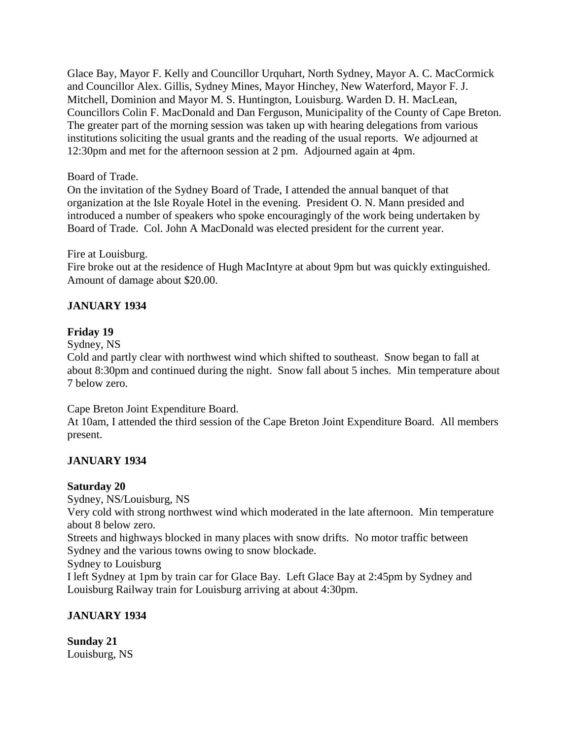Glace Bay, Mayor F. Kelly and Councillor Urquhart, North Sydney, Mayor A. C. MacCormick and Councillor Alex. Gillis, Sydney Mines, Mayor Hinchey, New Waterford, Mayor F. J. Mitchell, Dominion and Mayor M. S. Huntington, Louisburg. Warden D. H. MacLean, Councillors Colin F. MacDonald and Dan Ferguson, Municipality of the County of Cape Breton. The greater part of the morning session was taken up with hearing delegations from various institutions soliciting the usual grants and the reading of the usual reports. We adjourned at 12:30pm and met for the afternoon session at 2 pm. Adjourned again at 4pm.

#### Board of Trade.

On the invitation of the Sydney Board of Trade, I attended the annual banquet of that organization at the Isle Royale Hotel in the evening. President O. N. Mann presided and introduced a number of speakers who spoke encouragingly of the work being undertaken by Board of Trade. Col. John A MacDonald was elected president for the current year.

### Fire at Louisburg.

Fire broke out at the residence of Hugh MacIntyre at about 9pm but was quickly extinguished. Amount of damage about \$20.00.

# **JANUARY 1934**

## **Friday 19**

Sydney, NS

Cold and partly clear with northwest wind which shifted to southeast. Snow began to fall at about 8:30pm and continued during the night. Snow fall about 5 inches. Min temperature about 7 below zero.

Cape Breton Joint Expenditure Board.

At 10am, I attended the third session of the Cape Breton Joint Expenditure Board. All members present.

## **JANUARY 1934**

#### **Saturday 20**

Sydney, NS/Louisburg, NS

Very cold with strong northwest wind which moderated in the late afternoon. Min temperature about 8 below zero.

Streets and highways blocked in many places with snow drifts. No motor traffic between Sydney and the various towns owing to snow blockade.

Sydney to Louisburg

I left Sydney at 1pm by train car for Glace Bay. Left Glace Bay at 2:45pm by Sydney and Louisburg Railway train for Louisburg arriving at about 4:30pm.

## **JANUARY 1934**

**Sunday 21** Louisburg, NS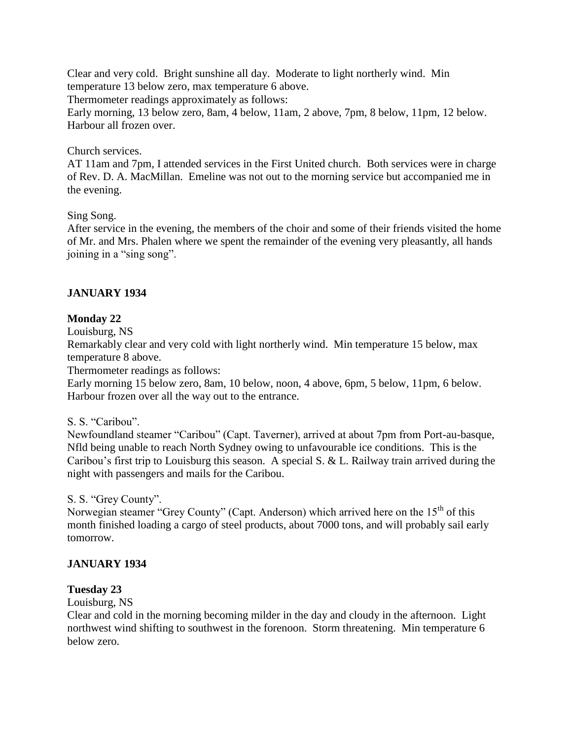Clear and very cold. Bright sunshine all day. Moderate to light northerly wind. Min temperature 13 below zero, max temperature 6 above.

Thermometer readings approximately as follows:

Early morning, 13 below zero, 8am, 4 below, 11am, 2 above, 7pm, 8 below, 11pm, 12 below. Harbour all frozen over.

### Church services.

AT 11am and 7pm, I attended services in the First United church. Both services were in charge of Rev. D. A. MacMillan. Emeline was not out to the morning service but accompanied me in the evening.

### Sing Song.

After service in the evening, the members of the choir and some of their friends visited the home of Mr. and Mrs. Phalen where we spent the remainder of the evening very pleasantly, all hands joining in a "sing song".

# **JANUARY 1934**

## **Monday 22**

Louisburg, NS

Remarkably clear and very cold with light northerly wind. Min temperature 15 below, max temperature 8 above.

Thermometer readings as follows:

Early morning 15 below zero, 8am, 10 below, noon, 4 above, 6pm, 5 below, 11pm, 6 below. Harbour frozen over all the way out to the entrance.

## S. S. "Caribou".

Newfoundland steamer "Caribou" (Capt. Taverner), arrived at about 7pm from Port-au-basque, Nfld being unable to reach North Sydney owing to unfavourable ice conditions. This is the Caribou's first trip to Louisburg this season. A special S. & L. Railway train arrived during the night with passengers and mails for the Caribou.

## S. S. "Grey County".

Norwegian steamer "Grey County" (Capt. Anderson) which arrived here on the 15<sup>th</sup> of this month finished loading a cargo of steel products, about 7000 tons, and will probably sail early tomorrow.

## **JANUARY 1934**

#### **Tuesday 23**

Louisburg, NS

Clear and cold in the morning becoming milder in the day and cloudy in the afternoon. Light northwest wind shifting to southwest in the forenoon. Storm threatening. Min temperature 6 below zero.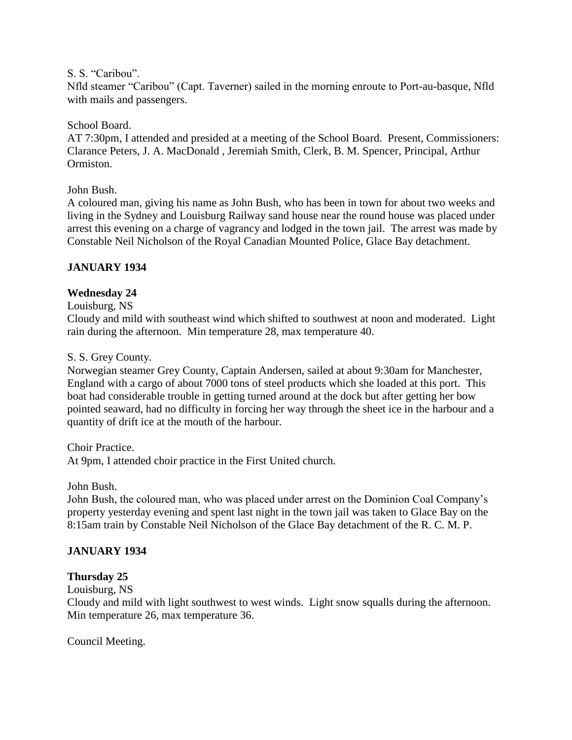#### S. S. "Caribou".

Nfld steamer "Caribou" (Capt. Taverner) sailed in the morning enroute to Port-au-basque, Nfld with mails and passengers.

## School Board.

AT 7:30pm, I attended and presided at a meeting of the School Board. Present, Commissioners: Clarance Peters, J. A. MacDonald , Jeremiah Smith, Clerk, B. M. Spencer, Principal, Arthur Ormiston.

## John Bush.

A coloured man, giving his name as John Bush, who has been in town for about two weeks and living in the Sydney and Louisburg Railway sand house near the round house was placed under arrest this evening on a charge of vagrancy and lodged in the town jail. The arrest was made by Constable Neil Nicholson of the Royal Canadian Mounted Police, Glace Bay detachment.

## **JANUARY 1934**

# **Wednesday 24**

Louisburg, NS

Cloudy and mild with southeast wind which shifted to southwest at noon and moderated. Light rain during the afternoon. Min temperature 28, max temperature 40.

### S. S. Grey County.

Norwegian steamer Grey County, Captain Andersen, sailed at about 9:30am for Manchester, England with a cargo of about 7000 tons of steel products which she loaded at this port. This boat had considerable trouble in getting turned around at the dock but after getting her bow pointed seaward, had no difficulty in forcing her way through the sheet ice in the harbour and a quantity of drift ice at the mouth of the harbour.

Choir Practice.

At 9pm, I attended choir practice in the First United church.

John Bush.

John Bush, the coloured man, who was placed under arrest on the Dominion Coal Company's property yesterday evening and spent last night in the town jail was taken to Glace Bay on the 8:15am train by Constable Neil Nicholson of the Glace Bay detachment of the R. C. M. P.

## **JANUARY 1934**

## **Thursday 25**

Louisburg, NS

Cloudy and mild with light southwest to west winds. Light snow squalls during the afternoon. Min temperature 26, max temperature 36.

Council Meeting.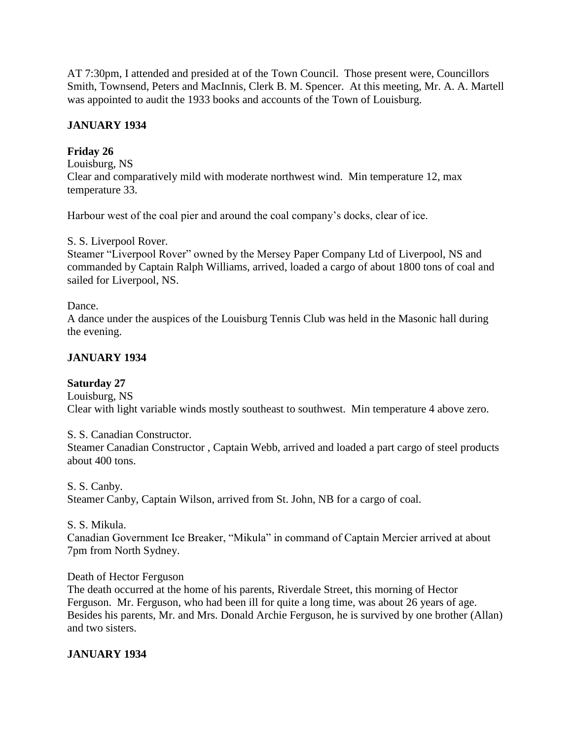AT 7:30pm, I attended and presided at of the Town Council. Those present were, Councillors Smith, Townsend, Peters and MacInnis, Clerk B. M. Spencer. At this meeting, Mr. A. A. Martell was appointed to audit the 1933 books and accounts of the Town of Louisburg.

# **JANUARY 1934**

# **Friday 26**

Louisburg, NS Clear and comparatively mild with moderate northwest wind. Min temperature 12, max temperature 33.

Harbour west of the coal pier and around the coal company's docks, clear of ice.

S. S. Liverpool Rover.

Steamer "Liverpool Rover" owned by the Mersey Paper Company Ltd of Liverpool, NS and commanded by Captain Ralph Williams, arrived, loaded a cargo of about 1800 tons of coal and sailed for Liverpool, NS.

### Dance.

A dance under the auspices of the Louisburg Tennis Club was held in the Masonic hall during the evening.

## **JANUARY 1934**

## **Saturday 27**

Louisburg, NS Clear with light variable winds mostly southeast to southwest. Min temperature 4 above zero.

## S. S. Canadian Constructor.

Steamer Canadian Constructor , Captain Webb, arrived and loaded a part cargo of steel products about 400 tons.

S. S. Canby. Steamer Canby, Captain Wilson, arrived from St. John, NB for a cargo of coal.

S. S. Mikula.

Canadian Government Ice Breaker, "Mikula" in command of Captain Mercier arrived at about 7pm from North Sydney.

## Death of Hector Ferguson

The death occurred at the home of his parents, Riverdale Street, this morning of Hector Ferguson. Mr. Ferguson, who had been ill for quite a long time, was about 26 years of age. Besides his parents, Mr. and Mrs. Donald Archie Ferguson, he is survived by one brother (Allan) and two sisters.

## **JANUARY 1934**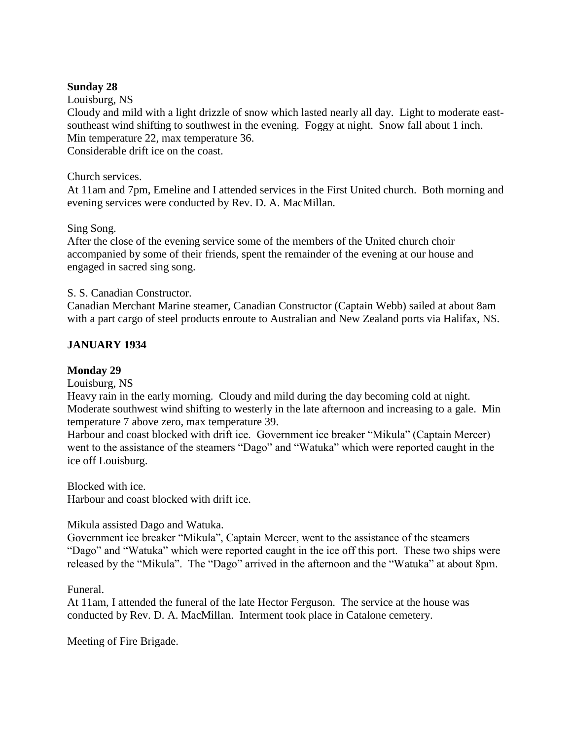### **Sunday 28**

Louisburg, NS

Cloudy and mild with a light drizzle of snow which lasted nearly all day. Light to moderate eastsoutheast wind shifting to southwest in the evening. Foggy at night. Snow fall about 1 inch. Min temperature 22, max temperature 36. Considerable drift ice on the coast.

### Church services.

At 11am and 7pm, Emeline and I attended services in the First United church. Both morning and evening services were conducted by Rev. D. A. MacMillan.

#### Sing Song.

After the close of the evening service some of the members of the United church choir accompanied by some of their friends, spent the remainder of the evening at our house and engaged in sacred sing song.

### S. S. Canadian Constructor.

Canadian Merchant Marine steamer, Canadian Constructor (Captain Webb) sailed at about 8am with a part cargo of steel products enroute to Australian and New Zealand ports via Halifax, NS.

## **JANUARY 1934**

## **Monday 29**

#### Louisburg, NS

Heavy rain in the early morning. Cloudy and mild during the day becoming cold at night. Moderate southwest wind shifting to westerly in the late afternoon and increasing to a gale. Min temperature 7 above zero, max temperature 39.

Harbour and coast blocked with drift ice. Government ice breaker "Mikula" (Captain Mercer) went to the assistance of the steamers "Dago" and "Watuka" which were reported caught in the ice off Louisburg.

Blocked with ice. Harbour and coast blocked with drift ice.

Mikula assisted Dago and Watuka.

Government ice breaker "Mikula", Captain Mercer, went to the assistance of the steamers "Dago" and "Watuka" which were reported caught in the ice off this port. These two ships were released by the "Mikula". The "Dago" arrived in the afternoon and the "Watuka" at about 8pm.

#### Funeral.

At 11am, I attended the funeral of the late Hector Ferguson. The service at the house was conducted by Rev. D. A. MacMillan. Interment took place in Catalone cemetery.

Meeting of Fire Brigade.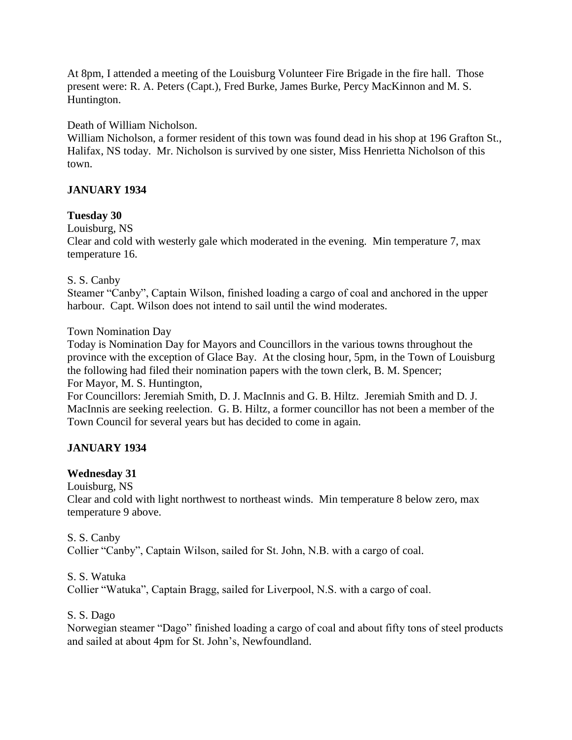At 8pm, I attended a meeting of the Louisburg Volunteer Fire Brigade in the fire hall. Those present were: R. A. Peters (Capt.), Fred Burke, James Burke, Percy MacKinnon and M. S. Huntington.

Death of William Nicholson.

William Nicholson, a former resident of this town was found dead in his shop at 196 Grafton St., Halifax, NS today. Mr. Nicholson is survived by one sister, Miss Henrietta Nicholson of this town.

## **JANUARY 1934**

#### **Tuesday 30**

Louisburg, NS

Clear and cold with westerly gale which moderated in the evening. Min temperature 7, max temperature 16.

### S. S. Canby

Steamer "Canby", Captain Wilson, finished loading a cargo of coal and anchored in the upper harbour. Capt. Wilson does not intend to sail until the wind moderates.

Town Nomination Day

Today is Nomination Day for Mayors and Councillors in the various towns throughout the province with the exception of Glace Bay. At the closing hour, 5pm, in the Town of Louisburg the following had filed their nomination papers with the town clerk, B. M. Spencer; For Mayor, M. S. Huntington,

For Councillors: Jeremiah Smith, D. J. MacInnis and G. B. Hiltz. Jeremiah Smith and D. J. MacInnis are seeking reelection. G. B. Hiltz, a former councillor has not been a member of the Town Council for several years but has decided to come in again.

## **JANUARY 1934**

## **Wednesday 31**

Louisburg, NS

Clear and cold with light northwest to northeast winds. Min temperature 8 below zero, max temperature 9 above.

#### S. S. Canby

Collier "Canby", Captain Wilson, sailed for St. John, N.B. with a cargo of coal.

#### S. S. Watuka

Collier "Watuka", Captain Bragg, sailed for Liverpool, N.S. with a cargo of coal.

#### S. S. Dago

Norwegian steamer "Dago" finished loading a cargo of coal and about fifty tons of steel products and sailed at about 4pm for St. John's, Newfoundland.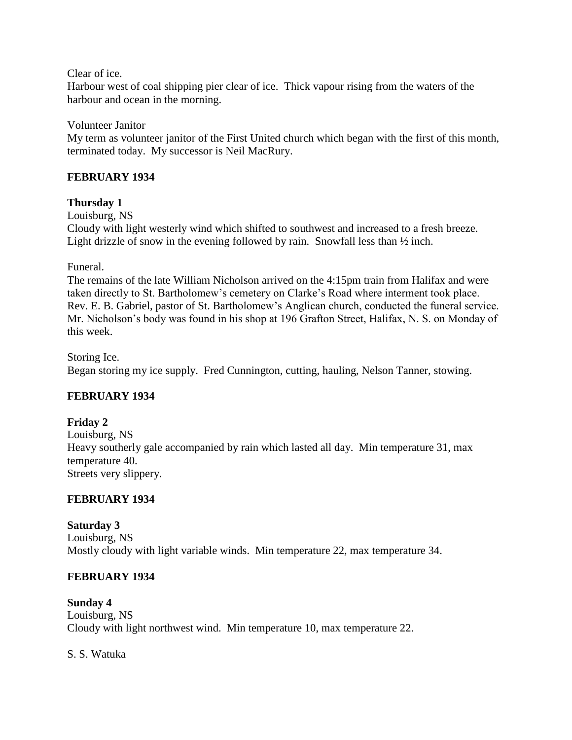Clear of ice.

Harbour west of coal shipping pier clear of ice. Thick vapour rising from the waters of the harbour and ocean in the morning.

Volunteer Janitor

My term as volunteer janitor of the First United church which began with the first of this month, terminated today. My successor is Neil MacRury.

## **FEBRUARY 1934**

## **Thursday 1**

Louisburg, NS Cloudy with light westerly wind which shifted to southwest and increased to a fresh breeze. Light drizzle of snow in the evening followed by rain. Snowfall less than  $\frac{1}{2}$  inch.

Funeral.

The remains of the late William Nicholson arrived on the 4:15pm train from Halifax and were taken directly to St. Bartholomew's cemetery on Clarke's Road where interment took place. Rev. E. B. Gabriel, pastor of St. Bartholomew's Anglican church, conducted the funeral service. Mr. Nicholson's body was found in his shop at 196 Grafton Street, Halifax, N. S. on Monday of this week.

Storing Ice. Began storing my ice supply. Fred Cunnington, cutting, hauling, Nelson Tanner, stowing.

## **FEBRUARY 1934**

## **Friday 2**

Louisburg, NS Heavy southerly gale accompanied by rain which lasted all day. Min temperature 31, max temperature 40. Streets very slippery.

## **FEBRUARY 1934**

**Saturday 3** Louisburg, NS Mostly cloudy with light variable winds. Min temperature 22, max temperature 34.

## **FEBRUARY 1934**

**Sunday 4** Louisburg, NS Cloudy with light northwest wind. Min temperature 10, max temperature 22.

S. S. Watuka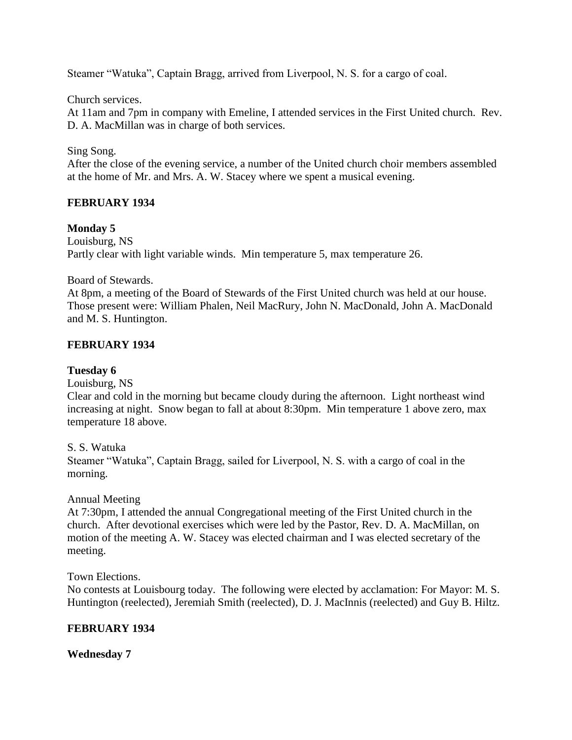Steamer "Watuka", Captain Bragg, arrived from Liverpool, N. S. for a cargo of coal.

Church services.

At 11am and 7pm in company with Emeline, I attended services in the First United church. Rev. D. A. MacMillan was in charge of both services.

Sing Song.

After the close of the evening service, a number of the United church choir members assembled at the home of Mr. and Mrs. A. W. Stacey where we spent a musical evening.

## **FEBRUARY 1934**

## **Monday 5**

Louisburg, NS Partly clear with light variable winds. Min temperature 5, max temperature 26.

Board of Stewards.

At 8pm, a meeting of the Board of Stewards of the First United church was held at our house. Those present were: William Phalen, Neil MacRury, John N. MacDonald, John A. MacDonald and M. S. Huntington.

# **FEBRUARY 1934**

## **Tuesday 6**

Louisburg, NS

Clear and cold in the morning but became cloudy during the afternoon. Light northeast wind increasing at night. Snow began to fall at about 8:30pm. Min temperature 1 above zero, max temperature 18 above.

S. S. Watuka

Steamer "Watuka", Captain Bragg, sailed for Liverpool, N. S. with a cargo of coal in the morning.

## Annual Meeting

At 7:30pm, I attended the annual Congregational meeting of the First United church in the church. After devotional exercises which were led by the Pastor, Rev. D. A. MacMillan, on motion of the meeting A. W. Stacey was elected chairman and I was elected secretary of the meeting.

Town Elections.

No contests at Louisbourg today. The following were elected by acclamation: For Mayor: M. S. Huntington (reelected), Jeremiah Smith (reelected), D. J. MacInnis (reelected) and Guy B. Hiltz.

## **FEBRUARY 1934**

**Wednesday 7**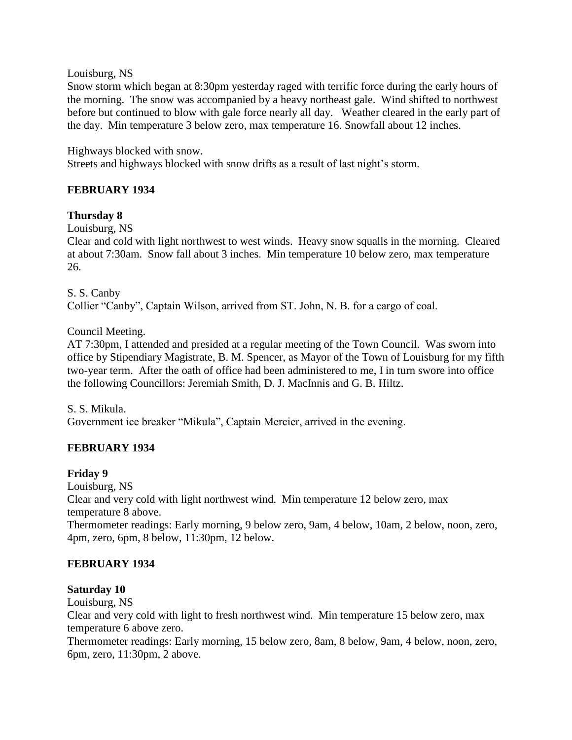#### Louisburg, NS

Snow storm which began at 8:30pm yesterday raged with terrific force during the early hours of the morning. The snow was accompanied by a heavy northeast gale. Wind shifted to northwest before but continued to blow with gale force nearly all day. Weather cleared in the early part of the day. Min temperature 3 below zero, max temperature 16. Snowfall about 12 inches.

Highways blocked with snow. Streets and highways blocked with snow drifts as a result of last night's storm.

## **FEBRUARY 1934**

### **Thursday 8**

Louisburg, NS

Clear and cold with light northwest to west winds. Heavy snow squalls in the morning. Cleared at about 7:30am. Snow fall about 3 inches. Min temperature 10 below zero, max temperature 26.

S. S. Canby Collier "Canby", Captain Wilson, arrived from ST. John, N. B. for a cargo of coal.

Council Meeting.

AT 7:30pm, I attended and presided at a regular meeting of the Town Council. Was sworn into office by Stipendiary Magistrate, B. M. Spencer, as Mayor of the Town of Louisburg for my fifth two-year term. After the oath of office had been administered to me, I in turn swore into office the following Councillors: Jeremiah Smith, D. J. MacInnis and G. B. Hiltz.

S. S. Mikula. Government ice breaker "Mikula", Captain Mercier, arrived in the evening.

## **FEBRUARY 1934**

## **Friday 9**

Louisburg, NS

Clear and very cold with light northwest wind. Min temperature 12 below zero, max temperature 8 above.

Thermometer readings: Early morning, 9 below zero, 9am, 4 below, 10am, 2 below, noon, zero, 4pm, zero, 6pm, 8 below, 11:30pm, 12 below.

## **FEBRUARY 1934**

#### **Saturday 10**

Louisburg, NS

Clear and very cold with light to fresh northwest wind. Min temperature 15 below zero, max temperature 6 above zero.

Thermometer readings: Early morning, 15 below zero, 8am, 8 below, 9am, 4 below, noon, zero, 6pm, zero, 11:30pm, 2 above.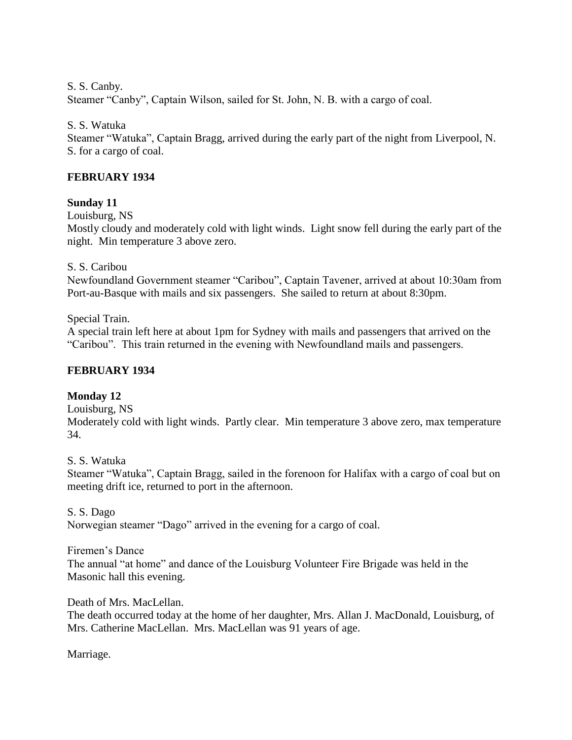S. S. Canby.

Steamer "Canby", Captain Wilson, sailed for St. John, N. B. with a cargo of coal.

### S. S. Watuka

Steamer "Watuka", Captain Bragg, arrived during the early part of the night from Liverpool, N. S. for a cargo of coal.

### **FEBRUARY 1934**

### **Sunday 11**

Louisburg, NS

Mostly cloudy and moderately cold with light winds. Light snow fell during the early part of the night. Min temperature 3 above zero.

S. S. Caribou

Newfoundland Government steamer "Caribou", Captain Tavener, arrived at about 10:30am from Port-au-Basque with mails and six passengers. She sailed to return at about 8:30pm.

Special Train.

A special train left here at about 1pm for Sydney with mails and passengers that arrived on the "Caribou". This train returned in the evening with Newfoundland mails and passengers.

### **FEBRUARY 1934**

## **Monday 12**

Louisburg, NS

Moderately cold with light winds. Partly clear. Min temperature 3 above zero, max temperature 34.

S. S. Watuka

Steamer "Watuka", Captain Bragg, sailed in the forenoon for Halifax with a cargo of coal but on meeting drift ice, returned to port in the afternoon.

S. S. Dago

Norwegian steamer "Dago" arrived in the evening for a cargo of coal.

Firemen's Dance

The annual "at home" and dance of the Louisburg Volunteer Fire Brigade was held in the Masonic hall this evening.

Death of Mrs. MacLellan.

The death occurred today at the home of her daughter, Mrs. Allan J. MacDonald, Louisburg, of Mrs. Catherine MacLellan. Mrs. MacLellan was 91 years of age.

Marriage.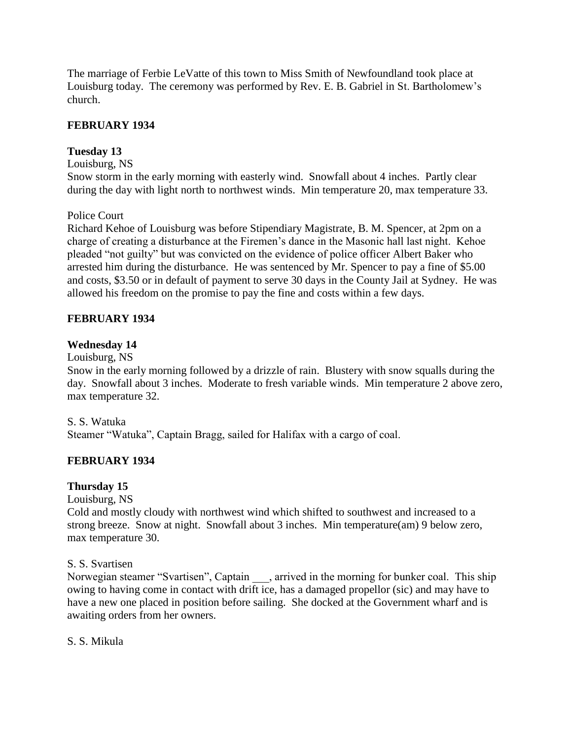The marriage of Ferbie LeVatte of this town to Miss Smith of Newfoundland took place at Louisburg today. The ceremony was performed by Rev. E. B. Gabriel in St. Bartholomew's church.

## **FEBRUARY 1934**

## **Tuesday 13**

### Louisburg, NS

Snow storm in the early morning with easterly wind. Snowfall about 4 inches. Partly clear during the day with light north to northwest winds. Min temperature 20, max temperature 33.

## Police Court

Richard Kehoe of Louisburg was before Stipendiary Magistrate, B. M. Spencer, at 2pm on a charge of creating a disturbance at the Firemen's dance in the Masonic hall last night. Kehoe pleaded "not guilty" but was convicted on the evidence of police officer Albert Baker who arrested him during the disturbance. He was sentenced by Mr. Spencer to pay a fine of \$5.00 and costs, \$3.50 or in default of payment to serve 30 days in the County Jail at Sydney. He was allowed his freedom on the promise to pay the fine and costs within a few days.

## **FEBRUARY 1934**

## **Wednesday 14**

Louisburg, NS

Snow in the early morning followed by a drizzle of rain. Blustery with snow squalls during the day. Snowfall about 3 inches. Moderate to fresh variable winds. Min temperature 2 above zero, max temperature 32.

## S. S. Watuka

Steamer "Watuka", Captain Bragg, sailed for Halifax with a cargo of coal.

# **FEBRUARY 1934**

## **Thursday 15**

Louisburg, NS

Cold and mostly cloudy with northwest wind which shifted to southwest and increased to a strong breeze. Snow at night. Snowfall about 3 inches. Min temperature(am) 9 below zero, max temperature 30.

## S. S. Svartisen

Norwegian steamer "Svartisen", Captain \_\_\_, arrived in the morning for bunker coal. This ship owing to having come in contact with drift ice, has a damaged propellor (sic) and may have to have a new one placed in position before sailing. She docked at the Government wharf and is awaiting orders from her owners.

## S. S. Mikula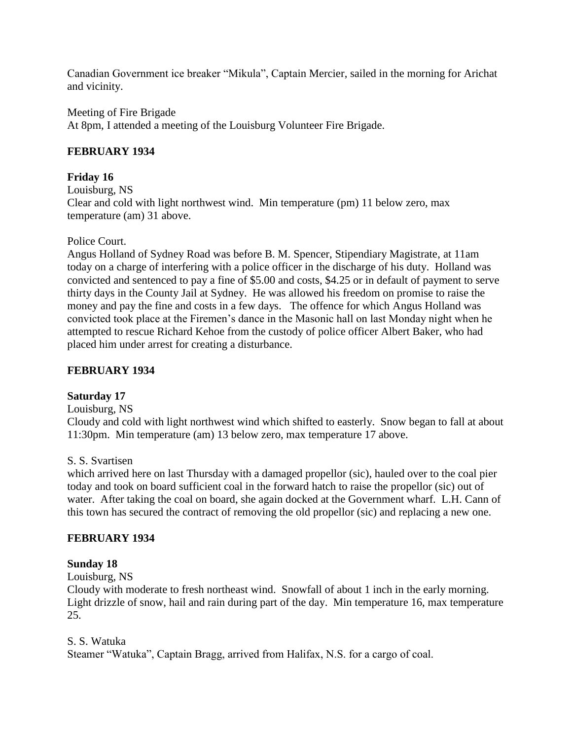Canadian Government ice breaker "Mikula", Captain Mercier, sailed in the morning for Arichat and vicinity.

Meeting of Fire Brigade

At 8pm, I attended a meeting of the Louisburg Volunteer Fire Brigade.

## **FEBRUARY 1934**

## **Friday 16**

Louisburg, NS Clear and cold with light northwest wind. Min temperature (pm) 11 below zero, max temperature (am) 31 above.

### Police Court.

Angus Holland of Sydney Road was before B. M. Spencer, Stipendiary Magistrate, at 11am today on a charge of interfering with a police officer in the discharge of his duty. Holland was convicted and sentenced to pay a fine of \$5.00 and costs, \$4.25 or in default of payment to serve thirty days in the County Jail at Sydney. He was allowed his freedom on promise to raise the money and pay the fine and costs in a few days. The offence for which Angus Holland was convicted took place at the Firemen's dance in the Masonic hall on last Monday night when he attempted to rescue Richard Kehoe from the custody of police officer Albert Baker, who had placed him under arrest for creating a disturbance.

## **FEBRUARY 1934**

## **Saturday 17**

Louisburg, NS

Cloudy and cold with light northwest wind which shifted to easterly. Snow began to fall at about 11:30pm. Min temperature (am) 13 below zero, max temperature 17 above.

## S. S. Svartisen

which arrived here on last Thursday with a damaged propellor (sic), hauled over to the coal pier today and took on board sufficient coal in the forward hatch to raise the propellor (sic) out of water. After taking the coal on board, she again docked at the Government wharf. L.H. Cann of this town has secured the contract of removing the old propellor (sic) and replacing a new one.

## **FEBRUARY 1934**

## **Sunday 18**

#### Louisburg, NS

Cloudy with moderate to fresh northeast wind. Snowfall of about 1 inch in the early morning. Light drizzle of snow, hail and rain during part of the day. Min temperature 16, max temperature 25.

## S. S. Watuka

Steamer "Watuka", Captain Bragg, arrived from Halifax, N.S. for a cargo of coal.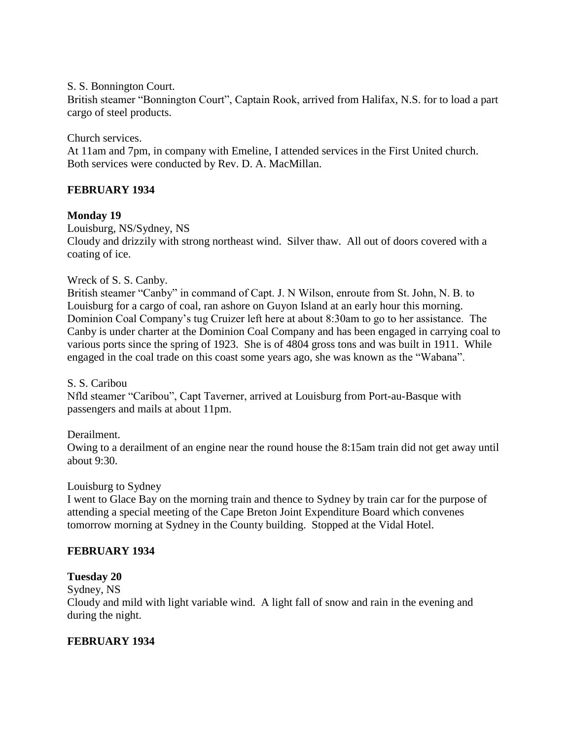#### S. S. Bonnington Court.

British steamer "Bonnington Court", Captain Rook, arrived from Halifax, N.S. for to load a part cargo of steel products.

### Church services.

At 11am and 7pm, in company with Emeline, I attended services in the First United church. Both services were conducted by Rev. D. A. MacMillan.

## **FEBRUARY 1934**

### **Monday 19**

Louisburg, NS/Sydney, NS

Cloudy and drizzily with strong northeast wind. Silver thaw. All out of doors covered with a coating of ice.

#### Wreck of S. S. Canby.

British steamer "Canby" in command of Capt. J. N Wilson, enroute from St. John, N. B. to Louisburg for a cargo of coal, ran ashore on Guyon Island at an early hour this morning. Dominion Coal Company's tug Cruizer left here at about 8:30am to go to her assistance. The Canby is under charter at the Dominion Coal Company and has been engaged in carrying coal to various ports since the spring of 1923. She is of 4804 gross tons and was built in 1911. While engaged in the coal trade on this coast some years ago, she was known as the "Wabana".

#### S. S. Caribou

Nfld steamer "Caribou", Capt Taverner, arrived at Louisburg from Port-au-Basque with passengers and mails at about 11pm.

#### Derailment.

Owing to a derailment of an engine near the round house the 8:15am train did not get away until about 9:30.

#### Louisburg to Sydney

I went to Glace Bay on the morning train and thence to Sydney by train car for the purpose of attending a special meeting of the Cape Breton Joint Expenditure Board which convenes tomorrow morning at Sydney in the County building. Stopped at the Vidal Hotel.

#### **FEBRUARY 1934**

## **Tuesday 20**

Sydney, NS

Cloudy and mild with light variable wind. A light fall of snow and rain in the evening and during the night.

## **FEBRUARY 1934**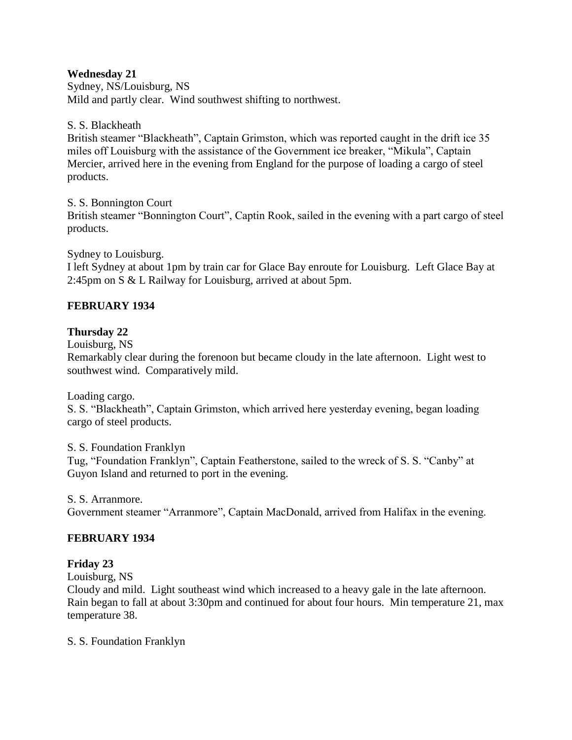### **Wednesday 21**

Sydney, NS/Louisburg, NS Mild and partly clear. Wind southwest shifting to northwest.

### S. S. Blackheath

British steamer "Blackheath", Captain Grimston, which was reported caught in the drift ice 35 miles off Louisburg with the assistance of the Government ice breaker, "Mikula", Captain Mercier, arrived here in the evening from England for the purpose of loading a cargo of steel products.

#### S. S. Bonnington Court

British steamer "Bonnington Court", Captin Rook, sailed in the evening with a part cargo of steel products.

Sydney to Louisburg.

I left Sydney at about 1pm by train car for Glace Bay enroute for Louisburg. Left Glace Bay at 2:45pm on S & L Railway for Louisburg, arrived at about 5pm.

## **FEBRUARY 1934**

### **Thursday 22**

Louisburg, NS

Remarkably clear during the forenoon but became cloudy in the late afternoon. Light west to southwest wind. Comparatively mild.

Loading cargo.

S. S. "Blackheath", Captain Grimston, which arrived here yesterday evening, began loading cargo of steel products.

S. S. Foundation Franklyn Tug, "Foundation Franklyn", Captain Featherstone, sailed to the wreck of S. S. "Canby" at Guyon Island and returned to port in the evening.

S. S. Arranmore. Government steamer "Arranmore", Captain MacDonald, arrived from Halifax in the evening.

## **FEBRUARY 1934**

#### **Friday 23**

Louisburg, NS

Cloudy and mild. Light southeast wind which increased to a heavy gale in the late afternoon. Rain began to fall at about 3:30pm and continued for about four hours. Min temperature 21, max temperature 38.

S. S. Foundation Franklyn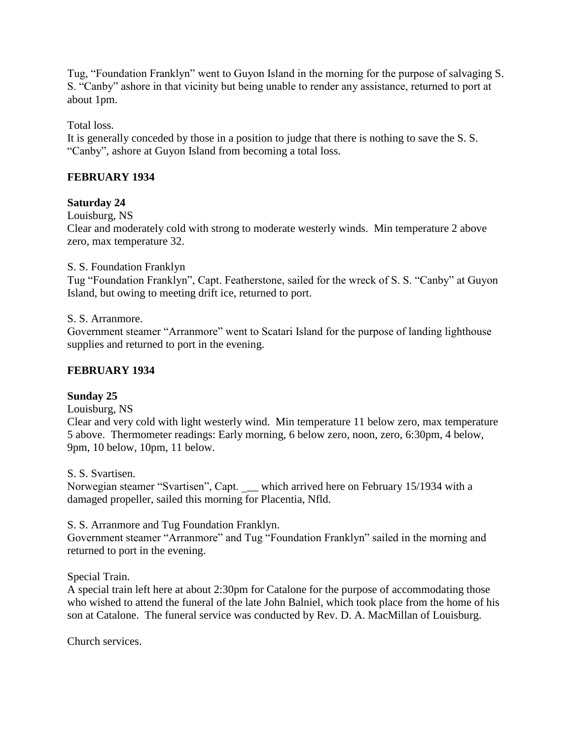Tug, "Foundation Franklyn" went to Guyon Island in the morning for the purpose of salvaging S. S. "Canby" ashore in that vicinity but being unable to render any assistance, returned to port at about 1pm.

Total loss.

It is generally conceded by those in a position to judge that there is nothing to save the S. S. "Canby", ashore at Guyon Island from becoming a total loss.

## **FEBRUARY 1934**

### **Saturday 24**

Louisburg, NS

Clear and moderately cold with strong to moderate westerly winds. Min temperature 2 above zero, max temperature 32.

### S. S. Foundation Franklyn

Tug "Foundation Franklyn", Capt. Featherstone, sailed for the wreck of S. S. "Canby" at Guyon Island, but owing to meeting drift ice, returned to port.

#### S. S. Arranmore.

Government steamer "Arranmore" went to Scatari Island for the purpose of landing lighthouse supplies and returned to port in the evening.

### **FEBRUARY 1934**

#### **Sunday 25**

Louisburg, NS

Clear and very cold with light westerly wind. Min temperature 11 below zero, max temperature 5 above. Thermometer readings: Early morning, 6 below zero, noon, zero, 6:30pm, 4 below, 9pm, 10 below, 10pm, 11 below.

#### S. S. Svartisen.

Norwegian steamer "Svartisen", Capt. \_ which arrived here on February 15/1934 with a damaged propeller, sailed this morning for Placentia, Nfld.

S. S. Arranmore and Tug Foundation Franklyn.

Government steamer "Arranmore" and Tug "Foundation Franklyn" sailed in the morning and returned to port in the evening.

#### Special Train.

A special train left here at about 2:30pm for Catalone for the purpose of accommodating those who wished to attend the funeral of the late John Balniel, which took place from the home of his son at Catalone. The funeral service was conducted by Rev. D. A. MacMillan of Louisburg.

Church services.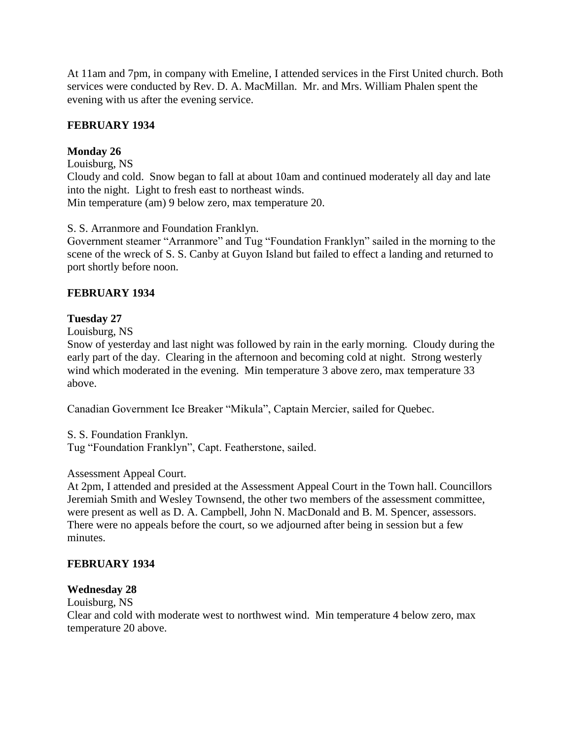At 11am and 7pm, in company with Emeline, I attended services in the First United church. Both services were conducted by Rev. D. A. MacMillan. Mr. and Mrs. William Phalen spent the evening with us after the evening service.

## **FEBRUARY 1934**

## **Monday 26**

### Louisburg, NS

Cloudy and cold. Snow began to fall at about 10am and continued moderately all day and late into the night. Light to fresh east to northeast winds. Min temperature (am) 9 below zero, max temperature 20.

S. S. Arranmore and Foundation Franklyn.

Government steamer "Arranmore" and Tug "Foundation Franklyn" sailed in the morning to the scene of the wreck of S. S. Canby at Guyon Island but failed to effect a landing and returned to port shortly before noon.

## **FEBRUARY 1934**

## **Tuesday 27**

Louisburg, NS

Snow of yesterday and last night was followed by rain in the early morning. Cloudy during the early part of the day. Clearing in the afternoon and becoming cold at night. Strong westerly wind which moderated in the evening. Min temperature 3 above zero, max temperature 33 above.

Canadian Government Ice Breaker "Mikula", Captain Mercier, sailed for Quebec.

S. S. Foundation Franklyn.

Tug "Foundation Franklyn", Capt. Featherstone, sailed.

#### Assessment Appeal Court.

At 2pm, I attended and presided at the Assessment Appeal Court in the Town hall. Councillors Jeremiah Smith and Wesley Townsend, the other two members of the assessment committee, were present as well as D. A. Campbell, John N. MacDonald and B. M. Spencer, assessors. There were no appeals before the court, so we adjourned after being in session but a few minutes.

#### **FEBRUARY 1934**

#### **Wednesday 28**

Louisburg, NS

Clear and cold with moderate west to northwest wind. Min temperature 4 below zero, max temperature 20 above.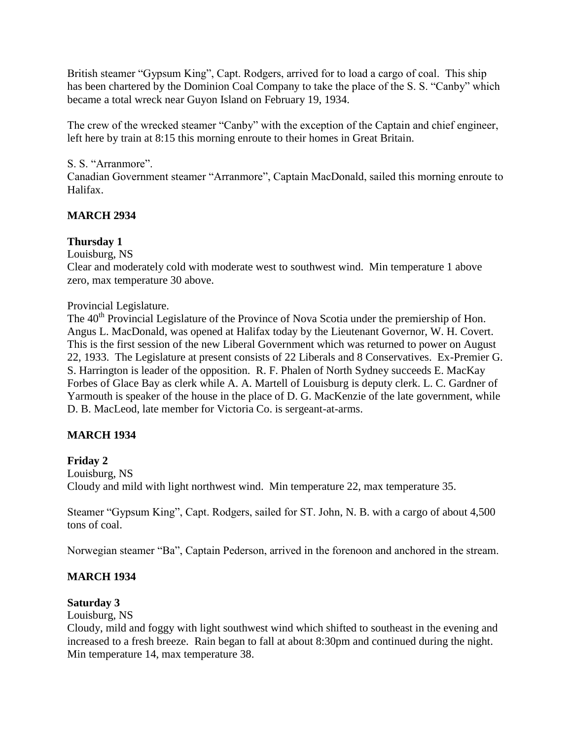British steamer "Gypsum King", Capt. Rodgers, arrived for to load a cargo of coal. This ship has been chartered by the Dominion Coal Company to take the place of the S. S. "Canby" which became a total wreck near Guyon Island on February 19, 1934.

The crew of the wrecked steamer "Canby" with the exception of the Captain and chief engineer, left here by train at 8:15 this morning enroute to their homes in Great Britain.

## S. S. "Arranmore".

Canadian Government steamer "Arranmore", Captain MacDonald, sailed this morning enroute to Halifax.

# **MARCH 2934**

# **Thursday 1**

Louisburg, NS

Clear and moderately cold with moderate west to southwest wind. Min temperature 1 above zero, max temperature 30 above.

### Provincial Legislature.

The 40<sup>th</sup> Provincial Legislature of the Province of Nova Scotia under the premiership of Hon. Angus L. MacDonald, was opened at Halifax today by the Lieutenant Governor, W. H. Covert. This is the first session of the new Liberal Government which was returned to power on August 22, 1933. The Legislature at present consists of 22 Liberals and 8 Conservatives. Ex-Premier G. S. Harrington is leader of the opposition. R. F. Phalen of North Sydney succeeds E. MacKay Forbes of Glace Bay as clerk while A. A. Martell of Louisburg is deputy clerk. L. C. Gardner of Yarmouth is speaker of the house in the place of D. G. MacKenzie of the late government, while D. B. MacLeod, late member for Victoria Co. is sergeant-at-arms.

## **MARCH 1934**

## **Friday 2**

Louisburg, NS

Cloudy and mild with light northwest wind. Min temperature 22, max temperature 35.

Steamer "Gypsum King", Capt. Rodgers, sailed for ST. John, N. B. with a cargo of about 4,500 tons of coal.

Norwegian steamer "Ba", Captain Pederson, arrived in the forenoon and anchored in the stream.

## **MARCH 1934**

## **Saturday 3**

Louisburg, NS

Cloudy, mild and foggy with light southwest wind which shifted to southeast in the evening and increased to a fresh breeze. Rain began to fall at about 8:30pm and continued during the night. Min temperature 14, max temperature 38.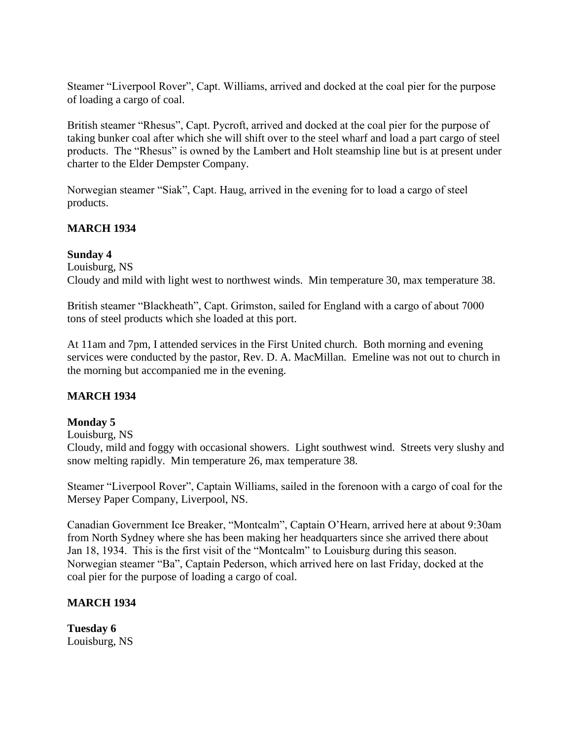Steamer "Liverpool Rover", Capt. Williams, arrived and docked at the coal pier for the purpose of loading a cargo of coal.

British steamer "Rhesus", Capt. Pycroft, arrived and docked at the coal pier for the purpose of taking bunker coal after which she will shift over to the steel wharf and load a part cargo of steel products. The "Rhesus" is owned by the Lambert and Holt steamship line but is at present under charter to the Elder Dempster Company.

Norwegian steamer "Siak", Capt. Haug, arrived in the evening for to load a cargo of steel products.

### **MARCH 1934**

#### **Sunday 4**

Louisburg, NS Cloudy and mild with light west to northwest winds. Min temperature 30, max temperature 38.

British steamer "Blackheath", Capt. Grimston, sailed for England with a cargo of about 7000 tons of steel products which she loaded at this port.

At 11am and 7pm, I attended services in the First United church. Both morning and evening services were conducted by the pastor, Rev. D. A. MacMillan. Emeline was not out to church in the morning but accompanied me in the evening.

## **MARCH 1934**

#### **Monday 5**

Louisburg, NS

Cloudy, mild and foggy with occasional showers. Light southwest wind. Streets very slushy and snow melting rapidly. Min temperature 26, max temperature 38.

Steamer "Liverpool Rover", Captain Williams, sailed in the forenoon with a cargo of coal for the Mersey Paper Company, Liverpool, NS.

Canadian Government Ice Breaker, "Montcalm", Captain O'Hearn, arrived here at about 9:30am from North Sydney where she has been making her headquarters since she arrived there about Jan 18, 1934. This is the first visit of the "Montcalm" to Louisburg during this season. Norwegian steamer "Ba", Captain Pederson, which arrived here on last Friday, docked at the coal pier for the purpose of loading a cargo of coal.

#### **MARCH 1934**

**Tuesday 6** Louisburg, NS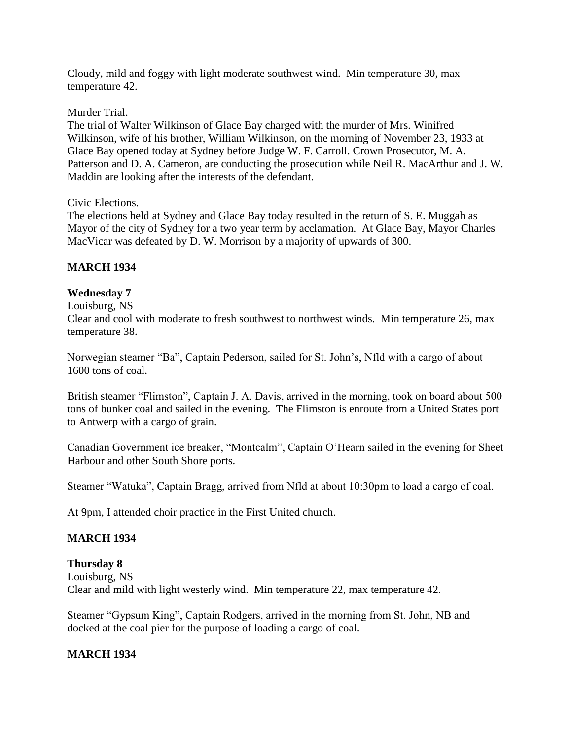Cloudy, mild and foggy with light moderate southwest wind. Min temperature 30, max temperature 42.

Murder Trial.

The trial of Walter Wilkinson of Glace Bay charged with the murder of Mrs. Winifred Wilkinson, wife of his brother, William Wilkinson, on the morning of November 23, 1933 at Glace Bay opened today at Sydney before Judge W. F. Carroll. Crown Prosecutor, M. A. Patterson and D. A. Cameron, are conducting the prosecution while Neil R. MacArthur and J. W. Maddin are looking after the interests of the defendant.

## Civic Elections.

The elections held at Sydney and Glace Bay today resulted in the return of S. E. Muggah as Mayor of the city of Sydney for a two year term by acclamation. At Glace Bay, Mayor Charles MacVicar was defeated by D. W. Morrison by a majority of upwards of 300.

# **MARCH 1934**

# **Wednesday 7**

### Louisburg, NS

Clear and cool with moderate to fresh southwest to northwest winds. Min temperature 26, max temperature 38.

Norwegian steamer "Ba", Captain Pederson, sailed for St. John's, Nfld with a cargo of about 1600 tons of coal.

British steamer "Flimston", Captain J. A. Davis, arrived in the morning, took on board about 500 tons of bunker coal and sailed in the evening. The Flimston is enroute from a United States port to Antwerp with a cargo of grain.

Canadian Government ice breaker, "Montcalm", Captain O'Hearn sailed in the evening for Sheet Harbour and other South Shore ports.

Steamer "Watuka", Captain Bragg, arrived from Nfld at about 10:30pm to load a cargo of coal.

At 9pm, I attended choir practice in the First United church.

## **MARCH 1934**

## **Thursday 8**

Louisburg, NS Clear and mild with light westerly wind. Min temperature 22, max temperature 42.

Steamer "Gypsum King", Captain Rodgers, arrived in the morning from St. John, NB and docked at the coal pier for the purpose of loading a cargo of coal.

## **MARCH 1934**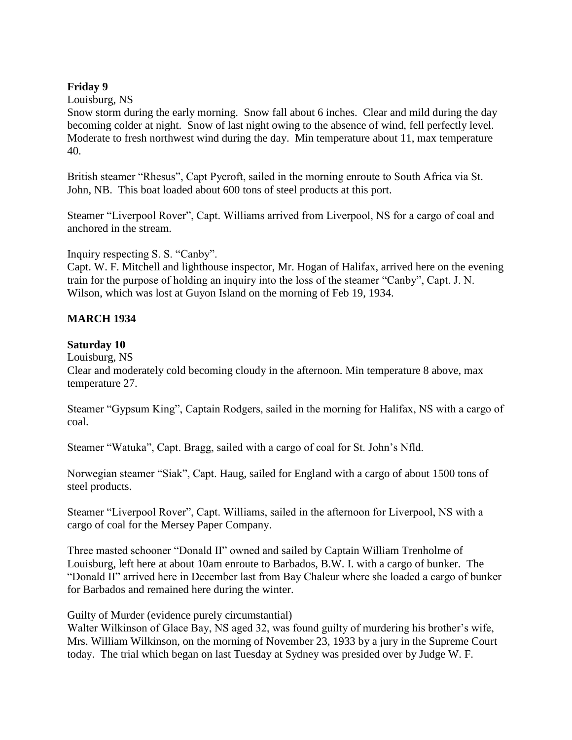#### **Friday 9**

#### Louisburg, NS

Snow storm during the early morning. Snow fall about 6 inches. Clear and mild during the day becoming colder at night. Snow of last night owing to the absence of wind, fell perfectly level. Moderate to fresh northwest wind during the day. Min temperature about 11, max temperature 40.

British steamer "Rhesus", Capt Pycroft, sailed in the morning enroute to South Africa via St. John, NB. This boat loaded about 600 tons of steel products at this port.

Steamer "Liverpool Rover", Capt. Williams arrived from Liverpool, NS for a cargo of coal and anchored in the stream.

Inquiry respecting S. S. "Canby".

Capt. W. F. Mitchell and lighthouse inspector, Mr. Hogan of Halifax, arrived here on the evening train for the purpose of holding an inquiry into the loss of the steamer "Canby", Capt. J. N. Wilson, which was lost at Guyon Island on the morning of Feb 19, 1934.

## **MARCH 1934**

### **Saturday 10**

Louisburg, NS

Clear and moderately cold becoming cloudy in the afternoon. Min temperature 8 above, max temperature 27.

Steamer "Gypsum King", Captain Rodgers, sailed in the morning for Halifax, NS with a cargo of coal.

Steamer "Watuka", Capt. Bragg, sailed with a cargo of coal for St. John's Nfld.

Norwegian steamer "Siak", Capt. Haug, sailed for England with a cargo of about 1500 tons of steel products.

Steamer "Liverpool Rover", Capt. Williams, sailed in the afternoon for Liverpool, NS with a cargo of coal for the Mersey Paper Company.

Three masted schooner "Donald II" owned and sailed by Captain William Trenholme of Louisburg, left here at about 10am enroute to Barbados, B.W. I. with a cargo of bunker. The "Donald II" arrived here in December last from Bay Chaleur where she loaded a cargo of bunker for Barbados and remained here during the winter.

Guilty of Murder (evidence purely circumstantial)

Walter Wilkinson of Glace Bay, NS aged 32, was found guilty of murdering his brother's wife, Mrs. William Wilkinson, on the morning of November 23, 1933 by a jury in the Supreme Court today. The trial which began on last Tuesday at Sydney was presided over by Judge W. F.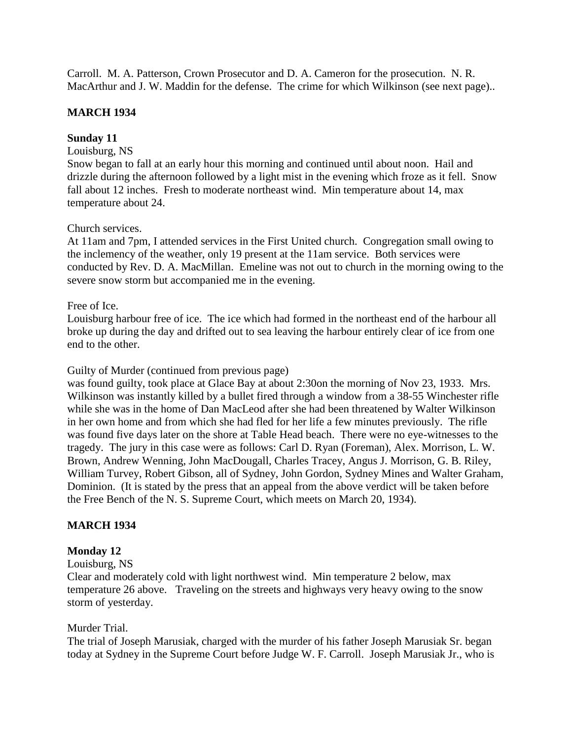Carroll. M. A. Patterson, Crown Prosecutor and D. A. Cameron for the prosecution. N. R. MacArthur and J. W. Maddin for the defense. The crime for which Wilkinson (see next page)..

### **MARCH 1934**

### **Sunday 11**

#### Louisburg, NS

Snow began to fall at an early hour this morning and continued until about noon. Hail and drizzle during the afternoon followed by a light mist in the evening which froze as it fell. Snow fall about 12 inches. Fresh to moderate northeast wind. Min temperature about 14, max temperature about 24.

Church services.

At 11am and 7pm, I attended services in the First United church. Congregation small owing to the inclemency of the weather, only 19 present at the 11am service. Both services were conducted by Rev. D. A. MacMillan. Emeline was not out to church in the morning owing to the severe snow storm but accompanied me in the evening.

#### Free of Ice.

Louisburg harbour free of ice. The ice which had formed in the northeast end of the harbour all broke up during the day and drifted out to sea leaving the harbour entirely clear of ice from one end to the other.

Guilty of Murder (continued from previous page)

was found guilty, took place at Glace Bay at about 2:30on the morning of Nov 23, 1933. Mrs. Wilkinson was instantly killed by a bullet fired through a window from a 38-55 Winchester rifle while she was in the home of Dan MacLeod after she had been threatened by Walter Wilkinson in her own home and from which she had fled for her life a few minutes previously. The rifle was found five days later on the shore at Table Head beach. There were no eye-witnesses to the tragedy. The jury in this case were as follows: Carl D. Ryan (Foreman), Alex. Morrison, L. W. Brown, Andrew Wenning, John MacDougall, Charles Tracey, Angus J. Morrison, G. B. Riley, William Turvey, Robert Gibson, all of Sydney, John Gordon, Sydney Mines and Walter Graham, Dominion. (It is stated by the press that an appeal from the above verdict will be taken before the Free Bench of the N. S. Supreme Court, which meets on March 20, 1934).

#### **MARCH 1934**

#### **Monday 12**

#### Louisburg, NS

Clear and moderately cold with light northwest wind. Min temperature 2 below, max temperature 26 above. Traveling on the streets and highways very heavy owing to the snow storm of yesterday.

#### Murder Trial.

The trial of Joseph Marusiak, charged with the murder of his father Joseph Marusiak Sr. began today at Sydney in the Supreme Court before Judge W. F. Carroll. Joseph Marusiak Jr., who is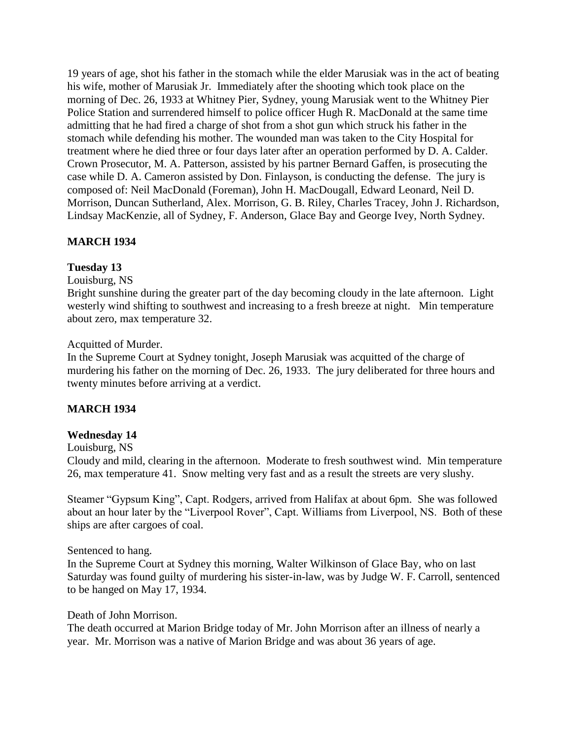19 years of age, shot his father in the stomach while the elder Marusiak was in the act of beating his wife, mother of Marusiak Jr. Immediately after the shooting which took place on the morning of Dec. 26, 1933 at Whitney Pier, Sydney, young Marusiak went to the Whitney Pier Police Station and surrendered himself to police officer Hugh R. MacDonald at the same time admitting that he had fired a charge of shot from a shot gun which struck his father in the stomach while defending his mother. The wounded man was taken to the City Hospital for treatment where he died three or four days later after an operation performed by D. A. Calder. Crown Prosecutor, M. A. Patterson, assisted by his partner Bernard Gaffen, is prosecuting the case while D. A. Cameron assisted by Don. Finlayson, is conducting the defense. The jury is composed of: Neil MacDonald (Foreman), John H. MacDougall, Edward Leonard, Neil D. Morrison, Duncan Sutherland, Alex. Morrison, G. B. Riley, Charles Tracey, John J. Richardson, Lindsay MacKenzie, all of Sydney, F. Anderson, Glace Bay and George Ivey, North Sydney.

# **MARCH 1934**

#### **Tuesday 13**

Louisburg, NS

Bright sunshine during the greater part of the day becoming cloudy in the late afternoon. Light westerly wind shifting to southwest and increasing to a fresh breeze at night. Min temperature about zero, max temperature 32.

#### Acquitted of Murder.

In the Supreme Court at Sydney tonight, Joseph Marusiak was acquitted of the charge of murdering his father on the morning of Dec. 26, 1933. The jury deliberated for three hours and twenty minutes before arriving at a verdict.

#### **MARCH 1934**

#### **Wednesday 14**

Louisburg, NS

Cloudy and mild, clearing in the afternoon. Moderate to fresh southwest wind. Min temperature 26, max temperature 41. Snow melting very fast and as a result the streets are very slushy.

Steamer "Gypsum King", Capt. Rodgers, arrived from Halifax at about 6pm. She was followed about an hour later by the "Liverpool Rover", Capt. Williams from Liverpool, NS. Both of these ships are after cargoes of coal.

Sentenced to hang.

In the Supreme Court at Sydney this morning, Walter Wilkinson of Glace Bay, who on last Saturday was found guilty of murdering his sister-in-law, was by Judge W. F. Carroll, sentenced to be hanged on May 17, 1934.

Death of John Morrison.

The death occurred at Marion Bridge today of Mr. John Morrison after an illness of nearly a year. Mr. Morrison was a native of Marion Bridge and was about 36 years of age.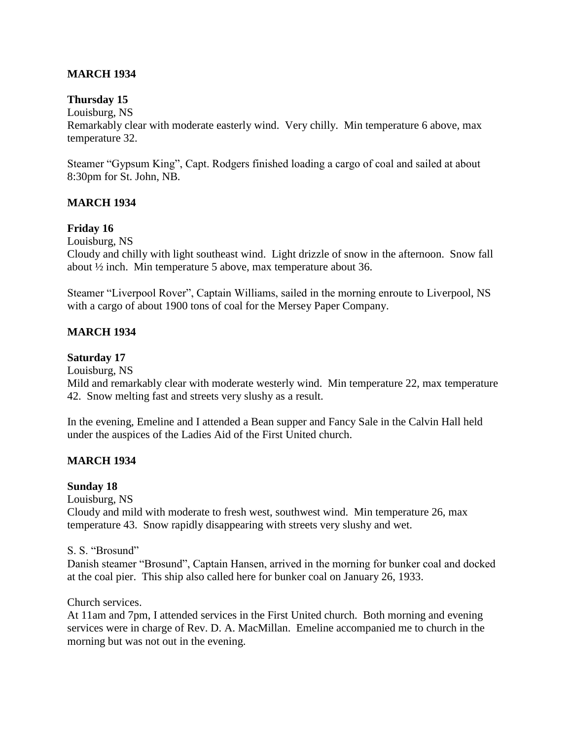### **MARCH 1934**

#### **Thursday 15**

Louisburg, NS

Remarkably clear with moderate easterly wind. Very chilly. Min temperature 6 above, max temperature 32.

Steamer "Gypsum King", Capt. Rodgers finished loading a cargo of coal and sailed at about 8:30pm for St. John, NB.

### **MARCH 1934**

### **Friday 16**

Louisburg, NS

Cloudy and chilly with light southeast wind. Light drizzle of snow in the afternoon. Snow fall about ½ inch. Min temperature 5 above, max temperature about 36.

Steamer "Liverpool Rover", Captain Williams, sailed in the morning enroute to Liverpool, NS with a cargo of about 1900 tons of coal for the Mersey Paper Company.

## **MARCH 1934**

#### **Saturday 17**

Louisburg, NS

Mild and remarkably clear with moderate westerly wind. Min temperature 22, max temperature 42. Snow melting fast and streets very slushy as a result.

In the evening, Emeline and I attended a Bean supper and Fancy Sale in the Calvin Hall held under the auspices of the Ladies Aid of the First United church.

#### **MARCH 1934**

#### **Sunday 18**

Louisburg, NS

Cloudy and mild with moderate to fresh west, southwest wind. Min temperature 26, max temperature 43. Snow rapidly disappearing with streets very slushy and wet.

S. S. "Brosund"

Danish steamer "Brosund", Captain Hansen, arrived in the morning for bunker coal and docked at the coal pier. This ship also called here for bunker coal on January 26, 1933.

Church services.

At 11am and 7pm, I attended services in the First United church. Both morning and evening services were in charge of Rev. D. A. MacMillan. Emeline accompanied me to church in the morning but was not out in the evening.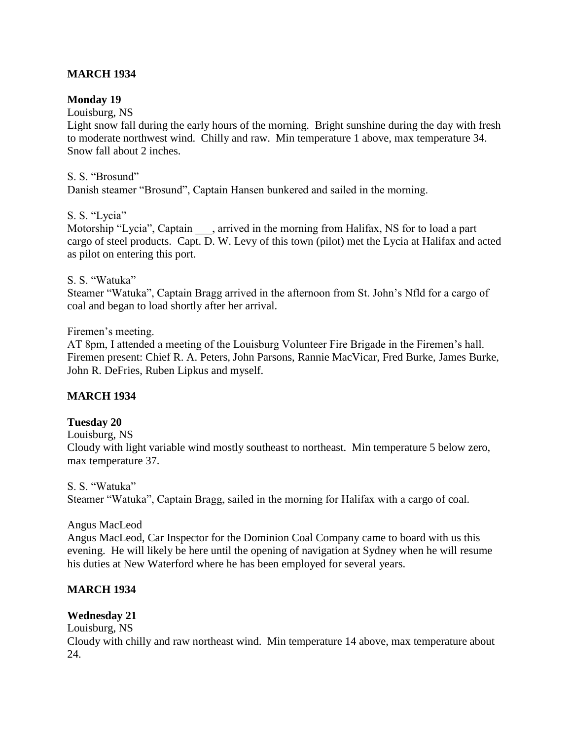### **MARCH 1934**

#### **Monday 19**

#### Louisburg, NS

Light snow fall during the early hours of the morning. Bright sunshine during the day with fresh to moderate northwest wind. Chilly and raw. Min temperature 1 above, max temperature 34. Snow fall about 2 inches.

#### S. S. "Brosund"

Danish steamer "Brosund", Captain Hansen bunkered and sailed in the morning.

### S. S. "Lycia"

Motorship "Lycia", Captain \_\_\_, arrived in the morning from Halifax, NS for to load a part cargo of steel products. Capt. D. W. Levy of this town (pilot) met the Lycia at Halifax and acted as pilot on entering this port.

#### S. S. "Watuka"

Steamer "Watuka", Captain Bragg arrived in the afternoon from St. John's Nfld for a cargo of coal and began to load shortly after her arrival.

#### Firemen's meeting.

AT 8pm, I attended a meeting of the Louisburg Volunteer Fire Brigade in the Firemen's hall. Firemen present: Chief R. A. Peters, John Parsons, Rannie MacVicar, Fred Burke, James Burke, John R. DeFries, Ruben Lipkus and myself.

#### **MARCH 1934**

#### **Tuesday 20**

Louisburg, NS Cloudy with light variable wind mostly southeast to northeast. Min temperature 5 below zero, max temperature 37.

#### S. S. "Watuka"

Steamer "Watuka", Captain Bragg, sailed in the morning for Halifax with a cargo of coal.

#### Angus MacLeod

Angus MacLeod, Car Inspector for the Dominion Coal Company came to board with us this evening. He will likely be here until the opening of navigation at Sydney when he will resume his duties at New Waterford where he has been employed for several years.

#### **MARCH 1934**

#### **Wednesday 21**

Louisburg, NS

Cloudy with chilly and raw northeast wind. Min temperature 14 above, max temperature about 24.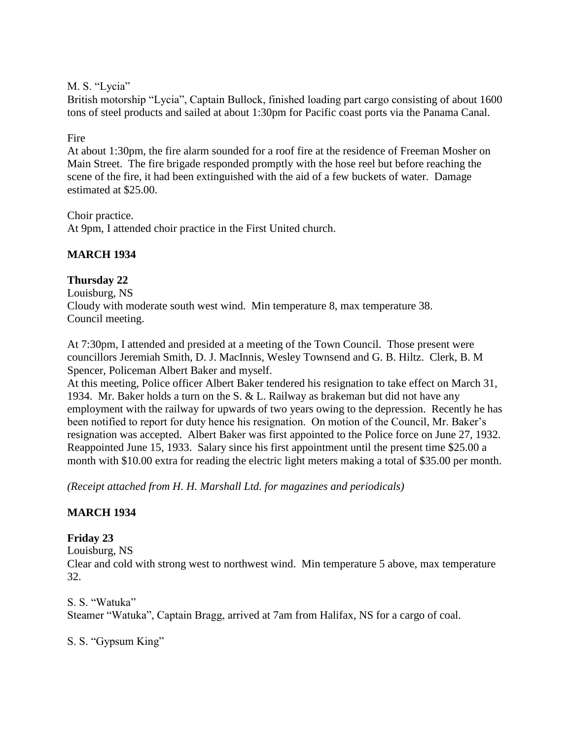M. S. "Lycia"

British motorship "Lycia", Captain Bullock, finished loading part cargo consisting of about 1600 tons of steel products and sailed at about 1:30pm for Pacific coast ports via the Panama Canal.

## Fire

At about 1:30pm, the fire alarm sounded for a roof fire at the residence of Freeman Mosher on Main Street. The fire brigade responded promptly with the hose reel but before reaching the scene of the fire, it had been extinguished with the aid of a few buckets of water. Damage estimated at \$25.00.

Choir practice. At 9pm, I attended choir practice in the First United church.

# **MARCH 1934**

# **Thursday 22**

Louisburg, NS Cloudy with moderate south west wind. Min temperature 8, max temperature 38. Council meeting.

At 7:30pm, I attended and presided at a meeting of the Town Council. Those present were councillors Jeremiah Smith, D. J. MacInnis, Wesley Townsend and G. B. Hiltz. Clerk, B. M Spencer, Policeman Albert Baker and myself.

At this meeting, Police officer Albert Baker tendered his resignation to take effect on March 31, 1934. Mr. Baker holds a turn on the S. & L. Railway as brakeman but did not have any employment with the railway for upwards of two years owing to the depression. Recently he has been notified to report for duty hence his resignation. On motion of the Council, Mr. Baker's resignation was accepted. Albert Baker was first appointed to the Police force on June 27, 1932. Reappointed June 15, 1933. Salary since his first appointment until the present time \$25.00 a month with \$10.00 extra for reading the electric light meters making a total of \$35.00 per month.

*(Receipt attached from H. H. Marshall Ltd. for magazines and periodicals)*

# **MARCH 1934**

# **Friday 23**

Louisburg, NS

Clear and cold with strong west to northwest wind. Min temperature 5 above, max temperature 32.

## S. S. "Watuka"

Steamer "Watuka", Captain Bragg, arrived at 7am from Halifax, NS for a cargo of coal.

S. S. "Gypsum King"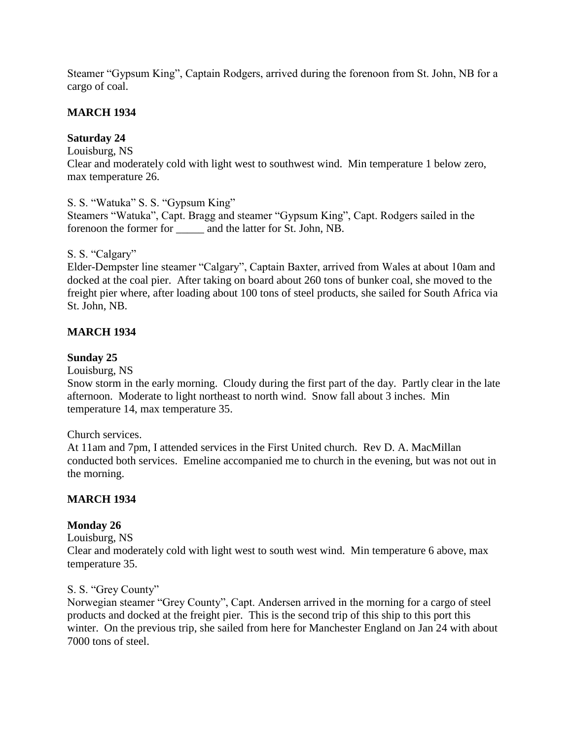Steamer "Gypsum King", Captain Rodgers, arrived during the forenoon from St. John, NB for a cargo of coal.

### **MARCH 1934**

### **Saturday 24**

### Louisburg, NS

Clear and moderately cold with light west to southwest wind. Min temperature 1 below zero, max temperature 26.

### S. S. "Watuka" S. S. "Gypsum King"

Steamers "Watuka", Capt. Bragg and steamer "Gypsum King", Capt. Rodgers sailed in the forenoon the former for and the latter for St. John, NB.

#### S. S. "Calgary"

Elder-Dempster line steamer "Calgary", Captain Baxter, arrived from Wales at about 10am and docked at the coal pier. After taking on board about 260 tons of bunker coal, she moved to the freight pier where, after loading about 100 tons of steel products, she sailed for South Africa via St. John, NB.

## **MARCH 1934**

#### **Sunday 25**

Louisburg, NS

Snow storm in the early morning. Cloudy during the first part of the day. Partly clear in the late afternoon. Moderate to light northeast to north wind. Snow fall about 3 inches. Min temperature 14, max temperature 35.

Church services.

At 11am and 7pm, I attended services in the First United church. Rev D. A. MacMillan conducted both services. Emeline accompanied me to church in the evening, but was not out in the morning.

#### **MARCH 1934**

#### **Monday 26**

#### Louisburg, NS

Clear and moderately cold with light west to south west wind. Min temperature 6 above, max temperature 35.

#### S. S. "Grey County"

Norwegian steamer "Grey County", Capt. Andersen arrived in the morning for a cargo of steel products and docked at the freight pier. This is the second trip of this ship to this port this winter. On the previous trip, she sailed from here for Manchester England on Jan 24 with about 7000 tons of steel.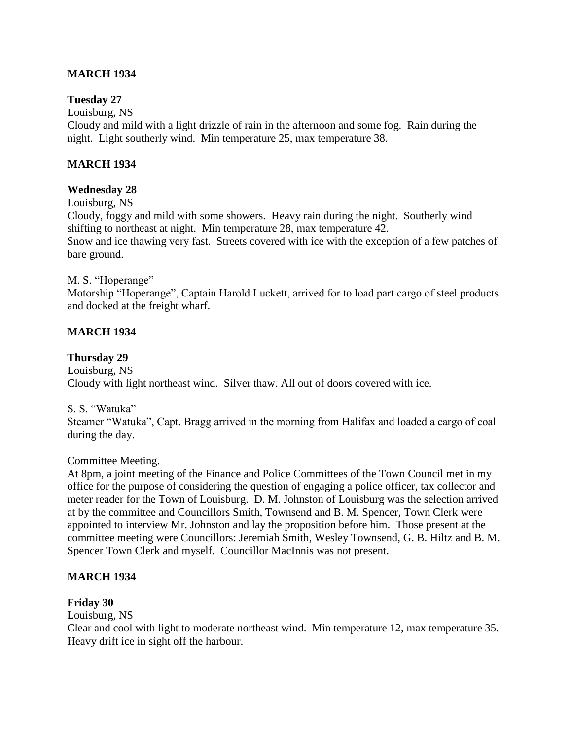### **MARCH 1934**

### **Tuesday 27**

Louisburg, NS

Cloudy and mild with a light drizzle of rain in the afternoon and some fog. Rain during the night. Light southerly wind. Min temperature 25, max temperature 38.

### **MARCH 1934**

### **Wednesday 28**

Louisburg, NS

Cloudy, foggy and mild with some showers. Heavy rain during the night. Southerly wind shifting to northeast at night. Min temperature 28, max temperature 42. Snow and ice thawing very fast. Streets covered with ice with the exception of a few patches of bare ground.

### M. S. "Hoperange"

Motorship "Hoperange", Captain Harold Luckett, arrived for to load part cargo of steel products and docked at the freight wharf.

### **MARCH 1934**

#### **Thursday 29**

Louisburg, NS Cloudy with light northeast wind. Silver thaw. All out of doors covered with ice.

### S. S. "Watuka"

Steamer "Watuka", Capt. Bragg arrived in the morning from Halifax and loaded a cargo of coal during the day.

### Committee Meeting.

At 8pm, a joint meeting of the Finance and Police Committees of the Town Council met in my office for the purpose of considering the question of engaging a police officer, tax collector and meter reader for the Town of Louisburg. D. M. Johnston of Louisburg was the selection arrived at by the committee and Councillors Smith, Townsend and B. M. Spencer, Town Clerk were appointed to interview Mr. Johnston and lay the proposition before him. Those present at the committee meeting were Councillors: Jeremiah Smith, Wesley Townsend, G. B. Hiltz and B. M. Spencer Town Clerk and myself. Councillor MacInnis was not present.

### **MARCH 1934**

### **Friday 30**

Louisburg, NS

Clear and cool with light to moderate northeast wind. Min temperature 12, max temperature 35. Heavy drift ice in sight off the harbour.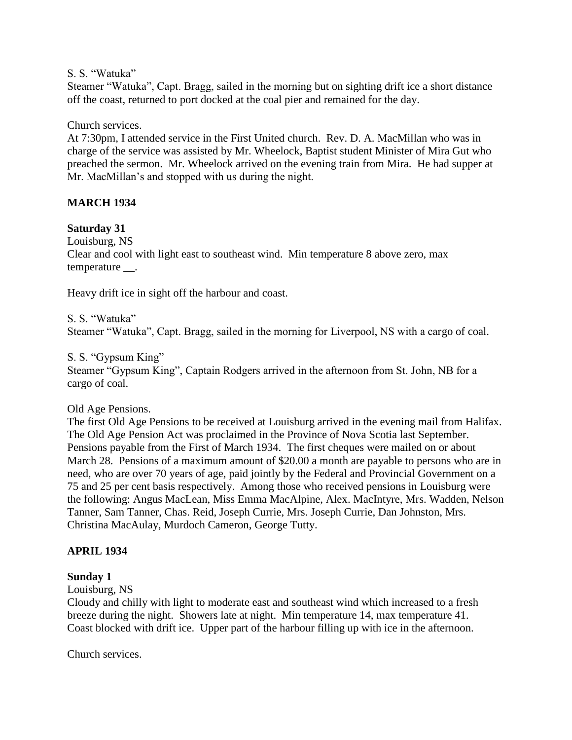### S. S. "Watuka"

Steamer "Watuka", Capt. Bragg, sailed in the morning but on sighting drift ice a short distance off the coast, returned to port docked at the coal pier and remained for the day.

### Church services.

At 7:30pm, I attended service in the First United church. Rev. D. A. MacMillan who was in charge of the service was assisted by Mr. Wheelock, Baptist student Minister of Mira Gut who preached the sermon. Mr. Wheelock arrived on the evening train from Mira. He had supper at Mr. MacMillan's and stopped with us during the night.

# **MARCH 1934**

### **Saturday 31**

Louisburg, NS Clear and cool with light east to southeast wind. Min temperature 8 above zero, max temperature \_\_.

Heavy drift ice in sight off the harbour and coast.

S. S. "Watuka"

Steamer "Watuka", Capt. Bragg, sailed in the morning for Liverpool, NS with a cargo of coal.

### S. S. "Gypsum King"

Steamer "Gypsum King", Captain Rodgers arrived in the afternoon from St. John, NB for a cargo of coal.

### Old Age Pensions.

The first Old Age Pensions to be received at Louisburg arrived in the evening mail from Halifax. The Old Age Pension Act was proclaimed in the Province of Nova Scotia last September. Pensions payable from the First of March 1934. The first cheques were mailed on or about March 28. Pensions of a maximum amount of \$20.00 a month are payable to persons who are in need, who are over 70 years of age, paid jointly by the Federal and Provincial Government on a 75 and 25 per cent basis respectively. Among those who received pensions in Louisburg were the following: Angus MacLean, Miss Emma MacAlpine, Alex. MacIntyre, Mrs. Wadden, Nelson Tanner, Sam Tanner, Chas. Reid, Joseph Currie, Mrs. Joseph Currie, Dan Johnston, Mrs. Christina MacAulay, Murdoch Cameron, George Tutty.

### **APRIL 1934**

# **Sunday 1**

Louisburg, NS

Cloudy and chilly with light to moderate east and southeast wind which increased to a fresh breeze during the night. Showers late at night. Min temperature 14, max temperature 41. Coast blocked with drift ice. Upper part of the harbour filling up with ice in the afternoon.

Church services.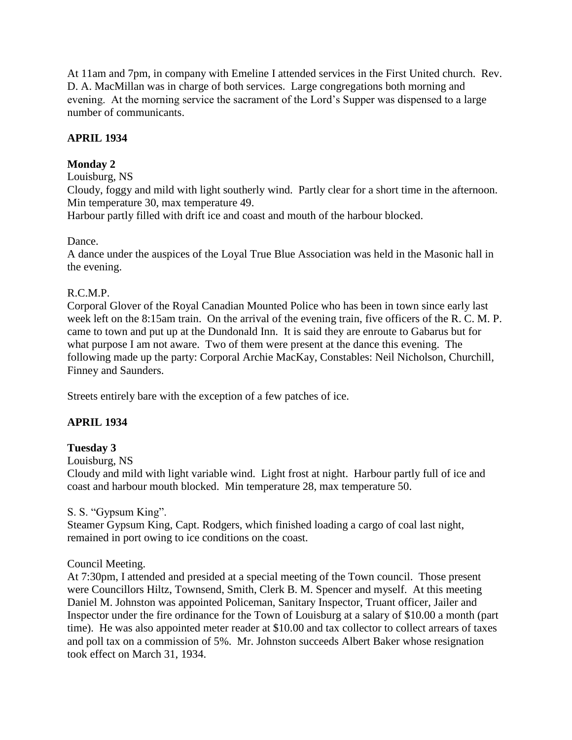At 11am and 7pm, in company with Emeline I attended services in the First United church. Rev. D. A. MacMillan was in charge of both services. Large congregations both morning and evening. At the morning service the sacrament of the Lord's Supper was dispensed to a large number of communicants.

# **APRIL 1934**

# **Monday 2**

# Louisburg, NS

Cloudy, foggy and mild with light southerly wind. Partly clear for a short time in the afternoon. Min temperature 30, max temperature 49.

Harbour partly filled with drift ice and coast and mouth of the harbour blocked.

Dance.

A dance under the auspices of the Loyal True Blue Association was held in the Masonic hall in the evening.

# R.C.M.P.

Corporal Glover of the Royal Canadian Mounted Police who has been in town since early last week left on the 8:15am train. On the arrival of the evening train, five officers of the R. C. M. P. came to town and put up at the Dundonald Inn. It is said they are enroute to Gabarus but for what purpose I am not aware. Two of them were present at the dance this evening. The following made up the party: Corporal Archie MacKay, Constables: Neil Nicholson, Churchill, Finney and Saunders.

Streets entirely bare with the exception of a few patches of ice.

# **APRIL 1934**

# **Tuesday 3**

Louisburg, NS

Cloudy and mild with light variable wind. Light frost at night. Harbour partly full of ice and coast and harbour mouth blocked. Min temperature 28, max temperature 50.

# S. S. "Gypsum King".

Steamer Gypsum King, Capt. Rodgers, which finished loading a cargo of coal last night, remained in port owing to ice conditions on the coast.

# Council Meeting.

At 7:30pm, I attended and presided at a special meeting of the Town council. Those present were Councillors Hiltz, Townsend, Smith, Clerk B. M. Spencer and myself. At this meeting Daniel M. Johnston was appointed Policeman, Sanitary Inspector, Truant officer, Jailer and Inspector under the fire ordinance for the Town of Louisburg at a salary of \$10.00 a month (part time). He was also appointed meter reader at \$10.00 and tax collector to collect arrears of taxes and poll tax on a commission of 5%. Mr. Johnston succeeds Albert Baker whose resignation took effect on March 31, 1934.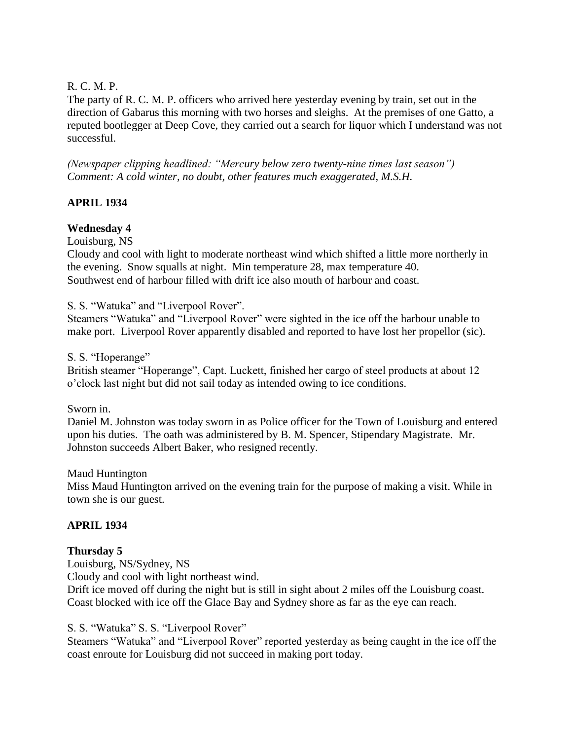# R. C. M. P.

The party of R. C. M. P. officers who arrived here yesterday evening by train, set out in the direction of Gabarus this morning with two horses and sleighs. At the premises of one Gatto, a reputed bootlegger at Deep Cove, they carried out a search for liquor which I understand was not successful.

*(Newspaper clipping headlined: "Mercury below zero twenty-nine times last season") Comment: A cold winter, no doubt, other features much exaggerated, M.S.H.*

# **APRIL 1934**

# **Wednesday 4**

Louisburg, NS

Cloudy and cool with light to moderate northeast wind which shifted a little more northerly in the evening. Snow squalls at night. Min temperature 28, max temperature 40. Southwest end of harbour filled with drift ice also mouth of harbour and coast.

S. S. "Watuka" and "Liverpool Rover". Steamers "Watuka" and "Liverpool Rover" were sighted in the ice off the harbour unable to make port. Liverpool Rover apparently disabled and reported to have lost her propellor (sic).

S. S. "Hoperange"

British steamer "Hoperange", Capt. Luckett, finished her cargo of steel products at about 12 o'clock last night but did not sail today as intended owing to ice conditions.

Sworn in.

Daniel M. Johnston was today sworn in as Police officer for the Town of Louisburg and entered upon his duties. The oath was administered by B. M. Spencer, Stipendary Magistrate. Mr. Johnston succeeds Albert Baker, who resigned recently.

Maud Huntington

Miss Maud Huntington arrived on the evening train for the purpose of making a visit. While in town she is our guest.

# **APRIL 1934**

# **Thursday 5**

Louisburg, NS/Sydney, NS

Cloudy and cool with light northeast wind.

Drift ice moved off during the night but is still in sight about 2 miles off the Louisburg coast. Coast blocked with ice off the Glace Bay and Sydney shore as far as the eye can reach.

S. S. "Watuka" S. S. "Liverpool Rover"

Steamers "Watuka" and "Liverpool Rover" reported yesterday as being caught in the ice off the coast enroute for Louisburg did not succeed in making port today.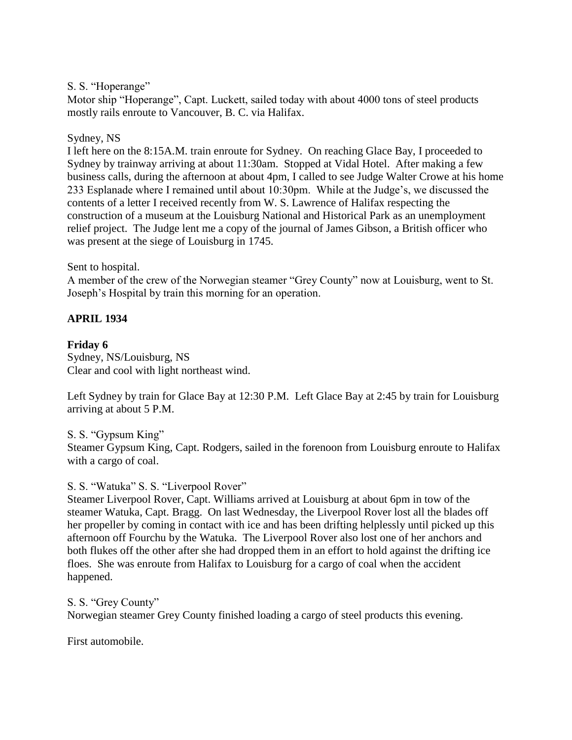### S. S. "Hoperange"

Motor ship "Hoperange", Capt. Luckett, sailed today with about 4000 tons of steel products mostly rails enroute to Vancouver, B. C. via Halifax.

### Sydney, NS

I left here on the 8:15A.M. train enroute for Sydney. On reaching Glace Bay, I proceeded to Sydney by trainway arriving at about 11:30am. Stopped at Vidal Hotel. After making a few business calls, during the afternoon at about 4pm, I called to see Judge Walter Crowe at his home 233 Esplanade where I remained until about 10:30pm. While at the Judge's, we discussed the contents of a letter I received recently from W. S. Lawrence of Halifax respecting the construction of a museum at the Louisburg National and Historical Park as an unemployment relief project. The Judge lent me a copy of the journal of James Gibson, a British officer who was present at the siege of Louisburg in 1745.

### Sent to hospital.

A member of the crew of the Norwegian steamer "Grey County" now at Louisburg, went to St. Joseph's Hospital by train this morning for an operation.

# **APRIL 1934**

### **Friday 6**

Sydney, NS/Louisburg, NS Clear and cool with light northeast wind.

Left Sydney by train for Glace Bay at 12:30 P.M. Left Glace Bay at 2:45 by train for Louisburg arriving at about 5 P.M.

# S. S. "Gypsum King"

Steamer Gypsum King, Capt. Rodgers, sailed in the forenoon from Louisburg enroute to Halifax with a cargo of coal.

### S. S. "Watuka" S. S. "Liverpool Rover"

Steamer Liverpool Rover, Capt. Williams arrived at Louisburg at about 6pm in tow of the steamer Watuka, Capt. Bragg. On last Wednesday, the Liverpool Rover lost all the blades off her propeller by coming in contact with ice and has been drifting helplessly until picked up this afternoon off Fourchu by the Watuka. The Liverpool Rover also lost one of her anchors and both flukes off the other after she had dropped them in an effort to hold against the drifting ice floes. She was enroute from Halifax to Louisburg for a cargo of coal when the accident happened.

### S. S. "Grey County" Norwegian steamer Grey County finished loading a cargo of steel products this evening.

First automobile.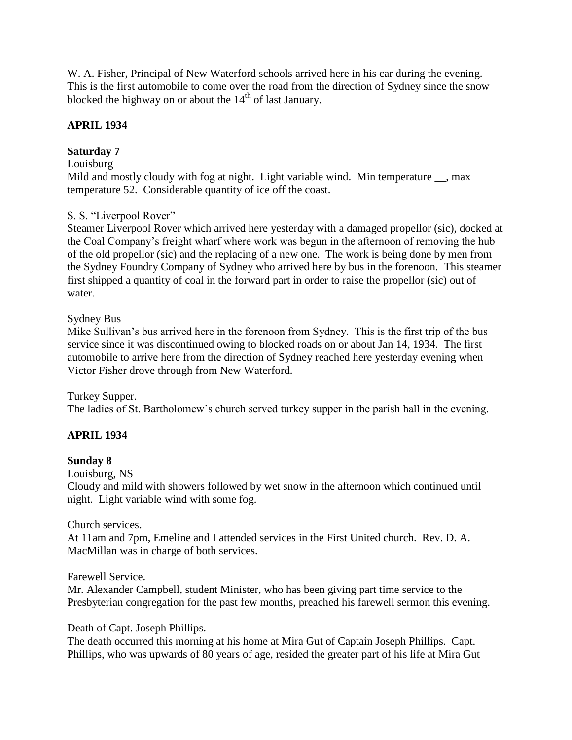W. A. Fisher, Principal of New Waterford schools arrived here in his car during the evening. This is the first automobile to come over the road from the direction of Sydney since the snow blocked the highway on or about the  $14<sup>th</sup>$  of last January.

# **APRIL 1934**

# **Saturday 7**

### Louisburg

Mild and mostly cloudy with fog at night. Light variable wind. Min temperature \_\_, max temperature 52. Considerable quantity of ice off the coast.

# S. S. "Liverpool Rover"

Steamer Liverpool Rover which arrived here yesterday with a damaged propellor (sic), docked at the Coal Company's freight wharf where work was begun in the afternoon of removing the hub of the old propellor (sic) and the replacing of a new one. The work is being done by men from the Sydney Foundry Company of Sydney who arrived here by bus in the forenoon. This steamer first shipped a quantity of coal in the forward part in order to raise the propellor (sic) out of water.

### Sydney Bus

Mike Sullivan's bus arrived here in the forenoon from Sydney. This is the first trip of the bus service since it was discontinued owing to blocked roads on or about Jan 14, 1934. The first automobile to arrive here from the direction of Sydney reached here yesterday evening when Victor Fisher drove through from New Waterford.

Turkey Supper.

The ladies of St. Bartholomew's church served turkey supper in the parish hall in the evening.

# **APRIL 1934**

# **Sunday 8**

Louisburg, NS

Cloudy and mild with showers followed by wet snow in the afternoon which continued until night. Light variable wind with some fog.

Church services.

At 11am and 7pm, Emeline and I attended services in the First United church. Rev. D. A. MacMillan was in charge of both services.

Farewell Service.

Mr. Alexander Campbell, student Minister, who has been giving part time service to the Presbyterian congregation for the past few months, preached his farewell sermon this evening.

Death of Capt. Joseph Phillips.

The death occurred this morning at his home at Mira Gut of Captain Joseph Phillips. Capt. Phillips, who was upwards of 80 years of age, resided the greater part of his life at Mira Gut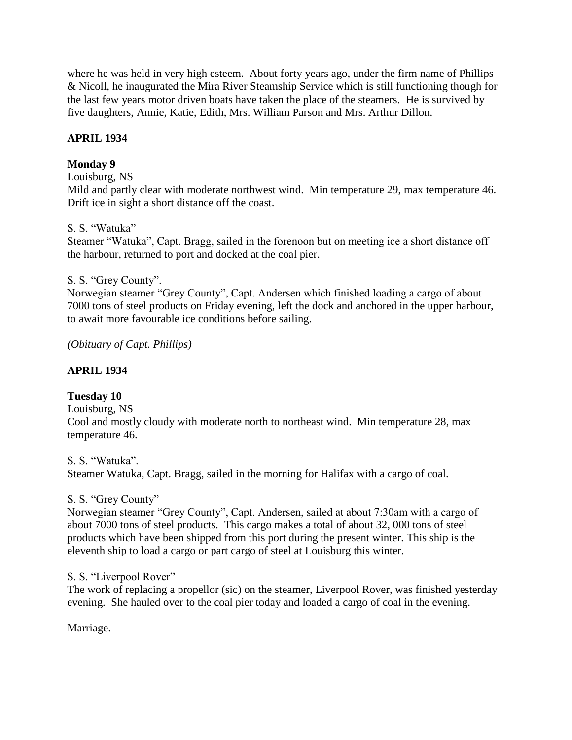where he was held in very high esteem. About forty years ago, under the firm name of Phillips & Nicoll, he inaugurated the Mira River Steamship Service which is still functioning though for the last few years motor driven boats have taken the place of the steamers. He is survived by five daughters, Annie, Katie, Edith, Mrs. William Parson and Mrs. Arthur Dillon.

# **APRIL 1934**

# **Monday 9**

### Louisburg, NS

Mild and partly clear with moderate northwest wind. Min temperature 29, max temperature 46. Drift ice in sight a short distance off the coast.

# S. S. "Watuka"

Steamer "Watuka", Capt. Bragg, sailed in the forenoon but on meeting ice a short distance off the harbour, returned to port and docked at the coal pier.

# S. S. "Grey County".

Norwegian steamer "Grey County", Capt. Andersen which finished loading a cargo of about 7000 tons of steel products on Friday evening, left the dock and anchored in the upper harbour, to await more favourable ice conditions before sailing.

*(Obituary of Capt. Phillips)*

# **APRIL 1934**

# **Tuesday 10**

Louisburg, NS Cool and mostly cloudy with moderate north to northeast wind. Min temperature 28, max temperature 46.

S. S. "Watuka". Steamer Watuka, Capt. Bragg, sailed in the morning for Halifax with a cargo of coal.

# S. S. "Grey County"

Norwegian steamer "Grey County", Capt. Andersen, sailed at about 7:30am with a cargo of about 7000 tons of steel products. This cargo makes a total of about 32, 000 tons of steel products which have been shipped from this port during the present winter. This ship is the eleventh ship to load a cargo or part cargo of steel at Louisburg this winter.

# S. S. "Liverpool Rover"

The work of replacing a propellor (sic) on the steamer, Liverpool Rover, was finished yesterday evening. She hauled over to the coal pier today and loaded a cargo of coal in the evening.

Marriage.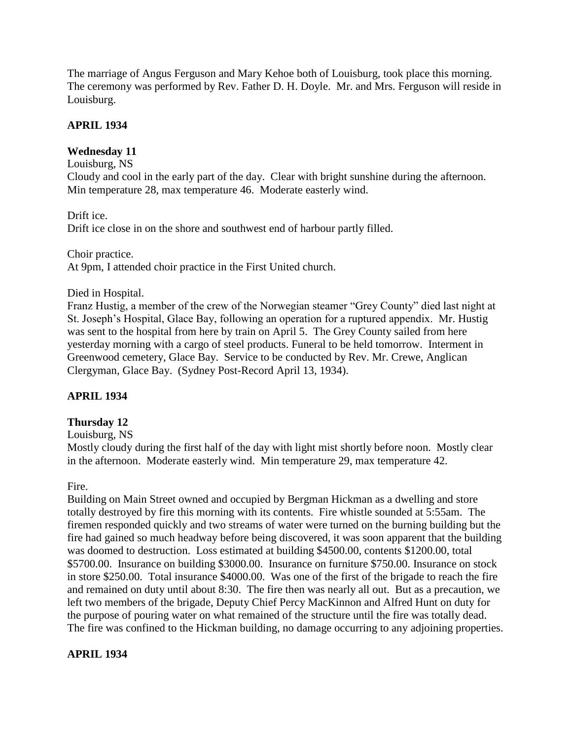The marriage of Angus Ferguson and Mary Kehoe both of Louisburg, took place this morning. The ceremony was performed by Rev. Father D. H. Doyle. Mr. and Mrs. Ferguson will reside in Louisburg.

# **APRIL 1934**

# **Wednesday 11**

### Louisburg, NS

Cloudy and cool in the early part of the day. Clear with bright sunshine during the afternoon. Min temperature 28, max temperature 46. Moderate easterly wind.

Drift ice.

Drift ice close in on the shore and southwest end of harbour partly filled.

Choir practice.

At 9pm, I attended choir practice in the First United church.

# Died in Hospital.

Franz Hustig, a member of the crew of the Norwegian steamer "Grey County" died last night at St. Joseph's Hospital, Glace Bay, following an operation for a ruptured appendix. Mr. Hustig was sent to the hospital from here by train on April 5. The Grey County sailed from here yesterday morning with a cargo of steel products. Funeral to be held tomorrow. Interment in Greenwood cemetery, Glace Bay. Service to be conducted by Rev. Mr. Crewe, Anglican Clergyman, Glace Bay. (Sydney Post-Record April 13, 1934).

# **APRIL 1934**

# **Thursday 12**

### Louisburg, NS

Mostly cloudy during the first half of the day with light mist shortly before noon. Mostly clear in the afternoon. Moderate easterly wind. Min temperature 29, max temperature 42.

Fire.

Building on Main Street owned and occupied by Bergman Hickman as a dwelling and store totally destroyed by fire this morning with its contents. Fire whistle sounded at 5:55am. The firemen responded quickly and two streams of water were turned on the burning building but the fire had gained so much headway before being discovered, it was soon apparent that the building was doomed to destruction. Loss estimated at building \$4500.00, contents \$1200.00, total \$5700.00. Insurance on building \$3000.00. Insurance on furniture \$750.00. Insurance on stock in store \$250.00. Total insurance \$4000.00. Was one of the first of the brigade to reach the fire and remained on duty until about 8:30. The fire then was nearly all out. But as a precaution, we left two members of the brigade, Deputy Chief Percy MacKinnon and Alfred Hunt on duty for the purpose of pouring water on what remained of the structure until the fire was totally dead. The fire was confined to the Hickman building, no damage occurring to any adjoining properties.

# **APRIL 1934**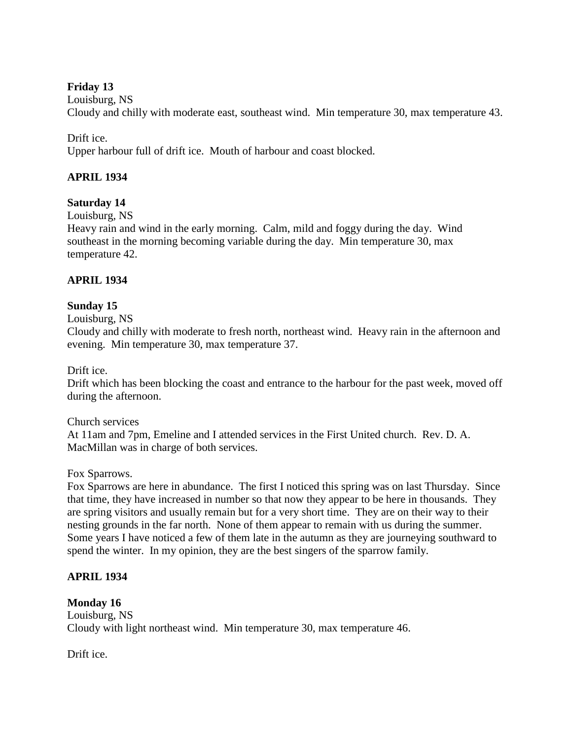# **Friday 13**

### Louisburg, NS

Cloudy and chilly with moderate east, southeast wind. Min temperature 30, max temperature 43.

### Drift ice.

Upper harbour full of drift ice. Mouth of harbour and coast blocked.

# **APRIL 1934**

### **Saturday 14**

Louisburg, NS

Heavy rain and wind in the early morning. Calm, mild and foggy during the day. Wind southeast in the morning becoming variable during the day. Min temperature 30, max temperature 42.

### **APRIL 1934**

# **Sunday 15**

Louisburg, NS

Cloudy and chilly with moderate to fresh north, northeast wind. Heavy rain in the afternoon and evening. Min temperature 30, max temperature 37.

Drift ice.

Drift which has been blocking the coast and entrance to the harbour for the past week, moved off during the afternoon.

Church services

At 11am and 7pm, Emeline and I attended services in the First United church. Rev. D. A. MacMillan was in charge of both services.

Fox Sparrows.

Fox Sparrows are here in abundance. The first I noticed this spring was on last Thursday. Since that time, they have increased in number so that now they appear to be here in thousands. They are spring visitors and usually remain but for a very short time. They are on their way to their nesting grounds in the far north. None of them appear to remain with us during the summer. Some years I have noticed a few of them late in the autumn as they are journeying southward to spend the winter. In my opinion, they are the best singers of the sparrow family.

# **APRIL 1934**

### **Monday 16**

Louisburg, NS Cloudy with light northeast wind. Min temperature 30, max temperature 46.

Drift ice.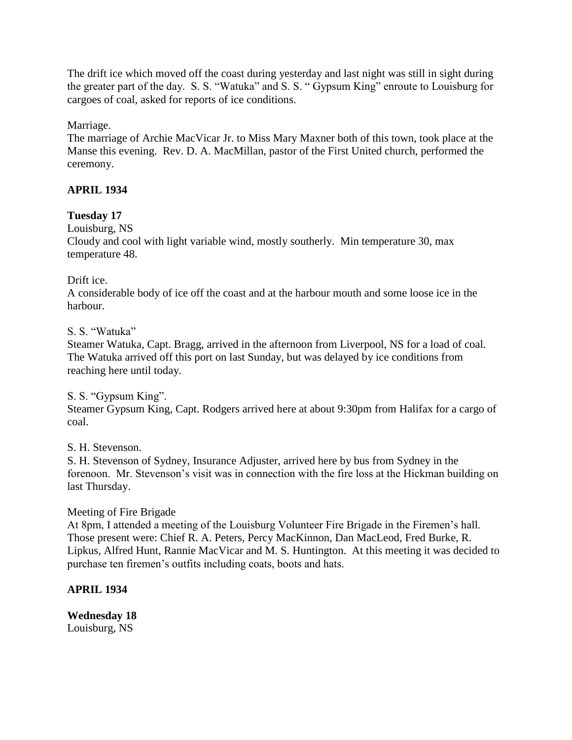The drift ice which moved off the coast during yesterday and last night was still in sight during the greater part of the day. S. S. "Watuka" and S. S. " Gypsum King" enroute to Louisburg for cargoes of coal, asked for reports of ice conditions.

Marriage.

The marriage of Archie MacVicar Jr. to Miss Mary Maxner both of this town, took place at the Manse this evening. Rev. D. A. MacMillan, pastor of the First United church, performed the ceremony.

# **APRIL 1934**

# **Tuesday 17**

Louisburg, NS

Cloudy and cool with light variable wind, mostly southerly. Min temperature 30, max temperature 48.

# Drift ice.

A considerable body of ice off the coast and at the harbour mouth and some loose ice in the harbour.

# S. S. "Watuka"

Steamer Watuka, Capt. Bragg, arrived in the afternoon from Liverpool, NS for a load of coal. The Watuka arrived off this port on last Sunday, but was delayed by ice conditions from reaching here until today.

# S. S. "Gypsum King".

Steamer Gypsum King, Capt. Rodgers arrived here at about 9:30pm from Halifax for a cargo of coal.

S. H. Stevenson.

S. H. Stevenson of Sydney, Insurance Adjuster, arrived here by bus from Sydney in the forenoon. Mr. Stevenson's visit was in connection with the fire loss at the Hickman building on last Thursday.

# Meeting of Fire Brigade

At 8pm, I attended a meeting of the Louisburg Volunteer Fire Brigade in the Firemen's hall. Those present were: Chief R. A. Peters, Percy MacKinnon, Dan MacLeod, Fred Burke, R. Lipkus, Alfred Hunt, Rannie MacVicar and M. S. Huntington. At this meeting it was decided to purchase ten firemen's outfits including coats, boots and hats.

# **APRIL 1934**

**Wednesday 18** Louisburg, NS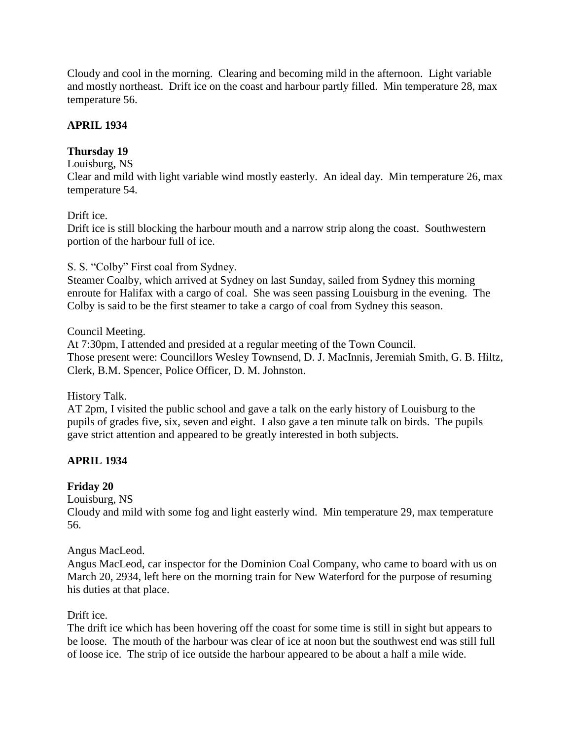Cloudy and cool in the morning. Clearing and becoming mild in the afternoon. Light variable and mostly northeast. Drift ice on the coast and harbour partly filled. Min temperature 28, max temperature 56.

# **APRIL 1934**

# **Thursday 19**

#### Louisburg, NS

Clear and mild with light variable wind mostly easterly. An ideal day. Min temperature 26, max temperature 54.

# Drift ice.

Drift ice is still blocking the harbour mouth and a narrow strip along the coast. Southwestern portion of the harbour full of ice.

S. S. "Colby" First coal from Sydney.

Steamer Coalby, which arrived at Sydney on last Sunday, sailed from Sydney this morning enroute for Halifax with a cargo of coal. She was seen passing Louisburg in the evening. The Colby is said to be the first steamer to take a cargo of coal from Sydney this season.

# Council Meeting.

At 7:30pm, I attended and presided at a regular meeting of the Town Council. Those present were: Councillors Wesley Townsend, D. J. MacInnis, Jeremiah Smith, G. B. Hiltz, Clerk, B.M. Spencer, Police Officer, D. M. Johnston.

History Talk.

AT 2pm, I visited the public school and gave a talk on the early history of Louisburg to the pupils of grades five, six, seven and eight. I also gave a ten minute talk on birds. The pupils gave strict attention and appeared to be greatly interested in both subjects.

# **APRIL 1934**

# **Friday 20**

Louisburg, NS

Cloudy and mild with some fog and light easterly wind. Min temperature 29, max temperature 56.

# Angus MacLeod.

Angus MacLeod, car inspector for the Dominion Coal Company, who came to board with us on March 20, 2934, left here on the morning train for New Waterford for the purpose of resuming his duties at that place.

# Drift ice.

The drift ice which has been hovering off the coast for some time is still in sight but appears to be loose. The mouth of the harbour was clear of ice at noon but the southwest end was still full of loose ice. The strip of ice outside the harbour appeared to be about a half a mile wide.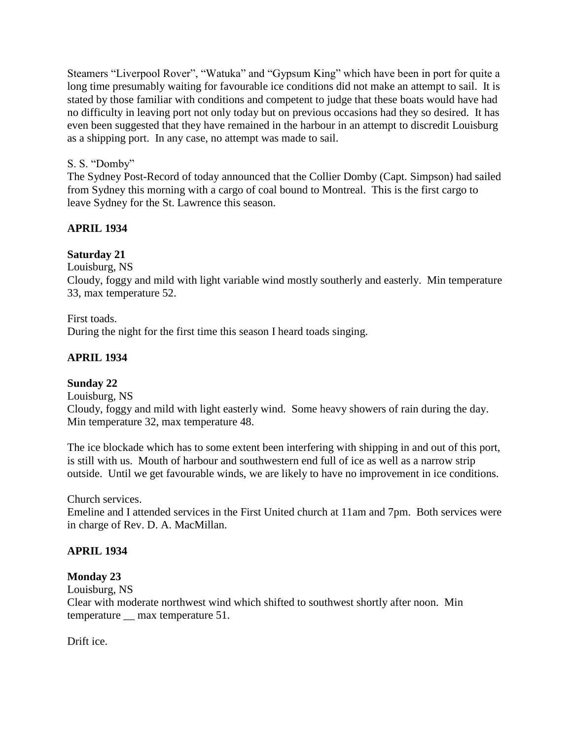Steamers "Liverpool Rover", "Watuka" and "Gypsum King" which have been in port for quite a long time presumably waiting for favourable ice conditions did not make an attempt to sail. It is stated by those familiar with conditions and competent to judge that these boats would have had no difficulty in leaving port not only today but on previous occasions had they so desired. It has even been suggested that they have remained in the harbour in an attempt to discredit Louisburg as a shipping port. In any case, no attempt was made to sail.

### S. S. "Domby"

The Sydney Post-Record of today announced that the Collier Domby (Capt. Simpson) had sailed from Sydney this morning with a cargo of coal bound to Montreal. This is the first cargo to leave Sydney for the St. Lawrence this season.

# **APRIL 1934**

### **Saturday 21**

Louisburg, NS

Cloudy, foggy and mild with light variable wind mostly southerly and easterly. Min temperature 33, max temperature 52.

First toads.

During the night for the first time this season I heard toads singing.

# **APRIL 1934**

# **Sunday 22**

Louisburg, NS

Cloudy, foggy and mild with light easterly wind. Some heavy showers of rain during the day. Min temperature 32, max temperature 48.

The ice blockade which has to some extent been interfering with shipping in and out of this port, is still with us. Mouth of harbour and southwestern end full of ice as well as a narrow strip outside. Until we get favourable winds, we are likely to have no improvement in ice conditions.

Church services.

Emeline and I attended services in the First United church at 11am and 7pm. Both services were in charge of Rev. D. A. MacMillan.

### **APRIL 1934**

### **Monday 23**

Louisburg, NS

Clear with moderate northwest wind which shifted to southwest shortly after noon. Min temperature \_\_ max temperature 51.

Drift ice.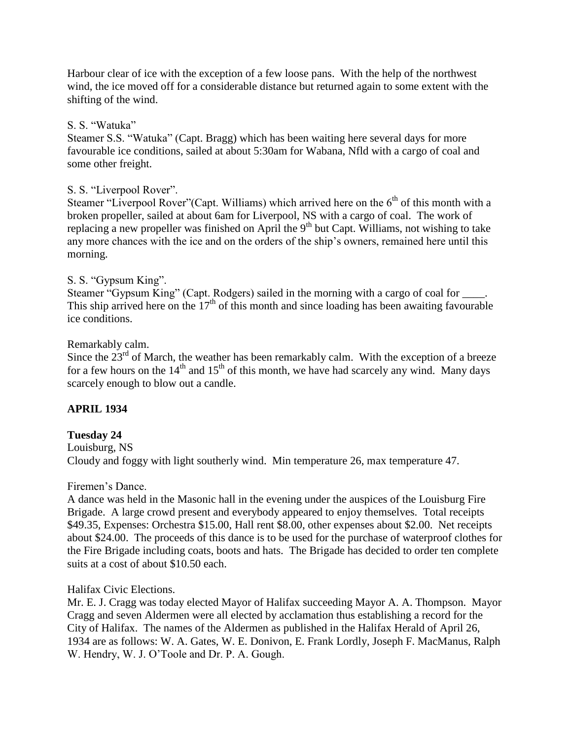Harbour clear of ice with the exception of a few loose pans. With the help of the northwest wind, the ice moved off for a considerable distance but returned again to some extent with the shifting of the wind.

### S. S. "Watuka"

Steamer S.S. "Watuka" (Capt. Bragg) which has been waiting here several days for more favourable ice conditions, sailed at about 5:30am for Wabana, Nfld with a cargo of coal and some other freight.

# S. S. "Liverpool Rover".

Steamer "Liverpool Rover" (Capt. Williams) which arrived here on the  $6<sup>th</sup>$  of this month with a broken propeller, sailed at about 6am for Liverpool, NS with a cargo of coal. The work of replacing a new propeller was finished on April the  $9<sup>th</sup>$  but Capt. Williams, not wishing to take any more chances with the ice and on the orders of the ship's owners, remained here until this morning.

### S. S. "Gypsum King".

Steamer "Gypsum King" (Capt. Rodgers) sailed in the morning with a cargo of coal for \_\_\_\_. This ship arrived here on the  $17<sup>th</sup>$  of this month and since loading has been awaiting favourable ice conditions.

### Remarkably calm.

Since the  $23<sup>rd</sup>$  of March, the weather has been remarkably calm. With the exception of a breeze for a few hours on the  $14<sup>th</sup>$  and  $15<sup>th</sup>$  of this month, we have had scarcely any wind. Many days scarcely enough to blow out a candle.

# **APRIL 1934**

# **Tuesday 24**

Louisburg, NS Cloudy and foggy with light southerly wind. Min temperature 26, max temperature 47.

### Firemen's Dance.

A dance was held in the Masonic hall in the evening under the auspices of the Louisburg Fire Brigade. A large crowd present and everybody appeared to enjoy themselves. Total receipts \$49.35, Expenses: Orchestra \$15.00, Hall rent \$8.00, other expenses about \$2.00. Net receipts about \$24.00. The proceeds of this dance is to be used for the purchase of waterproof clothes for the Fire Brigade including coats, boots and hats. The Brigade has decided to order ten complete suits at a cost of about \$10.50 each.

# Halifax Civic Elections.

Mr. E. J. Cragg was today elected Mayor of Halifax succeeding Mayor A. A. Thompson. Mayor Cragg and seven Aldermen were all elected by acclamation thus establishing a record for the City of Halifax. The names of the Aldermen as published in the Halifax Herald of April 26, 1934 are as follows: W. A. Gates, W. E. Donivon, E. Frank Lordly, Joseph F. MacManus, Ralph W. Hendry, W. J. O'Toole and Dr. P. A. Gough.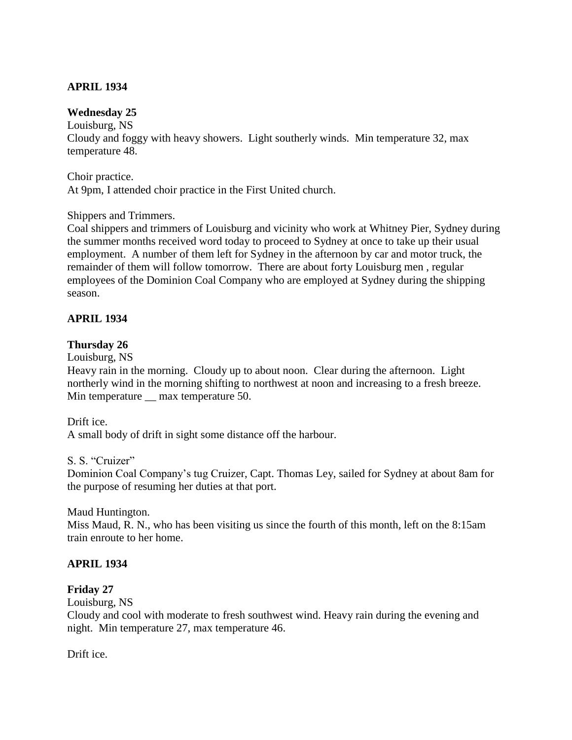# **APRIL 1934**

# **Wednesday 25**

Louisburg, NS

Cloudy and foggy with heavy showers. Light southerly winds. Min temperature 32, max temperature 48.

Choir practice. At 9pm, I attended choir practice in the First United church.

Shippers and Trimmers.

Coal shippers and trimmers of Louisburg and vicinity who work at Whitney Pier, Sydney during the summer months received word today to proceed to Sydney at once to take up their usual employment. A number of them left for Sydney in the afternoon by car and motor truck, the remainder of them will follow tomorrow. There are about forty Louisburg men , regular employees of the Dominion Coal Company who are employed at Sydney during the shipping season.

# **APRIL 1934**

### **Thursday 26**

Louisburg, NS

Heavy rain in the morning. Cloudy up to about noon. Clear during the afternoon. Light northerly wind in the morning shifting to northwest at noon and increasing to a fresh breeze. Min temperature \_\_ max temperature 50.

### Drift ice.

A small body of drift in sight some distance off the harbour.

### S. S. "Cruizer"

Dominion Coal Company's tug Cruizer, Capt. Thomas Ley, sailed for Sydney at about 8am for the purpose of resuming her duties at that port.

Maud Huntington.

Miss Maud, R. N., who has been visiting us since the fourth of this month, left on the 8:15am train enroute to her home.

# **APRIL 1934**

### **Friday 27**

Louisburg, NS

Cloudy and cool with moderate to fresh southwest wind. Heavy rain during the evening and night. Min temperature 27, max temperature 46.

Drift ice.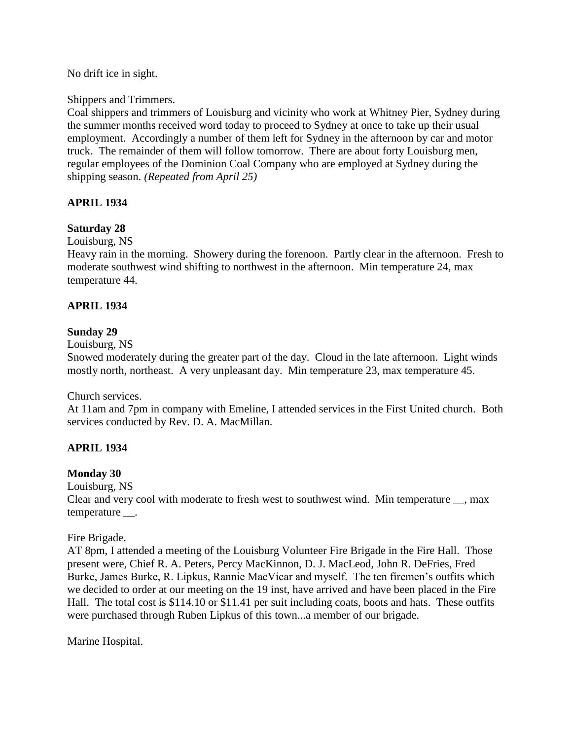No drift ice in sight.

### Shippers and Trimmers.

Coal shippers and trimmers of Louisburg and vicinity who work at Whitney Pier, Sydney during the summer months received word today to proceed to Sydney at once to take up their usual employment. Accordingly a number of them left for Sydney in the afternoon by car and motor truck. The remainder of them will follow tomorrow. There are about forty Louisburg men, regular employees of the Dominion Coal Company who are employed at Sydney during the shipping season. *(Repeated from April 25)*

# **APRIL 1934**

# **Saturday 28**

Louisburg, NS

Heavy rain in the morning. Showery during the forenoon. Partly clear in the afternoon. Fresh to moderate southwest wind shifting to northwest in the afternoon. Min temperature 24, max temperature 44.

# **APRIL 1934**

# **Sunday 29**

Louisburg, NS

Snowed moderately during the greater part of the day. Cloud in the late afternoon. Light winds mostly north, northeast. A very unpleasant day. Min temperature 23, max temperature 45.

Church services.

At 11am and 7pm in company with Emeline, I attended services in the First United church. Both services conducted by Rev. D. A. MacMillan.

# **APRIL 1934**

# **Monday 30**

Louisburg, NS

Clear and very cool with moderate to fresh west to southwest wind. Min temperature \_\_, max temperature \_\_.

Fire Brigade.

AT 8pm, I attended a meeting of the Louisburg Volunteer Fire Brigade in the Fire Hall. Those present were, Chief R. A. Peters, Percy MacKinnon, D. J. MacLeod, John R. DeFries, Fred Burke, James Burke, R. Lipkus, Rannie MacVicar and myself. The ten firemen's outfits which we decided to order at our meeting on the 19 inst, have arrived and have been placed in the Fire Hall. The total cost is \$114.10 or \$11.41 per suit including coats, boots and hats. These outfits were purchased through Ruben Lipkus of this town...a member of our brigade.

Marine Hospital.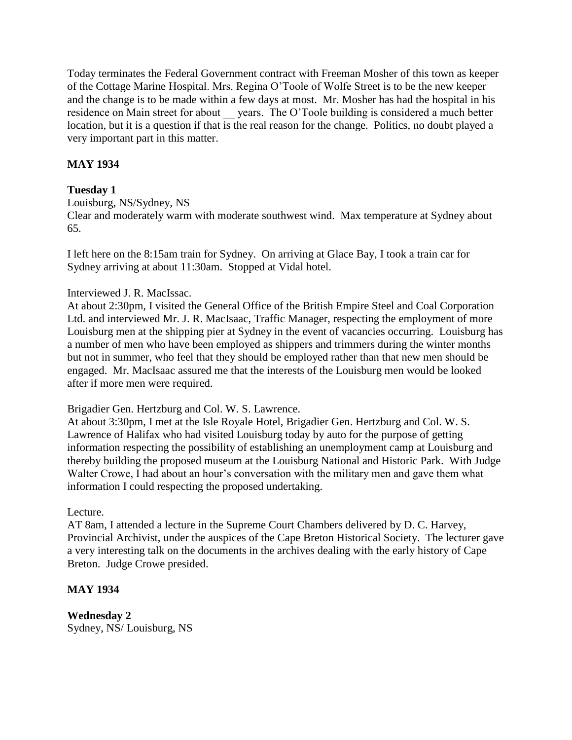Today terminates the Federal Government contract with Freeman Mosher of this town as keeper of the Cottage Marine Hospital. Mrs. Regina O'Toole of Wolfe Street is to be the new keeper and the change is to be made within a few days at most. Mr. Mosher has had the hospital in his residence on Main street for about years. The O'Toole building is considered a much better location, but it is a question if that is the real reason for the change. Politics, no doubt played a very important part in this matter.

### **MAY 1934**

### **Tuesday 1**

Louisburg, NS/Sydney, NS

Clear and moderately warm with moderate southwest wind. Max temperature at Sydney about 65.

I left here on the 8:15am train for Sydney. On arriving at Glace Bay, I took a train car for Sydney arriving at about 11:30am. Stopped at Vidal hotel.

### Interviewed J. R. MacIssac.

At about 2:30pm, I visited the General Office of the British Empire Steel and Coal Corporation Ltd. and interviewed Mr. J. R. MacIsaac, Traffic Manager, respecting the employment of more Louisburg men at the shipping pier at Sydney in the event of vacancies occurring. Louisburg has a number of men who have been employed as shippers and trimmers during the winter months but not in summer, who feel that they should be employed rather than that new men should be engaged. Mr. MacIsaac assured me that the interests of the Louisburg men would be looked after if more men were required.

### Brigadier Gen. Hertzburg and Col. W. S. Lawrence.

At about 3:30pm, I met at the Isle Royale Hotel, Brigadier Gen. Hertzburg and Col. W. S. Lawrence of Halifax who had visited Louisburg today by auto for the purpose of getting information respecting the possibility of establishing an unemployment camp at Louisburg and thereby building the proposed museum at the Louisburg National and Historic Park. With Judge Walter Crowe, I had about an hour's conversation with the military men and gave them what information I could respecting the proposed undertaking.

### Lecture.

AT 8am, I attended a lecture in the Supreme Court Chambers delivered by D. C. Harvey, Provincial Archivist, under the auspices of the Cape Breton Historical Society. The lecturer gave a very interesting talk on the documents in the archives dealing with the early history of Cape Breton. Judge Crowe presided.

### **MAY 1934**

**Wednesday 2** Sydney, NS/ Louisburg, NS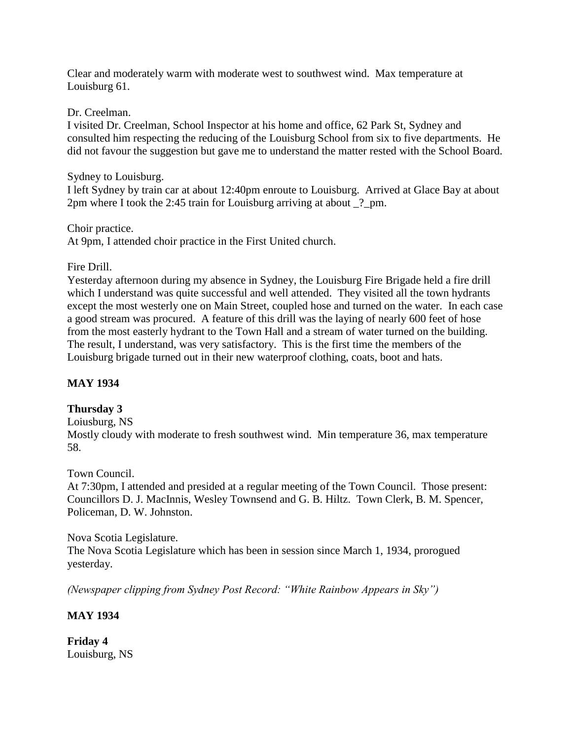Clear and moderately warm with moderate west to southwest wind. Max temperature at Louisburg 61.

### Dr. Creelman.

I visited Dr. Creelman, School Inspector at his home and office, 62 Park St, Sydney and consulted him respecting the reducing of the Louisburg School from six to five departments. He did not favour the suggestion but gave me to understand the matter rested with the School Board.

### Sydney to Louisburg.

I left Sydney by train car at about 12:40pm enroute to Louisburg. Arrived at Glace Bay at about 2pm where I took the 2:45 train for Louisburg arriving at about ? pm.

### Choir practice.

At 9pm, I attended choir practice in the First United church.

### Fire Drill.

Yesterday afternoon during my absence in Sydney, the Louisburg Fire Brigade held a fire drill which I understand was quite successful and well attended. They visited all the town hydrants except the most westerly one on Main Street, coupled hose and turned on the water. In each case a good stream was procured. A feature of this drill was the laying of nearly 600 feet of hose from the most easterly hydrant to the Town Hall and a stream of water turned on the building. The result, I understand, was very satisfactory. This is the first time the members of the Louisburg brigade turned out in their new waterproof clothing, coats, boot and hats.

# **MAY 1934**

# **Thursday 3**

# Loiusburg, NS

Mostly cloudy with moderate to fresh southwest wind. Min temperature 36, max temperature 58.

### Town Council.

At 7:30pm, I attended and presided at a regular meeting of the Town Council. Those present: Councillors D. J. MacInnis, Wesley Townsend and G. B. Hiltz. Town Clerk, B. M. Spencer, Policeman, D. W. Johnston.

Nova Scotia Legislature. The Nova Scotia Legislature which has been in session since March 1, 1934, prorogued yesterday.

*(Newspaper clipping from Sydney Post Record: "White Rainbow Appears in Sky")*

# **MAY 1934**

**Friday 4** Louisburg, NS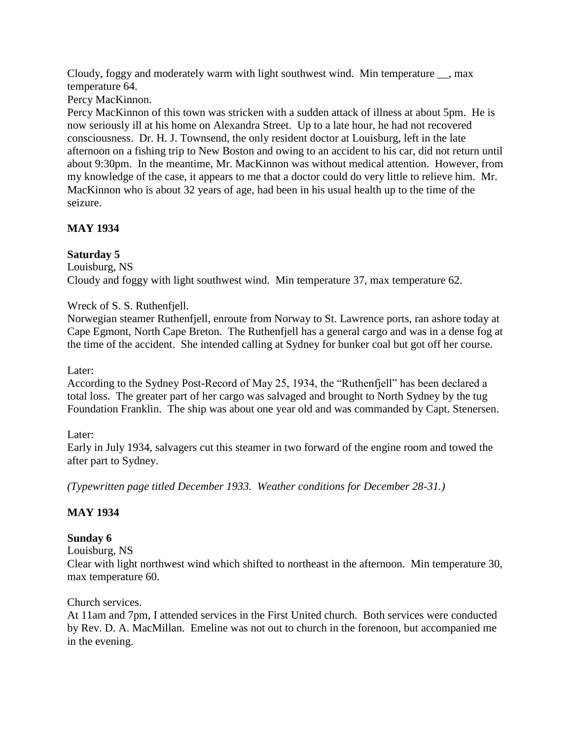Cloudy, foggy and moderately warm with light southwest wind. Min temperature \_\_, max temperature 64.

Percy MacKinnon.

Percy MacKinnon of this town was stricken with a sudden attack of illness at about 5pm. He is now seriously ill at his home on Alexandra Street. Up to a late hour, he had not recovered consciousness. Dr. H. J. Townsend, the only resident doctor at Louisburg, left in the late afternoon on a fishing trip to New Boston and owing to an accident to his car, did not return until about 9:30pm. In the meantime, Mr. MacKinnon was without medical attention. However, from my knowledge of the case, it appears to me that a doctor could do very little to relieve him. Mr. MacKinnon who is about 32 years of age, had been in his usual health up to the time of the seizure.

# **MAY 1934**

# **Saturday 5**

Louisburg, NS Cloudy and foggy with light southwest wind. Min temperature 37, max temperature 62.

# Wreck of S. S. Ruthenfjell.

Norwegian steamer Ruthenfjell, enroute from Norway to St. Lawrence ports, ran ashore today at Cape Egmont, North Cape Breton. The Ruthenfjell has a general cargo and was in a dense fog at the time of the accident. She intended calling at Sydney for bunker coal but got off her course.

### Later:

According to the Sydney Post-Record of May 25, 1934, the "Ruthenfjell" has been declared a total loss. The greater part of her cargo was salvaged and brought to North Sydney by the tug Foundation Franklin. The ship was about one year old and was commanded by Capt. Stenersen.

Later:

Early in July 1934, salvagers cut this steamer in two forward of the engine room and towed the after part to Sydney.

*(Typewritten page titled December 1933. Weather conditions for December 28-31.)*

# **MAY 1934**

### **Sunday 6**

Louisburg, NS

Clear with light northwest wind which shifted to northeast in the afternoon. Min temperature 30, max temperature 60.

### Church services.

At 11am and 7pm, I attended services in the First United church. Both services were conducted by Rev. D. A. MacMillan. Emeline was not out to church in the forenoon, but accompanied me in the evening.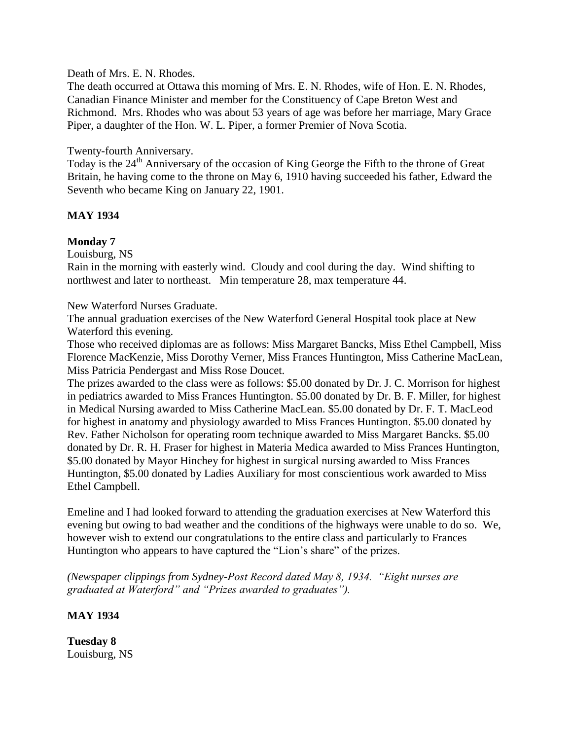### Death of Mrs. E. N. Rhodes.

The death occurred at Ottawa this morning of Mrs. E. N. Rhodes, wife of Hon. E. N. Rhodes, Canadian Finance Minister and member for the Constituency of Cape Breton West and Richmond. Mrs. Rhodes who was about 53 years of age was before her marriage, Mary Grace Piper, a daughter of the Hon. W. L. Piper, a former Premier of Nova Scotia.

#### Twenty-fourth Anniversary.

Today is the 24<sup>th</sup> Anniversary of the occasion of King George the Fifth to the throne of Great Britain, he having come to the throne on May 6, 1910 having succeeded his father, Edward the Seventh who became King on January 22, 1901.

### **MAY 1934**

# **Monday 7**

Louisburg, NS

Rain in the morning with easterly wind. Cloudy and cool during the day. Wind shifting to northwest and later to northeast. Min temperature 28, max temperature 44.

#### New Waterford Nurses Graduate.

The annual graduation exercises of the New Waterford General Hospital took place at New Waterford this evening.

Those who received diplomas are as follows: Miss Margaret Bancks, Miss Ethel Campbell, Miss Florence MacKenzie, Miss Dorothy Verner, Miss Frances Huntington, Miss Catherine MacLean, Miss Patricia Pendergast and Miss Rose Doucet.

The prizes awarded to the class were as follows: \$5.00 donated by Dr. J. C. Morrison for highest in pediatrics awarded to Miss Frances Huntington. \$5.00 donated by Dr. B. F. Miller, for highest in Medical Nursing awarded to Miss Catherine MacLean. \$5.00 donated by Dr. F. T. MacLeod for highest in anatomy and physiology awarded to Miss Frances Huntington. \$5.00 donated by Rev. Father Nicholson for operating room technique awarded to Miss Margaret Bancks. \$5.00 donated by Dr. R. H. Fraser for highest in Materia Medica awarded to Miss Frances Huntington, \$5.00 donated by Mayor Hinchey for highest in surgical nursing awarded to Miss Frances Huntington, \$5.00 donated by Ladies Auxiliary for most conscientious work awarded to Miss Ethel Campbell.

Emeline and I had looked forward to attending the graduation exercises at New Waterford this evening but owing to bad weather and the conditions of the highways were unable to do so. We, however wish to extend our congratulations to the entire class and particularly to Frances Huntington who appears to have captured the "Lion's share" of the prizes.

*(Newspaper clippings from Sydney-Post Record dated May 8, 1934. "Eight nurses are graduated at Waterford" and "Prizes awarded to graduates").* 

### **MAY 1934**

**Tuesday 8** Louisburg, NS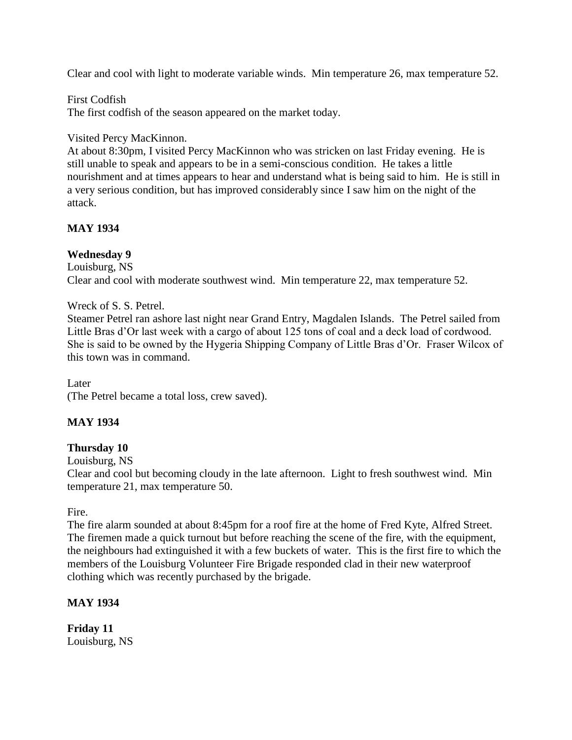Clear and cool with light to moderate variable winds. Min temperature 26, max temperature 52.

### First Codfish

The first codfish of the season appeared on the market today.

# Visited Percy MacKinnon.

At about 8:30pm, I visited Percy MacKinnon who was stricken on last Friday evening. He is still unable to speak and appears to be in a semi-conscious condition. He takes a little nourishment and at times appears to hear and understand what is being said to him. He is still in a very serious condition, but has improved considerably since I saw him on the night of the attack.

# **MAY 1934**

# **Wednesday 9**

Louisburg, NS Clear and cool with moderate southwest wind. Min temperature 22, max temperature 52.

# Wreck of S. S. Petrel.

Steamer Petrel ran ashore last night near Grand Entry, Magdalen Islands. The Petrel sailed from Little Bras d'Or last week with a cargo of about 125 tons of coal and a deck load of cordwood. She is said to be owned by the Hygeria Shipping Company of Little Bras d'Or. Fraser Wilcox of this town was in command.

Later

(The Petrel became a total loss, crew saved).

# **MAY 1934**

# **Thursday 10**

Louisburg, NS

Clear and cool but becoming cloudy in the late afternoon. Light to fresh southwest wind. Min temperature 21, max temperature 50.

Fire.

The fire alarm sounded at about 8:45pm for a roof fire at the home of Fred Kyte, Alfred Street. The firemen made a quick turnout but before reaching the scene of the fire, with the equipment, the neighbours had extinguished it with a few buckets of water. This is the first fire to which the members of the Louisburg Volunteer Fire Brigade responded clad in their new waterproof clothing which was recently purchased by the brigade.

# **MAY 1934**

**Friday 11** Louisburg, NS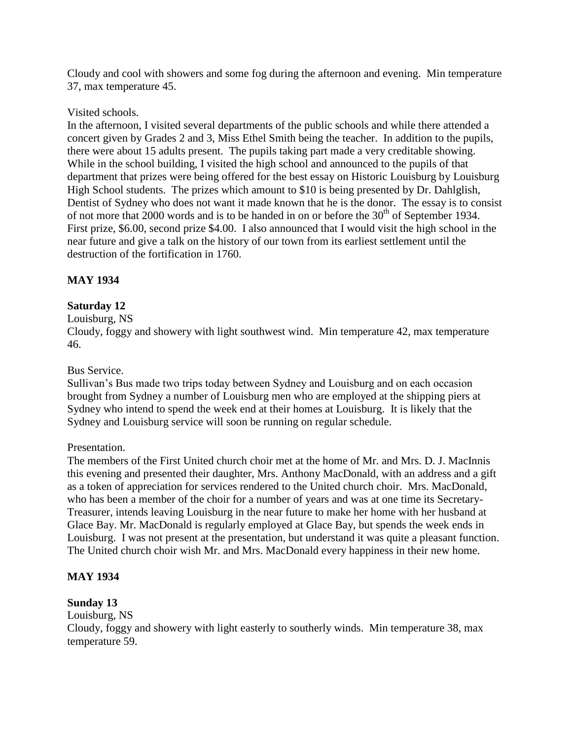Cloudy and cool with showers and some fog during the afternoon and evening. Min temperature 37, max temperature 45.

Visited schools.

In the afternoon, I visited several departments of the public schools and while there attended a concert given by Grades 2 and 3, Miss Ethel Smith being the teacher. In addition to the pupils, there were about 15 adults present. The pupils taking part made a very creditable showing. While in the school building, I visited the high school and announced to the pupils of that department that prizes were being offered for the best essay on Historic Louisburg by Louisburg High School students. The prizes which amount to \$10 is being presented by Dr. Dahlglish, Dentist of Sydney who does not want it made known that he is the donor. The essay is to consist of not more that 2000 words and is to be handed in on or before the  $30<sup>th</sup>$  of September 1934. First prize, \$6.00, second prize \$4.00. I also announced that I would visit the high school in the near future and give a talk on the history of our town from its earliest settlement until the destruction of the fortification in 1760.

# **MAY 1934**

# **Saturday 12**

# Louisburg, NS

Cloudy, foggy and showery with light southwest wind. Min temperature 42, max temperature 46.

### Bus Service.

Sullivan's Bus made two trips today between Sydney and Louisburg and on each occasion brought from Sydney a number of Louisburg men who are employed at the shipping piers at Sydney who intend to spend the week end at their homes at Louisburg. It is likely that the Sydney and Louisburg service will soon be running on regular schedule.

### Presentation.

The members of the First United church choir met at the home of Mr. and Mrs. D. J. MacInnis this evening and presented their daughter, Mrs. Anthony MacDonald, with an address and a gift as a token of appreciation for services rendered to the United church choir. Mrs. MacDonald, who has been a member of the choir for a number of years and was at one time its Secretary-Treasurer, intends leaving Louisburg in the near future to make her home with her husband at Glace Bay. Mr. MacDonald is regularly employed at Glace Bay, but spends the week ends in Louisburg. I was not present at the presentation, but understand it was quite a pleasant function. The United church choir wish Mr. and Mrs. MacDonald every happiness in their new home.

# **MAY 1934**

# **Sunday 13**

Louisburg, NS

Cloudy, foggy and showery with light easterly to southerly winds. Min temperature 38, max temperature 59.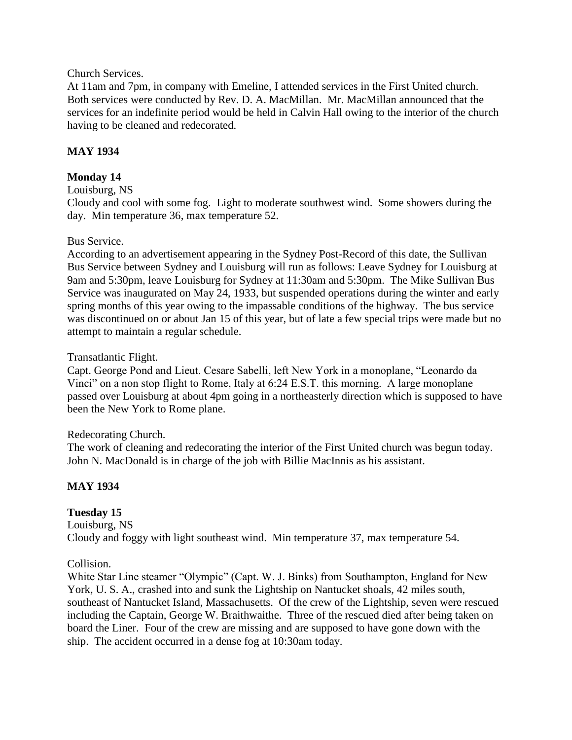### Church Services.

At 11am and 7pm, in company with Emeline, I attended services in the First United church. Both services were conducted by Rev. D. A. MacMillan. Mr. MacMillan announced that the services for an indefinite period would be held in Calvin Hall owing to the interior of the church having to be cleaned and redecorated.

# **MAY 1934**

# **Monday 14**

### Louisburg, NS

Cloudy and cool with some fog. Light to moderate southwest wind. Some showers during the day. Min temperature 36, max temperature 52.

### Bus Service.

According to an advertisement appearing in the Sydney Post-Record of this date, the Sullivan Bus Service between Sydney and Louisburg will run as follows: Leave Sydney for Louisburg at 9am and 5:30pm, leave Louisburg for Sydney at 11:30am and 5:30pm. The Mike Sullivan Bus Service was inaugurated on May 24, 1933, but suspended operations during the winter and early spring months of this year owing to the impassable conditions of the highway. The bus service was discontinued on or about Jan 15 of this year, but of late a few special trips were made but no attempt to maintain a regular schedule.

### Transatlantic Flight.

Capt. George Pond and Lieut. Cesare Sabelli, left New York in a monoplane, "Leonardo da Vinci" on a non stop flight to Rome, Italy at 6:24 E.S.T. this morning. A large monoplane passed over Louisburg at about 4pm going in a northeasterly direction which is supposed to have been the New York to Rome plane.

### Redecorating Church.

The work of cleaning and redecorating the interior of the First United church was begun today. John N. MacDonald is in charge of the job with Billie MacInnis as his assistant.

# **MAY 1934**

# **Tuesday 15**

Louisburg, NS Cloudy and foggy with light southeast wind. Min temperature 37, max temperature 54.

# Collision.

White Star Line steamer "Olympic" (Capt. W. J. Binks) from Southampton, England for New York, U. S. A., crashed into and sunk the Lightship on Nantucket shoals, 42 miles south, southeast of Nantucket Island, Massachusetts. Of the crew of the Lightship, seven were rescued including the Captain, George W. Braithwaithe. Three of the rescued died after being taken on board the Liner. Four of the crew are missing and are supposed to have gone down with the ship. The accident occurred in a dense fog at 10:30am today.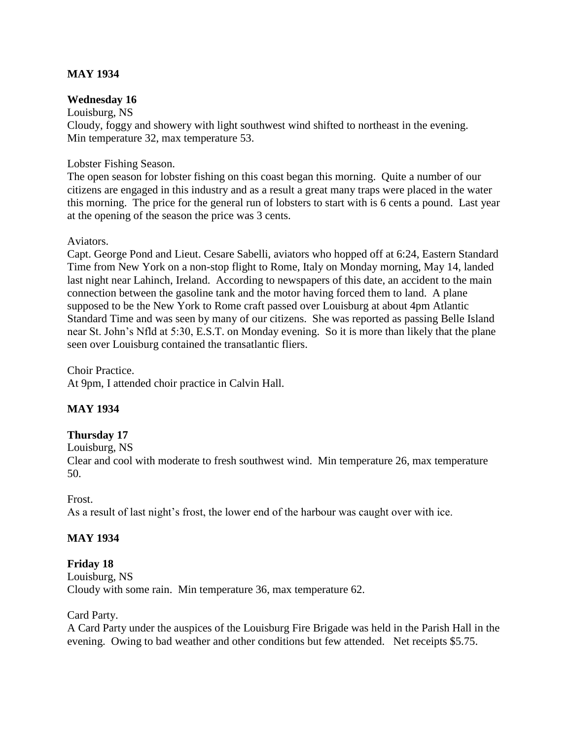### **MAY 1934**

### **Wednesday 16**

Louisburg, NS Cloudy, foggy and showery with light southwest wind shifted to northeast in the evening. Min temperature 32, max temperature 53.

Lobster Fishing Season.

The open season for lobster fishing on this coast began this morning. Quite a number of our citizens are engaged in this industry and as a result a great many traps were placed in the water this morning. The price for the general run of lobsters to start with is 6 cents a pound. Last year at the opening of the season the price was 3 cents.

Aviators.

Capt. George Pond and Lieut. Cesare Sabelli, aviators who hopped off at 6:24, Eastern Standard Time from New York on a non-stop flight to Rome, Italy on Monday morning, May 14, landed last night near Lahinch, Ireland. According to newspapers of this date, an accident to the main connection between the gasoline tank and the motor having forced them to land. A plane supposed to be the New York to Rome craft passed over Louisburg at about 4pm Atlantic Standard Time and was seen by many of our citizens. She was reported as passing Belle Island near St. John's Nfld at 5:30, E.S.T. on Monday evening. So it is more than likely that the plane seen over Louisburg contained the transatlantic fliers.

Choir Practice. At 9pm, I attended choir practice in Calvin Hall.

# **MAY 1934**

### **Thursday 17**

Louisburg, NS

Clear and cool with moderate to fresh southwest wind. Min temperature 26, max temperature 50.

Frost.

As a result of last night's frost, the lower end of the harbour was caught over with ice.

### **MAY 1934**

### **Friday 18**

Louisburg, NS Cloudy with some rain. Min temperature 36, max temperature 62.

#### Card Party.

A Card Party under the auspices of the Louisburg Fire Brigade was held in the Parish Hall in the evening. Owing to bad weather and other conditions but few attended. Net receipts \$5.75.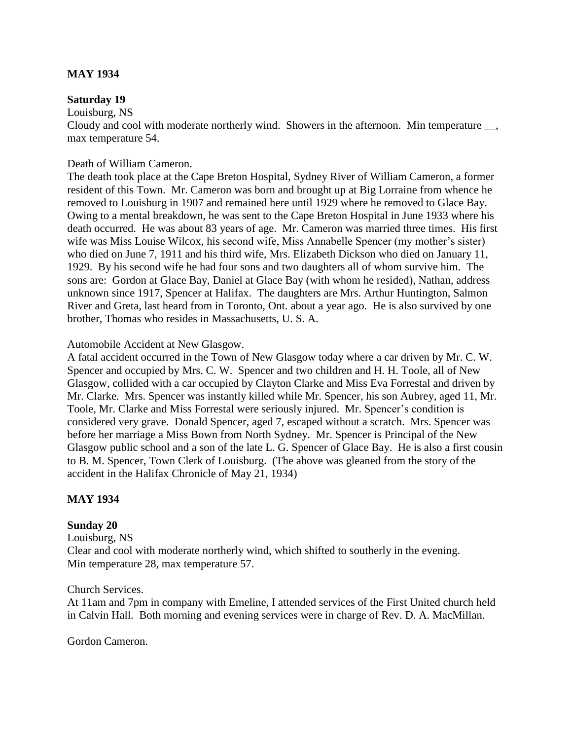### **MAY 1934**

#### **Saturday 19**

Louisburg, NS

Cloudy and cool with moderate northerly wind. Showers in the afternoon. Min temperature \_\_, max temperature 54.

### Death of William Cameron.

The death took place at the Cape Breton Hospital, Sydney River of William Cameron, a former resident of this Town. Mr. Cameron was born and brought up at Big Lorraine from whence he removed to Louisburg in 1907 and remained here until 1929 where he removed to Glace Bay. Owing to a mental breakdown, he was sent to the Cape Breton Hospital in June 1933 where his death occurred. He was about 83 years of age. Mr. Cameron was married three times. His first wife was Miss Louise Wilcox, his second wife, Miss Annabelle Spencer (my mother's sister) who died on June 7, 1911 and his third wife, Mrs. Elizabeth Dickson who died on January 11, 1929. By his second wife he had four sons and two daughters all of whom survive him. The sons are: Gordon at Glace Bay, Daniel at Glace Bay (with whom he resided), Nathan, address unknown since 1917, Spencer at Halifax. The daughters are Mrs. Arthur Huntington, Salmon River and Greta, last heard from in Toronto, Ont. about a year ago. He is also survived by one brother, Thomas who resides in Massachusetts, U. S. A.

Automobile Accident at New Glasgow.

A fatal accident occurred in the Town of New Glasgow today where a car driven by Mr. C. W. Spencer and occupied by Mrs. C. W. Spencer and two children and H. H. Toole, all of New Glasgow, collided with a car occupied by Clayton Clarke and Miss Eva Forrestal and driven by Mr. Clarke. Mrs. Spencer was instantly killed while Mr. Spencer, his son Aubrey, aged 11, Mr. Toole, Mr. Clarke and Miss Forrestal were seriously injured. Mr. Spencer's condition is considered very grave. Donald Spencer, aged 7, escaped without a scratch. Mrs. Spencer was before her marriage a Miss Bown from North Sydney. Mr. Spencer is Principal of the New Glasgow public school and a son of the late L. G. Spencer of Glace Bay. He is also a first cousin to B. M. Spencer, Town Clerk of Louisburg. (The above was gleaned from the story of the accident in the Halifax Chronicle of May 21, 1934)

### **MAY 1934**

### **Sunday 20**

Louisburg, NS

Clear and cool with moderate northerly wind, which shifted to southerly in the evening. Min temperature 28, max temperature 57.

#### Church Services.

At 11am and 7pm in company with Emeline, I attended services of the First United church held in Calvin Hall. Both morning and evening services were in charge of Rev. D. A. MacMillan.

Gordon Cameron.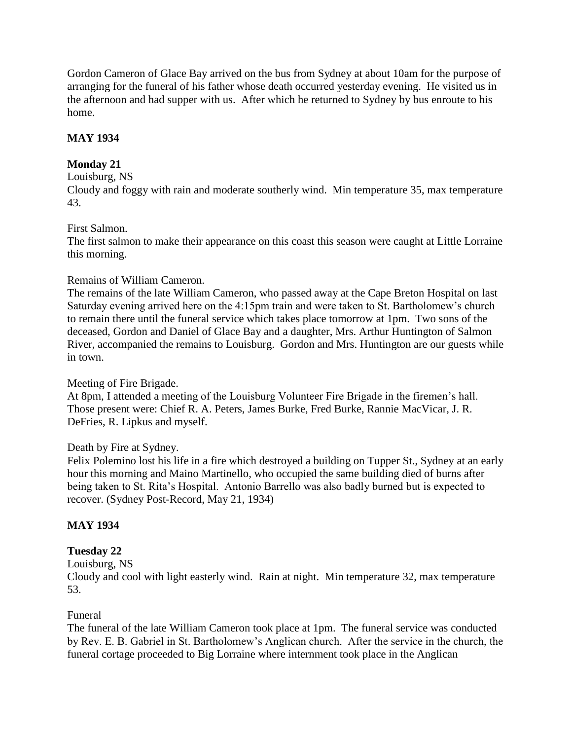Gordon Cameron of Glace Bay arrived on the bus from Sydney at about 10am for the purpose of arranging for the funeral of his father whose death occurred yesterday evening. He visited us in the afternoon and had supper with us. After which he returned to Sydney by bus enroute to his home.

# **MAY 1934**

# **Monday 21**

### Louisburg, NS

Cloudy and foggy with rain and moderate southerly wind. Min temperature 35, max temperature 43.

### First Salmon.

The first salmon to make their appearance on this coast this season were caught at Little Lorraine this morning.

# Remains of William Cameron.

The remains of the late William Cameron, who passed away at the Cape Breton Hospital on last Saturday evening arrived here on the 4:15pm train and were taken to St. Bartholomew's church to remain there until the funeral service which takes place tomorrow at 1pm. Two sons of the deceased, Gordon and Daniel of Glace Bay and a daughter, Mrs. Arthur Huntington of Salmon River, accompanied the remains to Louisburg. Gordon and Mrs. Huntington are our guests while in town.

### Meeting of Fire Brigade.

At 8pm, I attended a meeting of the Louisburg Volunteer Fire Brigade in the firemen's hall. Those present were: Chief R. A. Peters, James Burke, Fred Burke, Rannie MacVicar, J. R. DeFries, R. Lipkus and myself.

# Death by Fire at Sydney.

Felix Polemino lost his life in a fire which destroyed a building on Tupper St., Sydney at an early hour this morning and Maino Martinello, who occupied the same building died of burns after being taken to St. Rita's Hospital. Antonio Barrello was also badly burned but is expected to recover. (Sydney Post-Record, May 21, 1934)

# **MAY 1934**

# **Tuesday 22**

### Louisburg, NS

Cloudy and cool with light easterly wind. Rain at night. Min temperature 32, max temperature 53.

# Funeral

The funeral of the late William Cameron took place at 1pm. The funeral service was conducted by Rev. E. B. Gabriel in St. Bartholomew's Anglican church. After the service in the church, the funeral cortage proceeded to Big Lorraine where internment took place in the Anglican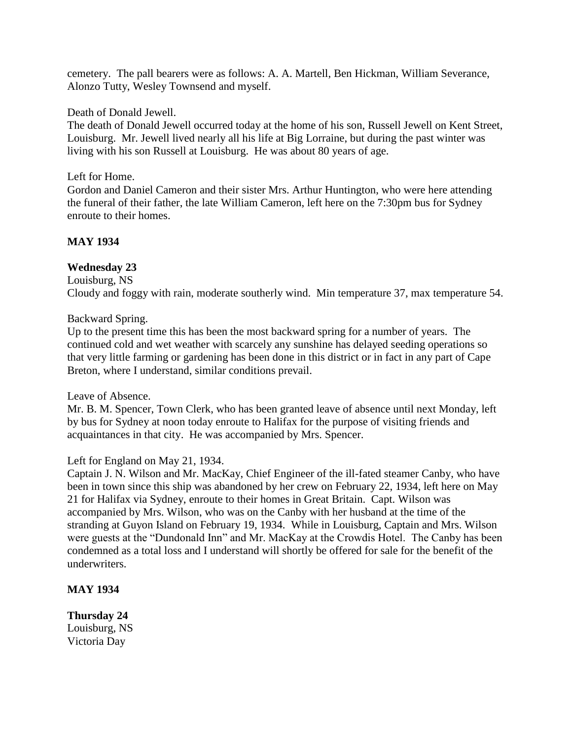cemetery. The pall bearers were as follows: A. A. Martell, Ben Hickman, William Severance, Alonzo Tutty, Wesley Townsend and myself.

### Death of Donald Jewell.

The death of Donald Jewell occurred today at the home of his son, Russell Jewell on Kent Street, Louisburg. Mr. Jewell lived nearly all his life at Big Lorraine, but during the past winter was living with his son Russell at Louisburg. He was about 80 years of age.

### Left for Home.

Gordon and Daniel Cameron and their sister Mrs. Arthur Huntington, who were here attending the funeral of their father, the late William Cameron, left here on the 7:30pm bus for Sydney enroute to their homes.

# **MAY 1934**

# **Wednesday 23**

Louisburg, NS Cloudy and foggy with rain, moderate southerly wind. Min temperature 37, max temperature 54.

### Backward Spring.

Up to the present time this has been the most backward spring for a number of years. The continued cold and wet weather with scarcely any sunshine has delayed seeding operations so that very little farming or gardening has been done in this district or in fact in any part of Cape Breton, where I understand, similar conditions prevail.

### Leave of Absence.

Mr. B. M. Spencer, Town Clerk, who has been granted leave of absence until next Monday, left by bus for Sydney at noon today enroute to Halifax for the purpose of visiting friends and acquaintances in that city. He was accompanied by Mrs. Spencer.

### Left for England on May 21, 1934.

Captain J. N. Wilson and Mr. MacKay, Chief Engineer of the ill-fated steamer Canby, who have been in town since this ship was abandoned by her crew on February 22, 1934, left here on May 21 for Halifax via Sydney, enroute to their homes in Great Britain. Capt. Wilson was accompanied by Mrs. Wilson, who was on the Canby with her husband at the time of the stranding at Guyon Island on February 19, 1934. While in Louisburg, Captain and Mrs. Wilson were guests at the "Dundonald Inn" and Mr. MacKay at the Crowdis Hotel. The Canby has been condemned as a total loss and I understand will shortly be offered for sale for the benefit of the underwriters.

### **MAY 1934**

**Thursday 24** Louisburg, NS Victoria Day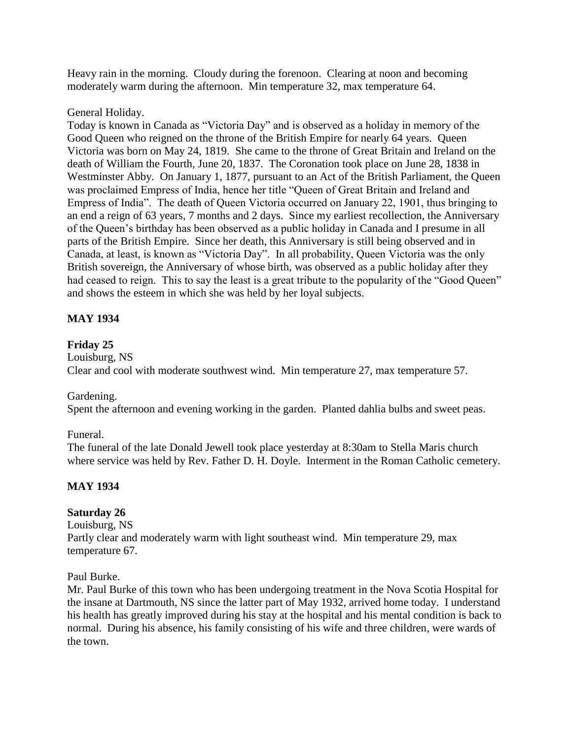Heavy rain in the morning. Cloudy during the forenoon. Clearing at noon and becoming moderately warm during the afternoon. Min temperature 32, max temperature 64.

### General Holiday.

Today is known in Canada as "Victoria Day" and is observed as a holiday in memory of the Good Queen who reigned on the throne of the British Empire for nearly 64 years. Queen Victoria was born on May 24, 1819. She came to the throne of Great Britain and Ireland on the death of William the Fourth, June 20, 1837. The Coronation took place on June 28, 1838 in Westminster Abby. On January 1, 1877, pursuant to an Act of the British Parliament, the Queen was proclaimed Empress of India, hence her title "Queen of Great Britain and Ireland and Empress of India". The death of Queen Victoria occurred on January 22, 1901, thus bringing to an end a reign of 63 years, 7 months and 2 days. Since my earliest recollection, the Anniversary of the Queen's birthday has been observed as a public holiday in Canada and I presume in all parts of the British Empire. Since her death, this Anniversary is still being observed and in Canada, at least, is known as "Victoria Day". In all probability, Queen Victoria was the only British sovereign, the Anniversary of whose birth, was observed as a public holiday after they had ceased to reign. This to say the least is a great tribute to the popularity of the "Good Queen" and shows the esteem in which she was held by her loyal subjects.

# **MAY 1934**

# **Friday 25**

Louisburg, NS Clear and cool with moderate southwest wind. Min temperature 27, max temperature 57.

# Gardening.

Spent the afternoon and evening working in the garden. Planted dahlia bulbs and sweet peas.

### Funeral.

The funeral of the late Donald Jewell took place yesterday at 8:30am to Stella Maris church where service was held by Rev. Father D. H. Doyle. Interment in the Roman Catholic cemetery.

# **MAY 1934**

# **Saturday 26**

Louisburg, NS Partly clear and moderately warm with light southeast wind. Min temperature 29, max temperature 67.

Paul Burke.

Mr. Paul Burke of this town who has been undergoing treatment in the Nova Scotia Hospital for the insane at Dartmouth, NS since the latter part of May 1932, arrived home today. I understand his health has greatly improved during his stay at the hospital and his mental condition is back to normal. During his absence, his family consisting of his wife and three children, were wards of the town.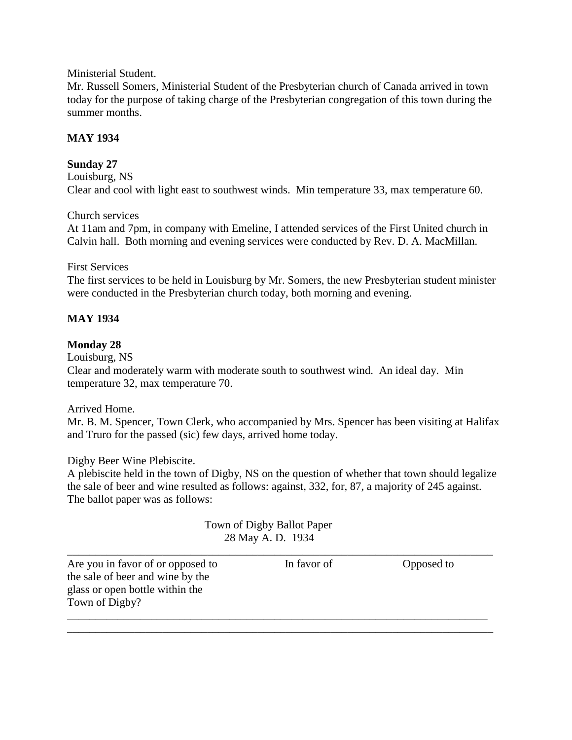Ministerial Student.

Mr. Russell Somers, Ministerial Student of the Presbyterian church of Canada arrived in town today for the purpose of taking charge of the Presbyterian congregation of this town during the summer months.

# **MAY 1934**

# **Sunday 27**

Louisburg, NS Clear and cool with light east to southwest winds. Min temperature 33, max temperature 60.

# Church services

At 11am and 7pm, in company with Emeline, I attended services of the First United church in Calvin hall. Both morning and evening services were conducted by Rev. D. A. MacMillan.

# First Services

The first services to be held in Louisburg by Mr. Somers, the new Presbyterian student minister were conducted in the Presbyterian church today, both morning and evening.

# **MAY 1934**

# **Monday 28**

Louisburg, NS Clear and moderately warm with moderate south to southwest wind. An ideal day. Min temperature 32, max temperature 70.

Arrived Home.

Mr. B. M. Spencer, Town Clerk, who accompanied by Mrs. Spencer has been visiting at Halifax and Truro for the passed (sic) few days, arrived home today.

Digby Beer Wine Plebiscite.

A plebiscite held in the town of Digby, NS on the question of whether that town should legalize the sale of beer and wine resulted as follows: against, 332, for, 87, a majority of 245 against. The ballot paper was as follows:

| Town of Digby Ballot Paper<br>28 May A. D. 1934                                                                            |             |            |
|----------------------------------------------------------------------------------------------------------------------------|-------------|------------|
| Are you in favor of or opposed to<br>the sale of beer and wine by the<br>glass or open bottle within the<br>Town of Digby? | In favor of | Opposed to |

\_\_\_\_\_\_\_\_\_\_\_\_\_\_\_\_\_\_\_\_\_\_\_\_\_\_\_\_\_\_\_\_\_\_\_\_\_\_\_\_\_\_\_\_\_\_\_\_\_\_\_\_\_\_\_\_\_\_\_\_\_\_\_\_\_\_\_\_\_\_\_\_\_\_\_\_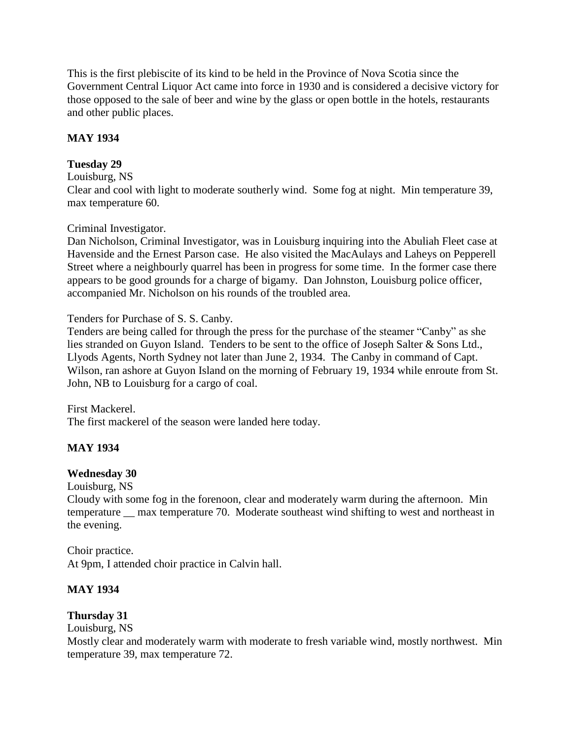This is the first plebiscite of its kind to be held in the Province of Nova Scotia since the Government Central Liquor Act came into force in 1930 and is considered a decisive victory for those opposed to the sale of beer and wine by the glass or open bottle in the hotels, restaurants and other public places.

# **MAY 1934**

# **Tuesday 29**

### Louisburg, NS

Clear and cool with light to moderate southerly wind. Some fog at night. Min temperature 39, max temperature 60.

# Criminal Investigator.

Dan Nicholson, Criminal Investigator, was in Louisburg inquiring into the Abuliah Fleet case at Havenside and the Ernest Parson case. He also visited the MacAulays and Laheys on Pepperell Street where a neighbourly quarrel has been in progress for some time. In the former case there appears to be good grounds for a charge of bigamy. Dan Johnston, Louisburg police officer, accompanied Mr. Nicholson on his rounds of the troubled area.

# Tenders for Purchase of S. S. Canby.

Tenders are being called for through the press for the purchase of the steamer "Canby" as she lies stranded on Guyon Island. Tenders to be sent to the office of Joseph Salter & Sons Ltd., Llyods Agents, North Sydney not later than June 2, 1934. The Canby in command of Capt. Wilson, ran ashore at Guyon Island on the morning of February 19, 1934 while enroute from St. John, NB to Louisburg for a cargo of coal.

First Mackerel. The first mackerel of the season were landed here today.

# **MAY 1934**

# **Wednesday 30**

Louisburg, NS

Cloudy with some fog in the forenoon, clear and moderately warm during the afternoon. Min temperature — max temperature 70. Moderate southeast wind shifting to west and northeast in the evening.

Choir practice. At 9pm, I attended choir practice in Calvin hall.

# **MAY 1934**

# **Thursday 31**

# Louisburg, NS

Mostly clear and moderately warm with moderate to fresh variable wind, mostly northwest. Min temperature 39, max temperature 72.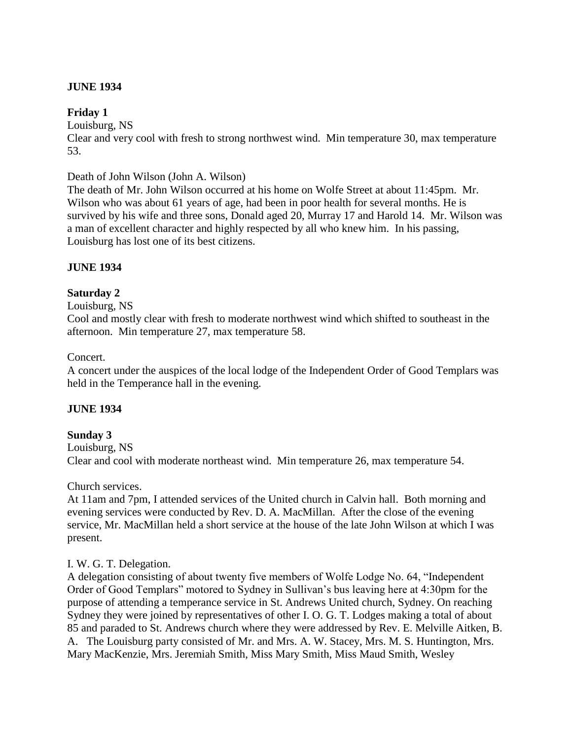# **JUNE 1934**

### **Friday 1**

Louisburg, NS

Clear and very cool with fresh to strong northwest wind. Min temperature 30, max temperature 53.

### Death of John Wilson (John A. Wilson)

The death of Mr. John Wilson occurred at his home on Wolfe Street at about 11:45pm. Mr. Wilson who was about 61 years of age, had been in poor health for several months. He is survived by his wife and three sons, Donald aged 20, Murray 17 and Harold 14. Mr. Wilson was a man of excellent character and highly respected by all who knew him. In his passing, Louisburg has lost one of its best citizens.

### **JUNE 1934**

### **Saturday 2**

### Louisburg, NS

Cool and mostly clear with fresh to moderate northwest wind which shifted to southeast in the afternoon. Min temperature 27, max temperature 58.

#### Concert.

A concert under the auspices of the local lodge of the Independent Order of Good Templars was held in the Temperance hall in the evening.

### **JUNE 1934**

### **Sunday 3**

Louisburg, NS Clear and cool with moderate northeast wind. Min temperature 26, max temperature 54.

Church services.

At 11am and 7pm, I attended services of the United church in Calvin hall. Both morning and evening services were conducted by Rev. D. A. MacMillan. After the close of the evening service, Mr. MacMillan held a short service at the house of the late John Wilson at which I was present.

### I. W. G. T. Delegation.

A delegation consisting of about twenty five members of Wolfe Lodge No. 64, "Independent Order of Good Templars" motored to Sydney in Sullivan's bus leaving here at 4:30pm for the purpose of attending a temperance service in St. Andrews United church, Sydney. On reaching Sydney they were joined by representatives of other I. O. G. T. Lodges making a total of about 85 and paraded to St. Andrews church where they were addressed by Rev. E. Melville Aitken, B. A. The Louisburg party consisted of Mr. and Mrs. A. W. Stacey, Mrs. M. S. Huntington, Mrs. Mary MacKenzie, Mrs. Jeremiah Smith, Miss Mary Smith, Miss Maud Smith, Wesley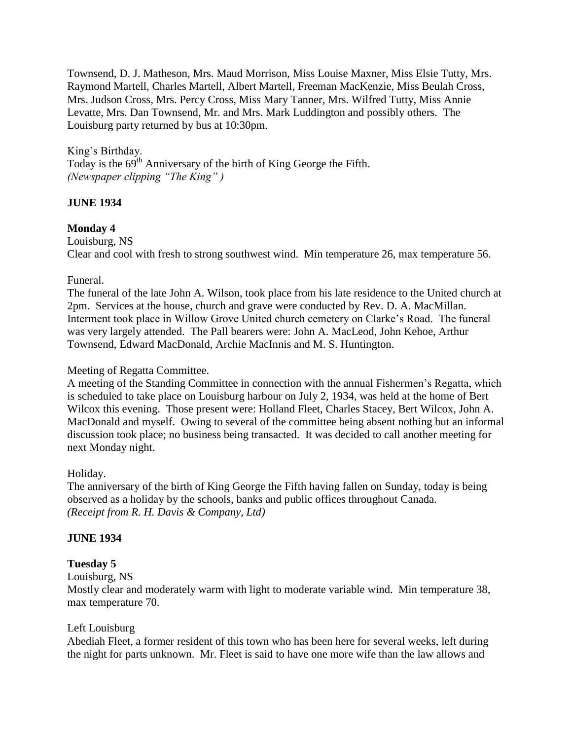Townsend, D. J. Matheson, Mrs. Maud Morrison, Miss Louise Maxner, Miss Elsie Tutty, Mrs. Raymond Martell, Charles Martell, Albert Martell, Freeman MacKenzie, Miss Beulah Cross, Mrs. Judson Cross, Mrs. Percy Cross, Miss Mary Tanner, Mrs. Wilfred Tutty, Miss Annie Levatte, Mrs. Dan Townsend, Mr. and Mrs. Mark Luddington and possibly others. The Louisburg party returned by bus at 10:30pm.

King's Birthday. Today is the  $69^{\text{th}}$  Anniversary of the birth of King George the Fifth. *(Newspaper clipping "The King" )*

# **JUNE 1934**

# **Monday 4**

Louisburg, NS Clear and cool with fresh to strong southwest wind. Min temperature 26, max temperature 56.

### Funeral.

The funeral of the late John A. Wilson, took place from his late residence to the United church at 2pm. Services at the house, church and grave were conducted by Rev. D. A. MacMillan. Interment took place in Willow Grove United church cemetery on Clarke's Road. The funeral was very largely attended. The Pall bearers were: John A. MacLeod, John Kehoe, Arthur Townsend, Edward MacDonald, Archie MacInnis and M. S. Huntington.

# Meeting of Regatta Committee.

A meeting of the Standing Committee in connection with the annual Fishermen's Regatta, which is scheduled to take place on Louisburg harbour on July 2, 1934, was held at the home of Bert Wilcox this evening. Those present were: Holland Fleet, Charles Stacey, Bert Wilcox, John A. MacDonald and myself. Owing to several of the committee being absent nothing but an informal discussion took place; no business being transacted. It was decided to call another meeting for next Monday night.

# Holiday.

The anniversary of the birth of King George the Fifth having fallen on Sunday, today is being observed as a holiday by the schools, banks and public offices throughout Canada. *(Receipt from R. H. Davis & Company, Ltd)*

# **JUNE 1934**

# **Tuesday 5**

Louisburg, NS

Mostly clear and moderately warm with light to moderate variable wind. Min temperature 38, max temperature 70.

### Left Louisburg

Abediah Fleet, a former resident of this town who has been here for several weeks, left during the night for parts unknown. Mr. Fleet is said to have one more wife than the law allows and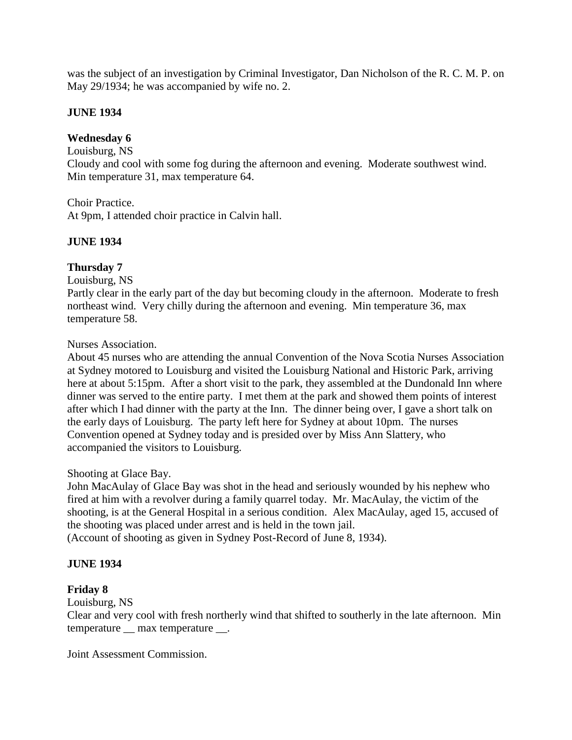was the subject of an investigation by Criminal Investigator, Dan Nicholson of the R. C. M. P. on May 29/1934; he was accompanied by wife no. 2.

### **JUNE 1934**

# **Wednesday 6**

### Louisburg, NS

Cloudy and cool with some fog during the afternoon and evening. Moderate southwest wind. Min temperature 31, max temperature 64.

Choir Practice. At 9pm, I attended choir practice in Calvin hall.

### **JUNE 1934**

# **Thursday 7**

Louisburg, NS

Partly clear in the early part of the day but becoming cloudy in the afternoon. Moderate to fresh northeast wind. Very chilly during the afternoon and evening. Min temperature 36, max temperature 58.

Nurses Association.

About 45 nurses who are attending the annual Convention of the Nova Scotia Nurses Association at Sydney motored to Louisburg and visited the Louisburg National and Historic Park, arriving here at about 5:15pm. After a short visit to the park, they assembled at the Dundonald Inn where dinner was served to the entire party. I met them at the park and showed them points of interest after which I had dinner with the party at the Inn. The dinner being over, I gave a short talk on the early days of Louisburg. The party left here for Sydney at about 10pm. The nurses Convention opened at Sydney today and is presided over by Miss Ann Slattery, who accompanied the visitors to Louisburg.

Shooting at Glace Bay.

John MacAulay of Glace Bay was shot in the head and seriously wounded by his nephew who fired at him with a revolver during a family quarrel today. Mr. MacAulay, the victim of the shooting, is at the General Hospital in a serious condition. Alex MacAulay, aged 15, accused of the shooting was placed under arrest and is held in the town jail.

(Account of shooting as given in Sydney Post-Record of June 8, 1934).

### **JUNE 1934**

### **Friday 8**

Louisburg, NS

Clear and very cool with fresh northerly wind that shifted to southerly in the late afternoon. Min temperature \_\_ max temperature \_\_.

Joint Assessment Commission.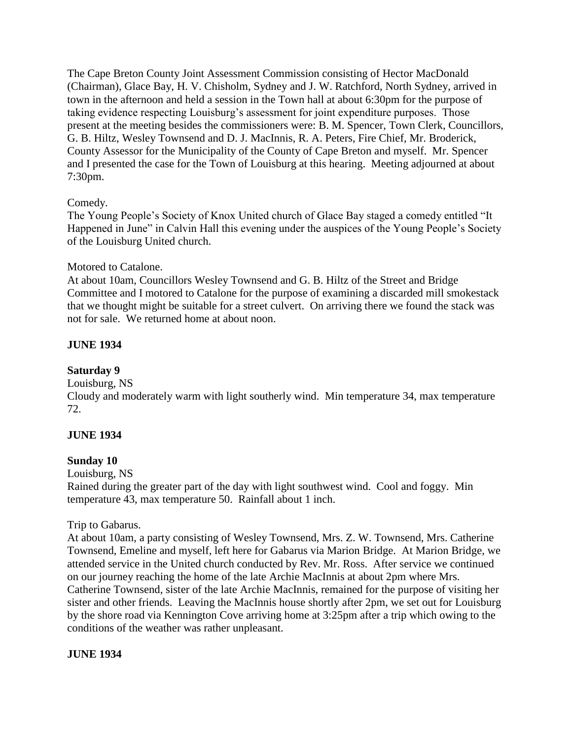The Cape Breton County Joint Assessment Commission consisting of Hector MacDonald (Chairman), Glace Bay, H. V. Chisholm, Sydney and J. W. Ratchford, North Sydney, arrived in town in the afternoon and held a session in the Town hall at about 6:30pm for the purpose of taking evidence respecting Louisburg's assessment for joint expenditure purposes. Those present at the meeting besides the commissioners were: B. M. Spencer, Town Clerk, Councillors, G. B. Hiltz, Wesley Townsend and D. J. MacInnis, R. A. Peters, Fire Chief, Mr. Broderick, County Assessor for the Municipality of the County of Cape Breton and myself. Mr. Spencer and I presented the case for the Town of Louisburg at this hearing. Meeting adjourned at about 7:30pm.

### Comedy.

The Young People's Society of Knox United church of Glace Bay staged a comedy entitled "It Happened in June" in Calvin Hall this evening under the auspices of the Young People's Society of the Louisburg United church.

### Motored to Catalone.

At about 10am, Councillors Wesley Townsend and G. B. Hiltz of the Street and Bridge Committee and I motored to Catalone for the purpose of examining a discarded mill smokestack that we thought might be suitable for a street culvert. On arriving there we found the stack was not for sale. We returned home at about noon.

# **JUNE 1934**

# **Saturday 9**

# Louisburg, NS

Cloudy and moderately warm with light southerly wind. Min temperature 34, max temperature 72.

# **JUNE 1934**

# **Sunday 10**

Louisburg, NS

Rained during the greater part of the day with light southwest wind. Cool and foggy. Min temperature 43, max temperature 50. Rainfall about 1 inch.

### Trip to Gabarus.

At about 10am, a party consisting of Wesley Townsend, Mrs. Z. W. Townsend, Mrs. Catherine Townsend, Emeline and myself, left here for Gabarus via Marion Bridge. At Marion Bridge, we attended service in the United church conducted by Rev. Mr. Ross. After service we continued on our journey reaching the home of the late Archie MacInnis at about 2pm where Mrs. Catherine Townsend, sister of the late Archie MacInnis, remained for the purpose of visiting her sister and other friends. Leaving the MacInnis house shortly after 2pm, we set out for Louisburg by the shore road via Kennington Cove arriving home at 3:25pm after a trip which owing to the conditions of the weather was rather unpleasant.

# **JUNE 1934**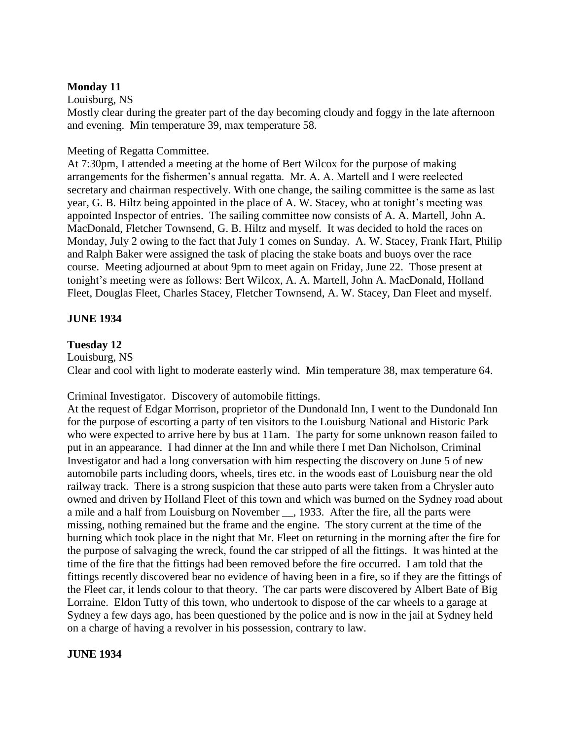### **Monday 11**

Louisburg, NS

Mostly clear during the greater part of the day becoming cloudy and foggy in the late afternoon and evening. Min temperature 39, max temperature 58.

### Meeting of Regatta Committee.

At 7:30pm, I attended a meeting at the home of Bert Wilcox for the purpose of making arrangements for the fishermen's annual regatta. Mr. A. A. Martell and I were reelected secretary and chairman respectively. With one change, the sailing committee is the same as last year, G. B. Hiltz being appointed in the place of A. W. Stacey, who at tonight's meeting was appointed Inspector of entries. The sailing committee now consists of A. A. Martell, John A. MacDonald, Fletcher Townsend, G. B. Hiltz and myself. It was decided to hold the races on Monday, July 2 owing to the fact that July 1 comes on Sunday. A. W. Stacey, Frank Hart, Philip and Ralph Baker were assigned the task of placing the stake boats and buoys over the race course. Meeting adjourned at about 9pm to meet again on Friday, June 22. Those present at tonight's meeting were as follows: Bert Wilcox, A. A. Martell, John A. MacDonald, Holland Fleet, Douglas Fleet, Charles Stacey, Fletcher Townsend, A. W. Stacey, Dan Fleet and myself.

### **JUNE 1934**

### **Tuesday 12**

Louisburg, NS

Clear and cool with light to moderate easterly wind. Min temperature 38, max temperature 64.

Criminal Investigator. Discovery of automobile fittings.

At the request of Edgar Morrison, proprietor of the Dundonald Inn, I went to the Dundonald Inn for the purpose of escorting a party of ten visitors to the Louisburg National and Historic Park who were expected to arrive here by bus at 11am. The party for some unknown reason failed to put in an appearance. I had dinner at the Inn and while there I met Dan Nicholson, Criminal Investigator and had a long conversation with him respecting the discovery on June 5 of new automobile parts including doors, wheels, tires etc. in the woods east of Louisburg near the old railway track. There is a strong suspicion that these auto parts were taken from a Chrysler auto owned and driven by Holland Fleet of this town and which was burned on the Sydney road about a mile and a half from Louisburg on November \_\_, 1933. After the fire, all the parts were missing, nothing remained but the frame and the engine. The story current at the time of the burning which took place in the night that Mr. Fleet on returning in the morning after the fire for the purpose of salvaging the wreck, found the car stripped of all the fittings. It was hinted at the time of the fire that the fittings had been removed before the fire occurred. I am told that the fittings recently discovered bear no evidence of having been in a fire, so if they are the fittings of the Fleet car, it lends colour to that theory. The car parts were discovered by Albert Bate of Big Lorraine. Eldon Tutty of this town, who undertook to dispose of the car wheels to a garage at Sydney a few days ago, has been questioned by the police and is now in the jail at Sydney held on a charge of having a revolver in his possession, contrary to law.

### **JUNE 1934**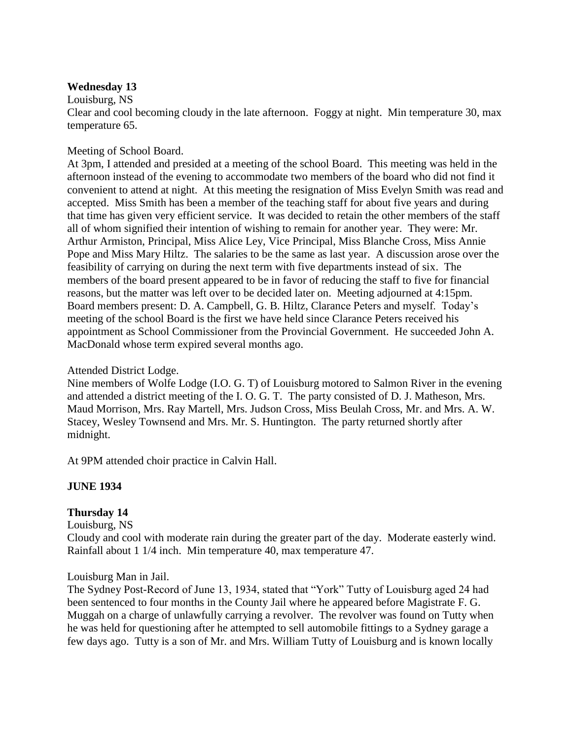### **Wednesday 13**

Louisburg, NS

Clear and cool becoming cloudy in the late afternoon. Foggy at night. Min temperature 30, max temperature 65.

### Meeting of School Board.

At 3pm, I attended and presided at a meeting of the school Board. This meeting was held in the afternoon instead of the evening to accommodate two members of the board who did not find it convenient to attend at night. At this meeting the resignation of Miss Evelyn Smith was read and accepted. Miss Smith has been a member of the teaching staff for about five years and during that time has given very efficient service. It was decided to retain the other members of the staff all of whom signified their intention of wishing to remain for another year. They were: Mr. Arthur Armiston, Principal, Miss Alice Ley, Vice Principal, Miss Blanche Cross, Miss Annie Pope and Miss Mary Hiltz. The salaries to be the same as last year. A discussion arose over the feasibility of carrying on during the next term with five departments instead of six. The members of the board present appeared to be in favor of reducing the staff to five for financial reasons, but the matter was left over to be decided later on. Meeting adjourned at 4:15pm. Board members present: D. A. Campbell, G. B. Hiltz, Clarance Peters and myself. Today's meeting of the school Board is the first we have held since Clarance Peters received his appointment as School Commissioner from the Provincial Government. He succeeded John A. MacDonald whose term expired several months ago.

### Attended District Lodge.

Nine members of Wolfe Lodge (I.O. G. T) of Louisburg motored to Salmon River in the evening and attended a district meeting of the I. O. G. T. The party consisted of D. J. Matheson, Mrs. Maud Morrison, Mrs. Ray Martell, Mrs. Judson Cross, Miss Beulah Cross, Mr. and Mrs. A. W. Stacey, Wesley Townsend and Mrs. Mr. S. Huntington. The party returned shortly after midnight.

At 9PM attended choir practice in Calvin Hall.

### **JUNE 1934**

### **Thursday 14**

Louisburg, NS

Cloudy and cool with moderate rain during the greater part of the day. Moderate easterly wind. Rainfall about 1 1/4 inch. Min temperature 40, max temperature 47.

#### Louisburg Man in Jail.

The Sydney Post-Record of June 13, 1934, stated that "York" Tutty of Louisburg aged 24 had been sentenced to four months in the County Jail where he appeared before Magistrate F. G. Muggah on a charge of unlawfully carrying a revolver. The revolver was found on Tutty when he was held for questioning after he attempted to sell automobile fittings to a Sydney garage a few days ago. Tutty is a son of Mr. and Mrs. William Tutty of Louisburg and is known locally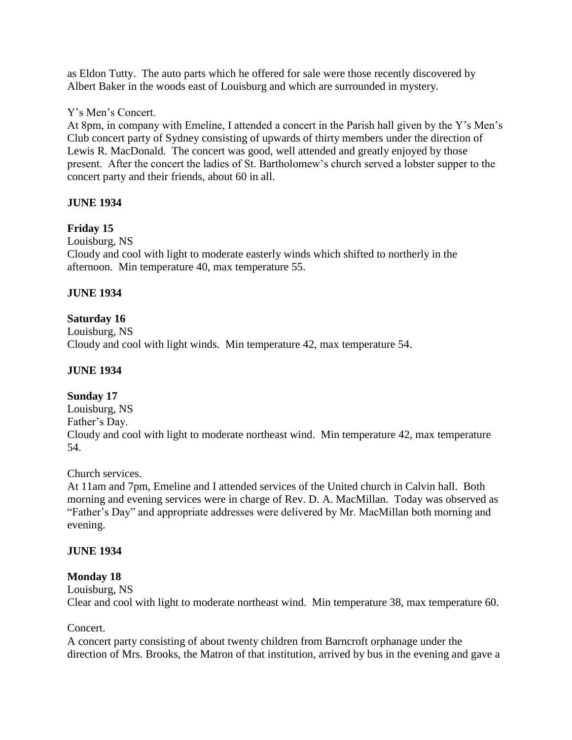as Eldon Tutty. The auto parts which he offered for sale were those recently discovered by Albert Baker in the woods east of Louisburg and which are surrounded in mystery.

### Y's Men's Concert.

At 8pm, in company with Emeline, I attended a concert in the Parish hall given by the Y's Men's Club concert party of Sydney consisting of upwards of thirty members under the direction of Lewis R. MacDonald. The concert was good, well attended and greatly enjoyed by those present. After the concert the ladies of St. Bartholomew's church served a lobster supper to the concert party and their friends, about 60 in all.

# **JUNE 1934**

### **Friday 15**

Louisburg, NS

Cloudy and cool with light to moderate easterly winds which shifted to northerly in the afternoon. Min temperature 40, max temperature 55.

### **JUNE 1934**

### **Saturday 16**

Louisburg, NS Cloudy and cool with light winds. Min temperature 42, max temperature 54.

### **JUNE 1934**

# **Sunday 17**

Louisburg, NS Father's Day. Cloudy and cool with light to moderate northeast wind. Min temperature 42, max temperature 54.

### Church services.

At 11am and 7pm, Emeline and I attended services of the United church in Calvin hall. Both morning and evening services were in charge of Rev. D. A. MacMillan. Today was observed as "Father's Day" and appropriate addresses were delivered by Mr. MacMillan both morning and evening.

### **JUNE 1934**

### **Monday 18**

Louisburg, NS

Clear and cool with light to moderate northeast wind. Min temperature 38, max temperature 60.

### Concert.

A concert party consisting of about twenty children from Barncroft orphanage under the direction of Mrs. Brooks, the Matron of that institution, arrived by bus in the evening and gave a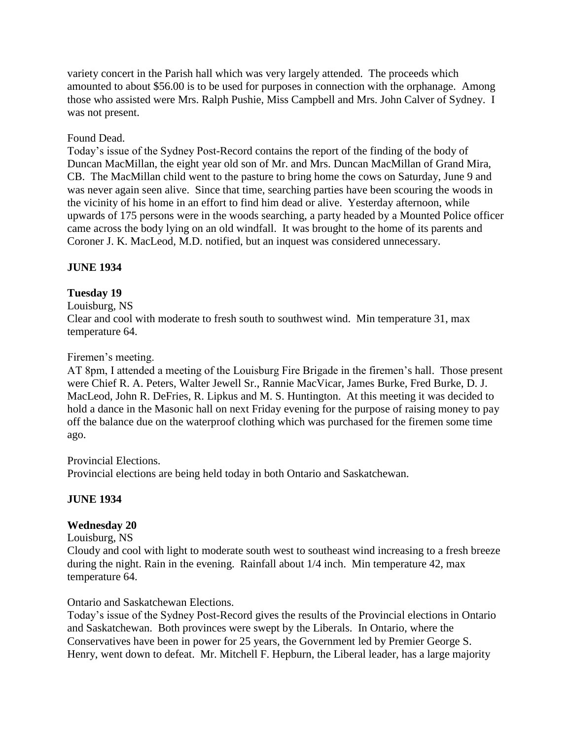variety concert in the Parish hall which was very largely attended. The proceeds which amounted to about \$56.00 is to be used for purposes in connection with the orphanage. Among those who assisted were Mrs. Ralph Pushie, Miss Campbell and Mrs. John Calver of Sydney. I was not present.

## Found Dead.

Today's issue of the Sydney Post-Record contains the report of the finding of the body of Duncan MacMillan, the eight year old son of Mr. and Mrs. Duncan MacMillan of Grand Mira, CB. The MacMillan child went to the pasture to bring home the cows on Saturday, June 9 and was never again seen alive. Since that time, searching parties have been scouring the woods in the vicinity of his home in an effort to find him dead or alive. Yesterday afternoon, while upwards of 175 persons were in the woods searching, a party headed by a Mounted Police officer came across the body lying on an old windfall. It was brought to the home of its parents and Coroner J. K. MacLeod, M.D. notified, but an inquest was considered unnecessary.

## **JUNE 1934**

## **Tuesday 19**

#### Louisburg, NS

Clear and cool with moderate to fresh south to southwest wind. Min temperature 31, max temperature 64.

### Firemen's meeting.

AT 8pm, I attended a meeting of the Louisburg Fire Brigade in the firemen's hall. Those present were Chief R. A. Peters, Walter Jewell Sr., Rannie MacVicar, James Burke, Fred Burke, D. J. MacLeod, John R. DeFries, R. Lipkus and M. S. Huntington. At this meeting it was decided to hold a dance in the Masonic hall on next Friday evening for the purpose of raising money to pay off the balance due on the waterproof clothing which was purchased for the firemen some time ago.

#### Provincial Elections.

Provincial elections are being held today in both Ontario and Saskatchewan.

### **JUNE 1934**

### **Wednesday 20**

# Louisburg, NS

Cloudy and cool with light to moderate south west to southeast wind increasing to a fresh breeze during the night. Rain in the evening. Rainfall about 1/4 inch. Min temperature 42, max temperature 64.

#### Ontario and Saskatchewan Elections.

Today's issue of the Sydney Post-Record gives the results of the Provincial elections in Ontario and Saskatchewan. Both provinces were swept by the Liberals. In Ontario, where the Conservatives have been in power for 25 years, the Government led by Premier George S. Henry, went down to defeat. Mr. Mitchell F. Hepburn, the Liberal leader, has a large majority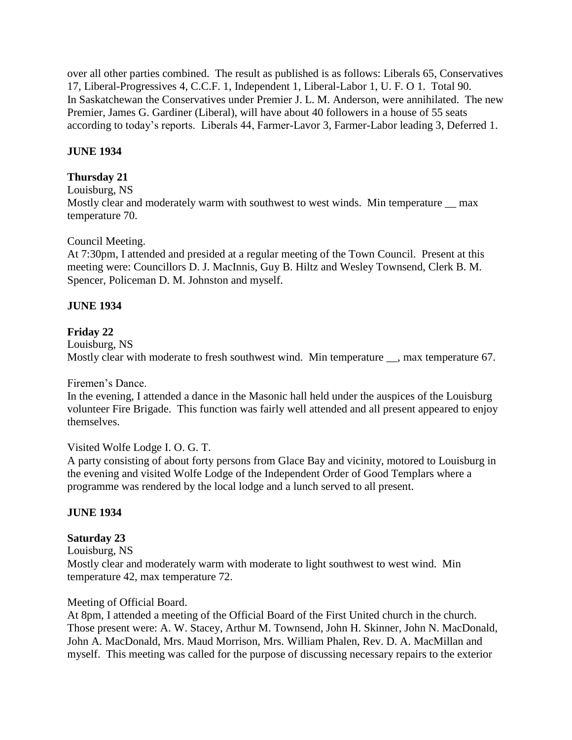over all other parties combined. The result as published is as follows: Liberals 65, Conservatives 17, Liberal-Progressives 4, C.C.F. 1, Independent 1, Liberal-Labor 1, U. F. O 1. Total 90. In Saskatchewan the Conservatives under Premier J. L. M. Anderson, were annihilated. The new Premier, James G. Gardiner (Liberal), will have about 40 followers in a house of 55 seats according to today's reports. Liberals 44, Farmer-Lavor 3, Farmer-Labor leading 3, Deferred 1.

# **JUNE 1934**

## **Thursday 21**

Louisburg, NS Mostly clear and moderately warm with southwest to west winds. Min temperature — max temperature 70.

## Council Meeting.

At 7:30pm, I attended and presided at a regular meeting of the Town Council. Present at this meeting were: Councillors D. J. MacInnis, Guy B. Hiltz and Wesley Townsend, Clerk B. M. Spencer, Policeman D. M. Johnston and myself.

# **JUNE 1934**

# **Friday 22**

Louisburg, NS Mostly clear with moderate to fresh southwest wind. Min temperature \_\_, max temperature 67.

Firemen's Dance.

In the evening, I attended a dance in the Masonic hall held under the auspices of the Louisburg volunteer Fire Brigade. This function was fairly well attended and all present appeared to enjoy themselves.

Visited Wolfe Lodge I. O. G. T.

A party consisting of about forty persons from Glace Bay and vicinity, motored to Louisburg in the evening and visited Wolfe Lodge of the Independent Order of Good Templars where a programme was rendered by the local lodge and a lunch served to all present.

# **JUNE 1934**

# **Saturday 23**

Louisburg, NS Mostly clear and moderately warm with moderate to light southwest to west wind. Min temperature 42, max temperature 72.

### Meeting of Official Board.

At 8pm, I attended a meeting of the Official Board of the First United church in the church. Those present were: A. W. Stacey, Arthur M. Townsend, John H. Skinner, John N. MacDonald, John A. MacDonald, Mrs. Maud Morrison, Mrs. William Phalen, Rev. D. A. MacMillan and myself. This meeting was called for the purpose of discussing necessary repairs to the exterior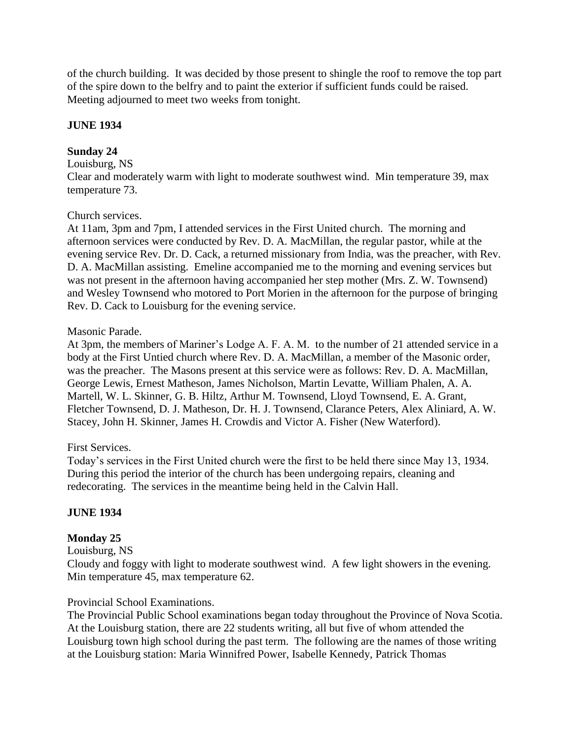of the church building. It was decided by those present to shingle the roof to remove the top part of the spire down to the belfry and to paint the exterior if sufficient funds could be raised. Meeting adjourned to meet two weeks from tonight.

## **JUNE 1934**

# **Sunday 24**

### Louisburg, NS

Clear and moderately warm with light to moderate southwest wind. Min temperature 39, max temperature 73.

## Church services.

At 11am, 3pm and 7pm, I attended services in the First United church. The morning and afternoon services were conducted by Rev. D. A. MacMillan, the regular pastor, while at the evening service Rev. Dr. D. Cack, a returned missionary from India, was the preacher, with Rev. D. A. MacMillan assisting. Emeline accompanied me to the morning and evening services but was not present in the afternoon having accompanied her step mother (Mrs. Z. W. Townsend) and Wesley Townsend who motored to Port Morien in the afternoon for the purpose of bringing Rev. D. Cack to Louisburg for the evening service.

### Masonic Parade.

At 3pm, the members of Mariner's Lodge A. F. A. M. to the number of 21 attended service in a body at the First Untied church where Rev. D. A. MacMillan, a member of the Masonic order, was the preacher. The Masons present at this service were as follows: Rev. D. A. MacMillan, George Lewis, Ernest Matheson, James Nicholson, Martin Levatte, William Phalen, A. A. Martell, W. L. Skinner, G. B. Hiltz, Arthur M. Townsend, Lloyd Townsend, E. A. Grant, Fletcher Townsend, D. J. Matheson, Dr. H. J. Townsend, Clarance Peters, Alex Aliniard, A. W. Stacey, John H. Skinner, James H. Crowdis and Victor A. Fisher (New Waterford).

# First Services.

Today's services in the First United church were the first to be held there since May 13, 1934. During this period the interior of the church has been undergoing repairs, cleaning and redecorating. The services in the meantime being held in the Calvin Hall.

# **JUNE 1934**

### **Monday 25**

# Louisburg, NS

Cloudy and foggy with light to moderate southwest wind. A few light showers in the evening. Min temperature 45, max temperature 62.

### Provincial School Examinations.

The Provincial Public School examinations began today throughout the Province of Nova Scotia. At the Louisburg station, there are 22 students writing, all but five of whom attended the Louisburg town high school during the past term. The following are the names of those writing at the Louisburg station: Maria Winnifred Power, Isabelle Kennedy, Patrick Thomas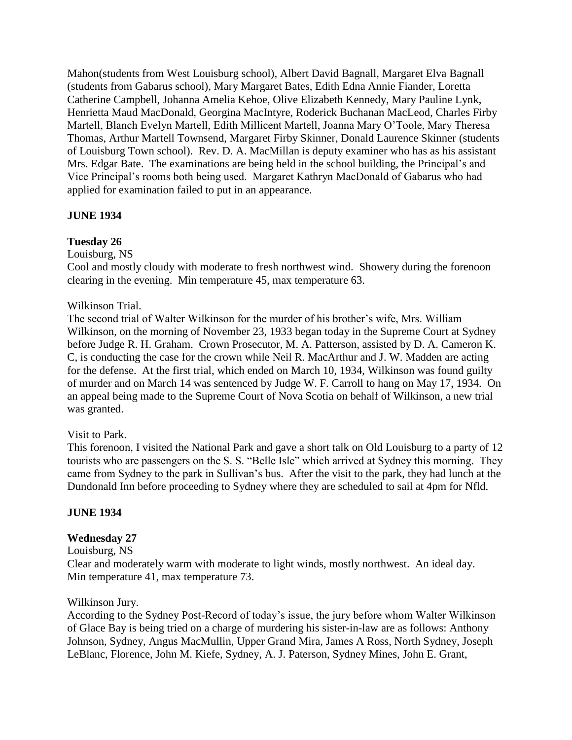Mahon(students from West Louisburg school), Albert David Bagnall, Margaret Elva Bagnall (students from Gabarus school), Mary Margaret Bates, Edith Edna Annie Fiander, Loretta Catherine Campbell, Johanna Amelia Kehoe, Olive Elizabeth Kennedy, Mary Pauline Lynk, Henrietta Maud MacDonald, Georgina MacIntyre, Roderick Buchanan MacLeod, Charles Firby Martell, Blanch Evelyn Martell, Edith Millicent Martell, Joanna Mary O'Toole, Mary Theresa Thomas, Arthur Martell Townsend, Margaret Firby Skinner, Donald Laurence Skinner (students of Louisburg Town school). Rev. D. A. MacMillan is deputy examiner who has as his assistant Mrs. Edgar Bate. The examinations are being held in the school building, the Principal's and Vice Principal's rooms both being used. Margaret Kathryn MacDonald of Gabarus who had applied for examination failed to put in an appearance.

## **JUNE 1934**

## **Tuesday 26**

Louisburg, NS

Cool and mostly cloudy with moderate to fresh northwest wind. Showery during the forenoon clearing in the evening. Min temperature 45, max temperature 63.

### Wilkinson Trial.

The second trial of Walter Wilkinson for the murder of his brother's wife, Mrs. William Wilkinson, on the morning of November 23, 1933 began today in the Supreme Court at Sydney before Judge R. H. Graham. Crown Prosecutor, M. A. Patterson, assisted by D. A. Cameron K. C, is conducting the case for the crown while Neil R. MacArthur and J. W. Madden are acting for the defense. At the first trial, which ended on March 10, 1934, Wilkinson was found guilty of murder and on March 14 was sentenced by Judge W. F. Carroll to hang on May 17, 1934. On an appeal being made to the Supreme Court of Nova Scotia on behalf of Wilkinson, a new trial was granted.

### Visit to Park.

This forenoon, I visited the National Park and gave a short talk on Old Louisburg to a party of 12 tourists who are passengers on the S. S. "Belle Isle" which arrived at Sydney this morning. They came from Sydney to the park in Sullivan's bus. After the visit to the park, they had lunch at the Dundonald Inn before proceeding to Sydney where they are scheduled to sail at 4pm for Nfld.

### **JUNE 1934**

### **Wednesday 27**

### Louisburg, NS

Clear and moderately warm with moderate to light winds, mostly northwest. An ideal day. Min temperature 41, max temperature 73.

#### Wilkinson Jury.

According to the Sydney Post-Record of today's issue, the jury before whom Walter Wilkinson of Glace Bay is being tried on a charge of murdering his sister-in-law are as follows: Anthony Johnson, Sydney, Angus MacMullin, Upper Grand Mira, James A Ross, North Sydney, Joseph LeBlanc, Florence, John M. Kiefe, Sydney, A. J. Paterson, Sydney Mines, John E. Grant,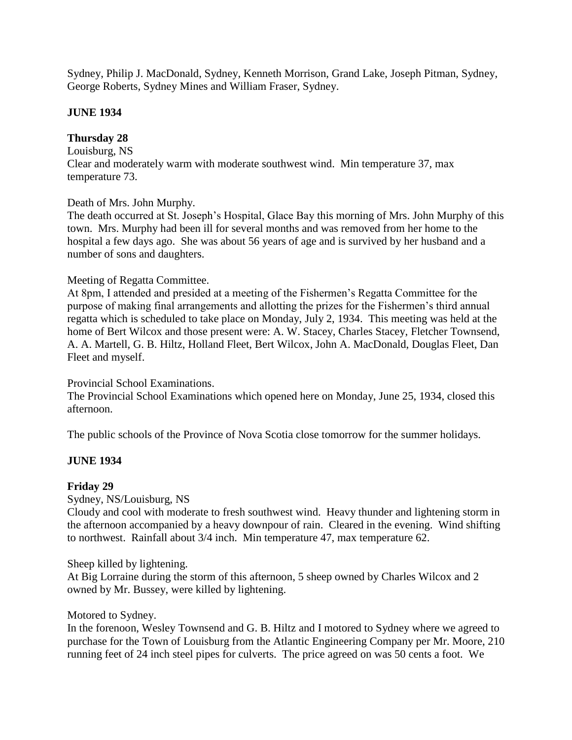Sydney, Philip J. MacDonald, Sydney, Kenneth Morrison, Grand Lake, Joseph Pitman, Sydney, George Roberts, Sydney Mines and William Fraser, Sydney.

### **JUNE 1934**

# **Thursday 28**

Louisburg, NS Clear and moderately warm with moderate southwest wind. Min temperature 37, max temperature 73.

## Death of Mrs. John Murphy.

The death occurred at St. Joseph's Hospital, Glace Bay this morning of Mrs. John Murphy of this town. Mrs. Murphy had been ill for several months and was removed from her home to the hospital a few days ago. She was about 56 years of age and is survived by her husband and a number of sons and daughters.

## Meeting of Regatta Committee.

At 8pm, I attended and presided at a meeting of the Fishermen's Regatta Committee for the purpose of making final arrangements and allotting the prizes for the Fishermen's third annual regatta which is scheduled to take place on Monday, July 2, 1934. This meeting was held at the home of Bert Wilcox and those present were: A. W. Stacey, Charles Stacey, Fletcher Townsend, A. A. Martell, G. B. Hiltz, Holland Fleet, Bert Wilcox, John A. MacDonald, Douglas Fleet, Dan Fleet and myself.

Provincial School Examinations.

The Provincial School Examinations which opened here on Monday, June 25, 1934, closed this afternoon.

The public schools of the Province of Nova Scotia close tomorrow for the summer holidays.

# **JUNE 1934**

### **Friday 29**

Sydney, NS/Louisburg, NS

Cloudy and cool with moderate to fresh southwest wind. Heavy thunder and lightening storm in the afternoon accompanied by a heavy downpour of rain. Cleared in the evening. Wind shifting to northwest. Rainfall about 3/4 inch. Min temperature 47, max temperature 62.

Sheep killed by lightening.

At Big Lorraine during the storm of this afternoon, 5 sheep owned by Charles Wilcox and 2 owned by Mr. Bussey, were killed by lightening.

### Motored to Sydney.

In the forenoon, Wesley Townsend and G. B. Hiltz and I motored to Sydney where we agreed to purchase for the Town of Louisburg from the Atlantic Engineering Company per Mr. Moore, 210 running feet of 24 inch steel pipes for culverts. The price agreed on was 50 cents a foot. We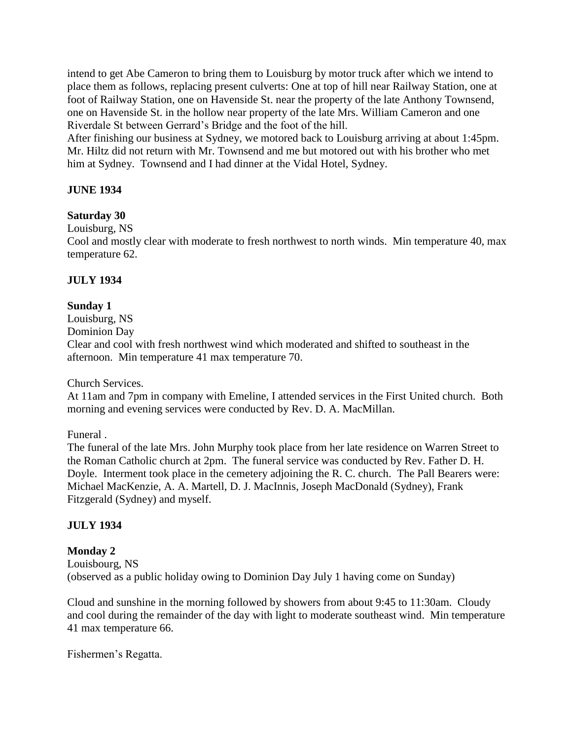intend to get Abe Cameron to bring them to Louisburg by motor truck after which we intend to place them as follows, replacing present culverts: One at top of hill near Railway Station, one at foot of Railway Station, one on Havenside St. near the property of the late Anthony Townsend, one on Havenside St. in the hollow near property of the late Mrs. William Cameron and one Riverdale St between Gerrard's Bridge and the foot of the hill.

After finishing our business at Sydney, we motored back to Louisburg arriving at about 1:45pm. Mr. Hiltz did not return with Mr. Townsend and me but motored out with his brother who met him at Sydney. Townsend and I had dinner at the Vidal Hotel, Sydney.

# **JUNE 1934**

## **Saturday 30**

Louisburg, NS

Cool and mostly clear with moderate to fresh northwest to north winds. Min temperature 40, max temperature 62.

# **JULY 1934**

# **Sunday 1**

Louisburg, NS

Dominion Day

Clear and cool with fresh northwest wind which moderated and shifted to southeast in the afternoon. Min temperature 41 max temperature 70.

Church Services.

At 11am and 7pm in company with Emeline, I attended services in the First United church. Both morning and evening services were conducted by Rev. D. A. MacMillan.

Funeral .

The funeral of the late Mrs. John Murphy took place from her late residence on Warren Street to the Roman Catholic church at 2pm. The funeral service was conducted by Rev. Father D. H. Doyle. Interment took place in the cemetery adjoining the R. C. church. The Pall Bearers were: Michael MacKenzie, A. A. Martell, D. J. MacInnis, Joseph MacDonald (Sydney), Frank Fitzgerald (Sydney) and myself.

# **JULY 1934**

# **Monday 2**

Louisbourg, NS (observed as a public holiday owing to Dominion Day July 1 having come on Sunday)

Cloud and sunshine in the morning followed by showers from about 9:45 to 11:30am. Cloudy and cool during the remainder of the day with light to moderate southeast wind. Min temperature 41 max temperature 66.

Fishermen's Regatta.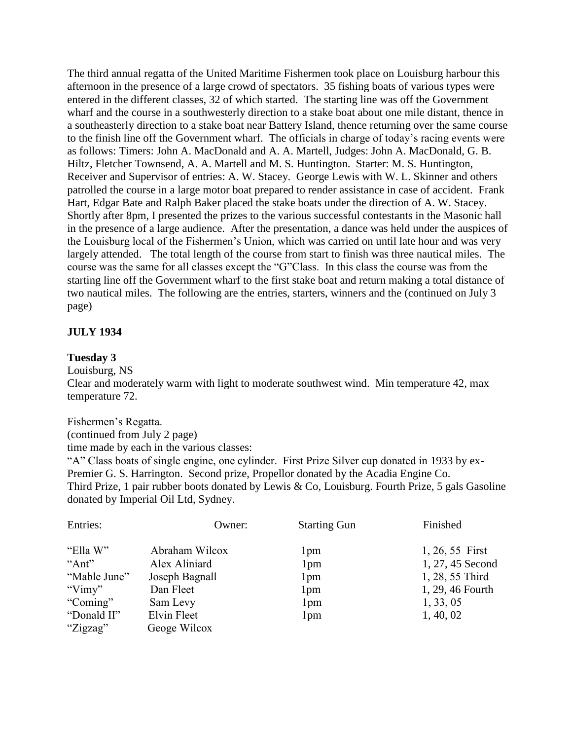The third annual regatta of the United Maritime Fishermen took place on Louisburg harbour this afternoon in the presence of a large crowd of spectators. 35 fishing boats of various types were entered in the different classes, 32 of which started. The starting line was off the Government wharf and the course in a southwesterly direction to a stake boat about one mile distant, thence in a southeasterly direction to a stake boat near Battery Island, thence returning over the same course to the finish line off the Government wharf. The officials in charge of today's racing events were as follows: Timers: John A. MacDonald and A. A. Martell, Judges: John A. MacDonald, G. B. Hiltz, Fletcher Townsend, A. A. Martell and M. S. Huntington. Starter: M. S. Huntington, Receiver and Supervisor of entries: A. W. Stacey. George Lewis with W. L. Skinner and others patrolled the course in a large motor boat prepared to render assistance in case of accident. Frank Hart, Edgar Bate and Ralph Baker placed the stake boats under the direction of A. W. Stacey. Shortly after 8pm, I presented the prizes to the various successful contestants in the Masonic hall in the presence of a large audience. After the presentation, a dance was held under the auspices of the Louisburg local of the Fishermen's Union, which was carried on until late hour and was very largely attended. The total length of the course from start to finish was three nautical miles. The course was the same for all classes except the "G"Class. In this class the course was from the starting line off the Government wharf to the first stake boat and return making a total distance of two nautical miles. The following are the entries, starters, winners and the (continued on July 3 page)

# **JULY 1934**

### **Tuesday 3**

Louisburg, NS

Clear and moderately warm with light to moderate southwest wind. Min temperature 42, max temperature 72.

Fishermen's Regatta. (continued from July 2 page) time made by each in the various classes: "A" Class boats of single engine, one cylinder. First Prize Silver cup donated in 1933 by ex-Premier G. S. Harrington. Second prize, Propellor donated by the Acadia Engine Co. Third Prize, 1 pair rubber boots donated by Lewis & Co, Louisburg. Fourth Prize, 5 gals Gasoline donated by Imperial Oil Ltd, Sydney.

| Entries:     | Owner:         | <b>Starting Gun</b> | Finished         |
|--------------|----------------|---------------------|------------------|
| "Ella W"     | Abraham Wilcox | 1 <sub>pm</sub>     | 1, 26, 55 First  |
| "Ant"        | Alex Aliniard  | 1 <sub>pm</sub>     | 1, 27, 45 Second |
| "Mable June" | Joseph Bagnall | 1pm                 | 1, 28, 55 Third  |
| "Vimy"       | Dan Fleet      | 1 <sub>pm</sub>     | 1, 29, 46 Fourth |
| "Coming"     | Sam Levy       | 1pm                 | 1, 33, 05        |
| "Donald II"  | Elvin Fleet    | 1 <sub>pm</sub>     | 1, 40, 02        |
| "Zigzag"     | Geoge Wilcox   |                     |                  |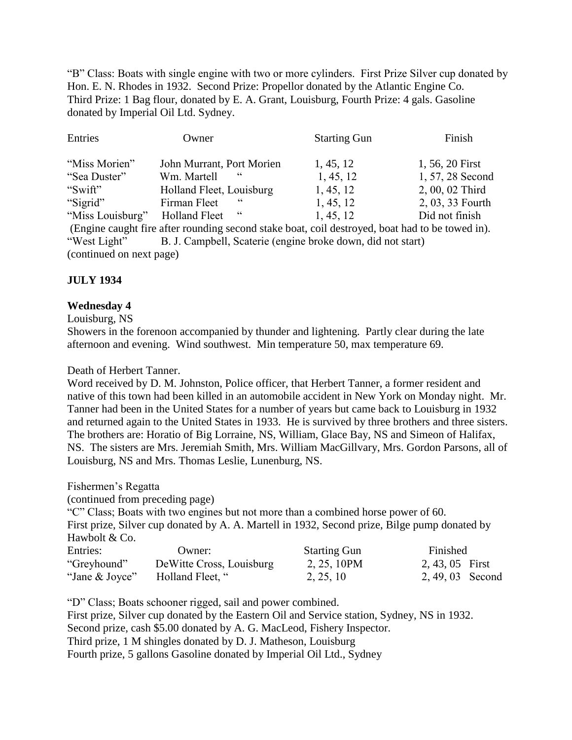"B" Class: Boats with single engine with two or more cylinders. First Prize Silver cup donated by Hon. E. N. Rhodes in 1932. Second Prize: Propellor donated by the Atlantic Engine Co. Third Prize: 1 Bag flour, donated by E. A. Grant, Louisburg, Fourth Prize: 4 gals. Gasoline donated by Imperial Oil Ltd. Sydney.

| Entries                  | Owner                                                                                           | <b>Starting Gun</b> | Finish           |
|--------------------------|-------------------------------------------------------------------------------------------------|---------------------|------------------|
| "Miss Morien"            | John Murrant, Port Morien                                                                       | 1, 45, 12           | 1, 56, 20 First  |
| "Sea Duster"             | 66<br>Wm. Martell                                                                               | 1, 45, 12           | 1, 57, 28 Second |
| "Swift"                  | Holland Fleet, Louisburg                                                                        | 1, 45, 12           | 2, 00, 02 Third  |
| "Sigrid"                 | $\epsilon$<br>Firman Fleet                                                                      | 1, 45, 12           | 2, 03, 33 Fourth |
| "Miss Louisburg"         | $\epsilon$<br>Holland Fleet                                                                     | 1, 45, 12           | Did not finish   |
|                          | (Engine caught fire after rounding second stake boat, coil destroyed, boat had to be towed in). |                     |                  |
| "West Light"             | B. J. Campbell, Scaterie (engine broke down, did not start)                                     |                     |                  |
| (continued on next page) |                                                                                                 |                     |                  |

# **JULY 1934**

# **Wednesday 4**

Louisburg, NS

Showers in the forenoon accompanied by thunder and lightening. Partly clear during the late afternoon and evening. Wind southwest. Min temperature 50, max temperature 69.

Death of Herbert Tanner.

Word received by D. M. Johnston, Police officer, that Herbert Tanner, a former resident and native of this town had been killed in an automobile accident in New York on Monday night. Mr. Tanner had been in the United States for a number of years but came back to Louisburg in 1932 and returned again to the United States in 1933. He is survived by three brothers and three sisters. The brothers are: Horatio of Big Lorraine, NS, William, Glace Bay, NS and Simeon of Halifax, NS. The sisters are Mrs. Jeremiah Smith, Mrs. William MacGillvary, Mrs. Gordon Parsons, all of Louisburg, NS and Mrs. Thomas Leslie, Lunenburg, NS.

Fishermen's Regatta

(continued from preceding page)

"C" Class; Boats with two engines but not more than a combined horse power of 60. First prize, Silver cup donated by A. A. Martell in 1932, Second prize, Bilge pump donated by Hawbolt & Co.

| Entries:       | Owner:                    | <b>Starting Gun</b> | Finished         |
|----------------|---------------------------|---------------------|------------------|
| "Greyhound"    | De Witte Cross, Louisburg | 2, 25, 10PM         | 2, 43, 05 First  |
| "Jane & Joyce" | Holland Fleet, "          | 2, 25, 10           | 2, 49, 03 Second |

"D" Class; Boats schooner rigged, sail and power combined. First prize, Silver cup donated by the Eastern Oil and Service station, Sydney, NS in 1932. Second prize, cash \$5.00 donated by A. G. MacLeod, Fishery Inspector. Third prize, 1 M shingles donated by D. J. Matheson, Louisburg Fourth prize, 5 gallons Gasoline donated by Imperial Oil Ltd., Sydney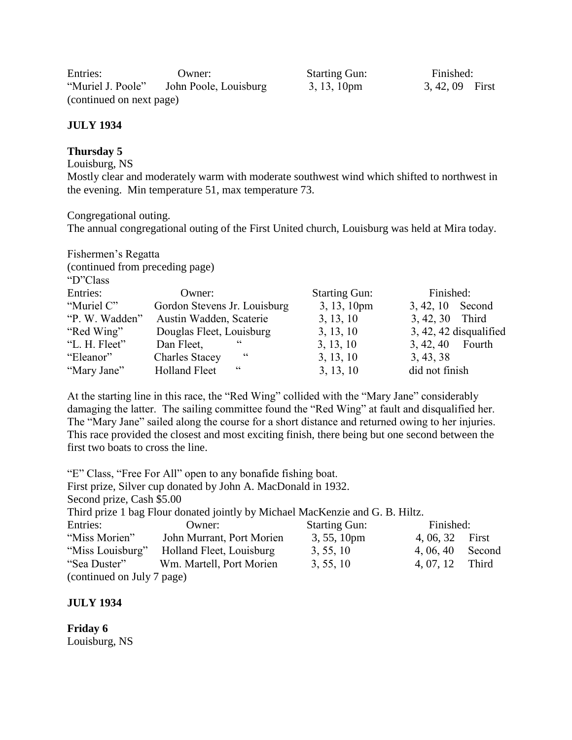Entries: Owner: Starting Gun: Finished:<br>
"Muriel J. Poole" John Poole, Louisburg 3, 13, 10pm 3, 42, 09 "Muriel J. Poole" John Poole, Louisburg 3, 13, 10pm 3, 42, 09 First (continued on next page)

# **JULY 1934**

# **Thursday 5**

Louisburg, NS

Mostly clear and moderately warm with moderate southwest wind which shifted to northwest in the evening. Min temperature 51, max temperature 73.

Congregational outing.

The annual congregational outing of the First United church, Louisburg was held at Mira today.

| Fishermen's Regatta<br>(continued from preceding page)<br>"D"Class" |                                    |                      |                          |
|---------------------------------------------------------------------|------------------------------------|----------------------|--------------------------|
| Entries:                                                            | Owner:                             | <b>Starting Gun:</b> | Finished:                |
| "Muriel C"                                                          | Gordon Stevens Jr. Louisburg       | 3, 13, 10pm          | Second<br>3, 42, 10      |
| "P. W. Wadden"                                                      | Austin Wadden, Scaterie            | 3, 13, 10            | Third<br>3, 42, 30       |
| "Red Wing"                                                          | Douglas Fleet, Louisburg           | 3, 13, 10            | $3, 42, 42$ disqualified |
| "L. H. Fleet"                                                       | $\epsilon$<br>Dan Fleet,           | 3, 13, 10            | 3, 42, 40<br>Fourth      |
| "Eleanor"                                                           | cc<br><b>Charles Stacey</b>        | 3, 13, 10            | 3, 43, 38                |
| "Mary Jane"                                                         | $\epsilon$<br><b>Holland Fleet</b> | 3, 13, 10            | did not finish           |

At the starting line in this race, the "Red Wing" collided with the "Mary Jane" considerably damaging the latter. The sailing committee found the "Red Wing" at fault and disqualified her. The "Mary Jane" sailed along the course for a short distance and returned owing to her injuries. This race provided the closest and most exciting finish, there being but one second between the first two boats to cross the line.

"E" Class, "Free For All" open to any bonafide fishing boat. First prize, Silver cup donated by John A. MacDonald in 1932. Second prize, Cash \$5.00 Third prize 1 bag Flour donated jointly by Michael MacKenzie and G. B. Hiltz. Entries: Owner: Starting Gun: Finished: "Miss Morien" John Murrant, Port Morien 3, 55, 10pm 4, 06, 32 First "Miss Louisburg" Holland Fleet, Louisburg 3, 55, 10 4, 06, 40 Second "Sea Duster" Wm. Martell, Port Morien 3, 55, 10 4, 07, 12 Third (continued on July 7 page)

# **JULY 1934**

**Friday 6** Louisburg, NS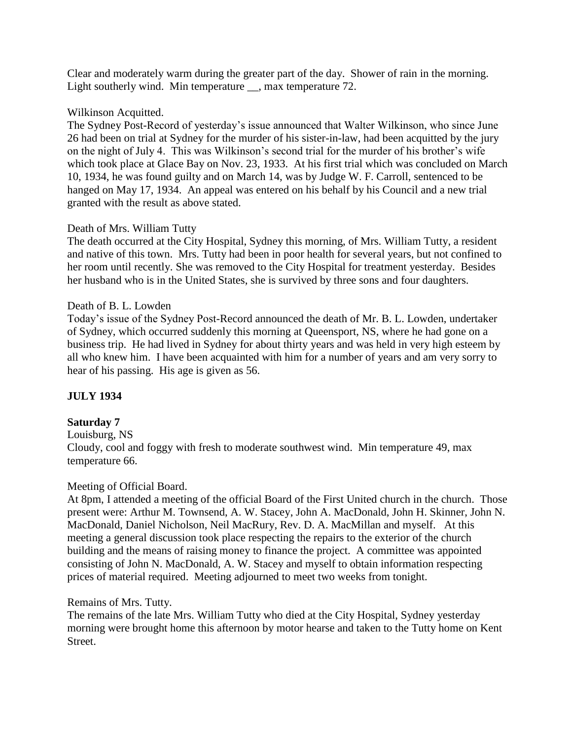Clear and moderately warm during the greater part of the day. Shower of rain in the morning. Light southerly wind. Min temperature \_\_, max temperature 72.

## Wilkinson Acquitted.

The Sydney Post-Record of yesterday's issue announced that Walter Wilkinson, who since June 26 had been on trial at Sydney for the murder of his sister-in-law, had been acquitted by the jury on the night of July 4. This was Wilkinson's second trial for the murder of his brother's wife which took place at Glace Bay on Nov. 23, 1933. At his first trial which was concluded on March 10, 1934, he was found guilty and on March 14, was by Judge W. F. Carroll, sentenced to be hanged on May 17, 1934. An appeal was entered on his behalf by his Council and a new trial granted with the result as above stated.

## Death of Mrs. William Tutty

The death occurred at the City Hospital, Sydney this morning, of Mrs. William Tutty, a resident and native of this town. Mrs. Tutty had been in poor health for several years, but not confined to her room until recently. She was removed to the City Hospital for treatment yesterday. Besides her husband who is in the United States, she is survived by three sons and four daughters.

## Death of B. L. Lowden

Today's issue of the Sydney Post-Record announced the death of Mr. B. L. Lowden, undertaker of Sydney, which occurred suddenly this morning at Queensport, NS, where he had gone on a business trip. He had lived in Sydney for about thirty years and was held in very high esteem by all who knew him. I have been acquainted with him for a number of years and am very sorry to hear of his passing. His age is given as 56.

# **JULY 1934**

# **Saturday 7**

Louisburg, NS Cloudy, cool and foggy with fresh to moderate southwest wind. Min temperature 49, max temperature 66.

### Meeting of Official Board.

At 8pm, I attended a meeting of the official Board of the First United church in the church. Those present were: Arthur M. Townsend, A. W. Stacey, John A. MacDonald, John H. Skinner, John N. MacDonald, Daniel Nicholson, Neil MacRury, Rev. D. A. MacMillan and myself. At this meeting a general discussion took place respecting the repairs to the exterior of the church building and the means of raising money to finance the project. A committee was appointed consisting of John N. MacDonald, A. W. Stacey and myself to obtain information respecting prices of material required. Meeting adjourned to meet two weeks from tonight.

### Remains of Mrs. Tutty.

The remains of the late Mrs. William Tutty who died at the City Hospital, Sydney yesterday morning were brought home this afternoon by motor hearse and taken to the Tutty home on Kent Street.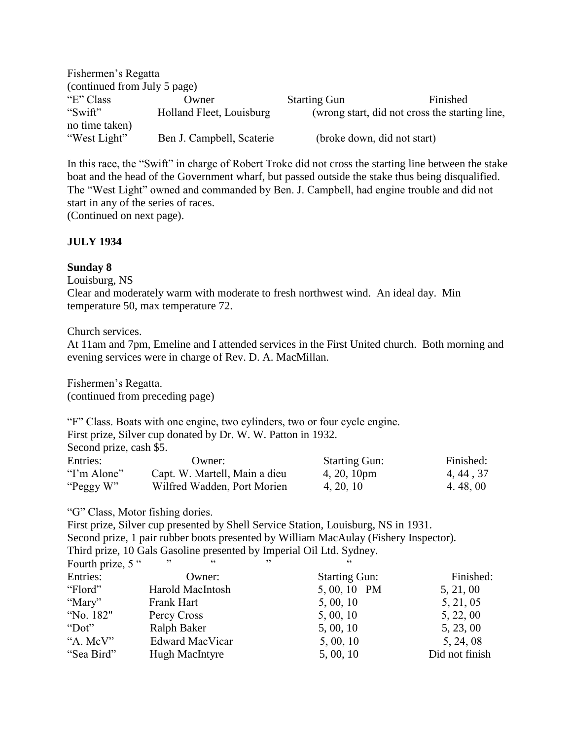| Fishermen's Regatta      |                                                           |                             |
|--------------------------|-----------------------------------------------------------|-----------------------------|
|                          |                                                           |                             |
| Owner                    | <b>Starting Gun</b>                                       | Finished                    |
| Holland Fleet, Louisburg | (wrong start, did not cross the starting line,            |                             |
|                          |                                                           |                             |
|                          | (continued from July 5 page)<br>Ben J. Campbell, Scaterie | (broke down, did not start) |

In this race, the "Swift" in charge of Robert Troke did not cross the starting line between the stake boat and the head of the Government wharf, but passed outside the stake thus being disqualified. The "West Light" owned and commanded by Ben. J. Campbell, had engine trouble and did not start in any of the series of races.

(Continued on next page).

## **JULY 1934**

### **Sunday 8**

Louisburg, NS

Clear and moderately warm with moderate to fresh northwest wind. An ideal day. Min temperature 50, max temperature 72.

Church services.

At 11am and 7pm, Emeline and I attended services in the First United church. Both morning and evening services were in charge of Rev. D. A. MacMillan.

Fishermen's Regatta. (continued from preceding page)

"F" Class. Boats with one engine, two cylinders, two or four cycle engine.

First prize, Silver cup donated by Dr. W. W. Patton in 1932.

Second prize, cash \$5.

| Entries:     | Owner:                        | <b>Starting Gun:</b>  | Finished: |
|--------------|-------------------------------|-----------------------|-----------|
| "I'm Alone"  | Capt. W. Martell, Main a dieu | $4, 20, 10 \text{pm}$ | 4, 44, 37 |
| "Peggy $W$ " | Wilfred Wadden, Port Morien   | 4, 20, 10             | 4, 48, 00 |

"G" Class, Motor fishing dories.

First prize, Silver cup presented by Shell Service Station, Louisburg, NS in 1931. Second prize, 1 pair rubber boots presented by William MacAulay (Fishery Inspector). Third prize, 10 Gals Gasoline presented by Imperial Oil Ltd. Sydney.<br>Fourth prize 5."<br> $\ldots$ Fourth prize,  $5$  "

| $1$ vurui prize, $\sigma$ |                        |                      |                |
|---------------------------|------------------------|----------------------|----------------|
| Entries:                  | Owner:                 | <b>Starting Gun:</b> | Finished:      |
| "Flord"                   | Harold MacIntosh       | 5,00,10 PM           | 5, 21, 00      |
| "Mary"                    | Frank Hart             | 5,00,10              | 5, 21, 05      |
| "No. 182"                 | Percy Cross            | 5,00,10              | 5, 22, 00      |
| "Dot"                     | Ralph Baker            | 5, 00, 10            | 5, 23, 00      |
| $A$ . McV"                | <b>Edward MacVicar</b> | 5, 00, 10            | 5, 24, 08      |
| "Sea Bird"                | Hugh MacIntyre         | 5, 00, 10            | Did not finish |
|                           |                        |                      |                |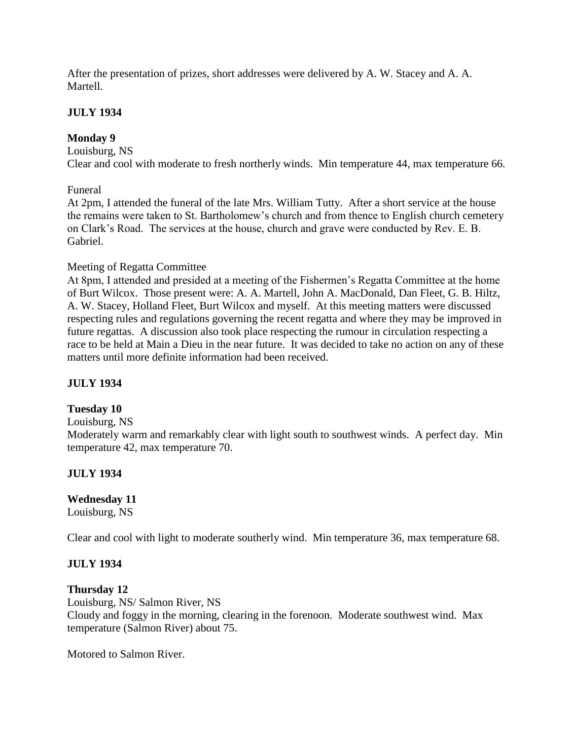After the presentation of prizes, short addresses were delivered by A. W. Stacey and A. A. Martell.

# **JULY 1934**

# **Monday 9**

Louisburg, NS Clear and cool with moderate to fresh northerly winds. Min temperature 44, max temperature 66.

# Funeral

At 2pm, I attended the funeral of the late Mrs. William Tutty. After a short service at the house the remains were taken to St. Bartholomew's church and from thence to English church cemetery on Clark's Road. The services at the house, church and grave were conducted by Rev. E. B. Gabriel.

# Meeting of Regatta Committee

At 8pm, I attended and presided at a meeting of the Fishermen's Regatta Committee at the home of Burt Wilcox. Those present were: A. A. Martell, John A. MacDonald, Dan Fleet, G. B. Hiltz, A. W. Stacey, Holland Fleet, Burt Wilcox and myself. At this meeting matters were discussed respecting rules and regulations governing the recent regatta and where they may be improved in future regattas. A discussion also took place respecting the rumour in circulation respecting a race to be held at Main a Dieu in the near future. It was decided to take no action on any of these matters until more definite information had been received.

# **JULY 1934**

# **Tuesday 10**

Louisburg, NS

Moderately warm and remarkably clear with light south to southwest winds. A perfect day. Min temperature 42, max temperature 70.

# **JULY 1934**

# **Wednesday 11**

Louisburg, NS

Clear and cool with light to moderate southerly wind. Min temperature 36, max temperature 68.

# **JULY 1934**

# **Thursday 12**

Louisburg, NS/ Salmon River, NS

Cloudy and foggy in the morning, clearing in the forenoon. Moderate southwest wind. Max temperature (Salmon River) about 75.

Motored to Salmon River.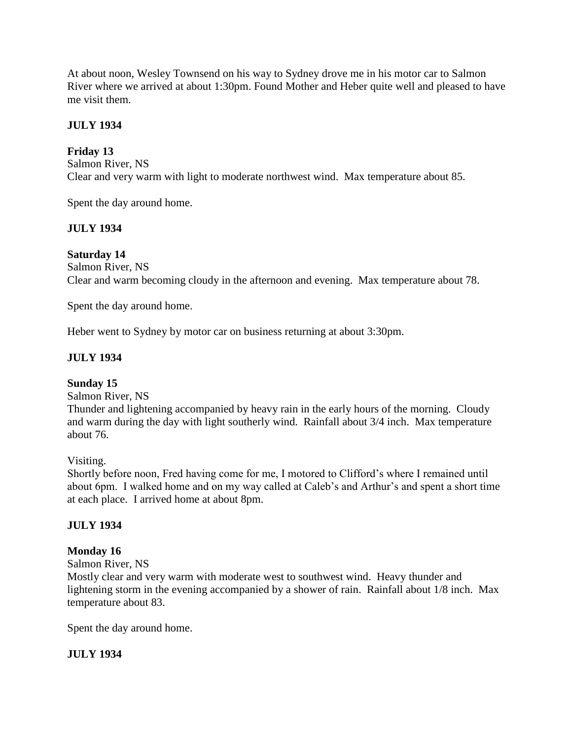At about noon, Wesley Townsend on his way to Sydney drove me in his motor car to Salmon River where we arrived at about 1:30pm. Found Mother and Heber quite well and pleased to have me visit them.

# **JULY 1934**

# **Friday 13**

Salmon River, NS Clear and very warm with light to moderate northwest wind. Max temperature about 85.

Spent the day around home.

# **JULY 1934**

# **Saturday 14**

Salmon River, NS Clear and warm becoming cloudy in the afternoon and evening. Max temperature about 78.

Spent the day around home.

Heber went to Sydney by motor car on business returning at about 3:30pm.

# **JULY 1934**

# **Sunday 15**

Salmon River, NS

Thunder and lightening accompanied by heavy rain in the early hours of the morning. Cloudy and warm during the day with light southerly wind. Rainfall about 3/4 inch. Max temperature about 76.

Visiting.

Shortly before noon, Fred having come for me, I motored to Clifford's where I remained until about 6pm. I walked home and on my way called at Caleb's and Arthur's and spent a short time at each place. I arrived home at about 8pm.

# **JULY 1934**

# **Monday 16**

Salmon River, NS

Mostly clear and very warm with moderate west to southwest wind. Heavy thunder and lightening storm in the evening accompanied by a shower of rain. Rainfall about 1/8 inch. Max temperature about 83.

Spent the day around home.

# **JULY 1934**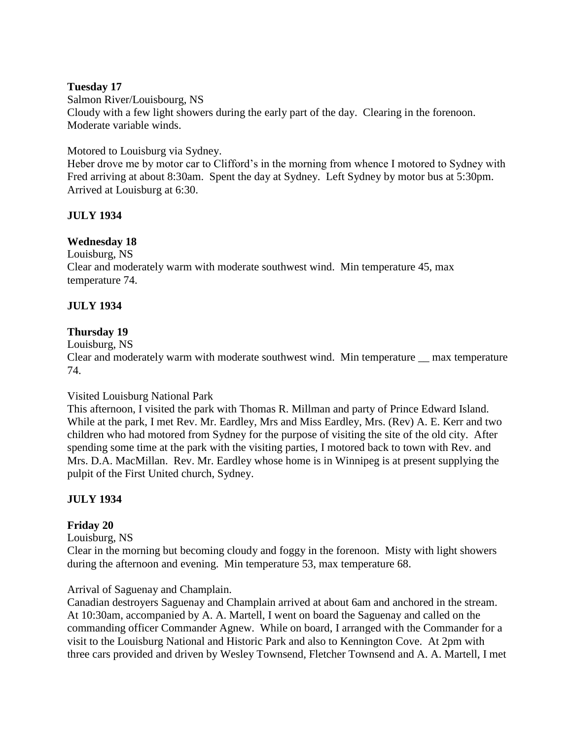## **Tuesday 17**

Salmon River/Louisbourg, NS Cloudy with a few light showers during the early part of the day. Clearing in the forenoon. Moderate variable winds.

Motored to Louisburg via Sydney.

Heber drove me by motor car to Clifford's in the morning from whence I motored to Sydney with Fred arriving at about 8:30am. Spent the day at Sydney. Left Sydney by motor bus at 5:30pm. Arrived at Louisburg at 6:30.

# **JULY 1934**

# **Wednesday 18**

Louisburg, NS

Clear and moderately warm with moderate southwest wind. Min temperature 45, max temperature 74.

# **JULY 1934**

## **Thursday 19**

Louisburg, NS

Clear and moderately warm with moderate southwest wind. Min temperature \_\_ max temperature 74.

### Visited Louisburg National Park

This afternoon, I visited the park with Thomas R. Millman and party of Prince Edward Island. While at the park, I met Rev. Mr. Eardley, Mrs and Miss Eardley, Mrs. (Rev) A. E. Kerr and two children who had motored from Sydney for the purpose of visiting the site of the old city. After spending some time at the park with the visiting parties, I motored back to town with Rev. and Mrs. D.A. MacMillan. Rev. Mr. Eardley whose home is in Winnipeg is at present supplying the pulpit of the First United church, Sydney.

# **JULY 1934**

# **Friday 20**

Louisburg, NS

Clear in the morning but becoming cloudy and foggy in the forenoon. Misty with light showers during the afternoon and evening. Min temperature 53, max temperature 68.

### Arrival of Saguenay and Champlain.

Canadian destroyers Saguenay and Champlain arrived at about 6am and anchored in the stream. At 10:30am, accompanied by A. A. Martell, I went on board the Saguenay and called on the commanding officer Commander Agnew. While on board, I arranged with the Commander for a visit to the Louisburg National and Historic Park and also to Kennington Cove. At 2pm with three cars provided and driven by Wesley Townsend, Fletcher Townsend and A. A. Martell, I met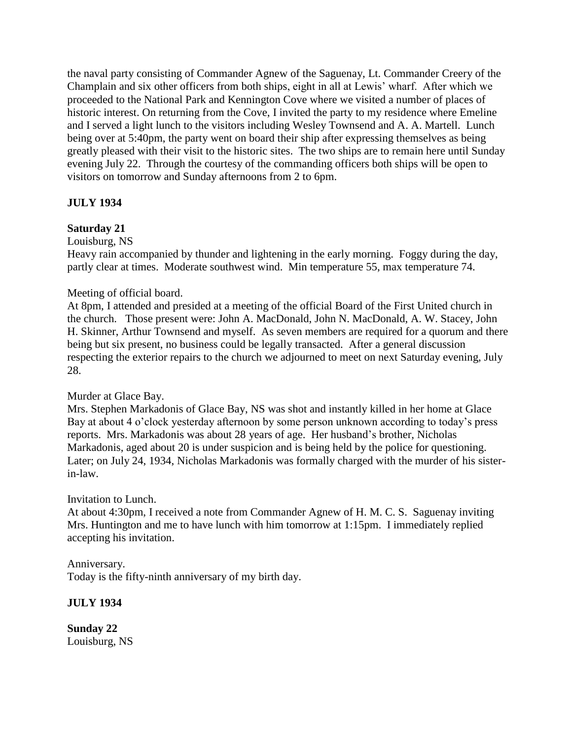the naval party consisting of Commander Agnew of the Saguenay, Lt. Commander Creery of the Champlain and six other officers from both ships, eight in all at Lewis' wharf. After which we proceeded to the National Park and Kennington Cove where we visited a number of places of historic interest. On returning from the Cove, I invited the party to my residence where Emeline and I served a light lunch to the visitors including Wesley Townsend and A. A. Martell. Lunch being over at 5:40pm, the party went on board their ship after expressing themselves as being greatly pleased with their visit to the historic sites. The two ships are to remain here until Sunday evening July 22. Through the courtesy of the commanding officers both ships will be open to visitors on tomorrow and Sunday afternoons from 2 to 6pm.

# **JULY 1934**

# **Saturday 21**

Louisburg, NS

Heavy rain accompanied by thunder and lightening in the early morning. Foggy during the day, partly clear at times. Moderate southwest wind. Min temperature 55, max temperature 74.

## Meeting of official board.

At 8pm, I attended and presided at a meeting of the official Board of the First United church in the church. Those present were: John A. MacDonald, John N. MacDonald, A. W. Stacey, John H. Skinner, Arthur Townsend and myself. As seven members are required for a quorum and there being but six present, no business could be legally transacted. After a general discussion respecting the exterior repairs to the church we adjourned to meet on next Saturday evening, July 28.

### Murder at Glace Bay.

Mrs. Stephen Markadonis of Glace Bay, NS was shot and instantly killed in her home at Glace Bay at about 4 o'clock yesterday afternoon by some person unknown according to today's press reports. Mrs. Markadonis was about 28 years of age. Her husband's brother, Nicholas Markadonis, aged about 20 is under suspicion and is being held by the police for questioning. Later; on July 24, 1934, Nicholas Markadonis was formally charged with the murder of his sisterin-law.

## Invitation to Lunch.

At about 4:30pm, I received a note from Commander Agnew of H. M. C. S. Saguenay inviting Mrs. Huntington and me to have lunch with him tomorrow at 1:15pm. I immediately replied accepting his invitation.

## Anniversary. Today is the fifty-ninth anniversary of my birth day.

# **JULY 1934**

**Sunday 22** Louisburg, NS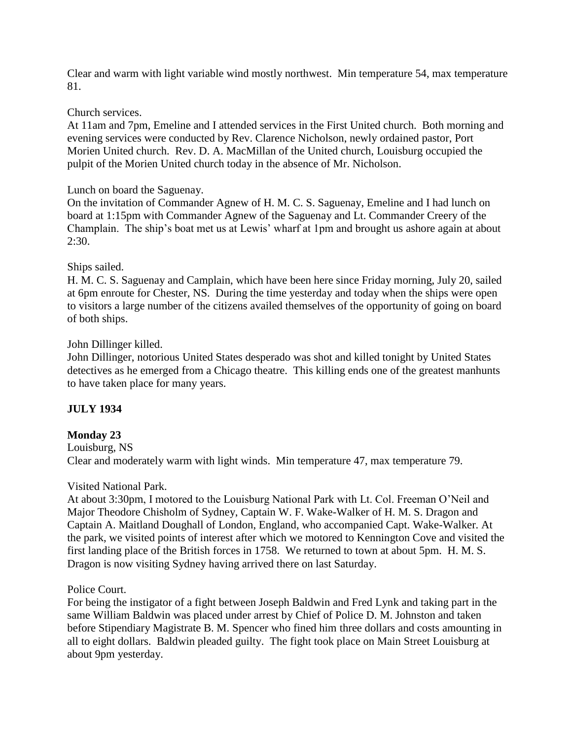Clear and warm with light variable wind mostly northwest. Min temperature 54, max temperature 81.

Church services.

At 11am and 7pm, Emeline and I attended services in the First United church. Both morning and evening services were conducted by Rev. Clarence Nicholson, newly ordained pastor, Port Morien United church. Rev. D. A. MacMillan of the United church, Louisburg occupied the pulpit of the Morien United church today in the absence of Mr. Nicholson.

Lunch on board the Saguenay.

On the invitation of Commander Agnew of H. M. C. S. Saguenay, Emeline and I had lunch on board at 1:15pm with Commander Agnew of the Saguenay and Lt. Commander Creery of the Champlain. The ship's boat met us at Lewis' wharf at 1pm and brought us ashore again at about 2:30.

## Ships sailed.

H. M. C. S. Saguenay and Camplain, which have been here since Friday morning, July 20, sailed at 6pm enroute for Chester, NS. During the time yesterday and today when the ships were open to visitors a large number of the citizens availed themselves of the opportunity of going on board of both ships.

John Dillinger killed.

John Dillinger, notorious United States desperado was shot and killed tonight by United States detectives as he emerged from a Chicago theatre. This killing ends one of the greatest manhunts to have taken place for many years.

# **JULY 1934**

# **Monday 23**

Louisburg, NS Clear and moderately warm with light winds. Min temperature 47, max temperature 79.

# Visited National Park.

At about 3:30pm, I motored to the Louisburg National Park with Lt. Col. Freeman O'Neil and Major Theodore Chisholm of Sydney, Captain W. F. Wake-Walker of H. M. S. Dragon and Captain A. Maitland Doughall of London, England, who accompanied Capt. Wake-Walker. At the park, we visited points of interest after which we motored to Kennington Cove and visited the first landing place of the British forces in 1758. We returned to town at about 5pm. H. M. S. Dragon is now visiting Sydney having arrived there on last Saturday.

Police Court.

For being the instigator of a fight between Joseph Baldwin and Fred Lynk and taking part in the same William Baldwin was placed under arrest by Chief of Police D. M. Johnston and taken before Stipendiary Magistrate B. M. Spencer who fined him three dollars and costs amounting in all to eight dollars. Baldwin pleaded guilty. The fight took place on Main Street Louisburg at about 9pm yesterday.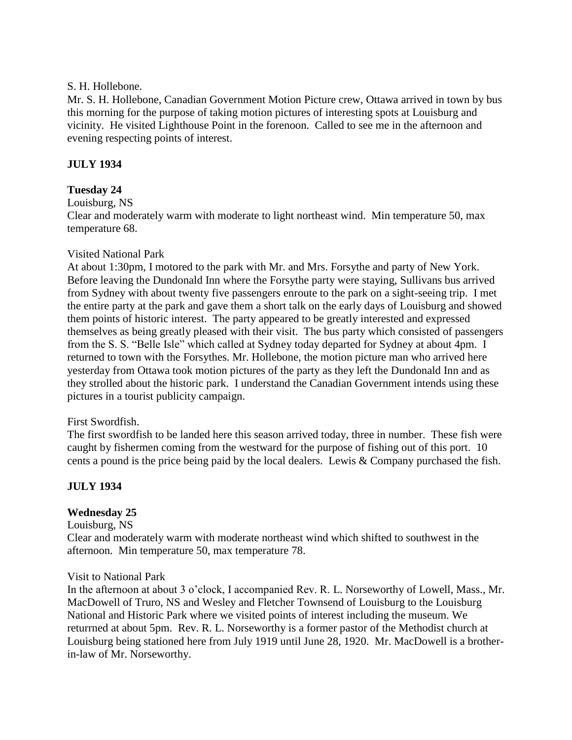### S. H. Hollebone.

Mr. S. H. Hollebone, Canadian Government Motion Picture crew, Ottawa arrived in town by bus this morning for the purpose of taking motion pictures of interesting spots at Louisburg and vicinity. He visited Lighthouse Point in the forenoon. Called to see me in the afternoon and evening respecting points of interest.

# **JULY 1934**

## **Tuesday 24**

#### Louisburg, NS

Clear and moderately warm with moderate to light northeast wind. Min temperature 50, max temperature 68.

### Visited National Park

At about 1:30pm, I motored to the park with Mr. and Mrs. Forsythe and party of New York. Before leaving the Dundonald Inn where the Forsythe party were staying, Sullivans bus arrived from Sydney with about twenty five passengers enroute to the park on a sight-seeing trip. I met the entire party at the park and gave them a short talk on the early days of Louisburg and showed them points of historic interest. The party appeared to be greatly interested and expressed themselves as being greatly pleased with their visit. The bus party which consisted of passengers from the S. S. "Belle Isle" which called at Sydney today departed for Sydney at about 4pm. I returned to town with the Forsythes. Mr. Hollebone, the motion picture man who arrived here yesterday from Ottawa took motion pictures of the party as they left the Dundonald Inn and as they strolled about the historic park. I understand the Canadian Government intends using these pictures in a tourist publicity campaign.

### First Swordfish.

The first swordfish to be landed here this season arrived today, three in number. These fish were caught by fishermen coming from the westward for the purpose of fishing out of this port. 10 cents a pound is the price being paid by the local dealers. Lewis & Company purchased the fish.

# **JULY 1934**

### **Wednesday 25**

Louisburg, NS

Clear and moderately warm with moderate northeast wind which shifted to southwest in the afternoon. Min temperature 50, max temperature 78.

### Visit to National Park

In the afternoon at about 3 o'clock, I accompanied Rev. R. L. Norseworthy of Lowell, Mass., Mr. MacDowell of Truro, NS and Wesley and Fletcher Townsend of Louisburg to the Louisburg National and Historic Park where we visited points of interest including the museum. We returrned at about 5pm. Rev. R. L. Norseworthy is a former pastor of the Methodist church at Louisburg being stationed here from July 1919 until June 28, 1920. Mr. MacDowell is a brotherin-law of Mr. Norseworthy.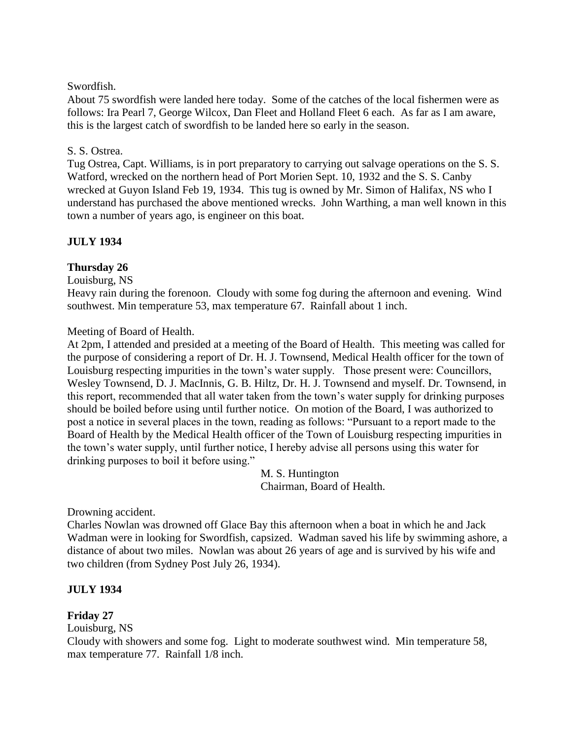## Swordfish.

About 75 swordfish were landed here today. Some of the catches of the local fishermen were as follows: Ira Pearl 7, George Wilcox, Dan Fleet and Holland Fleet 6 each. As far as I am aware, this is the largest catch of swordfish to be landed here so early in the season.

## S. S. Ostrea.

Tug Ostrea, Capt. Williams, is in port preparatory to carrying out salvage operations on the S. S. Watford, wrecked on the northern head of Port Morien Sept. 10, 1932 and the S. S. Canby wrecked at Guyon Island Feb 19, 1934. This tug is owned by Mr. Simon of Halifax, NS who I understand has purchased the above mentioned wrecks. John Warthing, a man well known in this town a number of years ago, is engineer on this boat.

# **JULY 1934**

## **Thursday 26**

Louisburg, NS

Heavy rain during the forenoon. Cloudy with some fog during the afternoon and evening. Wind southwest. Min temperature 53, max temperature 67. Rainfall about 1 inch.

## Meeting of Board of Health.

At 2pm, I attended and presided at a meeting of the Board of Health. This meeting was called for the purpose of considering a report of Dr. H. J. Townsend, Medical Health officer for the town of Louisburg respecting impurities in the town's water supply. Those present were: Councillors, Wesley Townsend, D. J. MacInnis, G. B. Hiltz, Dr. H. J. Townsend and myself. Dr. Townsend, in this report, recommended that all water taken from the town's water supply for drinking purposes should be boiled before using until further notice. On motion of the Board, I was authorized to post a notice in several places in the town, reading as follows: "Pursuant to a report made to the Board of Health by the Medical Health officer of the Town of Louisburg respecting impurities in the town's water supply, until further notice, I hereby advise all persons using this water for drinking purposes to boil it before using."

> M. S. Huntington Chairman, Board of Health.

Drowning accident.

Charles Nowlan was drowned off Glace Bay this afternoon when a boat in which he and Jack Wadman were in looking for Swordfish, capsized. Wadman saved his life by swimming ashore, a distance of about two miles. Nowlan was about 26 years of age and is survived by his wife and two children (from Sydney Post July 26, 1934).

### **JULY 1934**

# **Friday 27**

### Louisburg, NS

Cloudy with showers and some fog. Light to moderate southwest wind. Min temperature 58, max temperature 77. Rainfall 1/8 inch.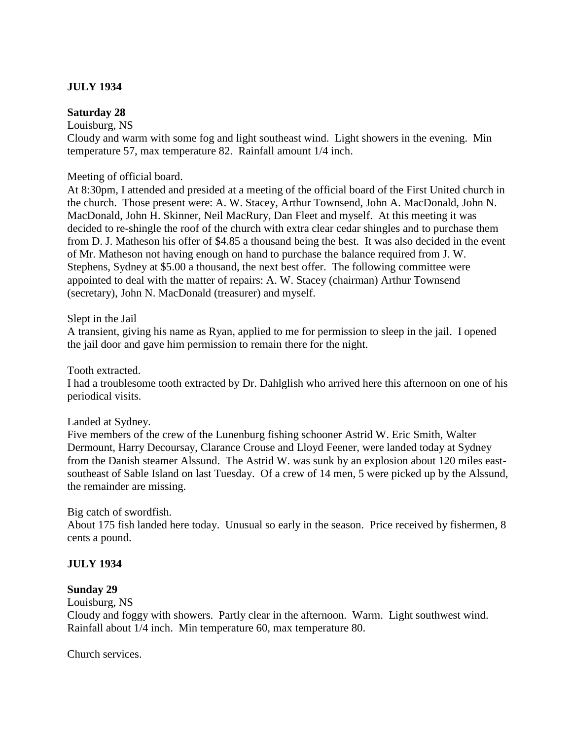# **JULY 1934**

## **Saturday 28**

Louisburg, NS Cloudy and warm with some fog and light southeast wind. Light showers in the evening. Min temperature 57, max temperature 82. Rainfall amount 1/4 inch.

Meeting of official board.

At 8:30pm, I attended and presided at a meeting of the official board of the First United church in the church. Those present were: A. W. Stacey, Arthur Townsend, John A. MacDonald, John N. MacDonald, John H. Skinner, Neil MacRury, Dan Fleet and myself. At this meeting it was decided to re-shingle the roof of the church with extra clear cedar shingles and to purchase them from D. J. Matheson his offer of \$4.85 a thousand being the best. It was also decided in the event of Mr. Matheson not having enough on hand to purchase the balance required from J. W. Stephens, Sydney at \$5.00 a thousand, the next best offer. The following committee were appointed to deal with the matter of repairs: A. W. Stacey (chairman) Arthur Townsend (secretary), John N. MacDonald (treasurer) and myself.

Slept in the Jail

A transient, giving his name as Ryan, applied to me for permission to sleep in the jail. I opened the jail door and gave him permission to remain there for the night.

Tooth extracted.

I had a troublesome tooth extracted by Dr. Dahlglish who arrived here this afternoon on one of his periodical visits.

Landed at Sydney.

Five members of the crew of the Lunenburg fishing schooner Astrid W. Eric Smith, Walter Dermount, Harry Decoursay, Clarance Crouse and Lloyd Feener, were landed today at Sydney from the Danish steamer Alssund. The Astrid W. was sunk by an explosion about 120 miles eastsoutheast of Sable Island on last Tuesday. Of a crew of 14 men, 5 were picked up by the Alssund, the remainder are missing.

Big catch of swordfish.

About 175 fish landed here today. Unusual so early in the season. Price received by fishermen, 8 cents a pound.

### **JULY 1934**

### **Sunday 29**

Louisburg, NS

Cloudy and foggy with showers. Partly clear in the afternoon. Warm. Light southwest wind. Rainfall about 1/4 inch. Min temperature 60, max temperature 80.

Church services.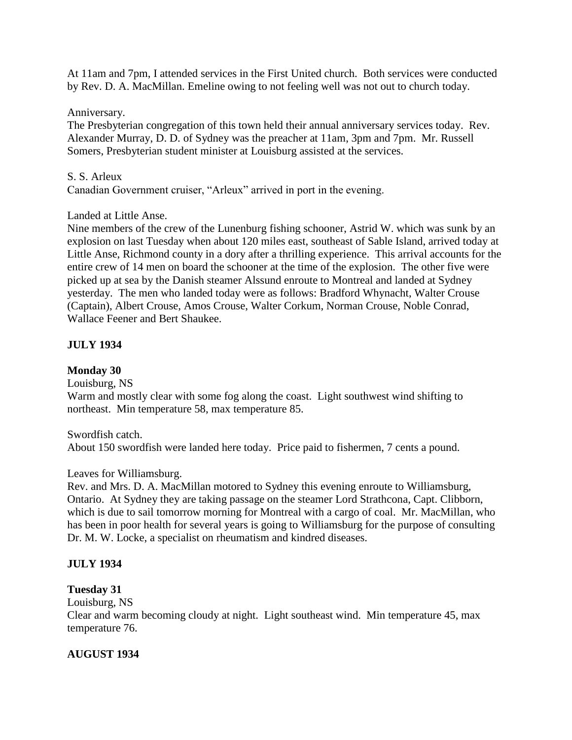At 11am and 7pm, I attended services in the First United church. Both services were conducted by Rev. D. A. MacMillan. Emeline owing to not feeling well was not out to church today.

### Anniversary.

The Presbyterian congregation of this town held their annual anniversary services today. Rev. Alexander Murray, D. D. of Sydney was the preacher at 11am, 3pm and 7pm. Mr. Russell Somers, Presbyterian student minister at Louisburg assisted at the services.

#### S. S. Arleux

Canadian Government cruiser, "Arleux" arrived in port in the evening.

### Landed at Little Anse.

Nine members of the crew of the Lunenburg fishing schooner, Astrid W. which was sunk by an explosion on last Tuesday when about 120 miles east, southeast of Sable Island, arrived today at Little Anse, Richmond county in a dory after a thrilling experience. This arrival accounts for the entire crew of 14 men on board the schooner at the time of the explosion. The other five were picked up at sea by the Danish steamer Alssund enroute to Montreal and landed at Sydney yesterday. The men who landed today were as follows: Bradford Whynacht, Walter Crouse (Captain), Albert Crouse, Amos Crouse, Walter Corkum, Norman Crouse, Noble Conrad, Wallace Feener and Bert Shaukee.

# **JULY 1934**

**Monday 30**

Louisburg, NS

Warm and mostly clear with some fog along the coast. Light southwest wind shifting to northeast. Min temperature 58, max temperature 85.

Swordfish catch. About 150 swordfish were landed here today. Price paid to fishermen, 7 cents a pound.

### Leaves for Williamsburg.

Rev. and Mrs. D. A. MacMillan motored to Sydney this evening enroute to Williamsburg, Ontario. At Sydney they are taking passage on the steamer Lord Strathcona, Capt. Clibborn, which is due to sail tomorrow morning for Montreal with a cargo of coal. Mr. MacMillan, who has been in poor health for several years is going to Williamsburg for the purpose of consulting Dr. M. W. Locke, a specialist on rheumatism and kindred diseases.

### **JULY 1934**

### **Tuesday 31**

Louisburg, NS

Clear and warm becoming cloudy at night. Light southeast wind. Min temperature 45, max temperature 76.

# **AUGUST 1934**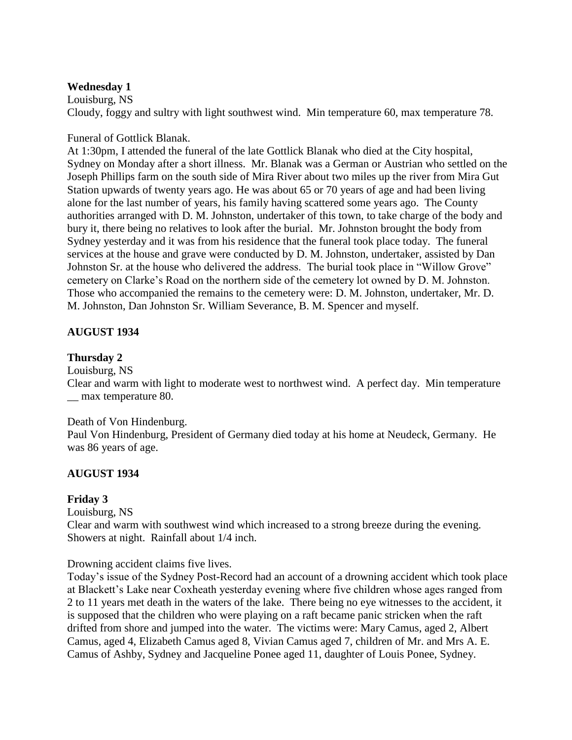## **Wednesday 1**

Louisburg, NS Cloudy, foggy and sultry with light southwest wind. Min temperature 60, max temperature 78.

## Funeral of Gottlick Blanak.

At 1:30pm, I attended the funeral of the late Gottlick Blanak who died at the City hospital, Sydney on Monday after a short illness. Mr. Blanak was a German or Austrian who settled on the Joseph Phillips farm on the south side of Mira River about two miles up the river from Mira Gut Station upwards of twenty years ago. He was about 65 or 70 years of age and had been living alone for the last number of years, his family having scattered some years ago. The County authorities arranged with D. M. Johnston, undertaker of this town, to take charge of the body and bury it, there being no relatives to look after the burial. Mr. Johnston brought the body from Sydney yesterday and it was from his residence that the funeral took place today. The funeral services at the house and grave were conducted by D. M. Johnston, undertaker, assisted by Dan Johnston Sr. at the house who delivered the address. The burial took place in "Willow Grove" cemetery on Clarke's Road on the northern side of the cemetery lot owned by D. M. Johnston. Those who accompanied the remains to the cemetery were: D. M. Johnston, undertaker, Mr. D. M. Johnston, Dan Johnston Sr. William Severance, B. M. Spencer and myself.

# **AUGUST 1934**

# **Thursday 2**

### Louisburg, NS

Clear and warm with light to moderate west to northwest wind. A perfect day. Min temperature \_\_ max temperature 80.

### Death of Von Hindenburg.

Paul Von Hindenburg, President of Germany died today at his home at Neudeck, Germany. He was 86 years of age.

# **AUGUST 1934**

### **Friday 3**

Louisburg, NS Clear and warm with southwest wind which increased to a strong breeze during the evening. Showers at night. Rainfall about 1/4 inch.

### Drowning accident claims five lives.

Today's issue of the Sydney Post-Record had an account of a drowning accident which took place at Blackett's Lake near Coxheath yesterday evening where five children whose ages ranged from 2 to 11 years met death in the waters of the lake. There being no eye witnesses to the accident, it is supposed that the children who were playing on a raft became panic stricken when the raft drifted from shore and jumped into the water. The victims were: Mary Camus, aged 2, Albert Camus, aged 4, Elizabeth Camus aged 8, Vivian Camus aged 7, children of Mr. and Mrs A. E. Camus of Ashby, Sydney and Jacqueline Ponee aged 11, daughter of Louis Ponee, Sydney.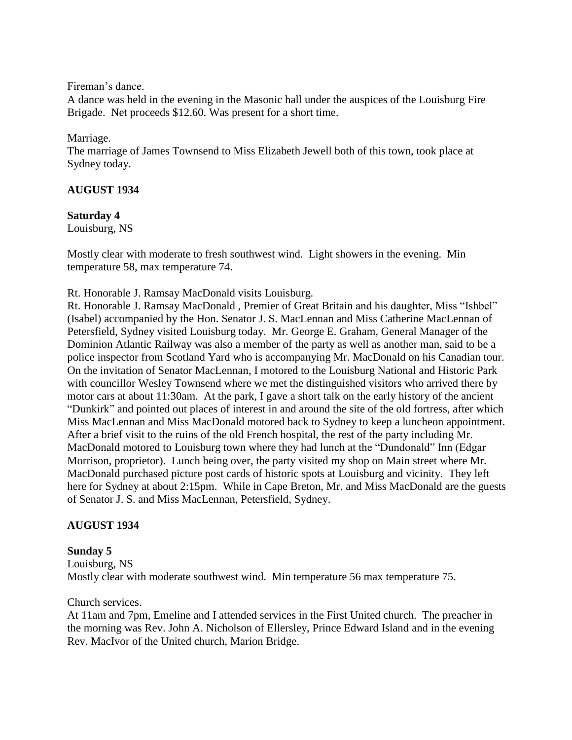Fireman's dance.

A dance was held in the evening in the Masonic hall under the auspices of the Louisburg Fire Brigade. Net proceeds \$12.60. Was present for a short time.

### Marriage.

The marriage of James Townsend to Miss Elizabeth Jewell both of this town, took place at Sydney today.

## **AUGUST 1934**

## **Saturday 4**

Louisburg, NS

Mostly clear with moderate to fresh southwest wind. Light showers in the evening. Min temperature 58, max temperature 74.

Rt. Honorable J. Ramsay MacDonald visits Louisburg.

Rt. Honorable J. Ramsay MacDonald , Premier of Great Britain and his daughter, Miss "Ishbel" (Isabel) accompanied by the Hon. Senator J. S. MacLennan and Miss Catherine MacLennan of Petersfield, Sydney visited Louisburg today. Mr. George E. Graham, General Manager of the Dominion Atlantic Railway was also a member of the party as well as another man, said to be a police inspector from Scotland Yard who is accompanying Mr. MacDonald on his Canadian tour. On the invitation of Senator MacLennan, I motored to the Louisburg National and Historic Park with councillor Wesley Townsend where we met the distinguished visitors who arrived there by motor cars at about 11:30am. At the park, I gave a short talk on the early history of the ancient "Dunkirk" and pointed out places of interest in and around the site of the old fortress, after which Miss MacLennan and Miss MacDonald motored back to Sydney to keep a luncheon appointment. After a brief visit to the ruins of the old French hospital, the rest of the party including Mr. MacDonald motored to Louisburg town where they had lunch at the "Dundonald" Inn (Edgar Morrison, proprietor). Lunch being over, the party visited my shop on Main street where Mr. MacDonald purchased picture post cards of historic spots at Louisburg and vicinity. They left here for Sydney at about 2:15pm. While in Cape Breton, Mr. and Miss MacDonald are the guests of Senator J. S. and Miss MacLennan, Petersfield, Sydney.

# **AUGUST 1934**

### **Sunday 5**

Louisburg, NS Mostly clear with moderate southwest wind. Min temperature 56 max temperature 75.

### Church services.

At 11am and 7pm, Emeline and I attended services in the First United church. The preacher in the morning was Rev. John A. Nicholson of Ellersley, Prince Edward Island and in the evening Rev. MacIvor of the United church, Marion Bridge.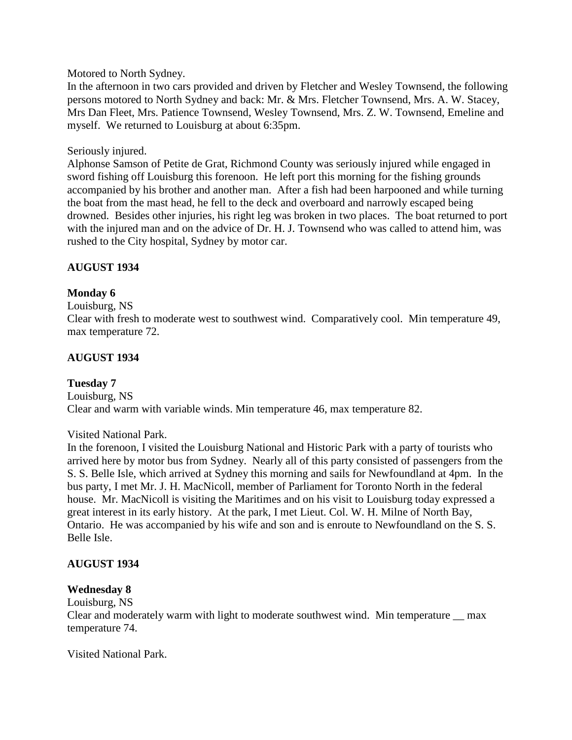Motored to North Sydney.

In the afternoon in two cars provided and driven by Fletcher and Wesley Townsend, the following persons motored to North Sydney and back: Mr. & Mrs. Fletcher Townsend, Mrs. A. W. Stacey, Mrs Dan Fleet, Mrs. Patience Townsend, Wesley Townsend, Mrs. Z. W. Townsend, Emeline and myself. We returned to Louisburg at about 6:35pm.

#### Seriously injured.

Alphonse Samson of Petite de Grat, Richmond County was seriously injured while engaged in sword fishing off Louisburg this forenoon. He left port this morning for the fishing grounds accompanied by his brother and another man. After a fish had been harpooned and while turning the boat from the mast head, he fell to the deck and overboard and narrowly escaped being drowned. Besides other injuries, his right leg was broken in two places. The boat returned to port with the injured man and on the advice of Dr. H. J. Townsend who was called to attend him, was rushed to the City hospital, Sydney by motor car.

## **AUGUST 1934**

## **Monday 6**

Louisburg, NS

Clear with fresh to moderate west to southwest wind. Comparatively cool. Min temperature 49, max temperature 72.

### **AUGUST 1934**

### **Tuesday 7**

Louisburg, NS Clear and warm with variable winds. Min temperature 46, max temperature 82.

### Visited National Park.

In the forenoon, I visited the Louisburg National and Historic Park with a party of tourists who arrived here by motor bus from Sydney. Nearly all of this party consisted of passengers from the S. S. Belle Isle, which arrived at Sydney this morning and sails for Newfoundland at 4pm. In the bus party, I met Mr. J. H. MacNicoll, member of Parliament for Toronto North in the federal house. Mr. MacNicoll is visiting the Maritimes and on his visit to Louisburg today expressed a great interest in its early history. At the park, I met Lieut. Col. W. H. Milne of North Bay, Ontario. He was accompanied by his wife and son and is enroute to Newfoundland on the S. S. Belle Isle.

### **AUGUST 1934**

### **Wednesday 8**

Louisburg, NS

Clear and moderately warm with light to moderate southwest wind. Min temperature \_\_ max temperature 74.

Visited National Park.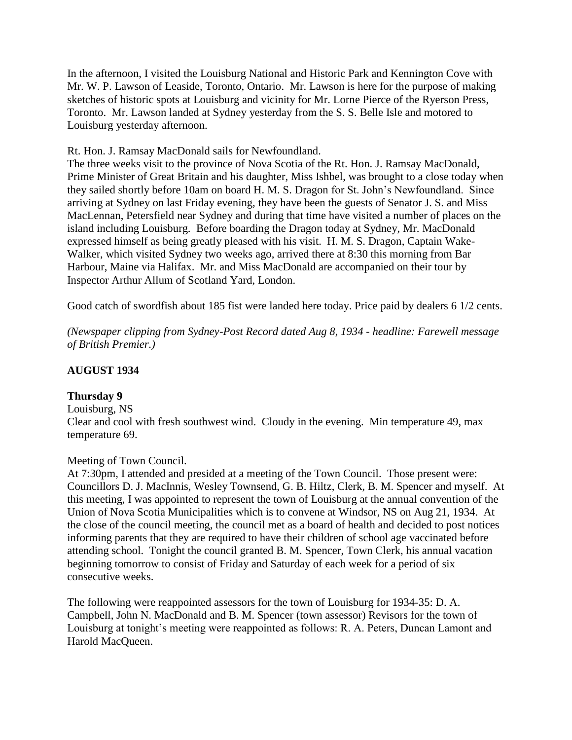In the afternoon, I visited the Louisburg National and Historic Park and Kennington Cove with Mr. W. P. Lawson of Leaside, Toronto, Ontario. Mr. Lawson is here for the purpose of making sketches of historic spots at Louisburg and vicinity for Mr. Lorne Pierce of the Ryerson Press, Toronto. Mr. Lawson landed at Sydney yesterday from the S. S. Belle Isle and motored to Louisburg yesterday afternoon.

## Rt. Hon. J. Ramsay MacDonald sails for Newfoundland.

The three weeks visit to the province of Nova Scotia of the Rt. Hon. J. Ramsay MacDonald, Prime Minister of Great Britain and his daughter, Miss Ishbel, was brought to a close today when they sailed shortly before 10am on board H. M. S. Dragon for St. John's Newfoundland. Since arriving at Sydney on last Friday evening, they have been the guests of Senator J. S. and Miss MacLennan, Petersfield near Sydney and during that time have visited a number of places on the island including Louisburg. Before boarding the Dragon today at Sydney, Mr. MacDonald expressed himself as being greatly pleased with his visit. H. M. S. Dragon, Captain Wake-Walker, which visited Sydney two weeks ago, arrived there at 8:30 this morning from Bar Harbour, Maine via Halifax. Mr. and Miss MacDonald are accompanied on their tour by Inspector Arthur Allum of Scotland Yard, London.

Good catch of swordfish about 185 fist were landed here today. Price paid by dealers 6 1/2 cents.

*(Newspaper clipping from Sydney-Post Record dated Aug 8, 1934 - headline: Farewell message of British Premier.)*

# **AUGUST 1934**

# **Thursday 9**

Louisburg, NS Clear and cool with fresh southwest wind. Cloudy in the evening. Min temperature 49, max temperature 69.

# Meeting of Town Council.

At 7:30pm, I attended and presided at a meeting of the Town Council. Those present were: Councillors D. J. MacInnis, Wesley Townsend, G. B. Hiltz, Clerk, B. M. Spencer and myself. At this meeting, I was appointed to represent the town of Louisburg at the annual convention of the Union of Nova Scotia Municipalities which is to convene at Windsor, NS on Aug 21, 1934. At the close of the council meeting, the council met as a board of health and decided to post notices informing parents that they are required to have their children of school age vaccinated before attending school. Tonight the council granted B. M. Spencer, Town Clerk, his annual vacation beginning tomorrow to consist of Friday and Saturday of each week for a period of six consecutive weeks.

The following were reappointed assessors for the town of Louisburg for 1934-35: D. A. Campbell, John N. MacDonald and B. M. Spencer (town assessor) Revisors for the town of Louisburg at tonight's meeting were reappointed as follows: R. A. Peters, Duncan Lamont and Harold MacQueen.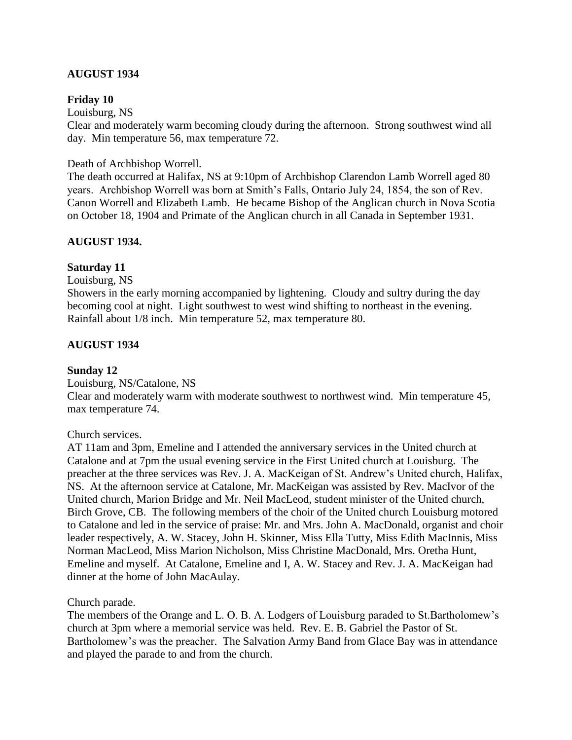# **AUGUST 1934**

#### **Friday 10**

Louisburg, NS

Clear and moderately warm becoming cloudy during the afternoon. Strong southwest wind all day. Min temperature 56, max temperature 72.

#### Death of Archbishop Worrell.

The death occurred at Halifax, NS at 9:10pm of Archbishop Clarendon Lamb Worrell aged 80 years. Archbishop Worrell was born at Smith's Falls, Ontario July 24, 1854, the son of Rev. Canon Worrell and Elizabeth Lamb. He became Bishop of the Anglican church in Nova Scotia on October 18, 1904 and Primate of the Anglican church in all Canada in September 1931.

### **AUGUST 1934.**

#### **Saturday 11**

Louisburg, NS

Showers in the early morning accompanied by lightening. Cloudy and sultry during the day becoming cool at night. Light southwest to west wind shifting to northeast in the evening. Rainfall about 1/8 inch. Min temperature 52, max temperature 80.

#### **AUGUST 1934**

#### **Sunday 12**

Louisburg, NS/Catalone, NS

Clear and moderately warm with moderate southwest to northwest wind. Min temperature 45, max temperature 74.

#### Church services.

AT 11am and 3pm, Emeline and I attended the anniversary services in the United church at Catalone and at 7pm the usual evening service in the First United church at Louisburg. The preacher at the three services was Rev. J. A. MacKeigan of St. Andrew's United church, Halifax, NS. At the afternoon service at Catalone, Mr. MacKeigan was assisted by Rev. MacIvor of the United church, Marion Bridge and Mr. Neil MacLeod, student minister of the United church, Birch Grove, CB. The following members of the choir of the United church Louisburg motored to Catalone and led in the service of praise: Mr. and Mrs. John A. MacDonald, organist and choir leader respectively, A. W. Stacey, John H. Skinner, Miss Ella Tutty, Miss Edith MacInnis, Miss Norman MacLeod, Miss Marion Nicholson, Miss Christine MacDonald, Mrs. Oretha Hunt, Emeline and myself. At Catalone, Emeline and I, A. W. Stacey and Rev. J. A. MacKeigan had dinner at the home of John MacAulay.

Church parade.

The members of the Orange and L. O. B. A. Lodgers of Louisburg paraded to St.Bartholomew's church at 3pm where a memorial service was held. Rev. E. B. Gabriel the Pastor of St. Bartholomew's was the preacher. The Salvation Army Band from Glace Bay was in attendance and played the parade to and from the church.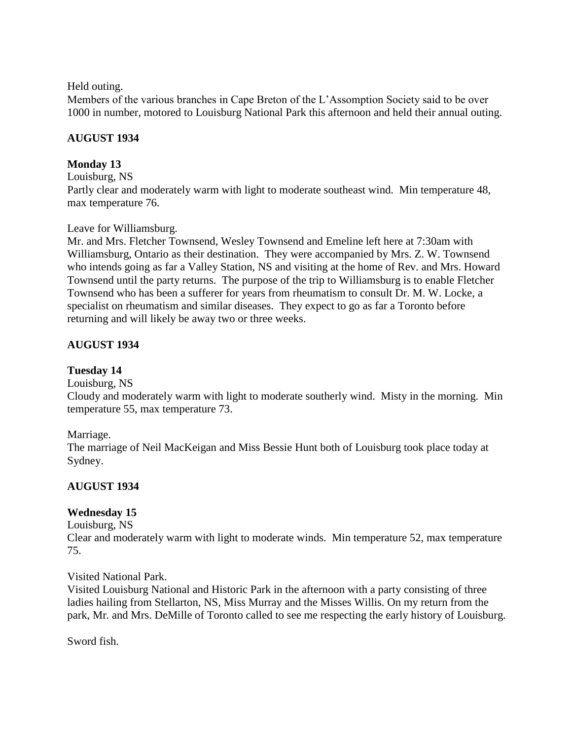Held outing.

Members of the various branches in Cape Breton of the L'Assomption Society said to be over 1000 in number, motored to Louisburg National Park this afternoon and held their annual outing.

# **AUGUST 1934**

# **Monday 13**

# Louisburg, NS

Partly clear and moderately warm with light to moderate southeast wind. Min temperature 48, max temperature 76.

# Leave for Williamsburg.

Mr. and Mrs. Fletcher Townsend, Wesley Townsend and Emeline left here at 7:30am with Williamsburg, Ontario as their destination. They were accompanied by Mrs. Z. W. Townsend who intends going as far a Valley Station, NS and visiting at the home of Rev. and Mrs. Howard Townsend until the party returns. The purpose of the trip to Williamsburg is to enable Fletcher Townsend who has been a sufferer for years from rheumatism to consult Dr. M. W. Locke, a specialist on rheumatism and similar diseases. They expect to go as far a Toronto before returning and will likely be away two or three weeks.

# **AUGUST 1934**

# **Tuesday 14**

# Louisburg, NS

Cloudy and moderately warm with light to moderate southerly wind. Misty in the morning. Min temperature 55, max temperature 73.

# Marriage.

The marriage of Neil MacKeigan and Miss Bessie Hunt both of Louisburg took place today at Sydney.

# **AUGUST 1934**

# **Wednesday 15**

Louisburg, NS

Clear and moderately warm with light to moderate winds. Min temperature 52, max temperature 75.

# Visited National Park.

Visited Louisburg National and Historic Park in the afternoon with a party consisting of three ladies hailing from Stellarton, NS, Miss Murray and the Misses Willis. On my return from the park, Mr. and Mrs. DeMille of Toronto called to see me respecting the early history of Louisburg.

Sword fish.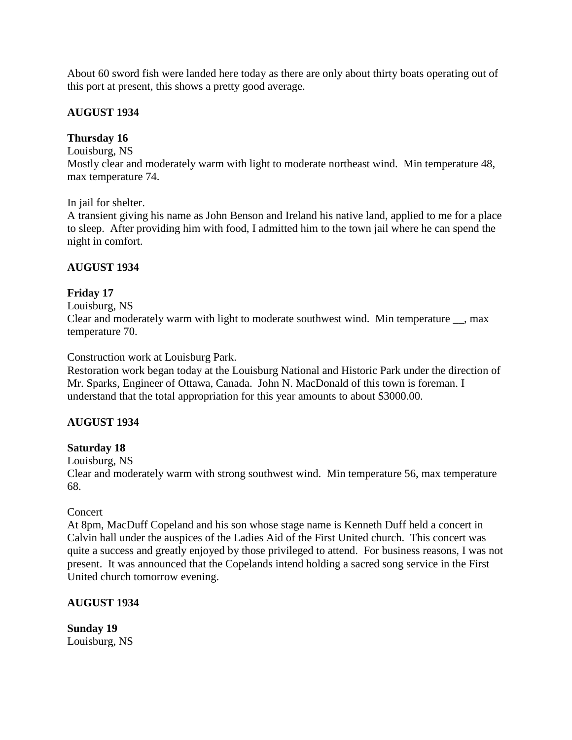About 60 sword fish were landed here today as there are only about thirty boats operating out of this port at present, this shows a pretty good average.

# **AUGUST 1934**

# **Thursday 16**

Louisburg, NS

Mostly clear and moderately warm with light to moderate northeast wind. Min temperature 48, max temperature 74.

In jail for shelter.

A transient giving his name as John Benson and Ireland his native land, applied to me for a place to sleep. After providing him with food, I admitted him to the town jail where he can spend the night in comfort.

# **AUGUST 1934**

# **Friday 17**

Louisburg, NS

Clear and moderately warm with light to moderate southwest wind. Min temperature \_\_, max temperature 70.

Construction work at Louisburg Park.

Restoration work began today at the Louisburg National and Historic Park under the direction of Mr. Sparks, Engineer of Ottawa, Canada. John N. MacDonald of this town is foreman. I understand that the total appropriation for this year amounts to about \$3000.00.

# **AUGUST 1934**

# **Saturday 18**

Louisburg, NS

Clear and moderately warm with strong southwest wind. Min temperature 56, max temperature 68.

# Concert

At 8pm, MacDuff Copeland and his son whose stage name is Kenneth Duff held a concert in Calvin hall under the auspices of the Ladies Aid of the First United church. This concert was quite a success and greatly enjoyed by those privileged to attend. For business reasons, I was not present. It was announced that the Copelands intend holding a sacred song service in the First United church tomorrow evening.

# **AUGUST 1934**

**Sunday 19** Louisburg, NS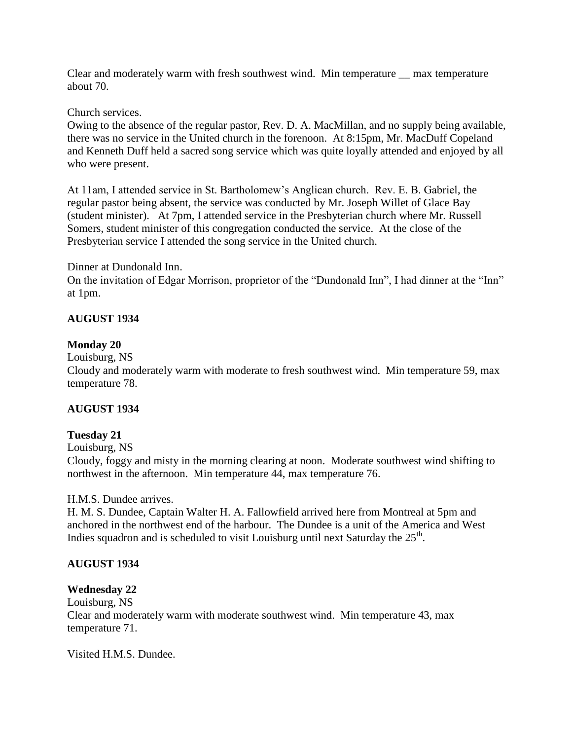Clear and moderately warm with fresh southwest wind. Min temperature — max temperature about 70.

Church services.

Owing to the absence of the regular pastor, Rev. D. A. MacMillan, and no supply being available, there was no service in the United church in the forenoon. At 8:15pm, Mr. MacDuff Copeland and Kenneth Duff held a sacred song service which was quite loyally attended and enjoyed by all who were present.

At 11am, I attended service in St. Bartholomew's Anglican church. Rev. E. B. Gabriel, the regular pastor being absent, the service was conducted by Mr. Joseph Willet of Glace Bay (student minister). At 7pm, I attended service in the Presbyterian church where Mr. Russell Somers, student minister of this congregation conducted the service. At the close of the Presbyterian service I attended the song service in the United church.

Dinner at Dundonald Inn.

On the invitation of Edgar Morrison, proprietor of the "Dundonald Inn", I had dinner at the "Inn" at 1pm.

# **AUGUST 1934**

## **Monday 20**

Louisburg, NS

Cloudy and moderately warm with moderate to fresh southwest wind. Min temperature 59, max temperature 78.

# **AUGUST 1934**

# **Tuesday 21**

Louisburg, NS

Cloudy, foggy and misty in the morning clearing at noon. Moderate southwest wind shifting to northwest in the afternoon. Min temperature 44, max temperature 76.

H.M.S. Dundee arrives.

H. M. S. Dundee, Captain Walter H. A. Fallowfield arrived here from Montreal at 5pm and anchored in the northwest end of the harbour. The Dundee is a unit of the America and West Indies squadron and is scheduled to visit Louisburg until next Saturday the  $25<sup>th</sup>$ .

# **AUGUST 1934**

# **Wednesday 22**

Louisburg, NS Clear and moderately warm with moderate southwest wind. Min temperature 43, max temperature 71.

Visited H.M.S. Dundee.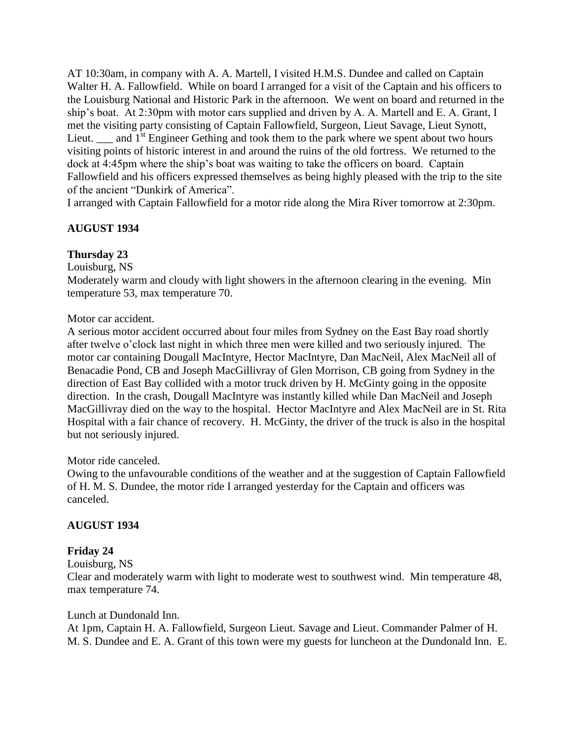AT 10:30am, in company with A. A. Martell, I visited H.M.S. Dundee and called on Captain Walter H. A. Fallowfield. While on board I arranged for a visit of the Captain and his officers to the Louisburg National and Historic Park in the afternoon. We went on board and returned in the ship's boat. At 2:30pm with motor cars supplied and driven by A. A. Martell and E. A. Grant, I met the visiting party consisting of Captain Fallowfield, Surgeon, Lieut Savage, Lieut Synott, Lieut.  $\qquad$  and 1<sup>st</sup> Engineer Gething and took them to the park where we spent about two hours visiting points of historic interest in and around the ruins of the old fortress. We returned to the dock at 4:45pm where the ship's boat was waiting to take the officers on board. Captain Fallowfield and his officers expressed themselves as being highly pleased with the trip to the site of the ancient "Dunkirk of America".

I arranged with Captain Fallowfield for a motor ride along the Mira River tomorrow at 2:30pm.

# **AUGUST 1934**

## **Thursday 23**

Louisburg, NS

Moderately warm and cloudy with light showers in the afternoon clearing in the evening. Min temperature 53, max temperature 70.

Motor car accident.

A serious motor accident occurred about four miles from Sydney on the East Bay road shortly after twelve o'clock last night in which three men were killed and two seriously injured. The motor car containing Dougall MacIntyre, Hector MacIntyre, Dan MacNeil, Alex MacNeil all of Benacadie Pond, CB and Joseph MacGillivray of Glen Morrison, CB going from Sydney in the direction of East Bay collided with a motor truck driven by H. McGinty going in the opposite direction. In the crash, Dougall MacIntyre was instantly killed while Dan MacNeil and Joseph MacGillivray died on the way to the hospital. Hector MacIntyre and Alex MacNeil are in St. Rita Hospital with a fair chance of recovery. H. McGinty, the driver of the truck is also in the hospital but not seriously injured.

### Motor ride canceled.

Owing to the unfavourable conditions of the weather and at the suggestion of Captain Fallowfield of H. M. S. Dundee, the motor ride I arranged yesterday for the Captain and officers was canceled.

### **AUGUST 1934**

# **Friday 24**

Louisburg, NS

Clear and moderately warm with light to moderate west to southwest wind. Min temperature 48, max temperature 74.

### Lunch at Dundonald Inn.

At 1pm, Captain H. A. Fallowfield, Surgeon Lieut. Savage and Lieut. Commander Palmer of H. M. S. Dundee and E. A. Grant of this town were my guests for luncheon at the Dundonald Inn. E.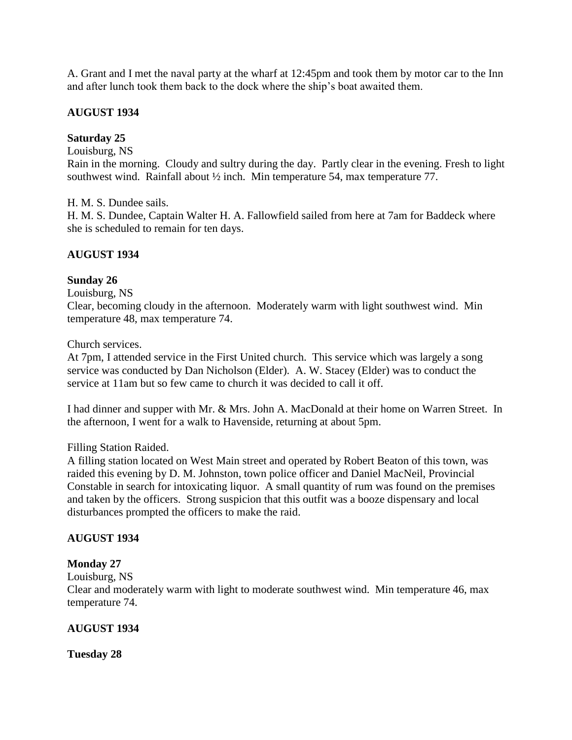A. Grant and I met the naval party at the wharf at 12:45pm and took them by motor car to the Inn and after lunch took them back to the dock where the ship's boat awaited them.

## **AUGUST 1934**

## **Saturday 25**

Louisburg, NS

Rain in the morning. Cloudy and sultry during the day. Partly clear in the evening. Fresh to light southwest wind. Rainfall about ½ inch. Min temperature 54, max temperature 77.

H. M. S. Dundee sails.

H. M. S. Dundee, Captain Walter H. A. Fallowfield sailed from here at 7am for Baddeck where she is scheduled to remain for ten days.

## **AUGUST 1934**

### **Sunday 26**

Louisburg, NS

Clear, becoming cloudy in the afternoon. Moderately warm with light southwest wind. Min temperature 48, max temperature 74.

Church services.

At 7pm, I attended service in the First United church. This service which was largely a song service was conducted by Dan Nicholson (Elder). A. W. Stacey (Elder) was to conduct the service at 11am but so few came to church it was decided to call it off.

I had dinner and supper with Mr. & Mrs. John A. MacDonald at their home on Warren Street. In the afternoon, I went for a walk to Havenside, returning at about 5pm.

### Filling Station Raided.

A filling station located on West Main street and operated by Robert Beaton of this town, was raided this evening by D. M. Johnston, town police officer and Daniel MacNeil, Provincial Constable in search for intoxicating liquor. A small quantity of rum was found on the premises and taken by the officers. Strong suspicion that this outfit was a booze dispensary and local disturbances prompted the officers to make the raid.

# **AUGUST 1934**

### **Monday 27**

Louisburg, NS

Clear and moderately warm with light to moderate southwest wind. Min temperature 46, max temperature 74.

### **AUGUST 1934**

**Tuesday 28**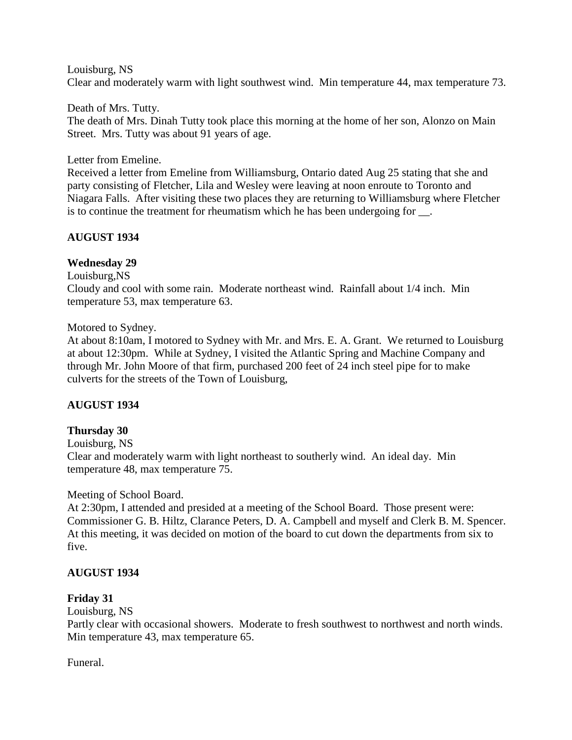Louisburg, NS

Clear and moderately warm with light southwest wind. Min temperature 44, max temperature 73.

Death of Mrs. Tutty.

The death of Mrs. Dinah Tutty took place this morning at the home of her son, Alonzo on Main Street. Mrs. Tutty was about 91 years of age.

Letter from Emeline.

Received a letter from Emeline from Williamsburg, Ontario dated Aug 25 stating that she and party consisting of Fletcher, Lila and Wesley were leaving at noon enroute to Toronto and Niagara Falls. After visiting these two places they are returning to Williamsburg where Fletcher is to continue the treatment for rheumatism which he has been undergoing for \_\_.

## **AUGUST 1934**

## **Wednesday 29**

Louisburg,NS Cloudy and cool with some rain. Moderate northeast wind. Rainfall about 1/4 inch. Min temperature 53, max temperature 63.

Motored to Sydney.

At about 8:10am, I motored to Sydney with Mr. and Mrs. E. A. Grant. We returned to Louisburg at about 12:30pm. While at Sydney, I visited the Atlantic Spring and Machine Company and through Mr. John Moore of that firm, purchased 200 feet of 24 inch steel pipe for to make culverts for the streets of the Town of Louisburg,

### **AUGUST 1934**

# **Thursday 30**

Louisburg, NS

Clear and moderately warm with light northeast to southerly wind. An ideal day. Min temperature 48, max temperature 75.

### Meeting of School Board.

At 2:30pm, I attended and presided at a meeting of the School Board. Those present were: Commissioner G. B. Hiltz, Clarance Peters, D. A. Campbell and myself and Clerk B. M. Spencer. At this meeting, it was decided on motion of the board to cut down the departments from six to five.

# **AUGUST 1934**

### **Friday 31**

Louisburg, NS

Partly clear with occasional showers. Moderate to fresh southwest to northwest and north winds. Min temperature 43, max temperature 65.

Funeral.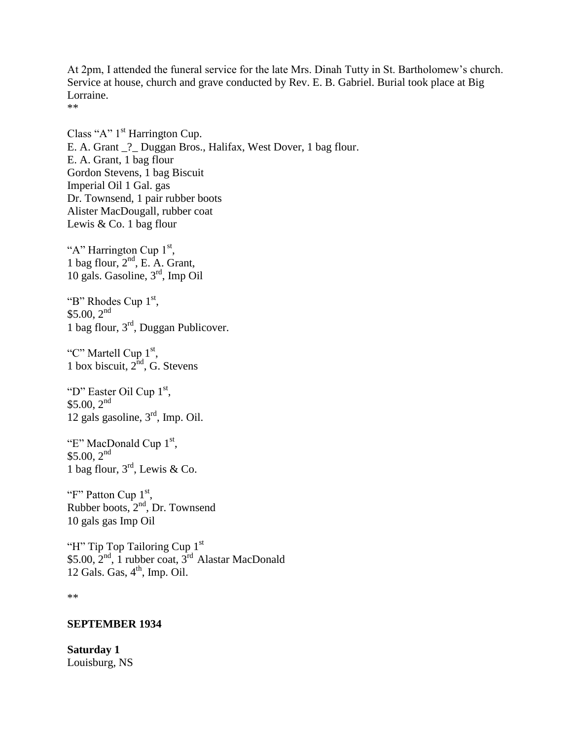At 2pm, I attended the funeral service for the late Mrs. Dinah Tutty in St. Bartholomew's church. Service at house, church and grave conducted by Rev. E. B. Gabriel. Burial took place at Big Lorraine.

\*\*

Class "A" 1<sup>st</sup> Harrington Cup. E. A. Grant \_?\_ Duggan Bros., Halifax, West Dover, 1 bag flour. E. A. Grant, 1 bag flour Gordon Stevens, 1 bag Biscuit Imperial Oil 1 Gal. gas Dr. Townsend, 1 pair rubber boots Alister MacDougall, rubber coat Lewis  $& Co. 1 bag flour$ 

"A" Harrington Cup  $1<sup>st</sup>$ , 1 bag flour,  $2<sup>nd</sup>$ , E. A. Grant, 10 gals. Gasoline, 3rd, Imp Oil

"B" Rhodes Cup  $1<sup>st</sup>$ , \$5.00,  $2^{nd}$ 1 bag flour, 3rd, Duggan Publicover.

"C" Martell Cup  $1<sup>st</sup>$ , 1 box biscuit,  $2<sup>nd</sup>$ , G. Stevens

"D" Easter Oil Cup  $1<sup>st</sup>$ , \$5.00,  $2^{nd}$ 12 gals gasoline,  $3<sup>rd</sup>$ , Imp. Oil.

"E" MacDonald Cup  $1<sup>st</sup>$ , \$5.00,  $2^{nd}$ 1 bag flour,  $3<sup>rd</sup>$ , Lewis & Co.

"F" Patton Cup  $1<sup>st</sup>$ , Rubber boots,  $2<sup>nd</sup>$ , Dr. Townsend 10 gals gas Imp Oil

"H" Tip Top Tailoring Cup 1st \$5.00, 2<sup>nd</sup>, 1 rubber coat, 3<sup>rd</sup> Alastar MacDonald 12 Gals. Gas,  $4<sup>th</sup>$ , Imp. Oil.

\*\*

### **SEPTEMBER 1934**

**Saturday 1** Louisburg, NS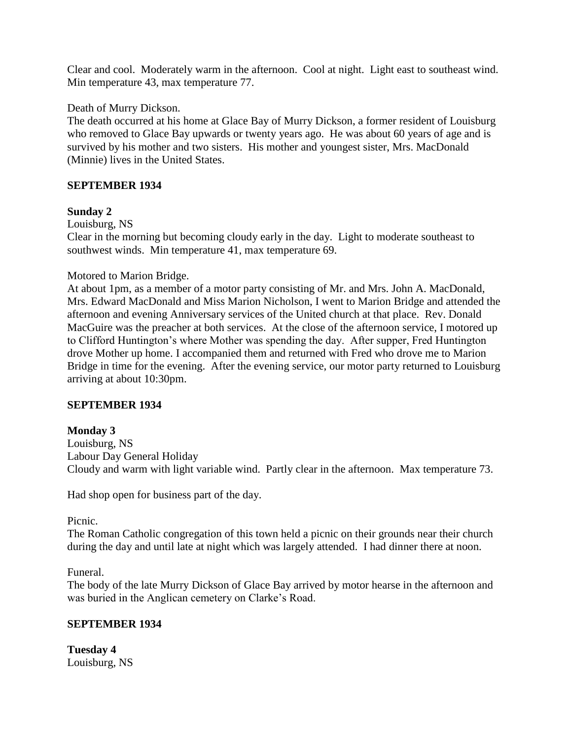Clear and cool. Moderately warm in the afternoon. Cool at night. Light east to southeast wind. Min temperature 43, max temperature 77.

### Death of Murry Dickson.

The death occurred at his home at Glace Bay of Murry Dickson, a former resident of Louisburg who removed to Glace Bay upwards or twenty years ago. He was about 60 years of age and is survived by his mother and two sisters. His mother and youngest sister, Mrs. MacDonald (Minnie) lives in the United States.

# **SEPTEMBER 1934**

## **Sunday 2**

Louisburg, NS

Clear in the morning but becoming cloudy early in the day. Light to moderate southeast to southwest winds. Min temperature 41, max temperature 69.

## Motored to Marion Bridge.

At about 1pm, as a member of a motor party consisting of Mr. and Mrs. John A. MacDonald, Mrs. Edward MacDonald and Miss Marion Nicholson, I went to Marion Bridge and attended the afternoon and evening Anniversary services of the United church at that place. Rev. Donald MacGuire was the preacher at both services. At the close of the afternoon service, I motored up to Clifford Huntington's where Mother was spending the day. After supper, Fred Huntington drove Mother up home. I accompanied them and returned with Fred who drove me to Marion Bridge in time for the evening. After the evening service, our motor party returned to Louisburg arriving at about 10:30pm.

### **SEPTEMBER 1934**

### **Monday 3**

Louisburg, NS Labour Day General Holiday Cloudy and warm with light variable wind. Partly clear in the afternoon. Max temperature 73.

Had shop open for business part of the day.

Picnic.

The Roman Catholic congregation of this town held a picnic on their grounds near their church during the day and until late at night which was largely attended. I had dinner there at noon.

### Funeral.

The body of the late Murry Dickson of Glace Bay arrived by motor hearse in the afternoon and was buried in the Anglican cemetery on Clarke's Road.

# **SEPTEMBER 1934**

**Tuesday 4** Louisburg, NS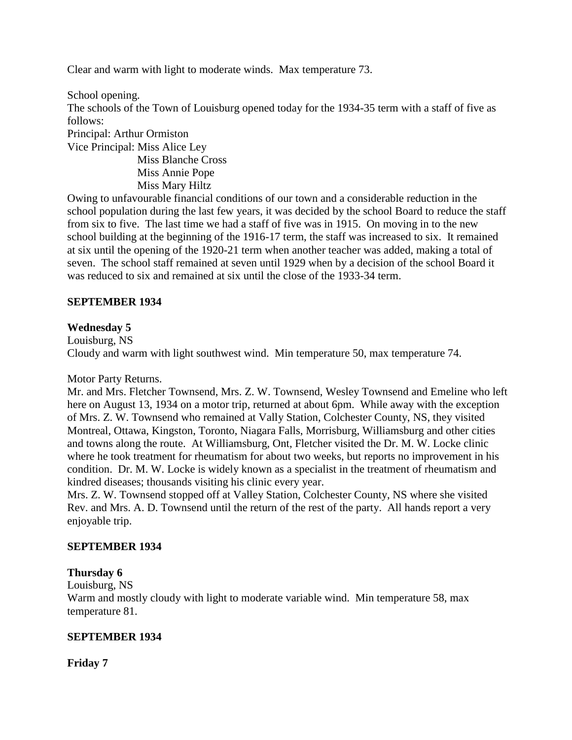Clear and warm with light to moderate winds. Max temperature 73.

School opening. The schools of the Town of Louisburg opened today for the 1934-35 term with a staff of five as follows: Principal: Arthur Ormiston Vice Principal: Miss Alice Ley Miss Blanche Cross Miss Annie Pope Miss Mary Hiltz

Owing to unfavourable financial conditions of our town and a considerable reduction in the school population during the last few years, it was decided by the school Board to reduce the staff from six to five. The last time we had a staff of five was in 1915. On moving in to the new school building at the beginning of the 1916-17 term, the staff was increased to six. It remained at six until the opening of the 1920-21 term when another teacher was added, making a total of seven. The school staff remained at seven until 1929 when by a decision of the school Board it was reduced to six and remained at six until the close of the 1933-34 term.

### **SEPTEMBER 1934**

### **Wednesday 5**

Louisburg, NS Cloudy and warm with light southwest wind. Min temperature 50, max temperature 74.

Motor Party Returns.

Mr. and Mrs. Fletcher Townsend, Mrs. Z. W. Townsend, Wesley Townsend and Emeline who left here on August 13, 1934 on a motor trip, returned at about 6pm. While away with the exception of Mrs. Z. W. Townsend who remained at Vally Station, Colchester County, NS, they visited Montreal, Ottawa, Kingston, Toronto, Niagara Falls, Morrisburg, Williamsburg and other cities and towns along the route. At Williamsburg, Ont, Fletcher visited the Dr. M. W. Locke clinic where he took treatment for rheumatism for about two weeks, but reports no improvement in his condition. Dr. M. W. Locke is widely known as a specialist in the treatment of rheumatism and kindred diseases; thousands visiting his clinic every year.

Mrs. Z. W. Townsend stopped off at Valley Station, Colchester County, NS where she visited Rev. and Mrs. A. D. Townsend until the return of the rest of the party. All hands report a very enjoyable trip.

### **SEPTEMBER 1934**

### **Thursday 6**

Louisburg, NS

Warm and mostly cloudy with light to moderate variable wind. Min temperature 58, max temperature 81.

### **SEPTEMBER 1934**

**Friday 7**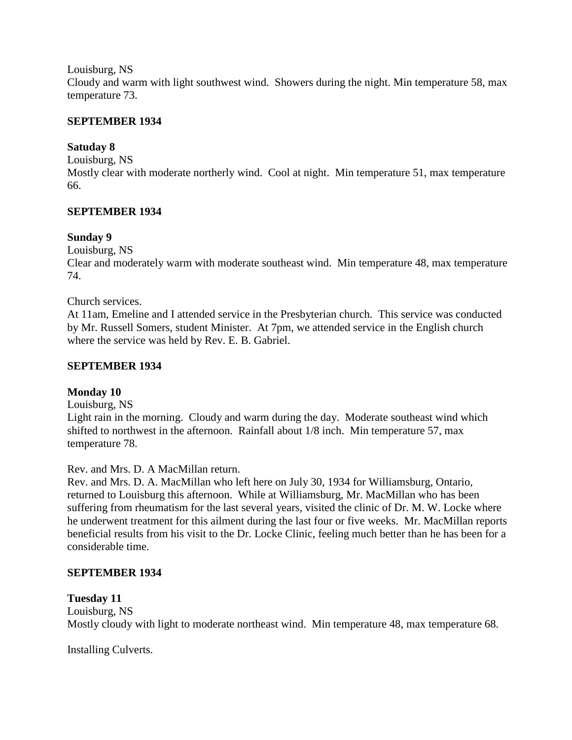Louisburg, NS

Cloudy and warm with light southwest wind. Showers during the night. Min temperature 58, max temperature 73.

### **SEPTEMBER 1934**

#### **Satuday 8**

Louisburg, NS

Mostly clear with moderate northerly wind. Cool at night. Min temperature 51, max temperature 66.

#### **SEPTEMBER 1934**

#### **Sunday 9**

Louisburg, NS

Clear and moderately warm with moderate southeast wind. Min temperature 48, max temperature 74.

Church services.

At 11am, Emeline and I attended service in the Presbyterian church. This service was conducted by Mr. Russell Somers, student Minister. At 7pm, we attended service in the English church where the service was held by Rev. E. B. Gabriel.

#### **SEPTEMBER 1934**

### **Monday 10**

Louisburg, NS

Light rain in the morning. Cloudy and warm during the day. Moderate southeast wind which shifted to northwest in the afternoon. Rainfall about 1/8 inch. Min temperature 57, max temperature 78.

Rev. and Mrs. D. A MacMillan return.

Rev. and Mrs. D. A. MacMillan who left here on July 30, 1934 for Williamsburg, Ontario, returned to Louisburg this afternoon. While at Williamsburg, Mr. MacMillan who has been suffering from rheumatism for the last several years, visited the clinic of Dr. M. W. Locke where he underwent treatment for this ailment during the last four or five weeks. Mr. MacMillan reports beneficial results from his visit to the Dr. Locke Clinic, feeling much better than he has been for a considerable time.

#### **SEPTEMBER 1934**

#### **Tuesday 11**

Louisburg, NS Mostly cloudy with light to moderate northeast wind. Min temperature 48, max temperature 68.

Installing Culverts.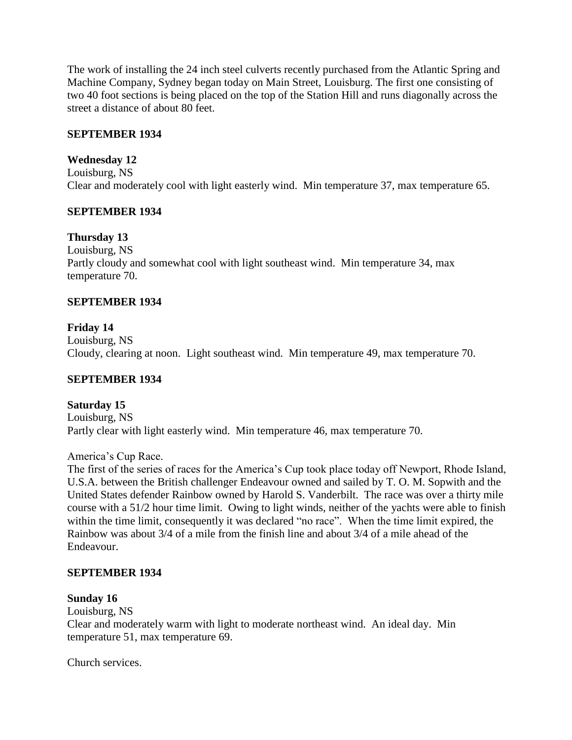The work of installing the 24 inch steel culverts recently purchased from the Atlantic Spring and Machine Company, Sydney began today on Main Street, Louisburg. The first one consisting of two 40 foot sections is being placed on the top of the Station Hill and runs diagonally across the street a distance of about 80 feet.

## **SEPTEMBER 1934**

### **Wednesday 12**

Louisburg, NS Clear and moderately cool with light easterly wind. Min temperature 37, max temperature 65.

## **SEPTEMBER 1934**

## **Thursday 13**

Louisburg, NS Partly cloudy and somewhat cool with light southeast wind. Min temperature 34, max temperature 70.

## **SEPTEMBER 1934**

#### **Friday 14** Louisburg, NS Cloudy, clearing at noon. Light southeast wind. Min temperature 49, max temperature 70.

### **SEPTEMBER 1934**

# **Saturday 15**

Louisburg, NS Partly clear with light easterly wind. Min temperature 46, max temperature 70.

America's Cup Race.

The first of the series of races for the America's Cup took place today off Newport, Rhode Island, U.S.A. between the British challenger Endeavour owned and sailed by T. O. M. Sopwith and the United States defender Rainbow owned by Harold S. Vanderbilt. The race was over a thirty mile course with a 51/2 hour time limit. Owing to light winds, neither of the yachts were able to finish within the time limit, consequently it was declared "no race". When the time limit expired, the Rainbow was about 3/4 of a mile from the finish line and about 3/4 of a mile ahead of the Endeavour.

### **SEPTEMBER 1934**

### **Sunday 16**

Louisburg, NS Clear and moderately warm with light to moderate northeast wind. An ideal day. Min temperature 51, max temperature 69.

Church services.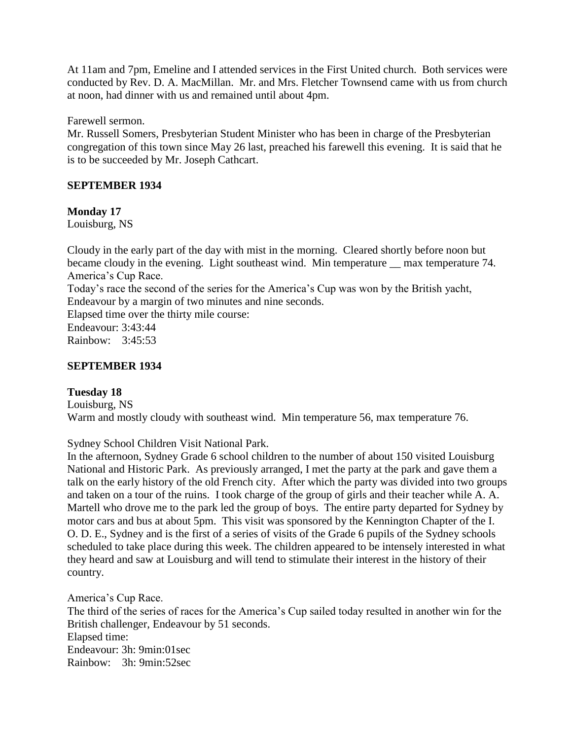At 11am and 7pm, Emeline and I attended services in the First United church. Both services were conducted by Rev. D. A. MacMillan. Mr. and Mrs. Fletcher Townsend came with us from church at noon, had dinner with us and remained until about 4pm.

Farewell sermon.

Mr. Russell Somers, Presbyterian Student Minister who has been in charge of the Presbyterian congregation of this town since May 26 last, preached his farewell this evening. It is said that he is to be succeeded by Mr. Joseph Cathcart.

### **SEPTEMBER 1934**

### **Monday 17**

Louisburg, NS

Cloudy in the early part of the day with mist in the morning. Cleared shortly before noon but became cloudy in the evening. Light southeast wind. Min temperature — max temperature 74. America's Cup Race.

Today's race the second of the series for the America's Cup was won by the British yacht, Endeavour by a margin of two minutes and nine seconds.

Elapsed time over the thirty mile course:

Endeavour: 3:43:44 Rainbow: 3:45:53

### **SEPTEMBER 1934**

### **Tuesday 18**

Louisburg, NS Warm and mostly cloudy with southeast wind. Min temperature 56, max temperature 76.

Sydney School Children Visit National Park.

In the afternoon, Sydney Grade 6 school children to the number of about 150 visited Louisburg National and Historic Park. As previously arranged, I met the party at the park and gave them a talk on the early history of the old French city. After which the party was divided into two groups and taken on a tour of the ruins. I took charge of the group of girls and their teacher while A. A. Martell who drove me to the park led the group of boys. The entire party departed for Sydney by motor cars and bus at about 5pm. This visit was sponsored by the Kennington Chapter of the I. O. D. E., Sydney and is the first of a series of visits of the Grade 6 pupils of the Sydney schools scheduled to take place during this week. The children appeared to be intensely interested in what they heard and saw at Louisburg and will tend to stimulate their interest in the history of their country.

America's Cup Race. The third of the series of races for the America's Cup sailed today resulted in another win for the British challenger, Endeavour by 51 seconds. Elapsed time: Endeavour: 3h: 9min:01sec Rainbow: 3h: 9min:52sec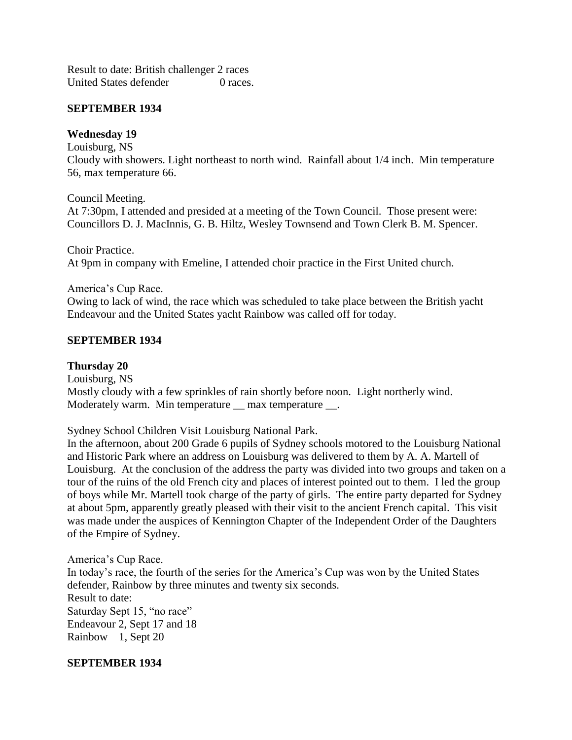Result to date: British challenger 2 races United States defender 0 races.

#### **SEPTEMBER 1934**

#### **Wednesday 19**

Louisburg, NS Cloudy with showers. Light northeast to north wind. Rainfall about 1/4 inch. Min temperature 56, max temperature 66.

Council Meeting. At 7:30pm, I attended and presided at a meeting of the Town Council. Those present were: Councillors D. J. MacInnis, G. B. Hiltz, Wesley Townsend and Town Clerk B. M. Spencer.

Choir Practice. At 9pm in company with Emeline, I attended choir practice in the First United church.

America's Cup Race.

Owing to lack of wind, the race which was scheduled to take place between the British yacht Endeavour and the United States yacht Rainbow was called off for today.

### **SEPTEMBER 1934**

#### **Thursday 20**

Louisburg, NS Mostly cloudy with a few sprinkles of rain shortly before noon. Light northerly wind. Moderately warm. Min temperature \_\_ max temperature \_\_.

Sydney School Children Visit Louisburg National Park.

In the afternoon, about 200 Grade 6 pupils of Sydney schools motored to the Louisburg National and Historic Park where an address on Louisburg was delivered to them by A. A. Martell of Louisburg. At the conclusion of the address the party was divided into two groups and taken on a tour of the ruins of the old French city and places of interest pointed out to them. I led the group of boys while Mr. Martell took charge of the party of girls. The entire party departed for Sydney at about 5pm, apparently greatly pleased with their visit to the ancient French capital. This visit was made under the auspices of Kennington Chapter of the Independent Order of the Daughters of the Empire of Sydney.

America's Cup Race. In today's race, the fourth of the series for the America's Cup was won by the United States defender, Rainbow by three minutes and twenty six seconds. Result to date: Saturday Sept 15, "no race" Endeavour 2, Sept 17 and 18 Rainbow 1, Sept 20

#### **SEPTEMBER 1934**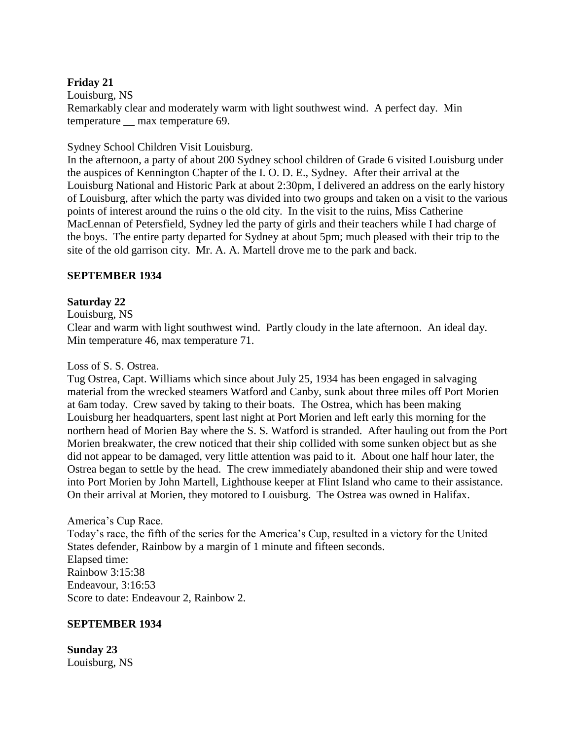### **Friday 21**

Louisburg, NS

Remarkably clear and moderately warm with light southwest wind. A perfect day. Min temperature max temperature 69.

Sydney School Children Visit Louisburg.

In the afternoon, a party of about 200 Sydney school children of Grade 6 visited Louisburg under the auspices of Kennington Chapter of the I. O. D. E., Sydney. After their arrival at the Louisburg National and Historic Park at about 2:30pm, I delivered an address on the early history of Louisburg, after which the party was divided into two groups and taken on a visit to the various points of interest around the ruins o the old city. In the visit to the ruins, Miss Catherine MacLennan of Petersfield, Sydney led the party of girls and their teachers while I had charge of the boys. The entire party departed for Sydney at about 5pm; much pleased with their trip to the site of the old garrison city. Mr. A. A. Martell drove me to the park and back.

### **SEPTEMBER 1934**

### **Saturday 22**

Louisburg, NS

Clear and warm with light southwest wind. Partly cloudy in the late afternoon. An ideal day. Min temperature 46, max temperature 71.

### Loss of S. S. Ostrea.

Tug Ostrea, Capt. Williams which since about July 25, 1934 has been engaged in salvaging material from the wrecked steamers Watford and Canby, sunk about three miles off Port Morien at 6am today. Crew saved by taking to their boats. The Ostrea, which has been making Louisburg her headquarters, spent last night at Port Morien and left early this morning for the northern head of Morien Bay where the S. S. Watford is stranded. After hauling out from the Port Morien breakwater, the crew noticed that their ship collided with some sunken object but as she did not appear to be damaged, very little attention was paid to it. About one half hour later, the Ostrea began to settle by the head. The crew immediately abandoned their ship and were towed into Port Morien by John Martell, Lighthouse keeper at Flint Island who came to their assistance. On their arrival at Morien, they motored to Louisburg. The Ostrea was owned in Halifax.

### America's Cup Race.

Today's race, the fifth of the series for the America's Cup, resulted in a victory for the United States defender, Rainbow by a margin of 1 minute and fifteen seconds. Elapsed time: Rainbow 3:15:38 Endeavour, 3:16:53 Score to date: Endeavour 2, Rainbow 2.

## **SEPTEMBER 1934**

**Sunday 23** Louisburg, NS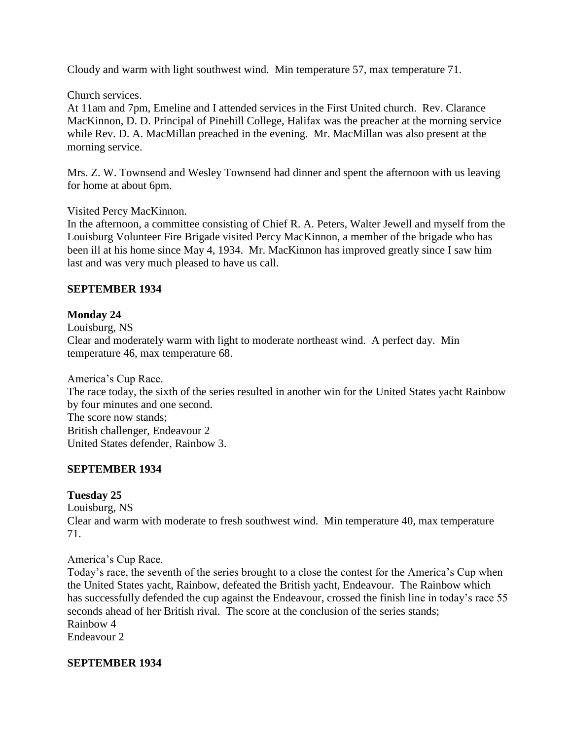Cloudy and warm with light southwest wind. Min temperature 57, max temperature 71.

Church services.

At 11am and 7pm, Emeline and I attended services in the First United church. Rev. Clarance MacKinnon, D. D. Principal of Pinehill College, Halifax was the preacher at the morning service while Rev. D. A. MacMillan preached in the evening. Mr. MacMillan was also present at the morning service.

Mrs. Z. W. Townsend and Wesley Townsend had dinner and spent the afternoon with us leaving for home at about 6pm.

Visited Percy MacKinnon.

In the afternoon, a committee consisting of Chief R. A. Peters, Walter Jewell and myself from the Louisburg Volunteer Fire Brigade visited Percy MacKinnon, a member of the brigade who has been ill at his home since May 4, 1934. Mr. MacKinnon has improved greatly since I saw him last and was very much pleased to have us call.

### **SEPTEMBER 1934**

### **Monday 24**

Louisburg, NS

Clear and moderately warm with light to moderate northeast wind. A perfect day. Min temperature 46, max temperature 68.

America's Cup Race.

The race today, the sixth of the series resulted in another win for the United States yacht Rainbow by four minutes and one second. The score now stands; British challenger, Endeavour 2 United States defender, Rainbow 3.

## **SEPTEMBER 1934**

## **Tuesday 25**

Louisburg, NS

Clear and warm with moderate to fresh southwest wind. Min temperature 40, max temperature 71.

America's Cup Race.

Today's race, the seventh of the series brought to a close the contest for the America's Cup when the United States yacht, Rainbow, defeated the British yacht, Endeavour. The Rainbow which has successfully defended the cup against the Endeavour, crossed the finish line in today's race 55 seconds ahead of her British rival. The score at the conclusion of the series stands; Rainbow 4

Endeavour 2

## **SEPTEMBER 1934**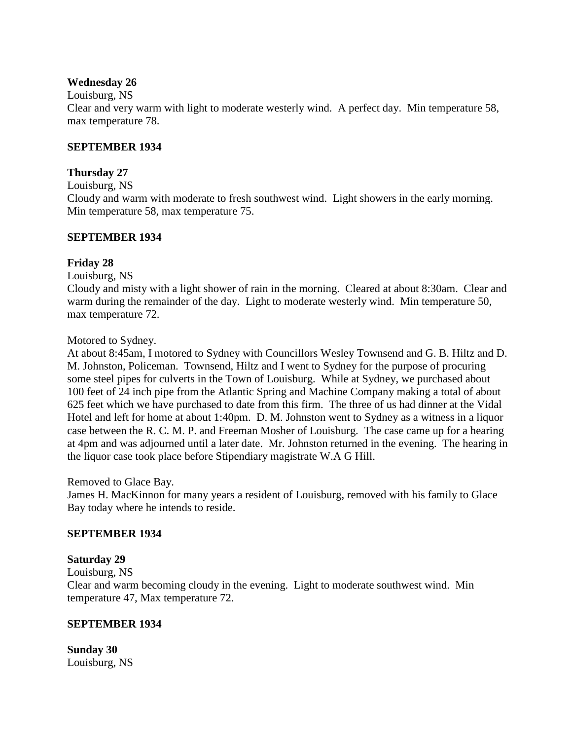### **Wednesday 26**

Louisburg, NS

Clear and very warm with light to moderate westerly wind. A perfect day. Min temperature 58, max temperature 78.

### **SEPTEMBER 1934**

### **Thursday 27**

Louisburg, NS

Cloudy and warm with moderate to fresh southwest wind. Light showers in the early morning. Min temperature 58, max temperature 75.

### **SEPTEMBER 1934**

### **Friday 28**

Louisburg, NS

Cloudy and misty with a light shower of rain in the morning. Cleared at about 8:30am. Clear and warm during the remainder of the day. Light to moderate westerly wind. Min temperature 50, max temperature 72.

Motored to Sydney.

At about 8:45am, I motored to Sydney with Councillors Wesley Townsend and G. B. Hiltz and D. M. Johnston, Policeman. Townsend, Hiltz and I went to Sydney for the purpose of procuring some steel pipes for culverts in the Town of Louisburg. While at Sydney, we purchased about 100 feet of 24 inch pipe from the Atlantic Spring and Machine Company making a total of about 625 feet which we have purchased to date from this firm. The three of us had dinner at the Vidal Hotel and left for home at about 1:40pm. D. M. Johnston went to Sydney as a witness in a liquor case between the R. C. M. P. and Freeman Mosher of Louisburg. The case came up for a hearing at 4pm and was adjourned until a later date. Mr. Johnston returned in the evening. The hearing in the liquor case took place before Stipendiary magistrate W.A G Hill.

Removed to Glace Bay.

James H. MacKinnon for many years a resident of Louisburg, removed with his family to Glace Bay today where he intends to reside.

### **SEPTEMBER 1934**

### **Saturday 29**

Louisburg, NS

Clear and warm becoming cloudy in the evening. Light to moderate southwest wind. Min temperature 47, Max temperature 72.

## **SEPTEMBER 1934**

**Sunday 30** Louisburg, NS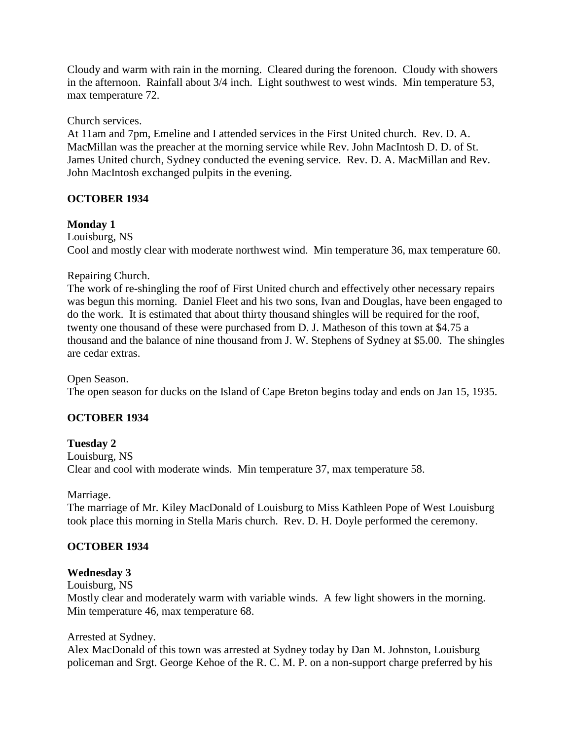Cloudy and warm with rain in the morning. Cleared during the forenoon. Cloudy with showers in the afternoon. Rainfall about 3/4 inch. Light southwest to west winds. Min temperature 53, max temperature 72.

Church services.

At 11am and 7pm, Emeline and I attended services in the First United church. Rev. D. A. MacMillan was the preacher at the morning service while Rev. John MacIntosh D. D. of St. James United church, Sydney conducted the evening service. Rev. D. A. MacMillan and Rev. John MacIntosh exchanged pulpits in the evening.

## **OCTOBER 1934**

## **Monday 1**

Louisburg, NS Cool and mostly clear with moderate northwest wind. Min temperature 36, max temperature 60.

### Repairing Church.

The work of re-shingling the roof of First United church and effectively other necessary repairs was begun this morning. Daniel Fleet and his two sons, Ivan and Douglas, have been engaged to do the work. It is estimated that about thirty thousand shingles will be required for the roof, twenty one thousand of these were purchased from D. J. Matheson of this town at \$4.75 a thousand and the balance of nine thousand from J. W. Stephens of Sydney at \$5.00. The shingles are cedar extras.

Open Season. The open season for ducks on the Island of Cape Breton begins today and ends on Jan 15, 1935.

## **OCTOBER 1934**

## **Tuesday 2**

Louisburg, NS Clear and cool with moderate winds. Min temperature 37, max temperature 58.

Marriage.

The marriage of Mr. Kiley MacDonald of Louisburg to Miss Kathleen Pope of West Louisburg took place this morning in Stella Maris church. Rev. D. H. Doyle performed the ceremony.

## **OCTOBER 1934**

## **Wednesday 3**

Louisburg, NS

Mostly clear and moderately warm with variable winds. A few light showers in the morning. Min temperature 46, max temperature 68.

### Arrested at Sydney.

Alex MacDonald of this town was arrested at Sydney today by Dan M. Johnston, Louisburg policeman and Srgt. George Kehoe of the R. C. M. P. on a non-support charge preferred by his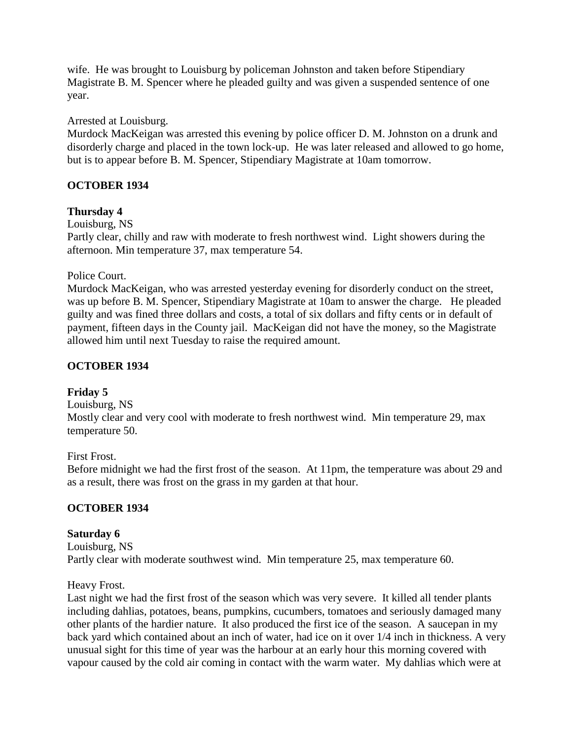wife. He was brought to Louisburg by policeman Johnston and taken before Stipendiary Magistrate B. M. Spencer where he pleaded guilty and was given a suspended sentence of one year.

### Arrested at Louisburg.

Murdock MacKeigan was arrested this evening by police officer D. M. Johnston on a drunk and disorderly charge and placed in the town lock-up. He was later released and allowed to go home, but is to appear before B. M. Spencer, Stipendiary Magistrate at 10am tomorrow.

## **OCTOBER 1934**

### **Thursday 4**

Louisburg, NS

Partly clear, chilly and raw with moderate to fresh northwest wind. Light showers during the afternoon. Min temperature 37, max temperature 54.

#### Police Court.

Murdock MacKeigan, who was arrested yesterday evening for disorderly conduct on the street, was up before B. M. Spencer, Stipendiary Magistrate at 10am to answer the charge. He pleaded guilty and was fined three dollars and costs, a total of six dollars and fifty cents or in default of payment, fifteen days in the County jail. MacKeigan did not have the money, so the Magistrate allowed him until next Tuesday to raise the required amount.

### **OCTOBER 1934**

### **Friday 5**

Louisburg, NS Mostly clear and very cool with moderate to fresh northwest wind. Min temperature 29, max temperature 50.

#### First Frost.

Before midnight we had the first frost of the season. At 11pm, the temperature was about 29 and as a result, there was frost on the grass in my garden at that hour.

### **OCTOBER 1934**

### **Saturday 6**

Louisburg, NS Partly clear with moderate southwest wind. Min temperature 25, max temperature 60.

### Heavy Frost.

Last night we had the first frost of the season which was very severe. It killed all tender plants including dahlias, potatoes, beans, pumpkins, cucumbers, tomatoes and seriously damaged many other plants of the hardier nature. It also produced the first ice of the season. A saucepan in my back yard which contained about an inch of water, had ice on it over 1/4 inch in thickness. A very unusual sight for this time of year was the harbour at an early hour this morning covered with vapour caused by the cold air coming in contact with the warm water. My dahlias which were at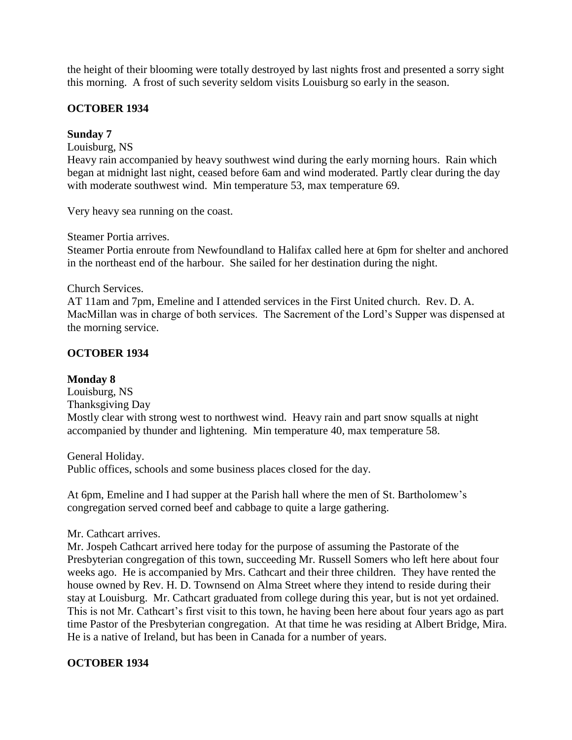the height of their blooming were totally destroyed by last nights frost and presented a sorry sight this morning. A frost of such severity seldom visits Louisburg so early in the season.

### **OCTOBER 1934**

### **Sunday 7**

Louisburg, NS

Heavy rain accompanied by heavy southwest wind during the early morning hours. Rain which began at midnight last night, ceased before 6am and wind moderated. Partly clear during the day with moderate southwest wind. Min temperature 53, max temperature 69.

Very heavy sea running on the coast.

Steamer Portia arrives.

Steamer Portia enroute from Newfoundland to Halifax called here at 6pm for shelter and anchored in the northeast end of the harbour. She sailed for her destination during the night.

#### Church Services.

AT 11am and 7pm, Emeline and I attended services in the First United church. Rev. D. A. MacMillan was in charge of both services. The Sacrement of the Lord's Supper was dispensed at the morning service.

### **OCTOBER 1934**

### **Monday 8**

Louisburg, NS Thanksgiving Day Mostly clear with strong west to northwest wind. Heavy rain and part snow squalls at night accompanied by thunder and lightening. Min temperature 40, max temperature 58.

General Holiday. Public offices, schools and some business places closed for the day.

At 6pm, Emeline and I had supper at the Parish hall where the men of St. Bartholomew's congregation served corned beef and cabbage to quite a large gathering.

Mr. Cathcart arrives.

Mr. Jospeh Cathcart arrived here today for the purpose of assuming the Pastorate of the Presbyterian congregation of this town, succeeding Mr. Russell Somers who left here about four weeks ago. He is accompanied by Mrs. Cathcart and their three children. They have rented the house owned by Rev. H. D. Townsend on Alma Street where they intend to reside during their stay at Louisburg. Mr. Cathcart graduated from college during this year, but is not yet ordained. This is not Mr. Cathcart's first visit to this town, he having been here about four years ago as part time Pastor of the Presbyterian congregation. At that time he was residing at Albert Bridge, Mira. He is a native of Ireland, but has been in Canada for a number of years.

## **OCTOBER 1934**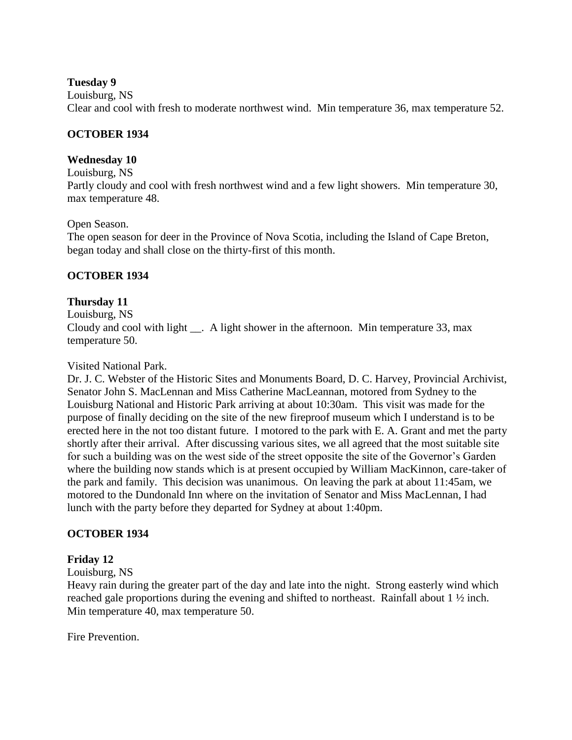### **Tuesday 9**

Louisburg, NS

Clear and cool with fresh to moderate northwest wind. Min temperature 36, max temperature 52.

### **OCTOBER 1934**

### **Wednesday 10**

Louisburg, NS Partly cloudy and cool with fresh northwest wind and a few light showers. Min temperature 30, max temperature 48.

### Open Season.

The open season for deer in the Province of Nova Scotia, including the Island of Cape Breton, began today and shall close on the thirty-first of this month.

## **OCTOBER 1934**

## **Thursday 11**

Louisburg, NS

Cloudy and cool with light \_\_. A light shower in the afternoon. Min temperature 33, max temperature 50.

### Visited National Park.

Dr. J. C. Webster of the Historic Sites and Monuments Board, D. C. Harvey, Provincial Archivist, Senator John S. MacLennan and Miss Catherine MacLeannan, motored from Sydney to the Louisburg National and Historic Park arriving at about 10:30am. This visit was made for the purpose of finally deciding on the site of the new fireproof museum which I understand is to be erected here in the not too distant future. I motored to the park with E. A. Grant and met the party shortly after their arrival. After discussing various sites, we all agreed that the most suitable site for such a building was on the west side of the street opposite the site of the Governor's Garden where the building now stands which is at present occupied by William MacKinnon, care-taker of the park and family. This decision was unanimous. On leaving the park at about 11:45am, we motored to the Dundonald Inn where on the invitation of Senator and Miss MacLennan, I had lunch with the party before they departed for Sydney at about 1:40pm.

## **OCTOBER 1934**

## **Friday 12**

Louisburg, NS

Heavy rain during the greater part of the day and late into the night. Strong easterly wind which reached gale proportions during the evening and shifted to northeast. Rainfall about 1 ½ inch. Min temperature 40, max temperature 50.

Fire Prevention.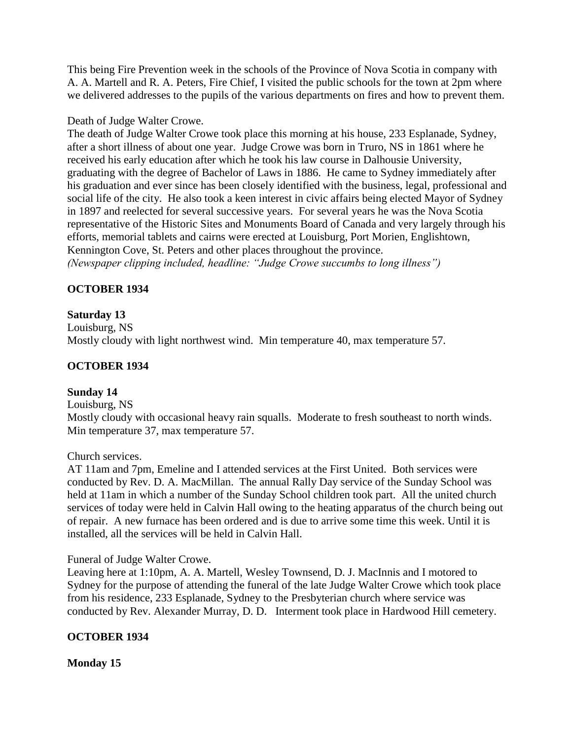This being Fire Prevention week in the schools of the Province of Nova Scotia in company with A. A. Martell and R. A. Peters, Fire Chief, I visited the public schools for the town at 2pm where we delivered addresses to the pupils of the various departments on fires and how to prevent them.

### Death of Judge Walter Crowe.

The death of Judge Walter Crowe took place this morning at his house, 233 Esplanade, Sydney, after a short illness of about one year. Judge Crowe was born in Truro, NS in 1861 where he received his early education after which he took his law course in Dalhousie University, graduating with the degree of Bachelor of Laws in 1886. He came to Sydney immediately after his graduation and ever since has been closely identified with the business, legal, professional and social life of the city. He also took a keen interest in civic affairs being elected Mayor of Sydney in 1897 and reelected for several successive years. For several years he was the Nova Scotia representative of the Historic Sites and Monuments Board of Canada and very largely through his efforts, memorial tablets and cairns were erected at Louisburg, Port Morien, Englishtown, Kennington Cove, St. Peters and other places throughout the province. *(Newspaper clipping included, headline: "Judge Crowe succumbs to long illness")*

## **OCTOBER 1934**

### **Saturday 13**

Louisburg, NS Mostly cloudy with light northwest wind. Min temperature 40, max temperature 57.

### **OCTOBER 1934**

### **Sunday 14**

Louisburg, NS

Mostly cloudy with occasional heavy rain squalls. Moderate to fresh southeast to north winds. Min temperature 37, max temperature 57.

Church services.

AT 11am and 7pm, Emeline and I attended services at the First United. Both services were conducted by Rev. D. A. MacMillan. The annual Rally Day service of the Sunday School was held at 11am in which a number of the Sunday School children took part. All the united church services of today were held in Calvin Hall owing to the heating apparatus of the church being out of repair. A new furnace has been ordered and is due to arrive some time this week. Until it is installed, all the services will be held in Calvin Hall.

Funeral of Judge Walter Crowe.

Leaving here at 1:10pm, A. A. Martell, Wesley Townsend, D. J. MacInnis and I motored to Sydney for the purpose of attending the funeral of the late Judge Walter Crowe which took place from his residence, 233 Esplanade, Sydney to the Presbyterian church where service was conducted by Rev. Alexander Murray, D. D. Interment took place in Hardwood Hill cemetery.

## **OCTOBER 1934**

## **Monday 15**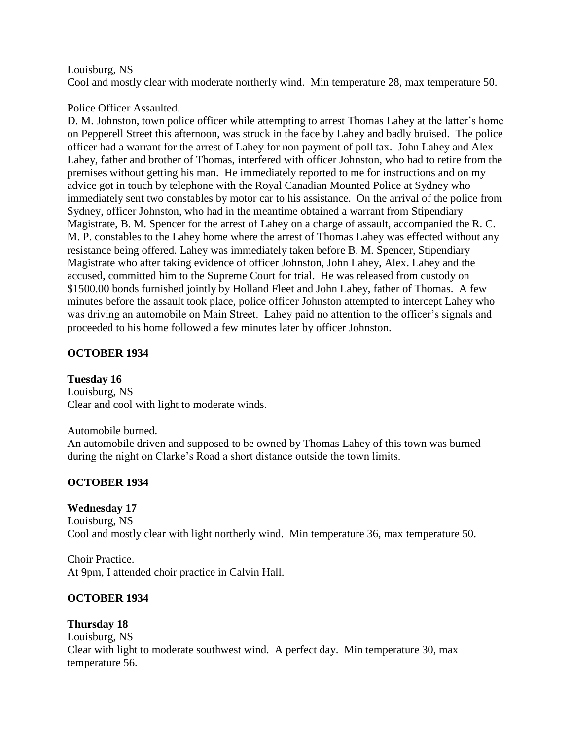### Louisburg, NS

Cool and mostly clear with moderate northerly wind. Min temperature 28, max temperature 50.

### Police Officer Assaulted.

D. M. Johnston, town police officer while attempting to arrest Thomas Lahey at the latter's home on Pepperell Street this afternoon, was struck in the face by Lahey and badly bruised. The police officer had a warrant for the arrest of Lahey for non payment of poll tax. John Lahey and Alex Lahey, father and brother of Thomas, interfered with officer Johnston, who had to retire from the premises without getting his man. He immediately reported to me for instructions and on my advice got in touch by telephone with the Royal Canadian Mounted Police at Sydney who immediately sent two constables by motor car to his assistance. On the arrival of the police from Sydney, officer Johnston, who had in the meantime obtained a warrant from Stipendiary Magistrate, B. M. Spencer for the arrest of Lahey on a charge of assault, accompanied the R. C. M. P. constables to the Lahey home where the arrest of Thomas Lahey was effected without any resistance being offered. Lahey was immediately taken before B. M. Spencer, Stipendiary Magistrate who after taking evidence of officer Johnston, John Lahey, Alex. Lahey and the accused, committed him to the Supreme Court for trial. He was released from custody on \$1500.00 bonds furnished jointly by Holland Fleet and John Lahey, father of Thomas. A few minutes before the assault took place, police officer Johnston attempted to intercept Lahey who was driving an automobile on Main Street. Lahey paid no attention to the officer's signals and proceeded to his home followed a few minutes later by officer Johnston.

### **OCTOBER 1934**

### **Tuesday 16**

Louisburg, NS Clear and cool with light to moderate winds.

### Automobile burned.

An automobile driven and supposed to be owned by Thomas Lahey of this town was burned during the night on Clarke's Road a short distance outside the town limits.

### **OCTOBER 1934**

## **Wednesday 17**

Louisburg, NS Cool and mostly clear with light northerly wind. Min temperature 36, max temperature 50.

Choir Practice. At 9pm, I attended choir practice in Calvin Hall.

## **OCTOBER 1934**

### **Thursday 18**

Louisburg, NS Clear with light to moderate southwest wind. A perfect day. Min temperature 30, max temperature 56.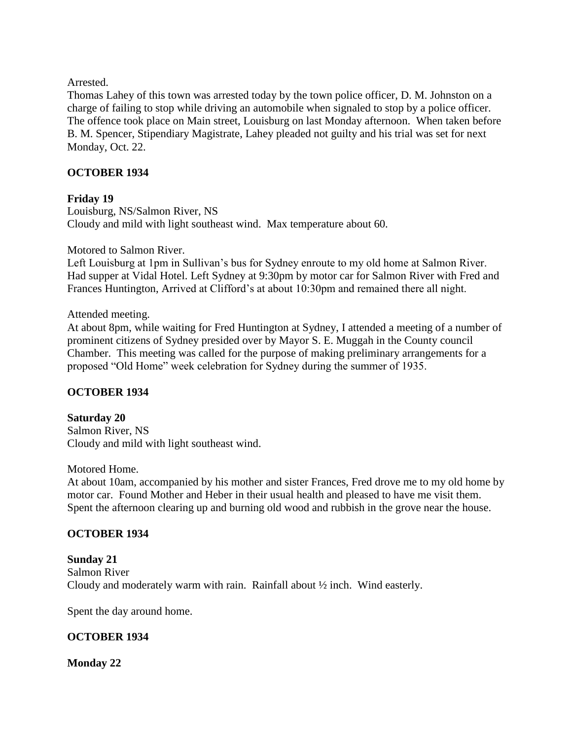### Arrested.

Thomas Lahey of this town was arrested today by the town police officer, D. M. Johnston on a charge of failing to stop while driving an automobile when signaled to stop by a police officer. The offence took place on Main street, Louisburg on last Monday afternoon. When taken before B. M. Spencer, Stipendiary Magistrate, Lahey pleaded not guilty and his trial was set for next Monday, Oct. 22.

## **OCTOBER 1934**

# **Friday 19**

Louisburg, NS/Salmon River, NS Cloudy and mild with light southeast wind. Max temperature about 60.

Motored to Salmon River.

Left Louisburg at 1pm in Sullivan's bus for Sydney enroute to my old home at Salmon River. Had supper at Vidal Hotel. Left Sydney at 9:30pm by motor car for Salmon River with Fred and Frances Huntington, Arrived at Clifford's at about 10:30pm and remained there all night.

Attended meeting.

At about 8pm, while waiting for Fred Huntington at Sydney, I attended a meeting of a number of prominent citizens of Sydney presided over by Mayor S. E. Muggah in the County council Chamber. This meeting was called for the purpose of making preliminary arrangements for a proposed "Old Home" week celebration for Sydney during the summer of 1935.

## **OCTOBER 1934**

**Saturday 20** Salmon River, NS Cloudy and mild with light southeast wind.

## Motored Home.

At about 10am, accompanied by his mother and sister Frances, Fred drove me to my old home by motor car. Found Mother and Heber in their usual health and pleased to have me visit them. Spent the afternoon clearing up and burning old wood and rubbish in the grove near the house.

## **OCTOBER 1934**

## **Sunday 21**

Salmon River Cloudy and moderately warm with rain. Rainfall about ½ inch. Wind easterly.

Spent the day around home.

## **OCTOBER 1934**

## **Monday 22**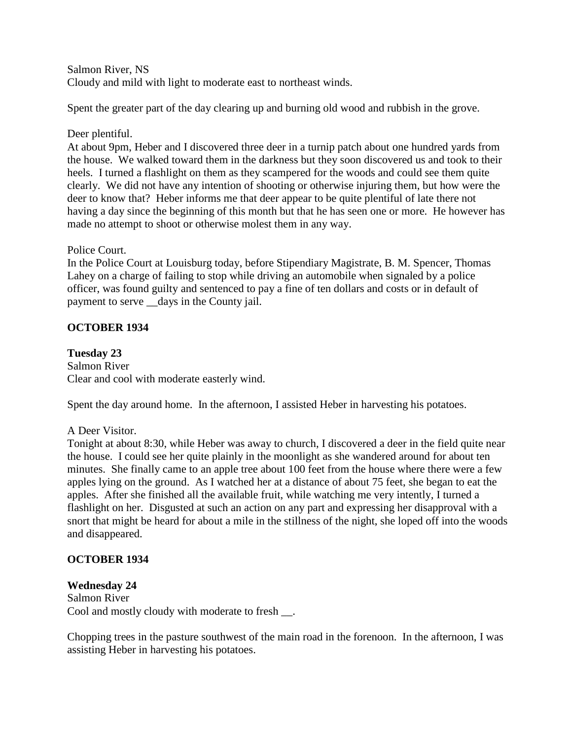Salmon River, NS Cloudy and mild with light to moderate east to northeast winds.

Spent the greater part of the day clearing up and burning old wood and rubbish in the grove.

## Deer plentiful.

At about 9pm, Heber and I discovered three deer in a turnip patch about one hundred yards from the house. We walked toward them in the darkness but they soon discovered us and took to their heels. I turned a flashlight on them as they scampered for the woods and could see them quite clearly. We did not have any intention of shooting or otherwise injuring them, but how were the deer to know that? Heber informs me that deer appear to be quite plentiful of late there not having a day since the beginning of this month but that he has seen one or more. He however has made no attempt to shoot or otherwise molest them in any way.

# Police Court.

In the Police Court at Louisburg today, before Stipendiary Magistrate, B. M. Spencer, Thomas Lahey on a charge of failing to stop while driving an automobile when signaled by a police officer, was found guilty and sentenced to pay a fine of ten dollars and costs or in default of payment to serve \_\_days in the County jail.

# **OCTOBER 1934**

**Tuesday 23** Salmon River Clear and cool with moderate easterly wind.

Spent the day around home. In the afternoon, I assisted Heber in harvesting his potatoes.

## A Deer Visitor.

Tonight at about 8:30, while Heber was away to church, I discovered a deer in the field quite near the house. I could see her quite plainly in the moonlight as she wandered around for about ten minutes. She finally came to an apple tree about 100 feet from the house where there were a few apples lying on the ground. As I watched her at a distance of about 75 feet, she began to eat the apples. After she finished all the available fruit, while watching me very intently, I turned a flashlight on her. Disgusted at such an action on any part and expressing her disapproval with a snort that might be heard for about a mile in the stillness of the night, she loped off into the woods and disappeared.

# **OCTOBER 1934**

### **Wednesday 24** Salmon River Cool and mostly cloudy with moderate to fresh \_\_.

Chopping trees in the pasture southwest of the main road in the forenoon. In the afternoon, I was assisting Heber in harvesting his potatoes.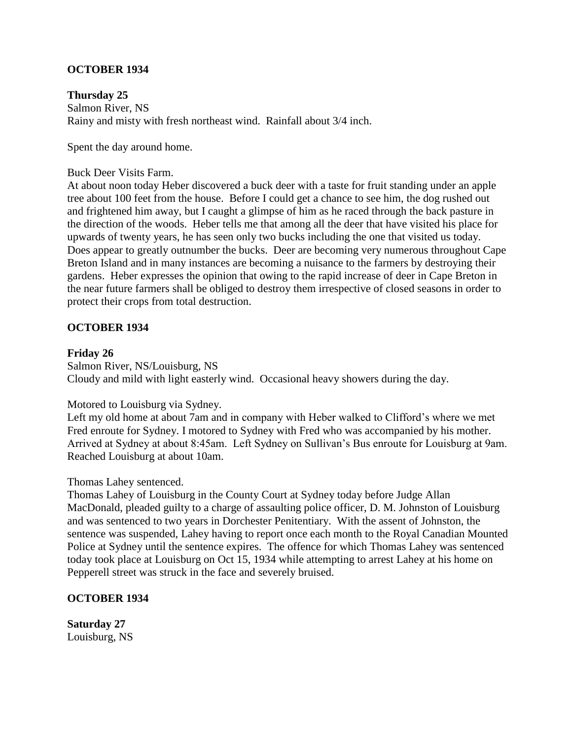### **OCTOBER 1934**

**Thursday 25** Salmon River, NS Rainy and misty with fresh northeast wind. Rainfall about 3/4 inch.

Spent the day around home.

#### Buck Deer Visits Farm.

At about noon today Heber discovered a buck deer with a taste for fruit standing under an apple tree about 100 feet from the house. Before I could get a chance to see him, the dog rushed out and frightened him away, but I caught a glimpse of him as he raced through the back pasture in the direction of the woods. Heber tells me that among all the deer that have visited his place for upwards of twenty years, he has seen only two bucks including the one that visited us today. Does appear to greatly outnumber the bucks. Deer are becoming very numerous throughout Cape Breton Island and in many instances are becoming a nuisance to the farmers by destroying their gardens. Heber expresses the opinion that owing to the rapid increase of deer in Cape Breton in the near future farmers shall be obliged to destroy them irrespective of closed seasons in order to protect their crops from total destruction.

### **OCTOBER 1934**

#### **Friday 26**

Salmon River, NS/Louisburg, NS Cloudy and mild with light easterly wind. Occasional heavy showers during the day.

Motored to Louisburg via Sydney.

Left my old home at about 7am and in company with Heber walked to Clifford's where we met Fred enroute for Sydney. I motored to Sydney with Fred who was accompanied by his mother. Arrived at Sydney at about 8:45am. Left Sydney on Sullivan's Bus enroute for Louisburg at 9am. Reached Louisburg at about 10am.

#### Thomas Lahey sentenced.

Thomas Lahey of Louisburg in the County Court at Sydney today before Judge Allan MacDonald, pleaded guilty to a charge of assaulting police officer, D. M. Johnston of Louisburg and was sentenced to two years in Dorchester Penitentiary. With the assent of Johnston, the sentence was suspended, Lahey having to report once each month to the Royal Canadian Mounted Police at Sydney until the sentence expires. The offence for which Thomas Lahey was sentenced today took place at Louisburg on Oct 15, 1934 while attempting to arrest Lahey at his home on Pepperell street was struck in the face and severely bruised.

### **OCTOBER 1934**

**Saturday 27** Louisburg, NS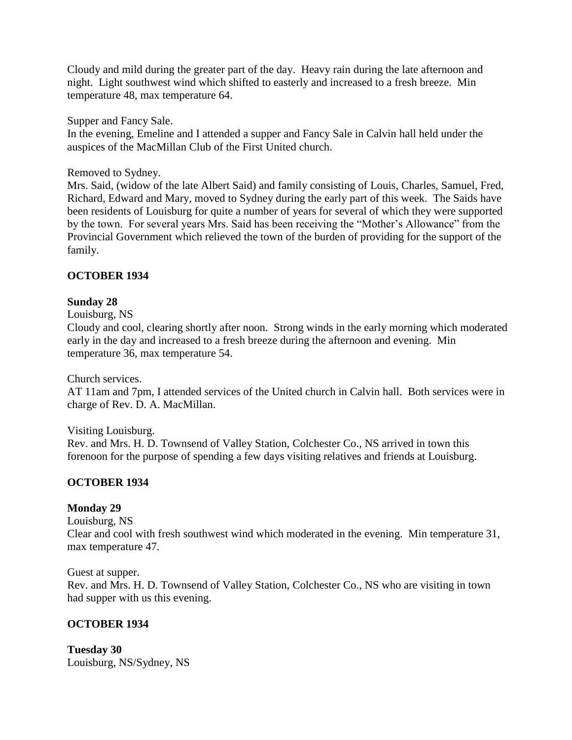Cloudy and mild during the greater part of the day. Heavy rain during the late afternoon and night. Light southwest wind which shifted to easterly and increased to a fresh breeze. Min temperature 48, max temperature 64.

Supper and Fancy Sale.

In the evening, Emeline and I attended a supper and Fancy Sale in Calvin hall held under the auspices of the MacMillan Club of the First United church.

Removed to Sydney.

Mrs. Said, (widow of the late Albert Said) and family consisting of Louis, Charles, Samuel, Fred, Richard, Edward and Mary, moved to Sydney during the early part of this week. The Saids have been residents of Louisburg for quite a number of years for several of which they were supported by the town. For several years Mrs. Said has been receiving the "Mother's Allowance" from the Provincial Government which relieved the town of the burden of providing for the support of the family.

## **OCTOBER 1934**

## **Sunday 28**

Louisburg, NS

Cloudy and cool, clearing shortly after noon. Strong winds in the early morning which moderated early in the day and increased to a fresh breeze during the afternoon and evening. Min temperature 36, max temperature 54.

Church services.

AT 11am and 7pm, I attended services of the United church in Calvin hall. Both services were in charge of Rev. D. A. MacMillan.

Visiting Louisburg. Rev. and Mrs. H. D. Townsend of Valley Station, Colchester Co., NS arrived in town this forenoon for the purpose of spending a few days visiting relatives and friends at Louisburg.

## **OCTOBER 1934**

## **Monday 29**

Louisburg, NS Clear and cool with fresh southwest wind which moderated in the evening. Min temperature 31, max temperature 47.

Guest at supper. Rev. and Mrs. H. D. Townsend of Valley Station, Colchester Co., NS who are visiting in town had supper with us this evening.

# **OCTOBER 1934**

**Tuesday 30** Louisburg, NS/Sydney, NS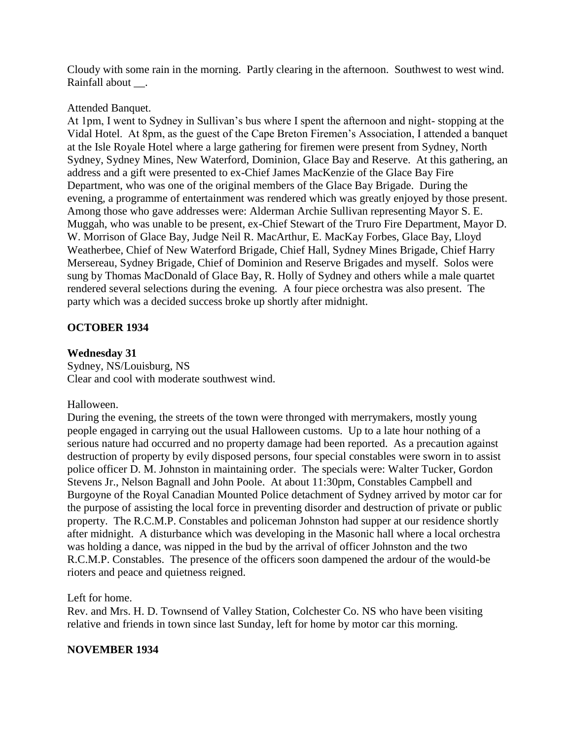Cloudy with some rain in the morning. Partly clearing in the afternoon. Southwest to west wind. Rainfall about \_\_.

### Attended Banquet.

At 1pm, I went to Sydney in Sullivan's bus where I spent the afternoon and night- stopping at the Vidal Hotel. At 8pm, as the guest of the Cape Breton Firemen's Association, I attended a banquet at the Isle Royale Hotel where a large gathering for firemen were present from Sydney, North Sydney, Sydney Mines, New Waterford, Dominion, Glace Bay and Reserve. At this gathering, an address and a gift were presented to ex-Chief James MacKenzie of the Glace Bay Fire Department, who was one of the original members of the Glace Bay Brigade. During the evening, a programme of entertainment was rendered which was greatly enjoyed by those present. Among those who gave addresses were: Alderman Archie Sullivan representing Mayor S. E. Muggah, who was unable to be present, ex-Chief Stewart of the Truro Fire Department, Mayor D. W. Morrison of Glace Bay, Judge Neil R. MacArthur, E. MacKay Forbes, Glace Bay, Lloyd Weatherbee, Chief of New Waterford Brigade, Chief Hall, Sydney Mines Brigade, Chief Harry Mersereau, Sydney Brigade, Chief of Dominion and Reserve Brigades and myself. Solos were sung by Thomas MacDonald of Glace Bay, R. Holly of Sydney and others while a male quartet rendered several selections during the evening. A four piece orchestra was also present. The party which was a decided success broke up shortly after midnight.

## **OCTOBER 1934**

### **Wednesday 31**

Sydney, NS/Louisburg, NS Clear and cool with moderate southwest wind.

### Halloween.

During the evening, the streets of the town were thronged with merrymakers, mostly young people engaged in carrying out the usual Halloween customs. Up to a late hour nothing of a serious nature had occurred and no property damage had been reported. As a precaution against destruction of property by evily disposed persons, four special constables were sworn in to assist police officer D. M. Johnston in maintaining order. The specials were: Walter Tucker, Gordon Stevens Jr., Nelson Bagnall and John Poole. At about 11:30pm, Constables Campbell and Burgoyne of the Royal Canadian Mounted Police detachment of Sydney arrived by motor car for the purpose of assisting the local force in preventing disorder and destruction of private or public property. The R.C.M.P. Constables and policeman Johnston had supper at our residence shortly after midnight. A disturbance which was developing in the Masonic hall where a local orchestra was holding a dance, was nipped in the bud by the arrival of officer Johnston and the two R.C.M.P. Constables. The presence of the officers soon dampened the ardour of the would-be rioters and peace and quietness reigned.

### Left for home.

Rev. and Mrs. H. D. Townsend of Valley Station, Colchester Co. NS who have been visiting relative and friends in town since last Sunday, left for home by motor car this morning.

## **NOVEMBER 1934**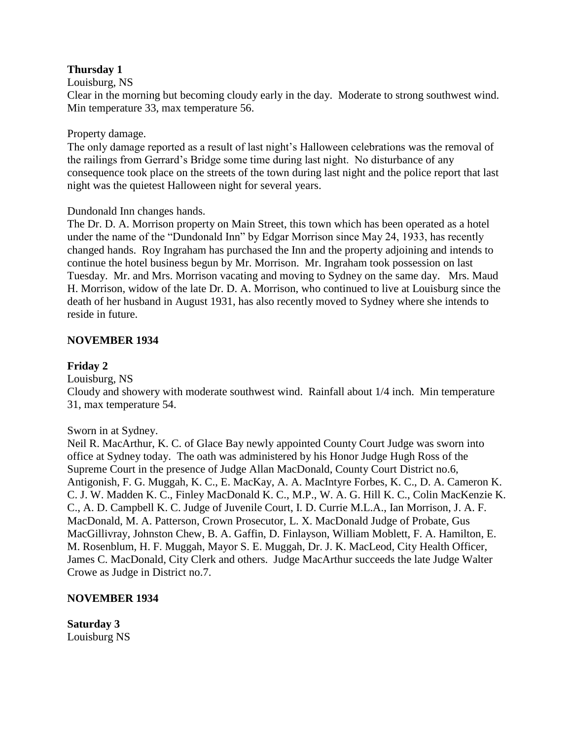## **Thursday 1**

Louisburg, NS

Clear in the morning but becoming cloudy early in the day. Moderate to strong southwest wind. Min temperature 33, max temperature 56.

### Property damage.

The only damage reported as a result of last night's Halloween celebrations was the removal of the railings from Gerrard's Bridge some time during last night. No disturbance of any consequence took place on the streets of the town during last night and the police report that last night was the quietest Halloween night for several years.

### Dundonald Inn changes hands.

The Dr. D. A. Morrison property on Main Street, this town which has been operated as a hotel under the name of the "Dundonald Inn" by Edgar Morrison since May 24, 1933, has recently changed hands. Roy Ingraham has purchased the Inn and the property adjoining and intends to continue the hotel business begun by Mr. Morrison. Mr. Ingraham took possession on last Tuesday. Mr. and Mrs. Morrison vacating and moving to Sydney on the same day. Mrs. Maud H. Morrison, widow of the late Dr. D. A. Morrison, who continued to live at Louisburg since the death of her husband in August 1931, has also recently moved to Sydney where she intends to reside in future.

### **NOVEMBER 1934**

### **Friday 2**

Louisburg, NS

Cloudy and showery with moderate southwest wind. Rainfall about 1/4 inch. Min temperature 31, max temperature 54.

### Sworn in at Sydney.

Neil R. MacArthur, K. C. of Glace Bay newly appointed County Court Judge was sworn into office at Sydney today. The oath was administered by his Honor Judge Hugh Ross of the Supreme Court in the presence of Judge Allan MacDonald, County Court District no.6, Antigonish, F. G. Muggah, K. C., E. MacKay, A. A. MacIntyre Forbes, K. C., D. A. Cameron K. C. J. W. Madden K. C., Finley MacDonald K. C., M.P., W. A. G. Hill K. C., Colin MacKenzie K. C., A. D. Campbell K. C. Judge of Juvenile Court, I. D. Currie M.L.A., Ian Morrison, J. A. F. MacDonald, M. A. Patterson, Crown Prosecutor, L. X. MacDonald Judge of Probate, Gus MacGillivray, Johnston Chew, B. A. Gaffin, D. Finlayson, William Moblett, F. A. Hamilton, E. M. Rosenblum, H. F. Muggah, Mayor S. E. Muggah, Dr. J. K. MacLeod, City Health Officer, James C. MacDonald, City Clerk and others. Judge MacArthur succeeds the late Judge Walter Crowe as Judge in District no.7.

### **NOVEMBER 1934**

**Saturday 3** Louisburg NS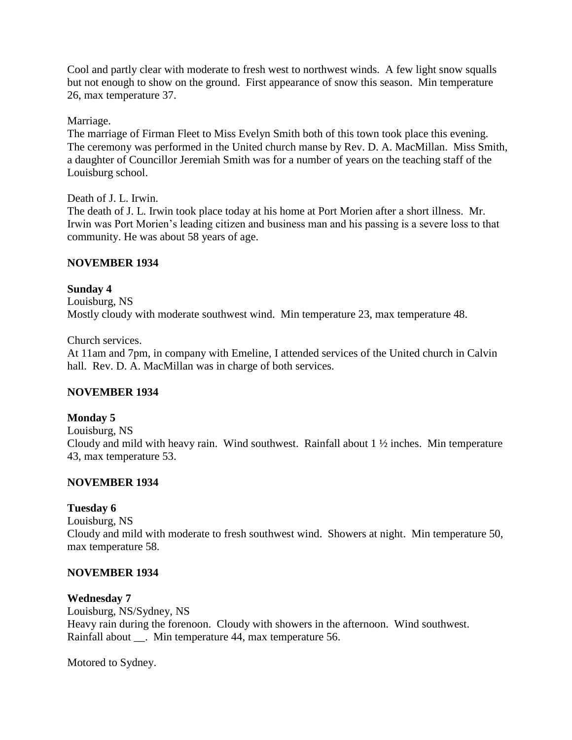Cool and partly clear with moderate to fresh west to northwest winds. A few light snow squalls but not enough to show on the ground. First appearance of snow this season. Min temperature 26, max temperature 37.

### Marriage.

The marriage of Firman Fleet to Miss Evelyn Smith both of this town took place this evening. The ceremony was performed in the United church manse by Rev. D. A. MacMillan. Miss Smith, a daughter of Councillor Jeremiah Smith was for a number of years on the teaching staff of the Louisburg school.

### Death of J. L. Irwin.

The death of J. L. Irwin took place today at his home at Port Morien after a short illness. Mr. Irwin was Port Morien's leading citizen and business man and his passing is a severe loss to that community. He was about 58 years of age.

### **NOVEMBER 1934**

## **Sunday 4**

Louisburg, NS Mostly cloudy with moderate southwest wind. Min temperature 23, max temperature 48.

Church services.

At 11am and 7pm, in company with Emeline, I attended services of the United church in Calvin hall. Rev. D. A. MacMillan was in charge of both services.

## **NOVEMBER 1934**

## **Monday 5**

Louisburg, NS Cloudy and mild with heavy rain. Wind southwest. Rainfall about 1 ½ inches. Min temperature 43, max temperature 53.

## **NOVEMBER 1934**

## **Tuesday 6**

Louisburg, NS Cloudy and mild with moderate to fresh southwest wind. Showers at night. Min temperature 50, max temperature 58.

### **NOVEMBER 1934**

### **Wednesday 7**

Louisburg, NS/Sydney, NS Heavy rain during the forenoon. Cloudy with showers in the afternoon. Wind southwest. Rainfall about \_\_\_. Min temperature 44, max temperature 56.

Motored to Sydney.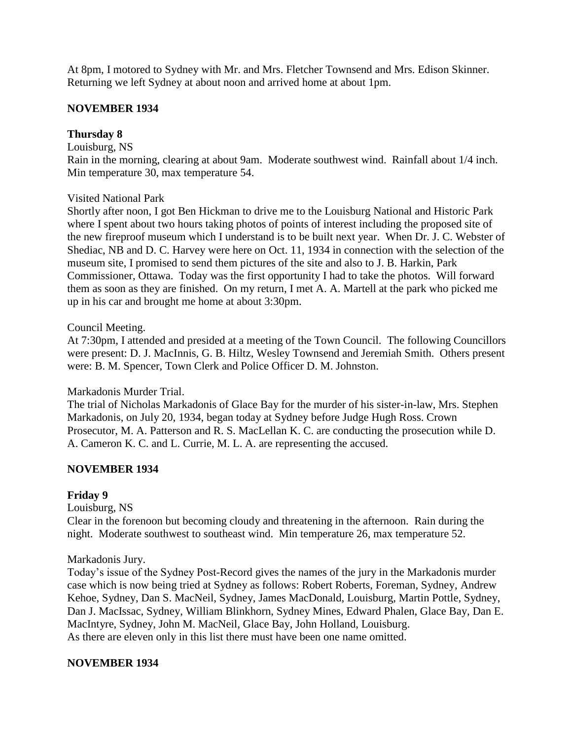At 8pm, I motored to Sydney with Mr. and Mrs. Fletcher Townsend and Mrs. Edison Skinner. Returning we left Sydney at about noon and arrived home at about 1pm.

### **NOVEMBER 1934**

### **Thursday 8**

Louisburg, NS

Rain in the morning, clearing at about 9am. Moderate southwest wind. Rainfall about 1/4 inch. Min temperature 30, max temperature 54.

### Visited National Park

Shortly after noon, I got Ben Hickman to drive me to the Louisburg National and Historic Park where I spent about two hours taking photos of points of interest including the proposed site of the new fireproof museum which I understand is to be built next year. When Dr. J. C. Webster of Shediac, NB and D. C. Harvey were here on Oct. 11, 1934 in connection with the selection of the museum site, I promised to send them pictures of the site and also to J. B. Harkin, Park Commissioner, Ottawa. Today was the first opportunity I had to take the photos. Will forward them as soon as they are finished. On my return, I met A. A. Martell at the park who picked me up in his car and brought me home at about 3:30pm.

### Council Meeting.

At 7:30pm, I attended and presided at a meeting of the Town Council. The following Councillors were present: D. J. MacInnis, G. B. Hiltz, Wesley Townsend and Jeremiah Smith. Others present were: B. M. Spencer, Town Clerk and Police Officer D. M. Johnston.

### Markadonis Murder Trial.

The trial of Nicholas Markadonis of Glace Bay for the murder of his sister-in-law, Mrs. Stephen Markadonis, on July 20, 1934, began today at Sydney before Judge Hugh Ross. Crown Prosecutor, M. A. Patterson and R. S. MacLellan K. C. are conducting the prosecution while D. A. Cameron K. C. and L. Currie, M. L. A. are representing the accused.

## **NOVEMBER 1934**

## **Friday 9**

Louisburg, NS

Clear in the forenoon but becoming cloudy and threatening in the afternoon. Rain during the night. Moderate southwest to southeast wind. Min temperature 26, max temperature 52.

Markadonis Jury.

Today's issue of the Sydney Post-Record gives the names of the jury in the Markadonis murder case which is now being tried at Sydney as follows: Robert Roberts, Foreman, Sydney, Andrew Kehoe, Sydney, Dan S. MacNeil, Sydney, James MacDonald, Louisburg, Martin Pottle, Sydney, Dan J. MacIssac, Sydney, William Blinkhorn, Sydney Mines, Edward Phalen, Glace Bay, Dan E. MacIntyre, Sydney, John M. MacNeil, Glace Bay, John Holland, Louisburg. As there are eleven only in this list there must have been one name omitted.

## **NOVEMBER 1934**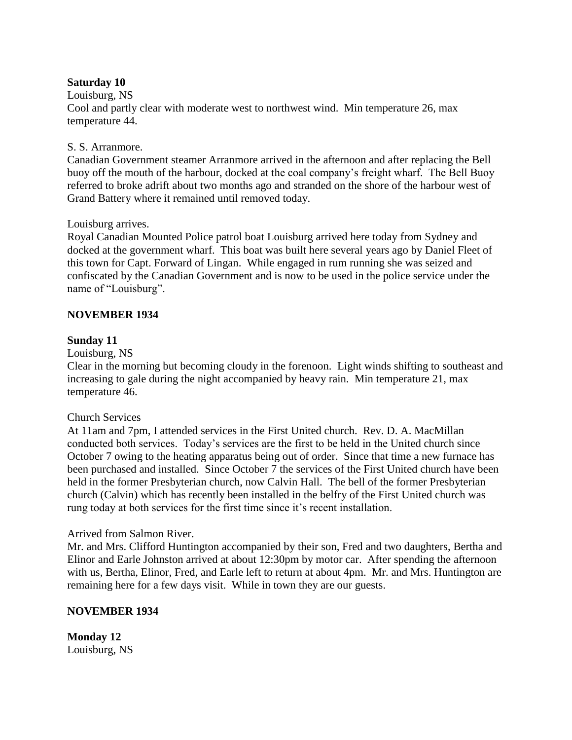### **Saturday 10**

Louisburg, NS Cool and partly clear with moderate west to northwest wind. Min temperature 26, max temperature 44.

## S. S. Arranmore.

Canadian Government steamer Arranmore arrived in the afternoon and after replacing the Bell buoy off the mouth of the harbour, docked at the coal company's freight wharf. The Bell Buoy referred to broke adrift about two months ago and stranded on the shore of the harbour west of Grand Battery where it remained until removed today.

## Louisburg arrives.

Royal Canadian Mounted Police patrol boat Louisburg arrived here today from Sydney and docked at the government wharf. This boat was built here several years ago by Daniel Fleet of this town for Capt. Forward of Lingan. While engaged in rum running she was seized and confiscated by the Canadian Government and is now to be used in the police service under the name of "Louisburg".

# **NOVEMBER 1934**

# **Sunday 11**

## Louisburg, NS

Clear in the morning but becoming cloudy in the forenoon. Light winds shifting to southeast and increasing to gale during the night accompanied by heavy rain. Min temperature 21, max temperature 46.

## Church Services

At 11am and 7pm, I attended services in the First United church. Rev. D. A. MacMillan conducted both services. Today's services are the first to be held in the United church since October 7 owing to the heating apparatus being out of order. Since that time a new furnace has been purchased and installed. Since October 7 the services of the First United church have been held in the former Presbyterian church, now Calvin Hall. The bell of the former Presbyterian church (Calvin) which has recently been installed in the belfry of the First United church was rung today at both services for the first time since it's recent installation.

## Arrived from Salmon River.

Mr. and Mrs. Clifford Huntington accompanied by their son, Fred and two daughters, Bertha and Elinor and Earle Johnston arrived at about 12:30pm by motor car. After spending the afternoon with us, Bertha, Elinor, Fred, and Earle left to return at about 4pm. Mr. and Mrs. Huntington are remaining here for a few days visit. While in town they are our guests.

## **NOVEMBER 1934**

**Monday 12** Louisburg, NS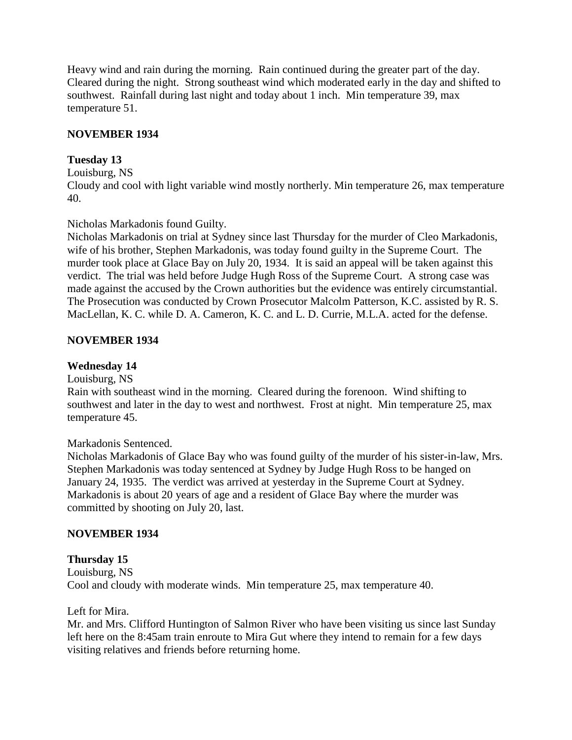Heavy wind and rain during the morning. Rain continued during the greater part of the day. Cleared during the night. Strong southeast wind which moderated early in the day and shifted to southwest. Rainfall during last night and today about 1 inch. Min temperature 39, max temperature 51.

### **NOVEMBER 1934**

### **Tuesday 13**

### Louisburg, NS

Cloudy and cool with light variable wind mostly northerly. Min temperature 26, max temperature 40.

### Nicholas Markadonis found Guilty.

Nicholas Markadonis on trial at Sydney since last Thursday for the murder of Cleo Markadonis, wife of his brother, Stephen Markadonis, was today found guilty in the Supreme Court. The murder took place at Glace Bay on July 20, 1934. It is said an appeal will be taken against this verdict. The trial was held before Judge Hugh Ross of the Supreme Court. A strong case was made against the accused by the Crown authorities but the evidence was entirely circumstantial. The Prosecution was conducted by Crown Prosecutor Malcolm Patterson, K.C. assisted by R. S. MacLellan, K. C. while D. A. Cameron, K. C. and L. D. Currie, M.L.A. acted for the defense.

### **NOVEMBER 1934**

### **Wednesday 14**

Louisburg, NS

Rain with southeast wind in the morning. Cleared during the forenoon. Wind shifting to southwest and later in the day to west and northwest. Frost at night. Min temperature 25, max temperature 45.

### Markadonis Sentenced.

Nicholas Markadonis of Glace Bay who was found guilty of the murder of his sister-in-law, Mrs. Stephen Markadonis was today sentenced at Sydney by Judge Hugh Ross to be hanged on January 24, 1935. The verdict was arrived at yesterday in the Supreme Court at Sydney. Markadonis is about 20 years of age and a resident of Glace Bay where the murder was committed by shooting on July 20, last.

### **NOVEMBER 1934**

### **Thursday 15**

Louisburg, NS Cool and cloudy with moderate winds. Min temperature 25, max temperature 40.

### Left for Mira.

Mr. and Mrs. Clifford Huntington of Salmon River who have been visiting us since last Sunday left here on the 8:45am train enroute to Mira Gut where they intend to remain for a few days visiting relatives and friends before returning home.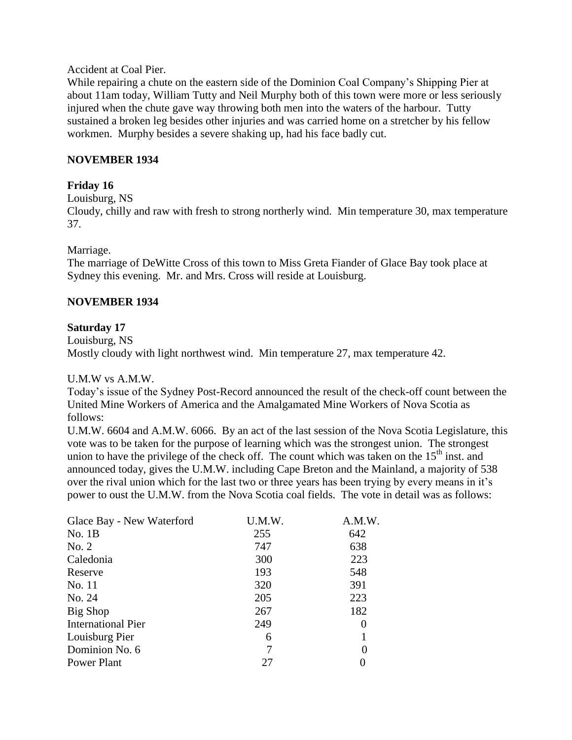#### Accident at Coal Pier.

While repairing a chute on the eastern side of the Dominion Coal Company's Shipping Pier at about 11am today, William Tutty and Neil Murphy both of this town were more or less seriously injured when the chute gave way throwing both men into the waters of the harbour. Tutty sustained a broken leg besides other injuries and was carried home on a stretcher by his fellow workmen. Murphy besides a severe shaking up, had his face badly cut.

### **NOVEMBER 1934**

### **Friday 16**

Louisburg, NS

Cloudy, chilly and raw with fresh to strong northerly wind. Min temperature 30, max temperature 37.

### Marriage.

The marriage of DeWitte Cross of this town to Miss Greta Fiander of Glace Bay took place at Sydney this evening. Mr. and Mrs. Cross will reside at Louisburg.

### **NOVEMBER 1934**

### **Saturday 17**

Louisburg, NS Mostly cloudy with light northwest wind. Min temperature 27, max temperature 42.

### U.M.W vs A.M.W.

Today's issue of the Sydney Post-Record announced the result of the check-off count between the United Mine Workers of America and the Amalgamated Mine Workers of Nova Scotia as follows:

U.M.W. 6604 and A.M.W. 6066. By an act of the last session of the Nova Scotia Legislature, this vote was to be taken for the purpose of learning which was the strongest union. The strongest union to have the privilege of the check off. The count which was taken on the  $15<sup>th</sup>$  inst. and announced today, gives the U.M.W. including Cape Breton and the Mainland, a majority of 538 over the rival union which for the last two or three years has been trying by every means in it's power to oust the U.M.W. from the Nova Scotia coal fields. The vote in detail was as follows:

| Glace Bay - New Waterford | U.M.W. | A.M.W. |
|---------------------------|--------|--------|
| No. 1B                    | 255    | 642    |
| No. 2                     | 747    | 638    |
| Caledonia                 | 300    | 223    |
| Reserve                   | 193    | 548    |
| No. 11                    | 320    | 391    |
| No. 24                    | 205    | 223    |
| Big Shop                  | 267    | 182    |
| <b>International Pier</b> | 249    |        |
| Louisburg Pier            | 6      |        |
| Dominion No. 6            | 7      |        |
| Power Plant               | 27     | 0      |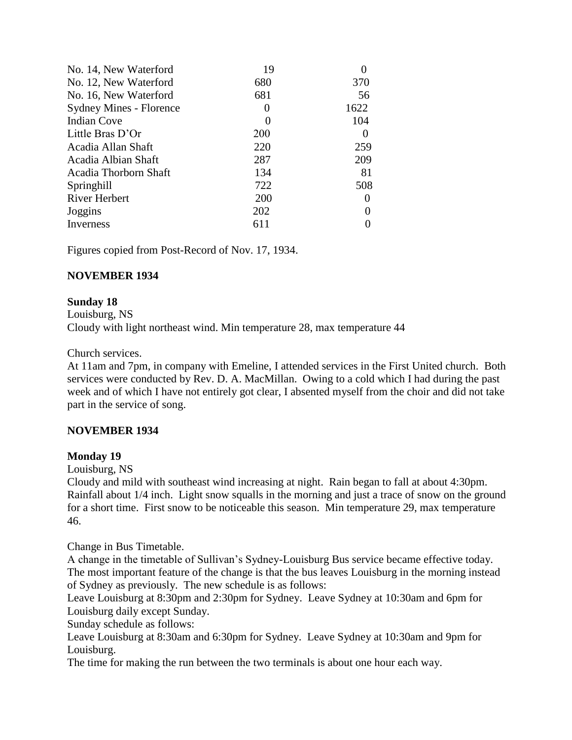| No. 14, New Waterford          | 19         |      |
|--------------------------------|------------|------|
| No. 12, New Waterford          | 680        | 370  |
| No. 16, New Waterford          | 681        | 56   |
| <b>Sydney Mines - Florence</b> | $\theta$   | 1622 |
| Indian Cove                    | $\left($   | 104  |
| Little Bras D'Or               | <b>200</b> |      |
| Acadia Allan Shaft             | 220        | 259  |
| Acadia Albian Shaft            | 287        | 209  |
| Acadia Thorborn Shaft          | 134        | 81   |
| Springhill                     | 722        | 508  |
| <b>River Herbert</b>           | 200        |      |
| Joggins                        | 202        |      |
| Inverness                      | 611        |      |

Figures copied from Post-Record of Nov. 17, 1934.

## **NOVEMBER 1934**

### **Sunday 18**

Louisburg, NS Cloudy with light northeast wind. Min temperature 28, max temperature 44

Church services.

At 11am and 7pm, in company with Emeline, I attended services in the First United church. Both services were conducted by Rev. D. A. MacMillan. Owing to a cold which I had during the past week and of which I have not entirely got clear, I absented myself from the choir and did not take part in the service of song.

## **NOVEMBER 1934**

## **Monday 19**

Louisburg, NS

Cloudy and mild with southeast wind increasing at night. Rain began to fall at about 4:30pm. Rainfall about 1/4 inch. Light snow squalls in the morning and just a trace of snow on the ground for a short time. First snow to be noticeable this season. Min temperature 29, max temperature 46.

Change in Bus Timetable.

A change in the timetable of Sullivan's Sydney-Louisburg Bus service became effective today. The most important feature of the change is that the bus leaves Louisburg in the morning instead of Sydney as previously. The new schedule is as follows:

Leave Louisburg at 8:30pm and 2:30pm for Sydney. Leave Sydney at 10:30am and 6pm for Louisburg daily except Sunday.

Sunday schedule as follows:

Leave Louisburg at 8:30am and 6:30pm for Sydney. Leave Sydney at 10:30am and 9pm for Louisburg.

The time for making the run between the two terminals is about one hour each way.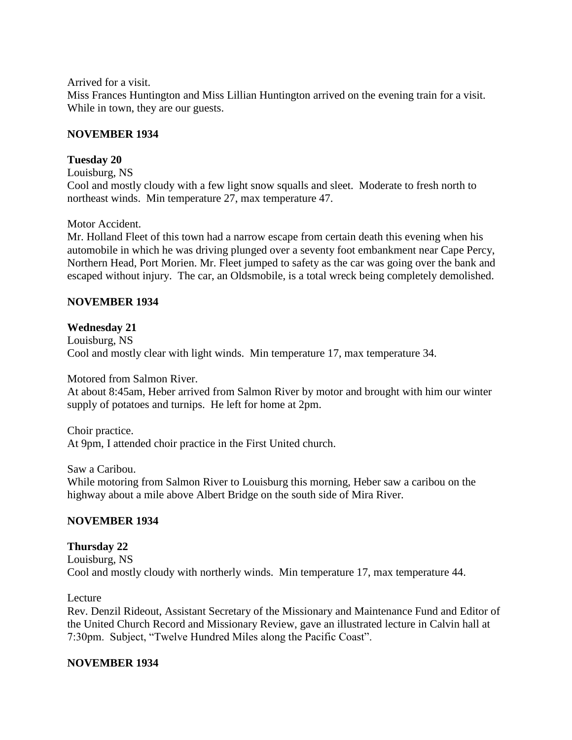Arrived for a visit.

Miss Frances Huntington and Miss Lillian Huntington arrived on the evening train for a visit. While in town, they are our guests.

### **NOVEMBER 1934**

#### **Tuesday 20**

Louisburg, NS

Cool and mostly cloudy with a few light snow squalls and sleet. Moderate to fresh north to northeast winds. Min temperature 27, max temperature 47.

Motor Accident.

Mr. Holland Fleet of this town had a narrow escape from certain death this evening when his automobile in which he was driving plunged over a seventy foot embankment near Cape Percy, Northern Head, Port Morien. Mr. Fleet jumped to safety as the car was going over the bank and escaped without injury. The car, an Oldsmobile, is a total wreck being completely demolished.

### **NOVEMBER 1934**

### **Wednesday 21**

Louisburg, NS Cool and mostly clear with light winds. Min temperature 17, max temperature 34.

Motored from Salmon River.

At about 8:45am, Heber arrived from Salmon River by motor and brought with him our winter supply of potatoes and turnips. He left for home at 2pm.

Choir practice. At 9pm, I attended choir practice in the First United church.

Saw a Caribou.

While motoring from Salmon River to Louisburg this morning, Heber saw a caribou on the highway about a mile above Albert Bridge on the south side of Mira River.

### **NOVEMBER 1934**

**Thursday 22** Louisburg, NS Cool and mostly cloudy with northerly winds. Min temperature 17, max temperature 44.

Lecture

Rev. Denzil Rideout, Assistant Secretary of the Missionary and Maintenance Fund and Editor of the United Church Record and Missionary Review, gave an illustrated lecture in Calvin hall at 7:30pm. Subject, "Twelve Hundred Miles along the Pacific Coast".

### **NOVEMBER 1934**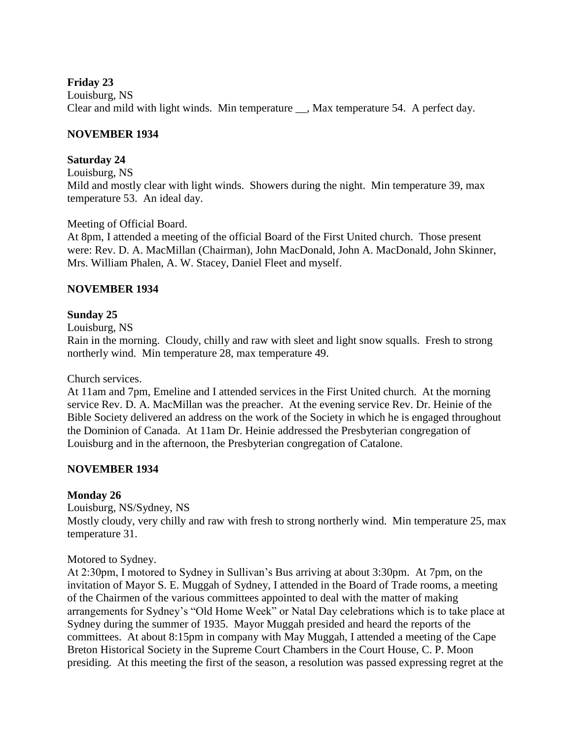**Friday 23**

Louisburg, NS Clear and mild with light winds. Min temperature \_\_, Max temperature 54. A perfect day.

### **NOVEMBER 1934**

### **Saturday 24**

Louisburg, NS

Mild and mostly clear with light winds. Showers during the night. Min temperature 39, max temperature 53. An ideal day.

Meeting of Official Board.

At 8pm, I attended a meeting of the official Board of the First United church. Those present were: Rev. D. A. MacMillan (Chairman), John MacDonald, John A. MacDonald, John Skinner, Mrs. William Phalen, A. W. Stacey, Daniel Fleet and myself.

### **NOVEMBER 1934**

### **Sunday 25**

Louisburg, NS

Rain in the morning. Cloudy, chilly and raw with sleet and light snow squalls. Fresh to strong northerly wind. Min temperature 28, max temperature 49.

Church services.

At 11am and 7pm, Emeline and I attended services in the First United church. At the morning service Rev. D. A. MacMillan was the preacher. At the evening service Rev. Dr. Heinie of the Bible Society delivered an address on the work of the Society in which he is engaged throughout the Dominion of Canada. At 11am Dr. Heinie addressed the Presbyterian congregation of Louisburg and in the afternoon, the Presbyterian congregation of Catalone.

## **NOVEMBER 1934**

### **Monday 26**

Louisburg, NS/Sydney, NS Mostly cloudy, very chilly and raw with fresh to strong northerly wind. Min temperature 25, max temperature 31.

### Motored to Sydney.

At 2:30pm, I motored to Sydney in Sullivan's Bus arriving at about 3:30pm. At 7pm, on the invitation of Mayor S. E. Muggah of Sydney, I attended in the Board of Trade rooms, a meeting of the Chairmen of the various committees appointed to deal with the matter of making arrangements for Sydney's "Old Home Week" or Natal Day celebrations which is to take place at Sydney during the summer of 1935. Mayor Muggah presided and heard the reports of the committees. At about 8:15pm in company with May Muggah, I attended a meeting of the Cape Breton Historical Society in the Supreme Court Chambers in the Court House, C. P. Moon presiding. At this meeting the first of the season, a resolution was passed expressing regret at the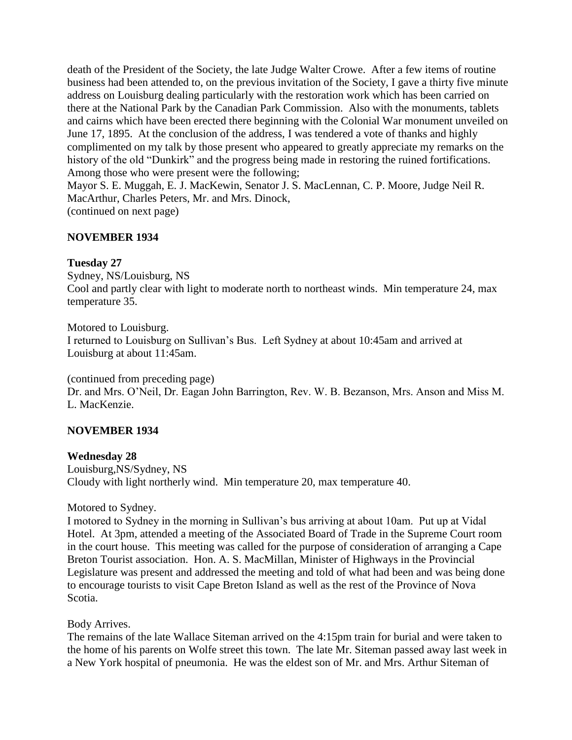death of the President of the Society, the late Judge Walter Crowe. After a few items of routine business had been attended to, on the previous invitation of the Society, I gave a thirty five minute address on Louisburg dealing particularly with the restoration work which has been carried on there at the National Park by the Canadian Park Commission. Also with the monuments, tablets and cairns which have been erected there beginning with the Colonial War monument unveiled on June 17, 1895. At the conclusion of the address, I was tendered a vote of thanks and highly complimented on my talk by those present who appeared to greatly appreciate my remarks on the history of the old "Dunkirk" and the progress being made in restoring the ruined fortifications. Among those who were present were the following; Mayor S. E. Muggah, E. J. MacKewin, Senator J. S. MacLennan, C. P. Moore, Judge Neil R.

MacArthur, Charles Peters, Mr. and Mrs. Dinock,

(continued on next page)

# **NOVEMBER 1934**

## **Tuesday 27**

Sydney, NS/Louisburg, NS Cool and partly clear with light to moderate north to northeast winds. Min temperature 24, max temperature 35.

Motored to Louisburg. I returned to Louisburg on Sullivan's Bus. Left Sydney at about 10:45am and arrived at Louisburg at about 11:45am.

(continued from preceding page) Dr. and Mrs. O'Neil, Dr. Eagan John Barrington, Rev. W. B. Bezanson, Mrs. Anson and Miss M. L. MacKenzie.

# **NOVEMBER 1934**

## **Wednesday 28**

Louisburg,NS/Sydney, NS Cloudy with light northerly wind. Min temperature 20, max temperature 40.

## Motored to Sydney.

I motored to Sydney in the morning in Sullivan's bus arriving at about 10am. Put up at Vidal Hotel. At 3pm, attended a meeting of the Associated Board of Trade in the Supreme Court room in the court house. This meeting was called for the purpose of consideration of arranging a Cape Breton Tourist association. Hon. A. S. MacMillan, Minister of Highways in the Provincial Legislature was present and addressed the meeting and told of what had been and was being done to encourage tourists to visit Cape Breton Island as well as the rest of the Province of Nova Scotia.

## Body Arrives.

The remains of the late Wallace Siteman arrived on the 4:15pm train for burial and were taken to the home of his parents on Wolfe street this town. The late Mr. Siteman passed away last week in a New York hospital of pneumonia. He was the eldest son of Mr. and Mrs. Arthur Siteman of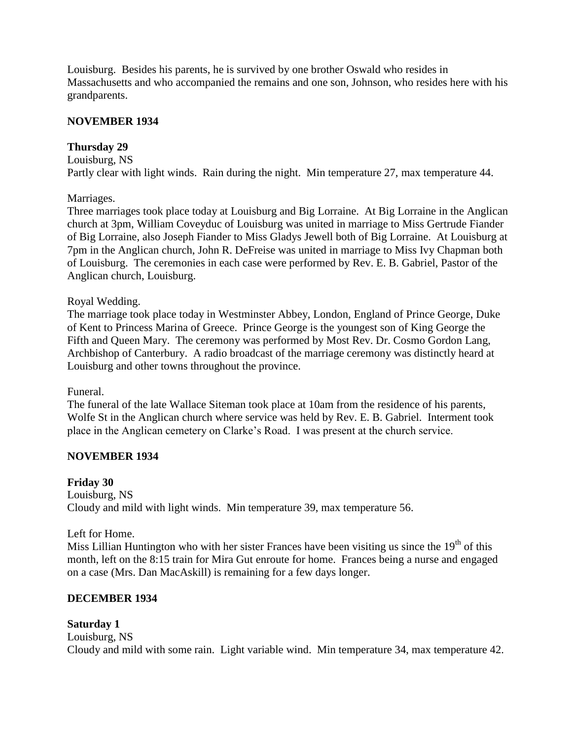Louisburg. Besides his parents, he is survived by one brother Oswald who resides in Massachusetts and who accompanied the remains and one son, Johnson, who resides here with his grandparents.

### **NOVEMBER 1934**

### **Thursday 29**

Louisburg, NS Partly clear with light winds. Rain during the night. Min temperature 27, max temperature 44.

Marriages.

Three marriages took place today at Louisburg and Big Lorraine. At Big Lorraine in the Anglican church at 3pm, William Coveyduc of Louisburg was united in marriage to Miss Gertrude Fiander of Big Lorraine, also Joseph Fiander to Miss Gladys Jewell both of Big Lorraine. At Louisburg at 7pm in the Anglican church, John R. DeFreise was united in marriage to Miss Ivy Chapman both of Louisburg. The ceremonies in each case were performed by Rev. E. B. Gabriel, Pastor of the Anglican church, Louisburg.

### Royal Wedding.

The marriage took place today in Westminster Abbey, London, England of Prince George, Duke of Kent to Princess Marina of Greece. Prince George is the youngest son of King George the Fifth and Queen Mary. The ceremony was performed by Most Rev. Dr. Cosmo Gordon Lang, Archbishop of Canterbury. A radio broadcast of the marriage ceremony was distinctly heard at Louisburg and other towns throughout the province.

Funeral.

The funeral of the late Wallace Siteman took place at 10am from the residence of his parents, Wolfe St in the Anglican church where service was held by Rev. E. B. Gabriel. Interment took place in the Anglican cemetery on Clarke's Road. I was present at the church service.

### **NOVEMBER 1934**

### **Friday 30**

Louisburg, NS Cloudy and mild with light winds. Min temperature 39, max temperature 56.

Left for Home.

Miss Lillian Huntington who with her sister Frances have been visiting us since the  $19<sup>th</sup>$  of this month, left on the 8:15 train for Mira Gut enroute for home. Frances being a nurse and engaged on a case (Mrs. Dan MacAskill) is remaining for a few days longer.

## **DECEMBER 1934**

### **Saturday 1**

Louisburg, NS Cloudy and mild with some rain. Light variable wind. Min temperature 34, max temperature 42.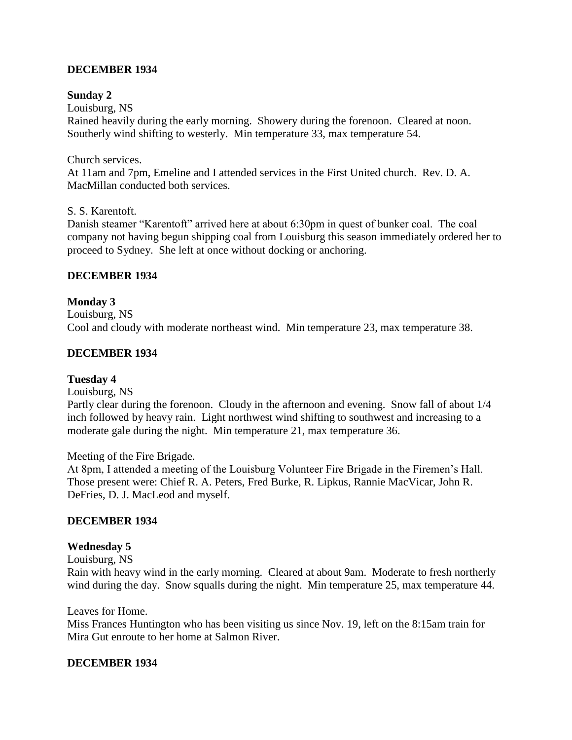## **DECEMBER 1934**

### **Sunday 2**

Louisburg, NS

Rained heavily during the early morning. Showery during the forenoon. Cleared at noon. Southerly wind shifting to westerly. Min temperature 33, max temperature 54.

Church services.

At 11am and 7pm, Emeline and I attended services in the First United church. Rev. D. A. MacMillan conducted both services.

### S. S. Karentoft.

Danish steamer "Karentoft" arrived here at about 6:30pm in quest of bunker coal. The coal company not having begun shipping coal from Louisburg this season immediately ordered her to proceed to Sydney. She left at once without docking or anchoring.

### **DECEMBER 1934**

### **Monday 3**

Louisburg, NS Cool and cloudy with moderate northeast wind. Min temperature 23, max temperature 38.

### **DECEMBER 1934**

### **Tuesday 4**

Louisburg, NS

Partly clear during the forenoon. Cloudy in the afternoon and evening. Snow fall of about 1/4 inch followed by heavy rain. Light northwest wind shifting to southwest and increasing to a moderate gale during the night. Min temperature 21, max temperature 36.

Meeting of the Fire Brigade.

At 8pm, I attended a meeting of the Louisburg Volunteer Fire Brigade in the Firemen's Hall. Those present were: Chief R. A. Peters, Fred Burke, R. Lipkus, Rannie MacVicar, John R. DeFries, D. J. MacLeod and myself.

### **DECEMBER 1934**

### **Wednesday 5**

Louisburg, NS

Rain with heavy wind in the early morning. Cleared at about 9am. Moderate to fresh northerly wind during the day. Snow squalls during the night. Min temperature 25, max temperature 44.

#### Leaves for Home.

Miss Frances Huntington who has been visiting us since Nov. 19, left on the 8:15am train for Mira Gut enroute to her home at Salmon River.

### **DECEMBER 1934**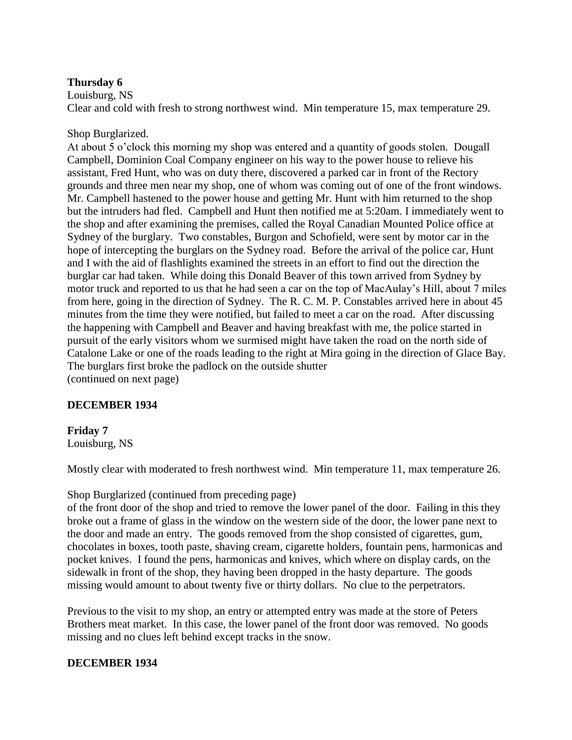### **Thursday 6**

Louisburg, NS

Clear and cold with fresh to strong northwest wind. Min temperature 15, max temperature 29.

#### Shop Burglarized.

At about 5 o'clock this morning my shop was entered and a quantity of goods stolen. Dougall Campbell, Dominion Coal Company engineer on his way to the power house to relieve his assistant, Fred Hunt, who was on duty there, discovered a parked car in front of the Rectory grounds and three men near my shop, one of whom was coming out of one of the front windows. Mr. Campbell hastened to the power house and getting Mr. Hunt with him returned to the shop but the intruders had fled. Campbell and Hunt then notified me at 5:20am. I immediately went to the shop and after examining the premises, called the Royal Canadian Mounted Police office at Sydney of the burglary. Two constables, Burgon and Schofield, were sent by motor car in the hope of intercepting the burglars on the Sydney road. Before the arrival of the police car, Hunt and I with the aid of flashlights examined the streets in an effort to find out the direction the burglar car had taken. While doing this Donald Beaver of this town arrived from Sydney by motor truck and reported to us that he had seen a car on the top of MacAulay's Hill, about 7 miles from here, going in the direction of Sydney. The R. C. M. P. Constables arrived here in about 45 minutes from the time they were notified, but failed to meet a car on the road. After discussing the happening with Campbell and Beaver and having breakfast with me, the police started in pursuit of the early visitors whom we surmised might have taken the road on the north side of Catalone Lake or one of the roads leading to the right at Mira going in the direction of Glace Bay. The burglars first broke the padlock on the outside shutter (continued on next page)

### **DECEMBER 1934**

# **Friday 7**

Louisburg, NS

Mostly clear with moderated to fresh northwest wind. Min temperature 11, max temperature 26.

#### Shop Burglarized (continued from preceding page)

of the front door of the shop and tried to remove the lower panel of the door. Failing in this they broke out a frame of glass in the window on the western side of the door, the lower pane next to the door and made an entry. The goods removed from the shop consisted of cigarettes, gum, chocolates in boxes, tooth paste, shaving cream, cigarette holders, fountain pens, harmonicas and pocket knives. I found the pens, harmonicas and knives, which where on display cards, on the sidewalk in front of the shop, they having been dropped in the hasty departure. The goods missing would amount to about twenty five or thirty dollars. No clue to the perpetrators.

Previous to the visit to my shop, an entry or attempted entry was made at the store of Peters Brothers meat market. In this case, the lower panel of the front door was removed. No goods missing and no clues left behind except tracks in the snow.

### **DECEMBER 1934**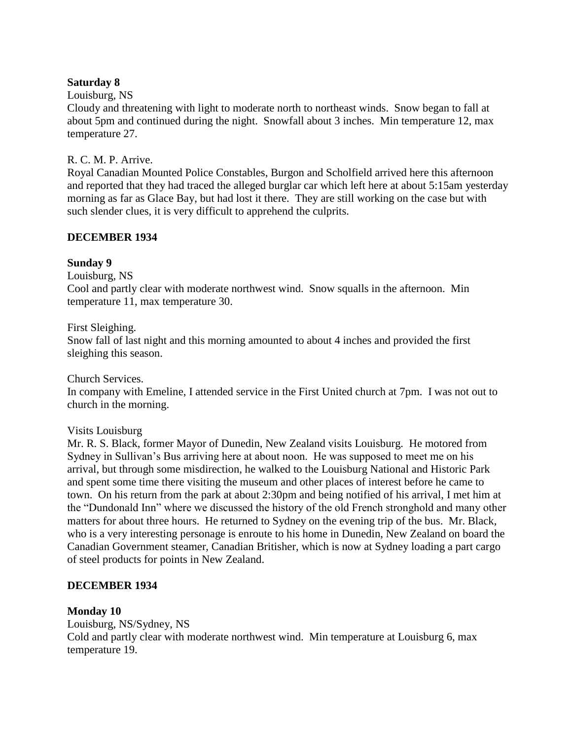### **Saturday 8**

### Louisburg, NS

Cloudy and threatening with light to moderate north to northeast winds. Snow began to fall at about 5pm and continued during the night. Snowfall about 3 inches. Min temperature 12, max temperature 27.

### R. C. M. P. Arrive.

Royal Canadian Mounted Police Constables, Burgon and Scholfield arrived here this afternoon and reported that they had traced the alleged burglar car which left here at about 5:15am yesterday morning as far as Glace Bay, but had lost it there. They are still working on the case but with such slender clues, it is very difficult to apprehend the culprits.

### **DECEMBER 1934**

## **Sunday 9**

Louisburg, NS

Cool and partly clear with moderate northwest wind. Snow squalls in the afternoon. Min temperature 11, max temperature 30.

First Sleighing.

Snow fall of last night and this morning amounted to about 4 inches and provided the first sleighing this season.

Church Services.

In company with Emeline, I attended service in the First United church at 7pm. I was not out to church in the morning.

### Visits Louisburg

Mr. R. S. Black, former Mayor of Dunedin, New Zealand visits Louisburg. He motored from Sydney in Sullivan's Bus arriving here at about noon. He was supposed to meet me on his arrival, but through some misdirection, he walked to the Louisburg National and Historic Park and spent some time there visiting the museum and other places of interest before he came to town. On his return from the park at about 2:30pm and being notified of his arrival, I met him at the "Dundonald Inn" where we discussed the history of the old French stronghold and many other matters for about three hours. He returned to Sydney on the evening trip of the bus. Mr. Black, who is a very interesting personage is enroute to his home in Dunedin, New Zealand on board the Canadian Government steamer, Canadian Britisher, which is now at Sydney loading a part cargo of steel products for points in New Zealand.

## **DECEMBER 1934**

### **Monday 10**

Louisburg, NS/Sydney, NS Cold and partly clear with moderate northwest wind. Min temperature at Louisburg 6, max temperature 19.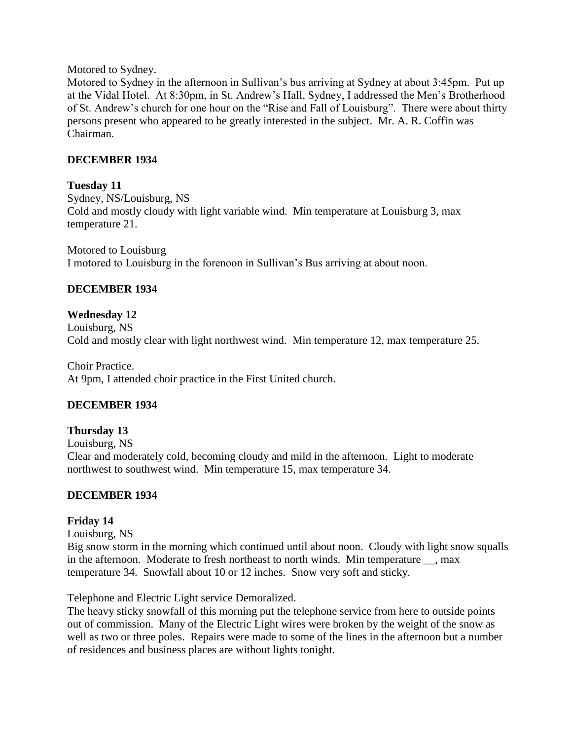Motored to Sydney.

Motored to Sydney in the afternoon in Sullivan's bus arriving at Sydney at about 3:45pm. Put up at the Vidal Hotel. At 8:30pm, in St. Andrew's Hall, Sydney, I addressed the Men's Brotherhood of St. Andrew's church for one hour on the "Rise and Fall of Louisburg". There were about thirty persons present who appeared to be greatly interested in the subject. Mr. A. R. Coffin was Chairman.

### **DECEMBER 1934**

**Tuesday 11** Sydney, NS/Louisburg, NS Cold and mostly cloudy with light variable wind. Min temperature at Louisburg 3, max temperature 21.

Motored to Louisburg I motored to Louisburg in the forenoon in Sullivan's Bus arriving at about noon.

### **DECEMBER 1934**

## **Wednesday 12**

Louisburg, NS Cold and mostly clear with light northwest wind. Min temperature 12, max temperature 25.

Choir Practice. At 9pm, I attended choir practice in the First United church.

## **DECEMBER 1934**

**Thursday 13**

Louisburg, NS

Clear and moderately cold, becoming cloudy and mild in the afternoon. Light to moderate northwest to southwest wind. Min temperature 15, max temperature 34.

## **DECEMBER 1934**

## **Friday 14**

Louisburg, NS

Big snow storm in the morning which continued until about noon. Cloudy with light snow squalls in the afternoon. Moderate to fresh northeast to north winds. Min temperature \_\_, max temperature 34. Snowfall about 10 or 12 inches. Snow very soft and sticky.

Telephone and Electric Light service Demoralized.

The heavy sticky snowfall of this morning put the telephone service from here to outside points out of commission. Many of the Electric Light wires were broken by the weight of the snow as well as two or three poles. Repairs were made to some of the lines in the afternoon but a number of residences and business places are without lights tonight.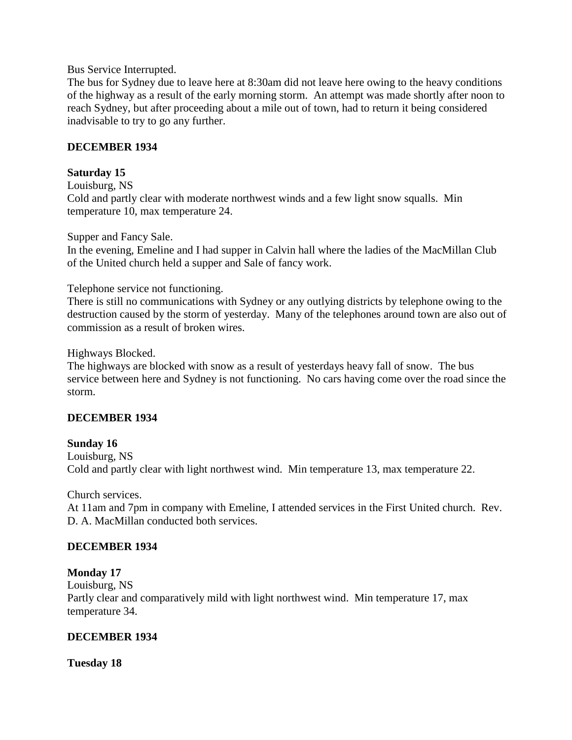Bus Service Interrupted.

The bus for Sydney due to leave here at 8:30am did not leave here owing to the heavy conditions of the highway as a result of the early morning storm. An attempt was made shortly after noon to reach Sydney, but after proceeding about a mile out of town, had to return it being considered inadvisable to try to go any further.

### **DECEMBER 1934**

### **Saturday 15**

Louisburg, NS Cold and partly clear with moderate northwest winds and a few light snow squalls. Min temperature 10, max temperature 24.

Supper and Fancy Sale.

In the evening, Emeline and I had supper in Calvin hall where the ladies of the MacMillan Club of the United church held a supper and Sale of fancy work.

Telephone service not functioning.

There is still no communications with Sydney or any outlying districts by telephone owing to the destruction caused by the storm of yesterday. Many of the telephones around town are also out of commission as a result of broken wires.

Highways Blocked.

The highways are blocked with snow as a result of yesterdays heavy fall of snow. The bus service between here and Sydney is not functioning. No cars having come over the road since the storm.

### **DECEMBER 1934**

### **Sunday 16**

Louisburg, NS Cold and partly clear with light northwest wind. Min temperature 13, max temperature 22.

Church services.

At 11am and 7pm in company with Emeline, I attended services in the First United church. Rev. D. A. MacMillan conducted both services.

### **DECEMBER 1934**

### **Monday 17**

Louisburg, NS Partly clear and comparatively mild with light northwest wind. Min temperature 17, max temperature 34.

### **DECEMBER 1934**

**Tuesday 18**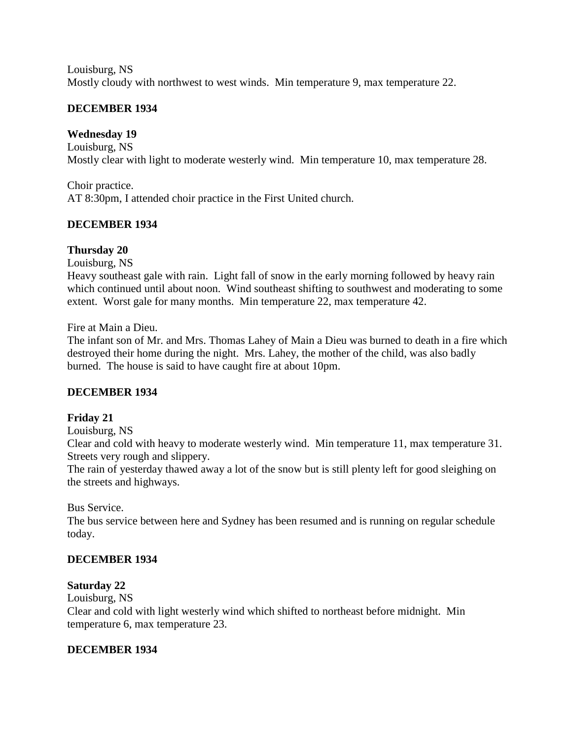Louisburg, NS Mostly cloudy with northwest to west winds. Min temperature 9, max temperature 22.

### **DECEMBER 1934**

### **Wednesday 19**

Louisburg, NS Mostly clear with light to moderate westerly wind. Min temperature 10, max temperature 28.

Choir practice. AT 8:30pm, I attended choir practice in the First United church.

### **DECEMBER 1934**

### **Thursday 20**

Louisburg, NS

Heavy southeast gale with rain. Light fall of snow in the early morning followed by heavy rain which continued until about noon. Wind southeast shifting to southwest and moderating to some extent. Worst gale for many months. Min temperature 22, max temperature 42.

Fire at Main a Dieu.

The infant son of Mr. and Mrs. Thomas Lahey of Main a Dieu was burned to death in a fire which destroyed their home during the night. Mrs. Lahey, the mother of the child, was also badly burned. The house is said to have caught fire at about 10pm.

### **DECEMBER 1934**

### **Friday 21**

Louisburg, NS

Clear and cold with heavy to moderate westerly wind. Min temperature 11, max temperature 31. Streets very rough and slippery.

The rain of yesterday thawed away a lot of the snow but is still plenty left for good sleighing on the streets and highways.

Bus Service.

The bus service between here and Sydney has been resumed and is running on regular schedule today.

## **DECEMBER 1934**

### **Saturday 22**

Louisburg, NS

Clear and cold with light westerly wind which shifted to northeast before midnight. Min temperature 6, max temperature 23.

### **DECEMBER 1934**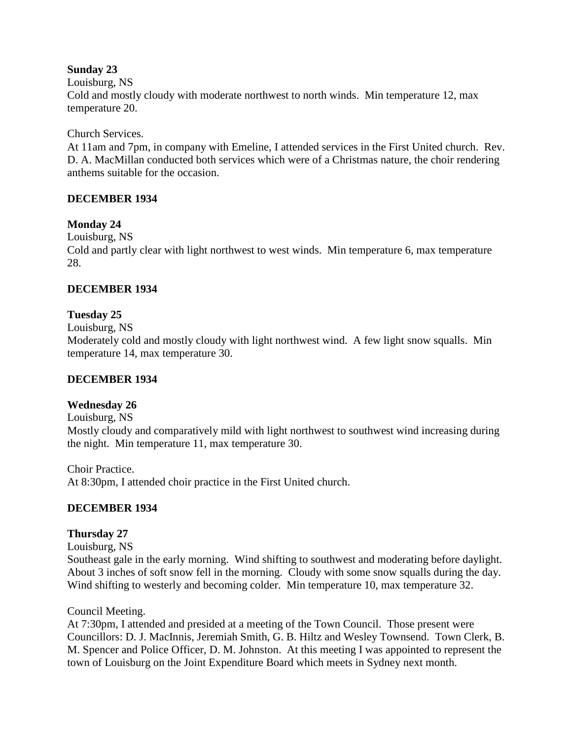## **Sunday 23**

Louisburg, NS

Cold and mostly cloudy with moderate northwest to north winds. Min temperature 12, max temperature 20.

Church Services.

At 11am and 7pm, in company with Emeline, I attended services in the First United church. Rev. D. A. MacMillan conducted both services which were of a Christmas nature, the choir rendering anthems suitable for the occasion.

# **DECEMBER 1934**

# **Monday 24**

Louisburg, NS

Cold and partly clear with light northwest to west winds. Min temperature 6, max temperature 28.

# **DECEMBER 1934**

# **Tuesday 25**

Louisburg, NS

Moderately cold and mostly cloudy with light northwest wind. A few light snow squalls. Min temperature 14, max temperature 30.

## **DECEMBER 1934**

## **Wednesday 26**

Louisburg, NS

Mostly cloudy and comparatively mild with light northwest to southwest wind increasing during the night. Min temperature 11, max temperature 30.

Choir Practice. At 8:30pm, I attended choir practice in the First United church.

# **DECEMBER 1934**

## **Thursday 27**

Louisburg, NS

Southeast gale in the early morning. Wind shifting to southwest and moderating before daylight. About 3 inches of soft snow fell in the morning. Cloudy with some snow squalls during the day. Wind shifting to westerly and becoming colder. Min temperature 10, max temperature 32.

## Council Meeting.

At 7:30pm, I attended and presided at a meeting of the Town Council. Those present were Councillors: D. J. MacInnis, Jeremiah Smith, G. B. Hiltz and Wesley Townsend. Town Clerk, B. M. Spencer and Police Officer, D. M. Johnston. At this meeting I was appointed to represent the town of Louisburg on the Joint Expenditure Board which meets in Sydney next month.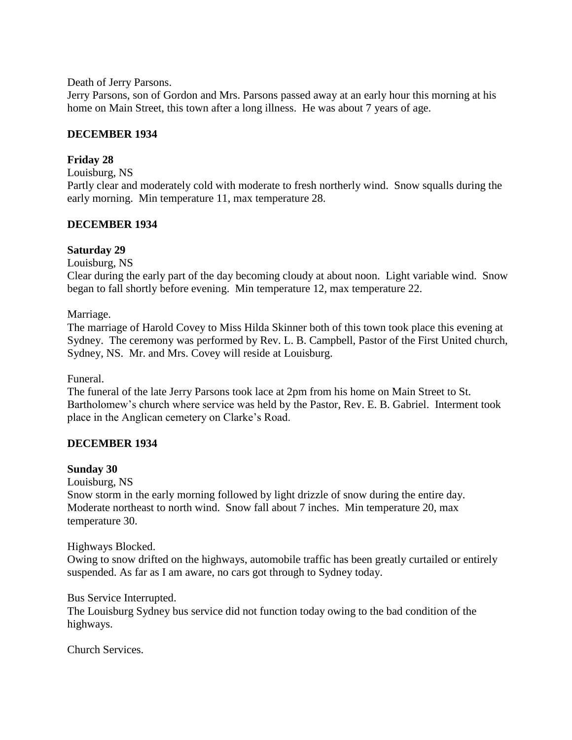Death of Jerry Parsons.

Jerry Parsons, son of Gordon and Mrs. Parsons passed away at an early hour this morning at his home on Main Street, this town after a long illness. He was about 7 years of age.

### **DECEMBER 1934**

### **Friday 28**

Louisburg, NS

Partly clear and moderately cold with moderate to fresh northerly wind. Snow squalls during the early morning. Min temperature 11, max temperature 28.

## **DECEMBER 1934**

### **Saturday 29**

Louisburg, NS

Clear during the early part of the day becoming cloudy at about noon. Light variable wind. Snow began to fall shortly before evening. Min temperature 12, max temperature 22.

Marriage.

The marriage of Harold Covey to Miss Hilda Skinner both of this town took place this evening at Sydney. The ceremony was performed by Rev. L. B. Campbell, Pastor of the First United church, Sydney, NS. Mr. and Mrs. Covey will reside at Louisburg.

Funeral.

The funeral of the late Jerry Parsons took lace at 2pm from his home on Main Street to St. Bartholomew's church where service was held by the Pastor, Rev. E. B. Gabriel. Interment took place in the Anglican cemetery on Clarke's Road.

## **DECEMBER 1934**

### **Sunday 30**

Louisburg, NS

Snow storm in the early morning followed by light drizzle of snow during the entire day. Moderate northeast to north wind. Snow fall about 7 inches. Min temperature 20, max temperature 30.

Highways Blocked.

Owing to snow drifted on the highways, automobile traffic has been greatly curtailed or entirely suspended. As far as I am aware, no cars got through to Sydney today.

Bus Service Interrupted.

The Louisburg Sydney bus service did not function today owing to the bad condition of the highways.

Church Services.